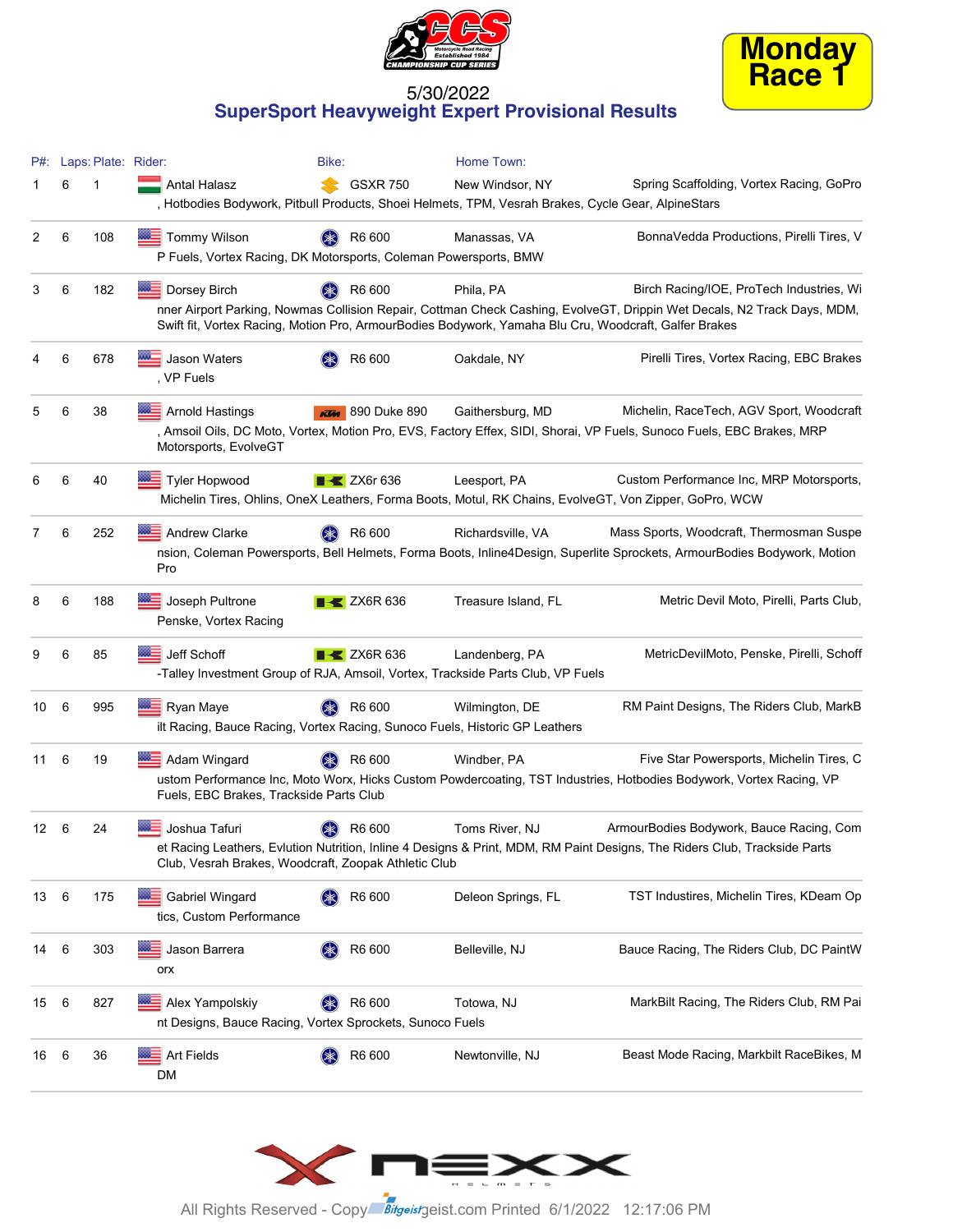



#### 5/30/2022 **SuperSport Heavyweight Expert Provisional Results**

| P#:  |     | Laps: Plate: Rider: |                                                                                                  | Bike:                          | Home Town:          |                                                                                                                                                                                                                                  |
|------|-----|---------------------|--------------------------------------------------------------------------------------------------|--------------------------------|---------------------|----------------------------------------------------------------------------------------------------------------------------------------------------------------------------------------------------------------------------------|
|      | 6   | 1                   | Antal Halasz                                                                                     | <b>GSXR 750</b><br>SS          | New Windsor, NY     | Spring Scaffolding, Vortex Racing, GoPro                                                                                                                                                                                         |
|      |     |                     | Hotbodies Bodywork, Pitbull Products, Shoei Helmets, TPM, Vesrah Brakes, Cycle Gear, AlpineStars |                                |                     |                                                                                                                                                                                                                                  |
| 2    | 6   | 108                 | <b>WE</b> Tommy Wilson<br>P Fuels, Vortex Racing, DK Motorsports, Coleman Powersports, BMW       | R6 600                         | Manassas, VA        | BonnaVedda Productions, Pirelli Tires, V                                                                                                                                                                                         |
| 3    | 6   | 182                 | $\equiv$ Dorsey Birch                                                                            | R6 600                         | Phila, PA           | Birch Racing/IOE, ProTech Industries, Wi                                                                                                                                                                                         |
|      |     |                     |                                                                                                  |                                |                     | nner Airport Parking, Nowmas Collision Repair, Cottman Check Cashing, EvolveGT, Drippin Wet Decals, N2 Track Days, MDM,<br>Swift fit, Vortex Racing, Motion Pro, ArmourBodies Bodywork, Yamaha Blu Cru, Woodcraft, Galfer Brakes |
|      | 6   | 678                 | Jason Waters<br>, VP Fuels                                                                       | R6 600                         | Oakdale, NY         | Pirelli Tires, Vortex Racing, EBC Brakes                                                                                                                                                                                         |
| 5    | 6   | 38                  | <b>Arnold Hastings</b>                                                                           | <b>KTM</b> 890 Duke 890        | Gaithersburg, MD    | Michelin, RaceTech, AGV Sport, Woodcraft                                                                                                                                                                                         |
|      |     |                     | Motorsports, EvolveGT                                                                            |                                |                     | Amsoil Oils, DC Moto, Vortex, Motion Pro, EVS, Factory Effex, SIDI, Shorai, VP Fuels, Sunoco Fuels, EBC Brakes, MRP                                                                                                              |
| 6    | 6   | 40                  | <b>Tyler Hopwood</b>                                                                             | $\blacktriangleright$ ZX6r 636 | Leesport, PA        | Custom Performance Inc, MRP Motorsports,                                                                                                                                                                                         |
|      |     |                     |                                                                                                  |                                |                     | Michelin Tires, Ohlins, OneX Leathers, Forma Boots, Motul, RK Chains, EvolveGT, Von Zipper, GoPro, WCW                                                                                                                           |
| 7    | 6   | 252                 | $\equiv$ Andrew Clarke                                                                           | R6 600                         | Richardsville, VA   | Mass Sports, Woodcraft, Thermosman Suspe                                                                                                                                                                                         |
|      |     |                     | Pro                                                                                              |                                |                     | nsion, Coleman Powersports, Bell Helmets, Forma Boots, Inline4Design, Superlite Sprockets, ArmourBodies Bodywork, Motion                                                                                                         |
| 8    | 6   | 188                 | Joseph Pultrone<br>Penske, Vortex Racing                                                         | $\blacktriangleright$ ZX6R 636 | Treasure Island, FL | Metric Devil Moto, Pirelli, Parts Club,                                                                                                                                                                                          |
| 9    | 6   | 85                  | Jeff Schoff<br>-Talley Investment Group of RJA, Amsoil, Vortex, Trackside Parts Club, VP Fuels   | $\rightarrow$ ZX6R 636         | Landenberg, PA      | MetricDevilMoto, Penske, Pirelli, Schoff                                                                                                                                                                                         |
| 10   | 6   | 995                 | Ryan Maye<br>ilt Racing, Bauce Racing, Vortex Racing, Sunoco Fuels, Historic GP Leathers         | R6 600                         | Wilmington, DE      | RM Paint Designs, The Riders Club, MarkB                                                                                                                                                                                         |
| 11   | 6   | 19                  | $\equiv$ Adam Wingard                                                                            | R6 600                         | Windber, PA         | Five Star Powersports, Michelin Tires, C                                                                                                                                                                                         |
|      |     |                     | Fuels, EBC Brakes, Trackside Parts Club                                                          |                                |                     | ustom Performance Inc, Moto Worx, Hicks Custom Powdercoating, TST Industries, Hotbodies Bodywork, Vortex Racing, VP                                                                                                              |
| 12   | - 6 | 24                  | Joshua Tafuri                                                                                    | R6 600                         | Toms River, NJ      | ArmourBodies Bodywork, Bauce Racing, Com                                                                                                                                                                                         |
|      |     |                     | Club, Vesrah Brakes, Woodcraft, Zoopak Athletic Club                                             |                                |                     | et Racing Leathers, Evlution Nutrition, Inline 4 Designs & Print, MDM, RM Paint Designs, The Riders Club, Trackside Parts                                                                                                        |
| 13   | - 6 | 175                 | Gabriel Wingard<br>tics, Custom Performance                                                      | R6 600                         | Deleon Springs, FL  | TST Industires, Michelin Tires, KDeam Op                                                                                                                                                                                         |
| 14 6 |     | 303                 | Jason Barrera<br>orx                                                                             | R6 600                         | Belleville, NJ      | Bauce Racing, The Riders Club, DC PaintW                                                                                                                                                                                         |
| 15   | - 6 | 827                 | Alex Yampolskiy<br>nt Designs, Bauce Racing, Vortex Sprockets, Sunoco Fuels                      | R6 600                         | Totowa, NJ          | MarkBilt Racing, The Riders Club, RM Pai                                                                                                                                                                                         |
| 16   | - 6 | 36                  | $\frac{1}{2}$ Art Fields<br>DM                                                                   | R6 600                         | Newtonville, NJ     | Beast Mode Racing, Markbilt RaceBikes, M                                                                                                                                                                                         |

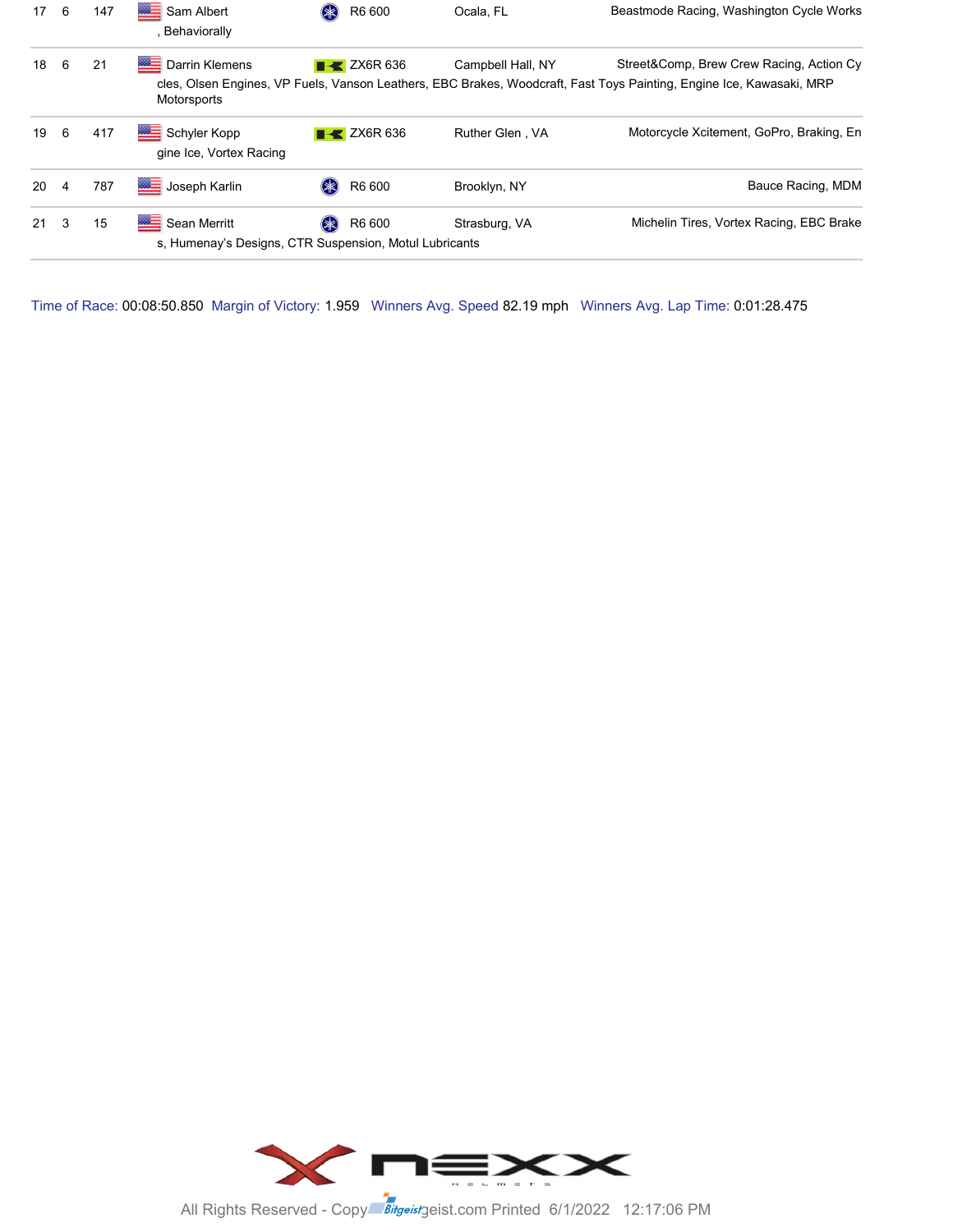| 17 <sup>2</sup> | -6 | 147 | Sam Albert<br>Behaviorally                                             |        | R6 600                            | Ocala, FL         | Beastmode Racing, Washington Cycle Works                                                                                                                         |
|-----------------|----|-----|------------------------------------------------------------------------|--------|-----------------------------------|-------------------|------------------------------------------------------------------------------------------------------------------------------------------------------------------|
| 18              | -6 | 21  | <b>Darrin Klemens</b><br>Motorsports                                   |        | $\blacktriangleright$ ZX6R 636    | Campbell Hall, NY | Street&Comp, Brew Crew Racing, Action Cy<br>cles, Olsen Engines, VP Fuels, Vanson Leathers, EBC Brakes, Woodcraft, Fast Toys Painting, Engine Ice, Kawasaki, MRP |
| 19              | 6  | 417 | Schyler Kopp<br>gine Ice, Vortex Racing                                |        | $\overline{\phantom{1}}$ ZX6R 636 | Ruther Glen, VA   | Motorcycle Xcitement, GoPro, Braking, En                                                                                                                         |
| 20              | 4  | 787 | Joseph Karlin                                                          | $(* )$ | R6 600                            | Brooklyn, NY      | Bauce Racing, MDM                                                                                                                                                |
| 21              | 3  | 15  | Sean Merritt<br>s, Humenay's Designs, CTR Suspension, Motul Lubricants |        | R6 600                            | Strasburg, VA     | Michelin Tires, Vortex Racing, EBC Brake                                                                                                                         |

Time of Race: 00:08:50.850 Margin of Victory: 1.959 Winners Avg. Speed 82.19 mph Winners Avg. Lap Time: 0:01:28.475



All Rights Reserved - Copy<sup>right</sup> Bitgeistgeist.com Printed 6/1/2022 12:17:06 PM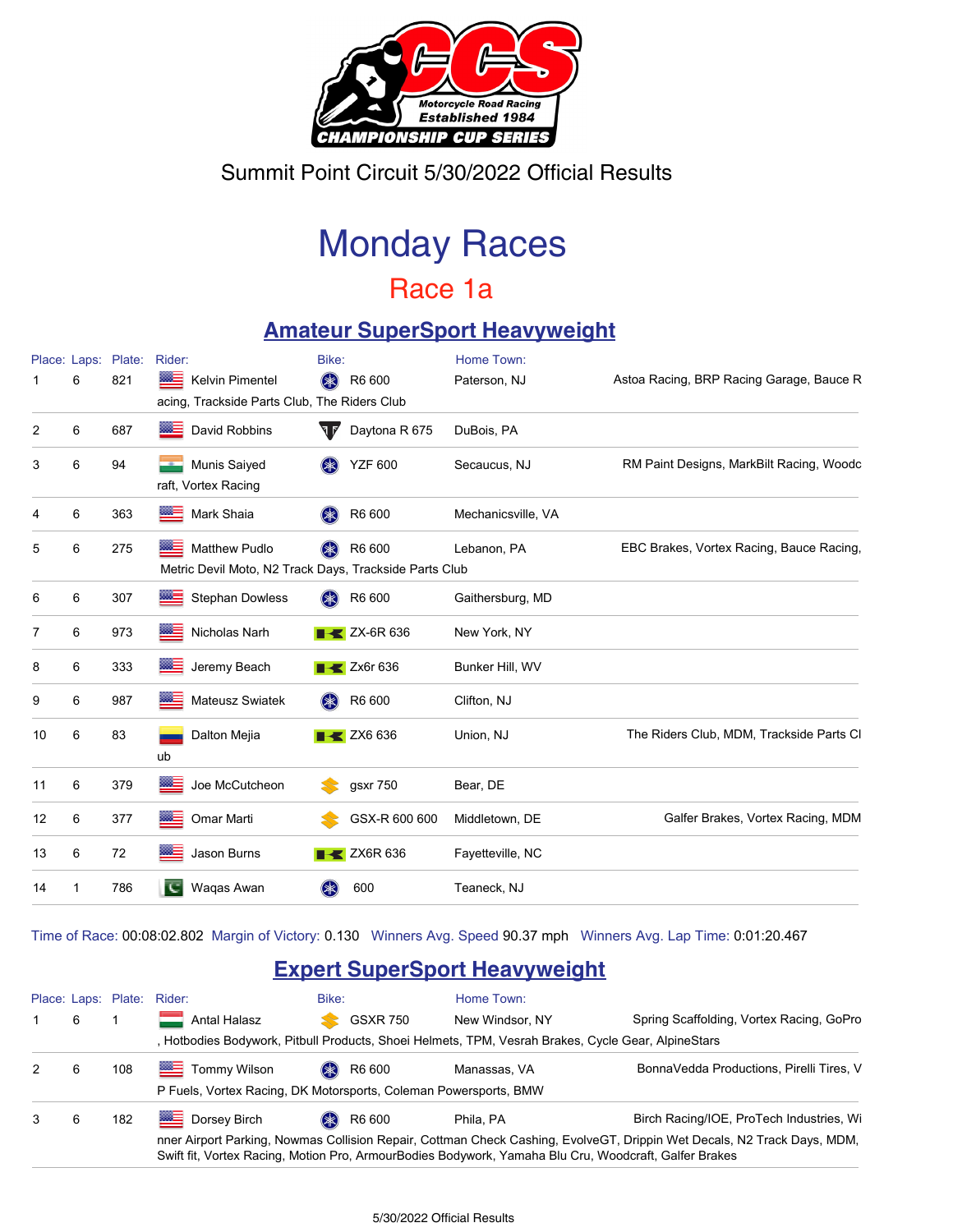

Summit Point Circuit 5/30/2022 Official Results

# Monday Races

## Race 1a

### **Amateur SuperSport Heavyweight**

|    | Place: Laps: | Plate: | Rider:                                                                               | Bike:                          | Home Town:         |                                          |
|----|--------------|--------|--------------------------------------------------------------------------------------|--------------------------------|--------------------|------------------------------------------|
|    | 6            | 821    | ▩▄<br>Kelvin Pimentel<br>acing, Trackside Parts Club, The Riders Club                | \$<br>R6 600                   | Paterson, NJ       | Astoa Racing, BRP Racing Garage, Bauce R |
| 2  | 6            | 687    | W=<br>David Robbins                                                                  | Daytona R 675<br>ता∕           | DuBois, PA         |                                          |
| 3  | 6            | 94     | Munis Saiyed<br>raft, Vortex Racing                                                  | $(\ast)$<br><b>YZF 600</b>     | Secaucus, NJ       | RM Paint Designs, MarkBilt Racing, Woodc |
| 4  | 6            | 363    | <b>SOLUTION</b><br>Mark Shaia                                                        | R6 600<br>$(\ast)$             | Mechanicsville, VA |                                          |
| 5  | 6            | 275    | ▩≡<br><b>Matthew Pudlo</b><br>Metric Devil Moto, N2 Track Days, Trackside Parts Club | $(\divideontimes)$<br>R6 600   | Lebanon, PA        | EBC Brakes, Vortex Racing, Bauce Racing, |
| 6  | 6            | 307    | <b>Stephan Dowless</b><br><b>WALLE</b>                                               | \$<br>R6 600                   | Gaithersburg, MD   |                                          |
| 7  | 6            | 973    | ※三<br>Nicholas Narh                                                                  | $X = 2X-6R$ 636                | New York, NY       |                                          |
| 8  | 6            | 333    | ▓≡<br>Jeremy Beach                                                                   | $\triangleright$ Zx6r 636      | Bunker Hill, WV    |                                          |
| 9  | 6            | 987    | Mateusz Swiatek                                                                      | \$<br>R6 600                   | Clifton, NJ        |                                          |
| 10 | 6            | 83     | Dalton Mejia<br>ub                                                                   | $\blacktriangleright$ ZX6 636  | Union, NJ          | The Riders Club, MDM, Trackside Parts Cl |
| 11 | 6            | 379    | ⋙<br>Joe McCutcheon                                                                  | gsxr 750                       | Bear, DE           |                                          |
| 12 | 6            | 377    | ※三<br>Omar Marti                                                                     | GSX-R 600 600                  | Middletown, DE     | Galfer Brakes, Vortex Racing, MDM        |
| 13 | 6            | 72     | Jason Burns                                                                          | $\blacktriangleright$ ZX6R 636 | Fayetteville, NC   |                                          |
| 14 | 1            | 786    | ख<br>Waqas Awan                                                                      | 600<br>$(\divideontimes)$      | Teaneck, NJ        |                                          |

Time of Race: 00:08:02.802 Margin of Victory: 0.130 Winners Avg. Speed 90.37 mph Winners Avg. Lap Time: 0:01:20.467

### **Expert SuperSport Heavyweight**

|               |   |     | Place: Laps: Plate: Rider:                                       | Bike:           | Home Town:                                                                                            |                                                                                                                         |
|---------------|---|-----|------------------------------------------------------------------|-----------------|-------------------------------------------------------------------------------------------------------|-------------------------------------------------------------------------------------------------------------------------|
|               | 6 |     | <b>Antal Halasz</b>                                              | <b>GSXR 750</b> | New Windsor, NY                                                                                       | Spring Scaffolding, Vortex Racing, GoPro                                                                                |
|               |   |     |                                                                  |                 | Hotbodies Bodywork, Pitbull Products, Shoei Helmets, TPM, Vesrah Brakes, Cycle Gear, AlpineStars      |                                                                                                                         |
| $\mathcal{P}$ | 6 | 108 | <br><b>Tommy Wilson</b>                                          | R6 600          | Manassas, VA                                                                                          | BonnaVedda Productions, Pirelli Tires, V                                                                                |
|               |   |     | P Fuels, Vortex Racing, DK Motorsports, Coleman Powersports, BMW |                 |                                                                                                       |                                                                                                                         |
| 3             | 6 | 182 | <b>Dorsey Birch</b>                                              | R6 600          | Phila. PA                                                                                             | Birch Racing/IOE, ProTech Industries, Wi                                                                                |
|               |   |     |                                                                  |                 | Swift fit, Vortex Racing, Motion Pro, ArmourBodies Bodywork, Yamaha Blu Cru, Woodcraft, Galfer Brakes | nner Airport Parking, Nowmas Collision Repair, Cottman Check Cashing, EvolveGT, Drippin Wet Decals, N2 Track Days, MDM, |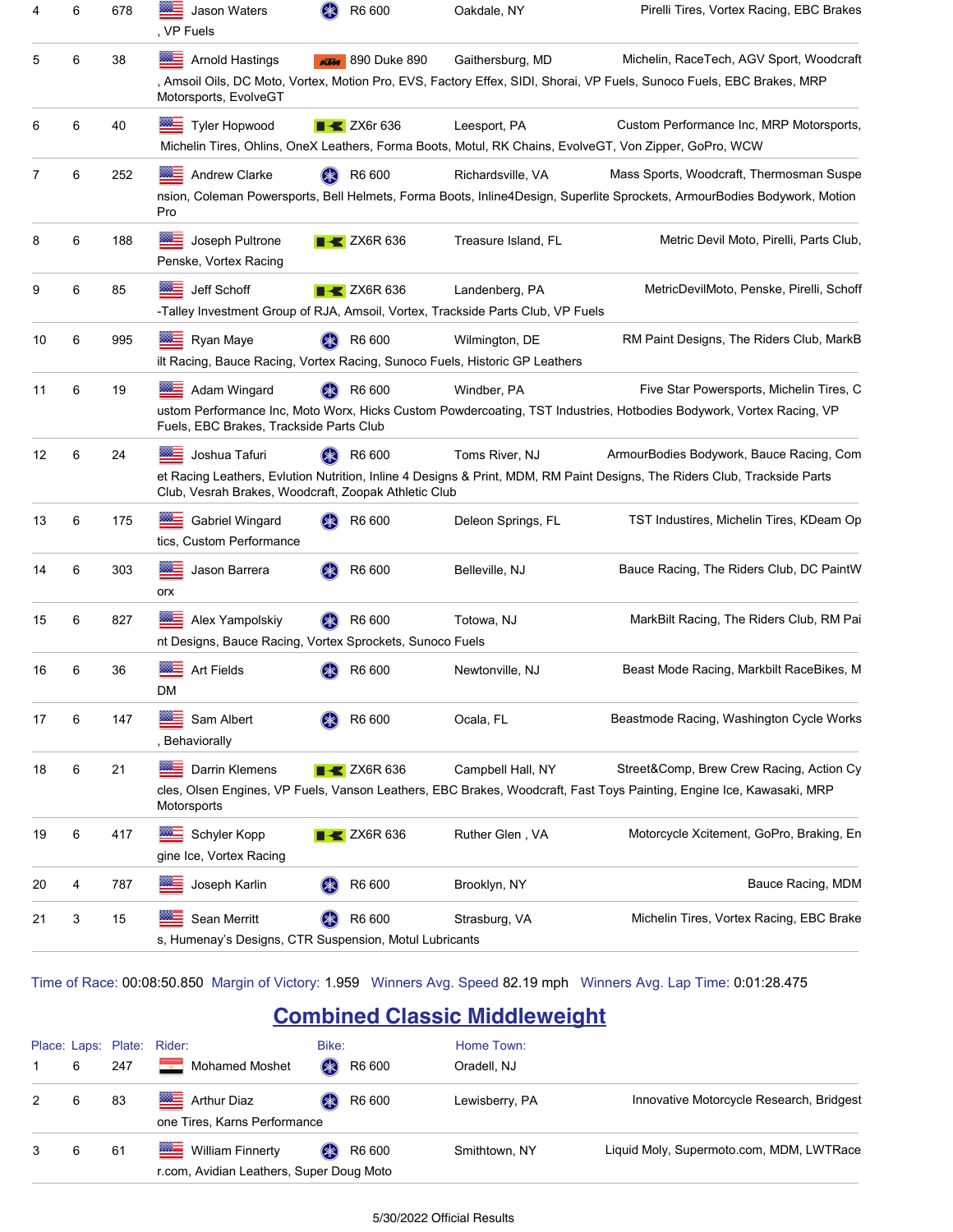| 4  | 6 | 678 | Jason Waters<br>, VP Fuels                                                                 | $(* )$<br>R6 600               | Oakdale, NY                                                                                       | Pirelli Tires, Vortex Racing, EBC Brakes                                                                                                                              |
|----|---|-----|--------------------------------------------------------------------------------------------|--------------------------------|---------------------------------------------------------------------------------------------------|-----------------------------------------------------------------------------------------------------------------------------------------------------------------------|
| 5  | 6 | 38  | <b>Arnold Hastings</b><br>Motorsports, EvolveGT                                            | 890 Duke 890<br><b>KLAA</b>    | Gaithersburg, MD                                                                                  | Michelin, RaceTech, AGV Sport, Woodcraft<br>, Amsoil Oils, DC Moto, Vortex, Motion Pro, EVS, Factory Effex, SIDI, Shorai, VP Fuels, Sunoco Fuels, EBC Brakes, MRP     |
| 6  | 6 | 40  | <b>Bellem</b><br><b>Tyler Hopwood</b>                                                      | $\blacktriangleright$ ZX6r 636 | Leesport, PA                                                                                      | Custom Performance Inc, MRP Motorsports,<br>Michelin Tires, Ohlins, OneX Leathers, Forma Boots, Motul, RK Chains, EvolveGT, Von Zipper, GoPro, WCW                    |
| 7  | 6 | 252 | <b>Andrew Clarke</b><br>Pro                                                                | R6 600                         | Richardsville, VA                                                                                 | Mass Sports, Woodcraft, Thermosman Suspe<br>nsion, Coleman Powersports, Bell Helmets, Forma Boots, Inline4Design, Superlite Sprockets, ArmourBodies Bodywork, Motion  |
| 8  | 6 | 188 | ⋙≡<br>Joseph Pultrone<br>Penske, Vortex Racing                                             | $\blacktriangleright$ ZX6R 636 | Treasure Island, FL                                                                               | Metric Devil Moto, Pirelli, Parts Club.                                                                                                                               |
| 9  | 6 | 85  | Jeff Schoff                                                                                | $\blacktriangleright$ ZX6R 636 | Landenberg, PA<br>-Talley Investment Group of RJA, Amsoil, Vortex, Trackside Parts Club, VP Fuels | MetricDevilMoto, Penske, Pirelli, Schoff                                                                                                                              |
| 10 | 6 | 995 | Ryan Maye                                                                                  | R6 600                         | Wilmington, DE<br>ilt Racing, Bauce Racing, Vortex Racing, Sunoco Fuels, Historic GP Leathers     | RM Paint Designs, The Riders Club, MarkB                                                                                                                              |
| 11 | 6 | 19  | Adam Wingard<br>Fuels, EBC Brakes, Trackside Parts Club                                    | R6 600                         | Windber, PA                                                                                       | Five Star Powersports, Michelin Tires, C<br>ustom Performance Inc, Moto Worx, Hicks Custom Powdercoating, TST Industries, Hotbodies Bodywork, Vortex Racing, VP       |
| 12 | 6 | 24  | Joshua Tafuri<br>Club, Vesrah Brakes, Woodcraft, Zoopak Athletic Club                      | R6 600                         | Toms River, NJ                                                                                    | ArmourBodies Bodywork, Bauce Racing, Com<br>et Racing Leathers, Evlution Nutrition, Inline 4 Designs & Print, MDM, RM Paint Designs, The Riders Club, Trackside Parts |
| 13 | 6 | 175 | <b>Gabriel Wingard</b><br>tics, Custom Performance                                         | R6 600                         | Deleon Springs, FL                                                                                | TST Industires, Michelin Tires, KDeam Op                                                                                                                              |
| 14 | 6 | 303 | Jason Barrera<br>orx                                                                       | R6 600                         | Belleville, NJ                                                                                    | Bauce Racing, The Riders Club, DC PaintW                                                                                                                              |
| 15 | 6 | 827 | <b>RACE</b><br>Alex Yampolskiy<br>nt Designs, Bauce Racing, Vortex Sprockets, Sunoco Fuels | R6 600                         | Totowa, NJ                                                                                        | MarkBilt Racing, The Riders Club, RM Pai                                                                                                                              |
| 16 | 6 | 36  | <b>Art Fields</b><br>DM                                                                    | R6 600                         | Newtonville, NJ                                                                                   | Beast Mode Racing, Markbilt RaceBikes, M                                                                                                                              |
| 17 | 6 | 147 | Sam Albert<br>, Behaviorally                                                               | R6 600                         | Ocala, FL                                                                                         | Beastmode Racing, Washington Cycle Works                                                                                                                              |
| 18 | 6 | 21  | Darrin Klemens<br>Motorsports                                                              | $\blacktriangleright$ ZX6R 636 | Campbell Hall, NY                                                                                 | Street&Comp, Brew Crew Racing, Action Cy<br>cles, Olsen Engines, VP Fuels, Vanson Leathers, EBC Brakes, Woodcraft, Fast Toys Painting, Engine Ice, Kawasaki, MRP      |
| 19 | 6 | 417 | $200 -$<br>Schyler Kopp<br>gine Ice, Vortex Racing                                         | $\blacktriangleleft$ ZX6R 636  | Ruther Glen, VA                                                                                   | Motorcycle Xcitement, GoPro, Braking, En                                                                                                                              |
| 20 | 4 | 787 | Joseph Karlin                                                                              | R6 600                         | Brooklyn, NY                                                                                      | Bauce Racing, MDM                                                                                                                                                     |
| 21 | 3 | 15  | Sean Merritt<br>s, Humenay's Designs, CTR Suspension, Motul Lubricants                     | R6 600                         | Strasburg, VA                                                                                     | Michelin Tires, Vortex Racing, EBC Brake                                                                                                                              |

Time of Race: 00:08:50.850 Margin of Victory: 1.959 Winners Avg. Speed 82.19 mph Winners Avg. Lap Time: 0:01:28.475

### **Combined Classic Middleweight**

|    |     | Place: Laps: Plate: Rider:                                                       | Bike:                        | Home Town:     |                                          |
|----|-----|----------------------------------------------------------------------------------|------------------------------|----------------|------------------------------------------|
| 6  | 247 | <u>sa</u><br><b>Mohamed Moshet</b>                                               | <b>OK</b><br>R6 600          | Oradell, NJ    |                                          |
| -6 | 83  | Arthur Diaz<br>one Tires, Karns Performance                                      | R6 600<br>$(\divideontimes)$ | Lewisberry, PA | Innovative Motorcycle Research, Bridgest |
| 6  | 61  | <u>ma</u><br><b>William Finnerty</b><br>r.com, Avidian Leathers, Super Doug Moto | R6 600<br>$(\divideontimes)$ | Smithtown, NY  | Liquid Moly, Supermoto.com, MDM, LWTRace |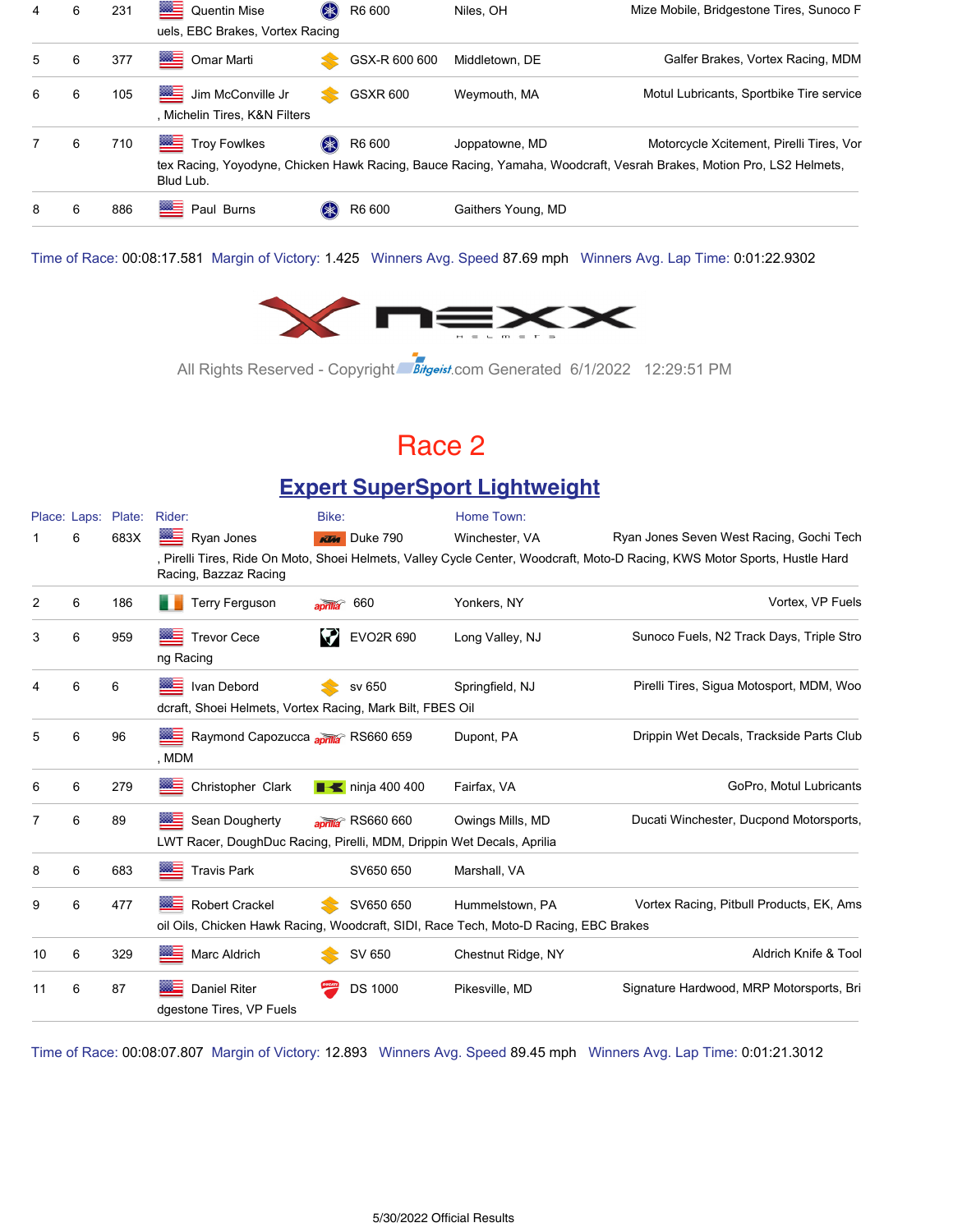| 4  | 6 | 231 | Quentin Mise<br>uels, EBC Brakes, Vortex Racing    | (*     | R6 600          | Niles, OH          | Mize Mobile, Bridgestone Tires, Sunoco F                                                                                                                        |
|----|---|-----|----------------------------------------------------|--------|-----------------|--------------------|-----------------------------------------------------------------------------------------------------------------------------------------------------------------|
| 5. | 6 | 377 | Omar Marti                                         |        | GSX-R 600 600   | Middletown, DE     | Galfer Brakes, Vortex Racing, MDM                                                                                                                               |
| 6  | 6 | 105 | Jim McConville Jr<br>, Michelin Tires, K&N Filters | ≈      | <b>GSXR 600</b> | Weymouth, MA       | Motul Lubricants, Sportbike Tire service                                                                                                                        |
|    | 6 | 710 | Troy Fowlkes<br>Blud Lub.                          | $(* )$ | R6 600          | Joppatowne, MD     | Motorcycle Xcitement, Pirelli Tires, Vor<br>tex Racing, Yoyodyne, Chicken Hawk Racing, Bauce Racing, Yamaha, Woodcraft, Vesrah Brakes, Motion Pro, LS2 Helmets, |
| 8  | 6 | 886 | ▩≣<br>Paul Burns                                   |        | R6 600          | Gaithers Young, MD |                                                                                                                                                                 |

Time of Race: 00:08:17.581 Margin of Victory: 1.425 Winners Avg. Speed 87.69 mph Winners Avg. Lap Time: 0:01:22.9302



All Rights Reserved - Copyright Bitgeist.com Generated 6/1/2022 12:29:51 PM

### Race 2

### **Expert SuperSport Lightweight**

|    |   | Place: Laps: Plate: | Rider:                                                                                  | Bike:                          | Home Town:                                                                                              |                                                                                                                            |
|----|---|---------------------|-----------------------------------------------------------------------------------------|--------------------------------|---------------------------------------------------------------------------------------------------------|----------------------------------------------------------------------------------------------------------------------------|
|    | 6 | 683X                | ▩≘<br>Ryan Jones                                                                        | <b>KTM</b> Duke 790            | Winchester, VA                                                                                          | Ryan Jones Seven West Racing, Gochi Tech                                                                                   |
|    |   |                     | Racing, Bazzaz Racing                                                                   |                                |                                                                                                         | , Pirelli Tires, Ride On Moto, Shoei Helmets, Valley Cycle Center, Woodcraft, Moto-D Racing, KWS Motor Sports, Hustle Hard |
| 2  | 6 | 186                 | <b>Terry Ferguson</b>                                                                   | 660<br>$\overline{a}$          | Yonkers, NY                                                                                             | Vortex, VP Fuels                                                                                                           |
| 3  | 6 | 959                 | <b>Trevor Cece</b><br>ng Racing                                                         | EVO2R 690                      | Long Valley, NJ                                                                                         | Sunoco Fuels, N2 Track Days, Triple Stro                                                                                   |
| 4  | 6 | 6                   | ▩▅<br>Ivan Debord<br>dcraft, Shoei Helmets, Vortex Racing, Mark Bilt, FBES Oil          | sv 650                         | Springfield, NJ                                                                                         | Pirelli Tires, Sigua Motosport, MDM, Woo                                                                                   |
| 5  | 6 | 96                  | Raymond Capozucca aprila RS660 659<br>, MDM                                             |                                | Dupont, PA                                                                                              | Drippin Wet Decals, Trackside Parts Club                                                                                   |
| 6  | 6 | 279                 | Christopher Clark                                                                       | $\blacksquare$ ninja 400 400   | Fairfax, VA                                                                                             | GoPro, Motul Lubricants                                                                                                    |
| 7  | 6 | 89                  | Sean Dougherty<br>LWT Racer, DoughDuc Racing, Pirelli, MDM, Drippin Wet Decals, Aprilia | aprilia <sup>®</sup> RS660 660 | Owings Mills, MD                                                                                        | Ducati Winchester, Ducpond Motorsports,                                                                                    |
| 8  | 6 | 683                 | <b>Travis Park</b>                                                                      | SV650 650                      | Marshall, VA                                                                                            |                                                                                                                            |
| 9  | 6 | 477                 | ▩═<br><b>Robert Crackel</b>                                                             | SV650 650                      | Hummelstown, PA<br>oil Oils, Chicken Hawk Racing, Woodcraft, SIDI, Race Tech, Moto-D Racing, EBC Brakes | Vortex Racing, Pitbull Products, EK, Ams                                                                                   |
| 10 | 6 | 329                 | Marc Aldrich                                                                            | SV 650                         | Chestnut Ridge, NY                                                                                      | Aldrich Knife & Tool                                                                                                       |
| 11 | 6 | 87                  | <b>Daniel Riter</b><br>dgestone Tires, VP Fuels                                         | <b>DS 1000</b>                 | Pikesville, MD                                                                                          | Signature Hardwood, MRP Motorsports, Bri                                                                                   |

Time of Race: 00:08:07.807 Margin of Victory: 12.893 Winners Avg. Speed 89.45 mph Winners Avg. Lap Time: 0:01:21.3012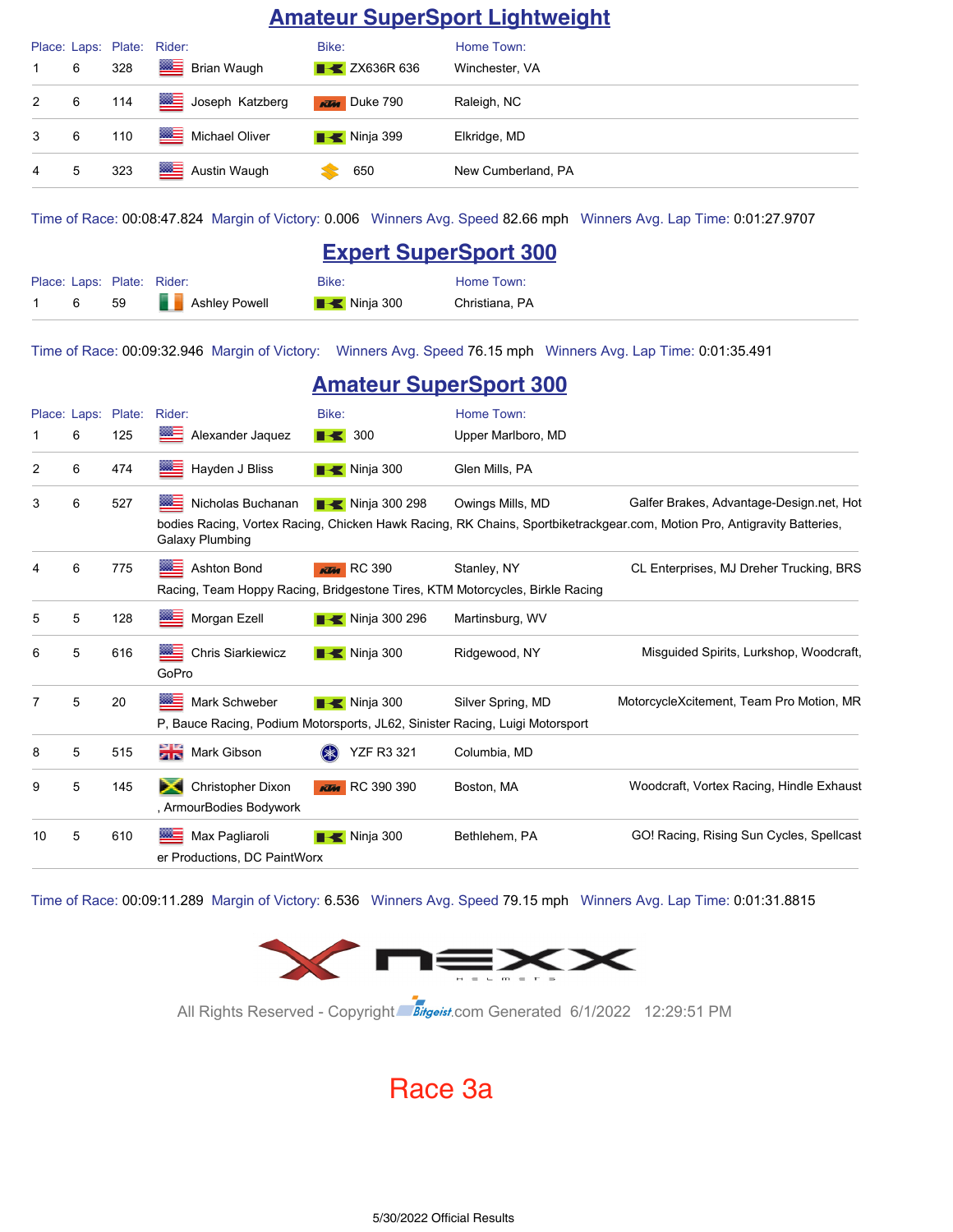#### **Amateur SuperSport Lightweight**

|                |   | Place: Laps: Plate: Rider: |                    | Bike:                            | Home Town:         |
|----------------|---|----------------------------|--------------------|----------------------------------|--------------------|
|                | 6 | 328                        | <b>Brian Waugh</b> | $\blacktriangleright$ ZX636R 636 | Winchester, VA     |
| $2^{\circ}$    | 6 | 114                        | Joseph Katzberg    | <b>KTM</b> Duke 790              | Raleigh, NC        |
| $3^{\circ}$    | 6 | 110                        | Michael Oliver     | $\blacksquare$ Ninja 399         | Elkridge, MD       |
| $\overline{4}$ | 5 | 323                        | Austin Waugh       | 650                              | New Cumberland, PA |

Time of Race: 00:08:47.824 Margin of Victory: 0.006 Winners Avg. Speed 82.66 mph Winners Avg. Lap Time: 0:01:27.9707

|  |  |                            |                      | <b>Expert SuperSport 300</b> |                |
|--|--|----------------------------|----------------------|------------------------------|----------------|
|  |  | Place: Laps: Plate: Rider: |                      | Bike:                        | Home Town:     |
|  |  | -59                        | <b>Ashley Powell</b> | $\blacksquare$ Ninja 300     | Christiana. PA |

Time of Race: 00:09:32.946 Margin of Victory: Winners Avg. Speed 76.15 mph Winners Avg. Lap Time: 0:01:35.491

|    |              |        |                                                                              | <b>Amateur SuperSport 300</b> |                                                                              |                                                                                                                          |
|----|--------------|--------|------------------------------------------------------------------------------|-------------------------------|------------------------------------------------------------------------------|--------------------------------------------------------------------------------------------------------------------------|
|    | Place: Laps: | Plate: | Rider:                                                                       | Bike:                         | Home Town:                                                                   |                                                                                                                          |
|    | 6            | 125    | Alexander Jaquez                                                             | $\blacksquare$ 300            | Upper Marlboro, MD                                                           |                                                                                                                          |
| 2  | 6            | 474    | Hayden J Bliss                                                               | <b>Ninja 300</b>              | Glen Mills, PA                                                               |                                                                                                                          |
| 3  | 6            | 527    | Nicholas Buchanan                                                            | Ninja 300 298                 | Owings Mills, MD                                                             | Galfer Brakes, Advantage-Design.net, Hot                                                                                 |
|    |              |        | Galaxy Plumbing                                                              |                               |                                                                              | bodies Racing, Vortex Racing, Chicken Hawk Racing, RK Chains, Sportbiketrackgear.com, Motion Pro, Antigravity Batteries, |
|    | 6            | 775    | Ashton Bond                                                                  | <b>KTM</b> RC 390             | Stanley, NY                                                                  | CL Enterprises, MJ Dreher Trucking, BRS                                                                                  |
|    |              |        |                                                                              |                               | Racing, Team Hoppy Racing, Bridgestone Tires, KTM Motorcycles, Birkle Racing |                                                                                                                          |
| 5  | 5            | 128    | Morgan Ezell                                                                 | B Solicia 300 296             | Martinsburg, WV                                                              |                                                                                                                          |
| 6  | 5            | 616    | ▩Ξ<br><b>Chris Siarkiewicz</b><br>GoPro                                      | $\blacksquare$ Ninja 300      | Ridgewood, NY                                                                | Misquided Spirits, Lurkshop, Woodcraft,                                                                                  |
|    | 5            | 20     | ▩▬<br>Mark Schweber                                                          | <b>Ninja 300</b>              | Silver Spring, MD                                                            | MotorcycleXcitement, Team Pro Motion, MR                                                                                 |
|    |              |        | P, Bauce Racing, Podium Motorsports, JL62, Sinister Racing, Luigi Motorsport |                               |                                                                              |                                                                                                                          |
| 8  | 5            | 515    | Mark Gibson                                                                  | <b>YZF R3 321</b>             | Columbia, MD                                                                 |                                                                                                                          |
| 9  | 5            | 145    | Christopher Dixon<br>, ArmourBodies Bodywork                                 | <b>KTM</b> RC 390 390         | Boston, MA                                                                   | Woodcraft, Vortex Racing, Hindle Exhaust                                                                                 |
| 10 | 5            | 610    | Max Pagliaroli<br>er Productions, DC PaintWorx                               | $\blacksquare$ Ninja 300      | Bethlehem, PA                                                                | GO! Racing, Rising Sun Cycles, Spellcast                                                                                 |

Time of Race: 00:09:11.289 Margin of Victory: 6.536 Winners Avg. Speed 79.15 mph Winners Avg. Lap Time: 0:01:31.8815



All Rights Reserved - Copyright Bitgeist.com Generated 6/1/2022 12:29:51 PM

### Race 3a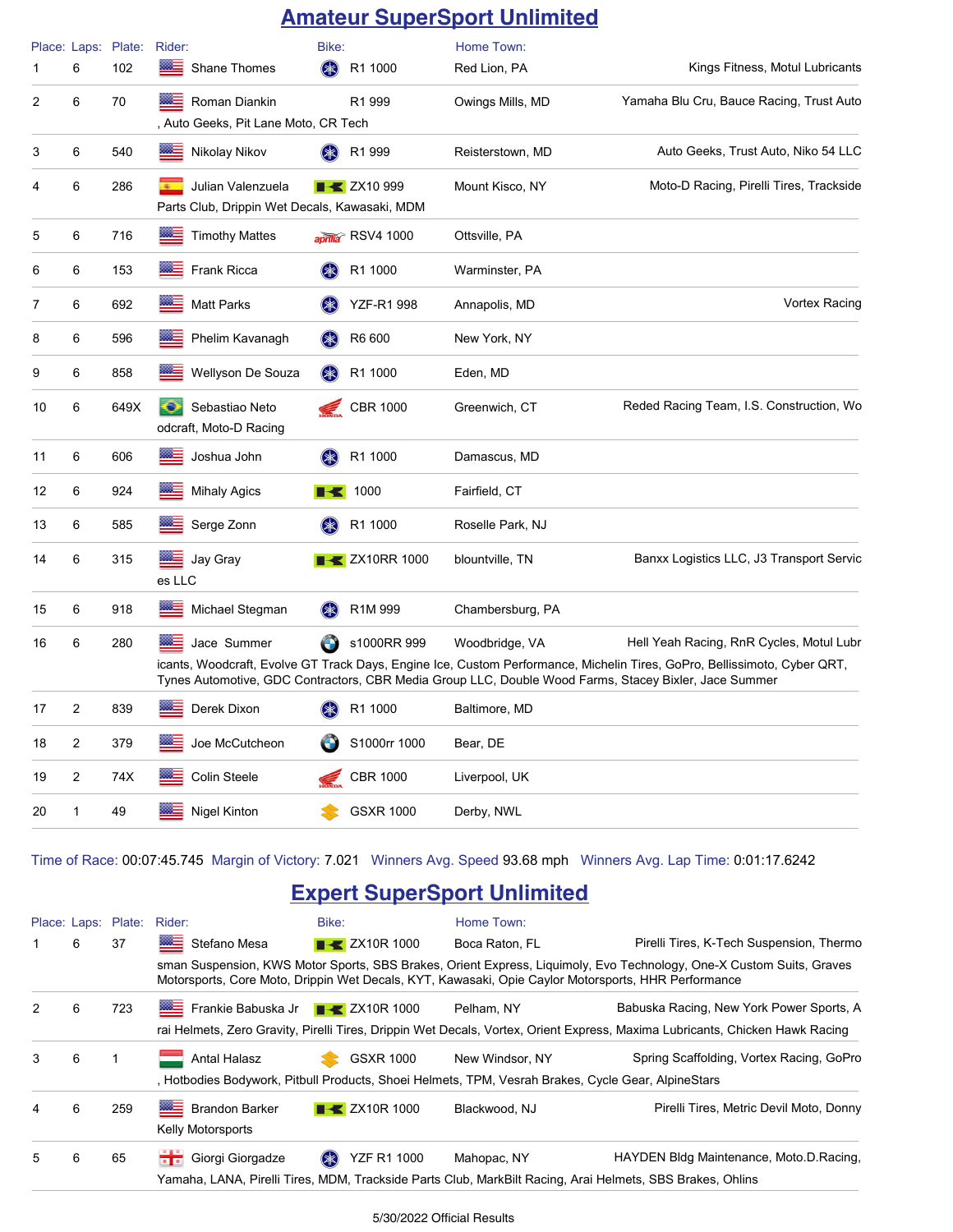### **Amateur SuperSport Unlimited**

|    |   | Place: Laps: Plate: | Rider:                                                             | Bike:                                   | Home Town:       |                                                                                                                                                                                                                                                                               |
|----|---|---------------------|--------------------------------------------------------------------|-----------------------------------------|------------------|-------------------------------------------------------------------------------------------------------------------------------------------------------------------------------------------------------------------------------------------------------------------------------|
| 1  | 6 | 102                 | Shane Thomes                                                       | $(\ggg)$<br>R1 1000                     | Red Lion, PA     | Kings Fitness, Motul Lubricants                                                                                                                                                                                                                                               |
| 2  | 6 | 70                  | Roman Diankin<br>, Auto Geeks, Pit Lane Moto, CR Tech              | R1 999                                  | Owings Mills, MD | Yamaha Blu Cru, Bauce Racing, Trust Auto                                                                                                                                                                                                                                      |
| 3  | 6 | 540                 | ▩≘<br>Nikolay Nikov                                                | R1 999<br>(*)                           | Reisterstown, MD | Auto Geeks, Trust Auto, Niko 54 LLC                                                                                                                                                                                                                                           |
| 4  | 6 | 286                 | Julian Valenzuela<br>Parts Club, Drippin Wet Decals, Kawasaki, MDM | <b>B</b> ZX10 999                       | Mount Kisco, NY  | Moto-D Racing, Pirelli Tires, Trackside                                                                                                                                                                                                                                       |
| 5  | 6 | 716                 | ▩≡<br><b>Timothy Mattes</b>                                        | aprilla RSV4 1000                       | Ottsville, PA    |                                                                                                                                                                                                                                                                               |
| 6  | 6 | 153                 | ▩≘<br>Frank Ricca                                                  | (≱≳)<br>R1 1000                         | Warminster, PA   |                                                                                                                                                                                                                                                                               |
| 7  | 6 | 692                 | ▩≘<br><b>Matt Parks</b>                                            | <b>YZF-R1 998</b><br>(≱≲)               | Annapolis, MD    | <b>Vortex Racing</b>                                                                                                                                                                                                                                                          |
| 8  | 6 | 596                 | ⋙<br>Phelim Kavanagh                                               | $(* )$<br>R6 600                        | New York, NY     |                                                                                                                                                                                                                                                                               |
| 9  | 6 | 858                 | Wellyson De Souza                                                  | $(\ggg)$<br>R1 1000                     | Eden, MD         |                                                                                                                                                                                                                                                                               |
| 10 | 6 | 649X                | Sebastiao Neto<br>odcraft, Moto-D Racing                           | <b>CBR 1000</b>                         | Greenwich, CT    | Reded Racing Team, I.S. Construction, Wo                                                                                                                                                                                                                                      |
| 11 | 6 | 606                 | ⋙<br>Joshua John                                                   | (≱≳)<br>R1 1000                         | Damascus, MD     |                                                                                                                                                                                                                                                                               |
| 12 | 6 | 924                 | ▩≡<br><b>Mihaly Agics</b>                                          | $\blacktriangleright$ 1000              | Fairfield, CT    |                                                                                                                                                                                                                                                                               |
| 13 | 6 | 585                 | ▩▬<br>Serge Zonn                                                   | R1 1000<br>(≱≲)                         | Roselle Park, NJ |                                                                                                                                                                                                                                                                               |
| 14 | 6 | 315                 | Jay Gray<br>es LLC                                                 | <b>EXAMPLE 2X10RR 1000</b>              | blountville, TN  | Banxx Logistics LLC, J3 Transport Servic                                                                                                                                                                                                                                      |
| 15 | 6 | 918                 | ▩▅<br>Michael Stegman                                              | R <sub>1</sub> M <sub>999</sub><br>(≱≲) | Chambersburg, PA |                                                                                                                                                                                                                                                                               |
| 16 | 6 | 280                 | Jace Summer                                                        | $\bigodot$<br>s1000RR 999               | Woodbridge, VA   | Hell Yeah Racing, RnR Cycles, Motul Lubr<br>icants, Woodcraft, Evolve GT Track Days, Engine Ice, Custom Performance, Michelin Tires, GoPro, Bellissimoto, Cyber QRT,<br>Tynes Automotive, GDC Contractors, CBR Media Group LLC, Double Wood Farms, Stacey Bixler, Jace Summer |
| 17 | 2 | 839                 | Derek Dixon                                                        | R1 1000                                 | Baltimore, MD    |                                                                                                                                                                                                                                                                               |
| 18 | 2 | 379                 | Joe McCutcheon                                                     | S1000rr 1000                            | Bear, DE         |                                                                                                                                                                                                                                                                               |
| 19 | 2 | 74X                 | <b>Colin Steele</b>                                                | <b>CBR 1000</b>                         | Liverpool, UK    |                                                                                                                                                                                                                                                                               |
| 20 | 1 | 49                  | Nigel Kinton                                                       | <b>GSXR 1000</b>                        | Derby, NWL       |                                                                                                                                                                                                                                                                               |

Time of Race: 00:07:45.745 Margin of Victory: 7.021 Winners Avg. Speed 93.68 mph Winners Avg. Lap Time: 0:01:17.6242

### **Expert SuperSport Unlimited**

| Place: Laps: Plate: |   |     | Rider:                                                                                              | Bike:                                                                                                                        | Home Town:      |                                                                                                                      |  |  |  |  |
|---------------------|---|-----|-----------------------------------------------------------------------------------------------------|------------------------------------------------------------------------------------------------------------------------------|-----------------|----------------------------------------------------------------------------------------------------------------------|--|--|--|--|
|                     | 6 | 37  | Stefano Mesa                                                                                        | $\blacktriangleright$ ZX10R 1000                                                                                             | Boca Raton, FL  | Pirelli Tires, K-Tech Suspension, Thermo                                                                             |  |  |  |  |
|                     |   |     | Motorsports, Core Moto, Drippin Wet Decals, KYT, Kawasaki, Opie Caylor Motorsports, HHR Performance |                                                                                                                              |                 | sman Suspension, KWS Motor Sports, SBS Brakes, Orient Express, Liquimoly, Evo Technology, One-X Custom Suits, Graves |  |  |  |  |
| $\mathcal{P}$       | 6 | 723 | <b>EXAMPLE Frankie Babuska Jr T-C</b> ZX10R 1000                                                    |                                                                                                                              | Pelham, NY      | Babuska Racing, New York Power Sports, A                                                                             |  |  |  |  |
|                     |   |     |                                                                                                     | rai Helmets, Zero Gravity, Pirelli Tires, Drippin Wet Decals, Vortex, Orient Express, Maxima Lubricants, Chicken Hawk Racing |                 |                                                                                                                      |  |  |  |  |
| 3                   | 6 |     | <b>Antal Halasz</b>                                                                                 | <b>GSXR 1000</b>                                                                                                             | New Windsor, NY | Spring Scaffolding, Vortex Racing, GoPro                                                                             |  |  |  |  |
|                     |   |     | , Hotbodies Bodywork, Pitbull Products, Shoei Helmets, TPM, Vesrah Brakes, Cycle Gear, AlpineStars  |                                                                                                                              |                 |                                                                                                                      |  |  |  |  |
| 4                   | 6 | 259 | <b>Brandon Barker</b>                                                                               | $\blacktriangleright$ ZX10R 1000                                                                                             | Blackwood, NJ   | Pirelli Tires, Metric Devil Moto, Donny                                                                              |  |  |  |  |
|                     |   |     | <b>Kelly Motorsports</b>                                                                            |                                                                                                                              |                 |                                                                                                                      |  |  |  |  |
| 5                   | 6 | 65  | Giorgi Giorgadze                                                                                    | <b>YZF R1 1000</b><br>$(\divideontimes)$                                                                                     | Mahopac, NY     | HAYDEN Bldg Maintenance, Moto.D.Racing,                                                                              |  |  |  |  |
|                     |   |     |                                                                                                     |                                                                                                                              |                 | Yamaha, LANA, Pirelli Tires, MDM, Trackside Parts Club, MarkBilt Racing, Arai Helmets, SBS Brakes, Ohlins            |  |  |  |  |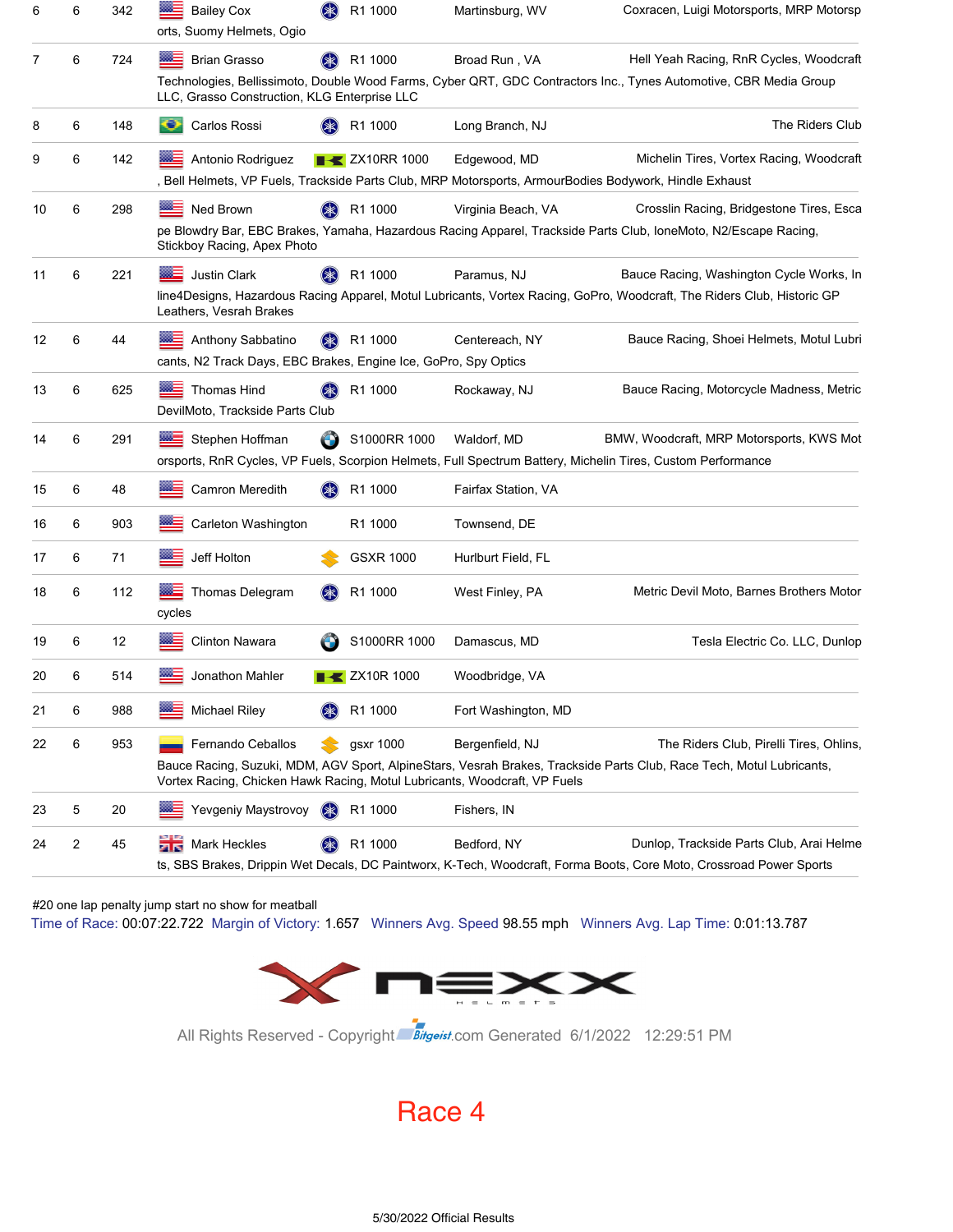| 6  | 6 | 342 | <b>Bailey Cox</b>                                                         | (米)<br>R1 1000             | Martinsburg, WV                                                                                                        | Coxracen, Luigi Motorsports, MRP Motorsp                                                                                                                        |
|----|---|-----|---------------------------------------------------------------------------|----------------------------|------------------------------------------------------------------------------------------------------------------------|-----------------------------------------------------------------------------------------------------------------------------------------------------------------|
| 7  | 6 | 724 | orts, Suomy Helmets, Ogio<br><b>Brian Grasso</b>                          | R1 1000                    | Broad Run, VA                                                                                                          | Hell Yeah Racing, RnR Cycles, Woodcraft                                                                                                                         |
|    |   |     | LLC, Grasso Construction, KLG Enterprise LLC                              |                            |                                                                                                                        | Technologies, Bellissimoto, Double Wood Farms, Cyber QRT, GDC Contractors Inc., Tynes Automotive, CBR Media Group                                               |
| 8  | 6 | 148 | Carlos Rossi<br>o                                                         | R1 1000                    | Long Branch, NJ                                                                                                        | The Riders Club                                                                                                                                                 |
| 9  | 6 | 142 | Antonio Rodriguez                                                         | <b>EXAMPLE 2X10RR 1000</b> | Edgewood, MD<br>, Bell Helmets, VP Fuels, Trackside Parts Club, MRP Motorsports, ArmourBodies Bodywork, Hindle Exhaust | Michelin Tires, Vortex Racing, Woodcraft                                                                                                                        |
| 10 | 6 | 298 | Ned Brown                                                                 | R1 1000                    | Virginia Beach, VA                                                                                                     | Crosslin Racing, Bridgestone Tires, Esca                                                                                                                        |
|    |   |     | Stickboy Racing, Apex Photo                                               |                            |                                                                                                                        | pe Blowdry Bar, EBC Brakes, Yamaha, Hazardous Racing Apparel, Trackside Parts Club, IoneMoto, N2/Escape Racing,                                                 |
| 11 | 6 | 221 | <b>Justin Clark</b>                                                       | R1 1000                    | Paramus, NJ                                                                                                            | Bauce Racing, Washington Cycle Works, In                                                                                                                        |
|    |   |     | Leathers, Vesrah Brakes                                                   |                            |                                                                                                                        | line4Designs, Hazardous Racing Apparel, Motul Lubricants, Vortex Racing, GoPro, Woodcraft, The Riders Club, Historic GP                                         |
| 12 | 6 | 44  | Anthony Sabbatino                                                         | R1 1000<br>( <b>*</b>      | Centereach, NY                                                                                                         | Bauce Racing, Shoei Helmets, Motul Lubri                                                                                                                        |
|    |   |     | cants, N2 Track Days, EBC Brakes, Engine Ice, GoPro, Spy Optics           |                            |                                                                                                                        |                                                                                                                                                                 |
| 13 | 6 | 625 | <b>Thomas Hind</b><br>DevilMoto. Trackside Parts Club                     | R1 1000                    | Rockaway, NJ                                                                                                           | Bauce Racing, Motorcycle Madness, Metric                                                                                                                        |
| 14 | 6 | 291 | Stephen Hoffman                                                           | S1000RR 1000<br>O          | Waldorf, MD                                                                                                            | BMW, Woodcraft, MRP Motorsports, KWS Mot<br>orsports, RnR Cycles, VP Fuels, Scorpion Helmets, Full Spectrum Battery, Michelin Tires, Custom Performance         |
| 15 | 6 | 48  | Camron Meredith                                                           | R1 1000                    | Fairfax Station, VA                                                                                                    |                                                                                                                                                                 |
| 16 | 6 | 903 | Carleton Washington                                                       | R1 1000                    | Townsend, DE                                                                                                           |                                                                                                                                                                 |
| 17 | 6 | 71  | Jeff Holton                                                               | <b>GSXR 1000</b>           | Hurlburt Field, FL                                                                                                     |                                                                                                                                                                 |
| 18 | 6 | 112 | Thomas Delegram<br>cycles                                                 | R1 1000                    | West Finley, PA                                                                                                        | Metric Devil Moto, Barnes Brothers Motor                                                                                                                        |
| 19 | 6 | 12  | <b>Clinton Nawara</b>                                                     | S1000RR 1000               | Damascus, MD                                                                                                           | Tesla Electric Co. LLC, Dunlop                                                                                                                                  |
| 20 | 6 | 514 | Jonathon Mahler                                                           | <b>ZX10R1000</b>           | Woodbridge, VA                                                                                                         |                                                                                                                                                                 |
| 21 | 6 | 988 | <b>Michael Riley</b>                                                      | R1 1000                    | Fort Washington, MD                                                                                                    |                                                                                                                                                                 |
| 22 | 6 | 953 | Fernando Ceballos                                                         | gsxr 1000                  | Bergenfield, NJ                                                                                                        | The Riders Club, Pirelli Tires, Ohlins,                                                                                                                         |
|    |   |     | Vortex Racing, Chicken Hawk Racing, Motul Lubricants, Woodcraft, VP Fuels |                            |                                                                                                                        | Bauce Racing, Suzuki, MDM, AGV Sport, AlpineStars, Vesrah Brakes, Trackside Parts Club, Race Tech, Motul Lubricants,                                            |
| 23 | 5 | 20  | Yevgeniy Maystrovoy                                                       | $(\ggg)$<br>R1 1000        | Fishers, IN                                                                                                            |                                                                                                                                                                 |
| 24 | 2 | 45  | Mark Heckles                                                              | R1 1000                    | Bedford, NY                                                                                                            | Dunlop, Trackside Parts Club, Arai Helme<br>ts, SBS Brakes, Drippin Wet Decals, DC Paintworx, K-Tech, Woodcraft, Forma Boots, Core Moto, Crossroad Power Sports |

#20 one lap penalty jump start no show for meatball

Time of Race: 00:07:22.722 Margin of Victory: 1.657 Winners Avg. Speed 98.55 mph Winners Avg. Lap Time: 0:01:13.787



All Rights Reserved - Copyright Bitgeist.com Generated 6/1/2022 12:29:51 PM

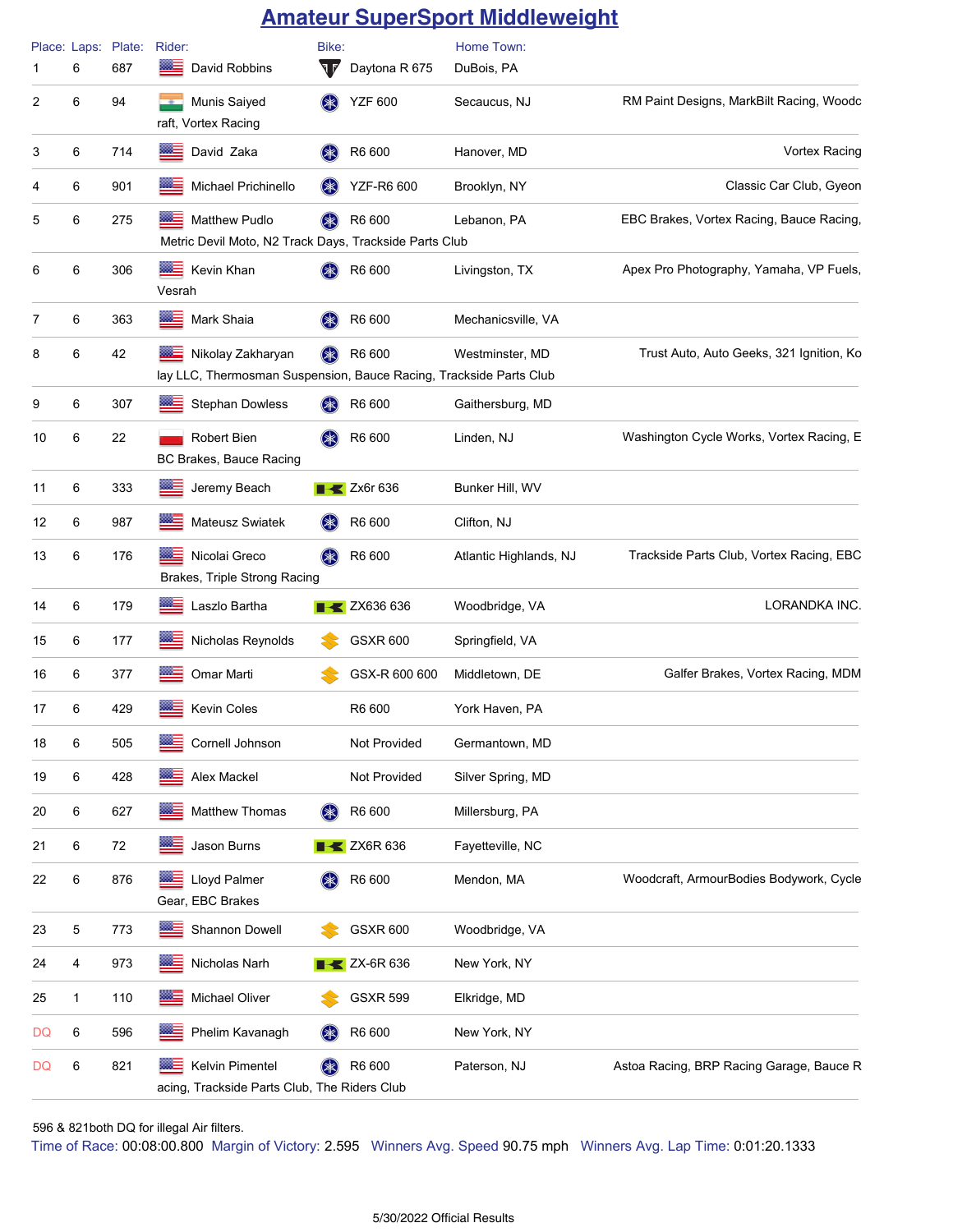### **Amateur SuperSport Middleweight**

| 1  | 6 | Place: Laps: Plate:<br>687 | Rider:<br>▩∃<br>David Robbins                                                           | Bike:<br>V         | Daytona R 675                  | Home Town:<br>DuBois, PA |                                          |
|----|---|----------------------------|-----------------------------------------------------------------------------------------|--------------------|--------------------------------|--------------------------|------------------------------------------|
| 2  | 6 | 94                         | Munis Saiyed<br>raft, Vortex Racing                                                     | $(* )$             | <b>YZF 600</b>                 | Secaucus, NJ             | RM Paint Designs, MarkBilt Racing, Woodc |
| 3  | 6 | 714                        | David Zaka                                                                              | (≱≲)               | R6 600                         | Hanover, MD              | <b>Vortex Racing</b>                     |
| 4  | 6 | 901                        | Michael Prichinello                                                                     | $(\divideontimes)$ | <b>YZF-R6 600</b>              | Brooklyn, NY             | Classic Car Club, Gyeon                  |
| 5  | 6 | 275                        | Matthew Pudlo<br>Metric Devil Moto, N2 Track Days, Trackside Parts Club                 |                    | R6 600                         | Lebanon, PA              | EBC Brakes, Vortex Racing, Bauce Racing, |
| 6  | 6 | 306                        | ▩∃<br>Kevin Khan<br>Vesrah                                                              |                    | R6 600                         | Livingston, TX           | Apex Pro Photography, Yamaha, VP Fuels,  |
| 7  | 6 | 363                        | Mark Shaia<br>▩▬                                                                        |                    | R6 600                         | Mechanicsville, VA       |                                          |
| 8  | 6 | 42                         | Nikolay Zakharyan<br>lay LLC, Thermosman Suspension, Bauce Racing, Trackside Parts Club |                    | R6 600                         | Westminster, MD          | Trust Auto, Auto Geeks, 321 Ignition, Ko |
| 9  | 6 | 307                        | <b>Stephan Dowless</b>                                                                  |                    | R6 600                         | Gaithersburg, MD         |                                          |
| 10 | 6 | 22                         | Robert Bien<br>BC Brakes, Bauce Racing                                                  | $(\divideontimes)$ | R6 600                         | Linden, NJ               | Washington Cycle Works, Vortex Racing, E |
| 11 | 6 | 333                        | œ.<br>Jeremy Beach                                                                      |                    | Zx6r 636                       | Bunker Hill, WV          |                                          |
| 12 | 6 | 987                        | Mateusz Swiatek                                                                         | $(* )$             | R6 600                         | Clifton, NJ              |                                          |
| 13 | 6 | 176                        | Nicolai Greco<br>Brakes, Triple Strong Racing                                           | $(\ast)$           | R6 600                         | Atlantic Highlands, NJ   | Trackside Parts Club, Vortex Racing, EBC |
| 14 | 6 | 179                        | Laszlo Bartha                                                                           |                    | <b>EXT</b> ZX636 636           | Woodbridge, VA           | LORANDKA INC.                            |
| 15 | 6 | 177                        | Nicholas Reynolds                                                                       |                    | <b>GSXR 600</b>                | Springfield, VA          |                                          |
| 16 | 6 | 377                        | œ≡<br>Omar Marti                                                                        |                    | GSX-R 600 600                  | Middletown, DE           | Galfer Brakes, Vortex Racing, MDM        |
| 17 | 6 | 429                        | Kevin Coles                                                                             |                    | R6 600                         | York Haven, PA           |                                          |
| 18 | 6 | 505                        | Cornell Johnson                                                                         |                    | Not Provided                   | Germantown, MD           |                                          |
| 19 | 6 | 428                        | Alex Mackel                                                                             |                    | Not Provided                   | Silver Spring, MD        |                                          |
| 20 | 6 | 627                        | Matthew Thomas                                                                          | (*                 | R6 600                         | Millersburg, PA          |                                          |
| 21 | 6 | 72                         | Jason Burns<br><b>BBC</b>                                                               |                    | $\blacktriangleright$ ZX6R 636 | Fayetteville, NC         |                                          |
| 22 | 6 | 876                        | Lloyd Palmer<br>Gear, EBC Brakes                                                        | (≱≲)               | R6 600                         | Mendon, MA               | Woodcraft, ArmourBodies Bodywork, Cycle  |
| 23 | 5 | 773                        | Shannon Dowell<br>æ.                                                                    |                    | <b>GSXR 600</b>                | Woodbridge, VA           |                                          |
| 24 | 4 | 973                        | <b>RGS</b><br>Nicholas Narh                                                             |                    | ZX-6R 636                      | New York, NY             |                                          |
| 25 | 1 | 110                        | ▩▅<br>Michael Oliver                                                                    |                    | <b>GSXR 599</b>                | Elkridge, MD             |                                          |
| DQ | 6 | 596                        | Phelim Kavanagh                                                                         | $(* )$             | R6 600                         | New York, NY             |                                          |
| DQ | 6 | 821                        | Kelvin Pimentel<br>acing, Trackside Parts Club, The Riders Club                         | (米)                | R6 600                         | Paterson, NJ             | Astoa Racing, BRP Racing Garage, Bauce R |

Time of Race: 00:08:00.800 Margin of Victory: 2.595 Winners Avg. Speed 90.75 mph Winners Avg. Lap Time: 0:01:20.1333 596 & 821both DQ for illegal Air filters.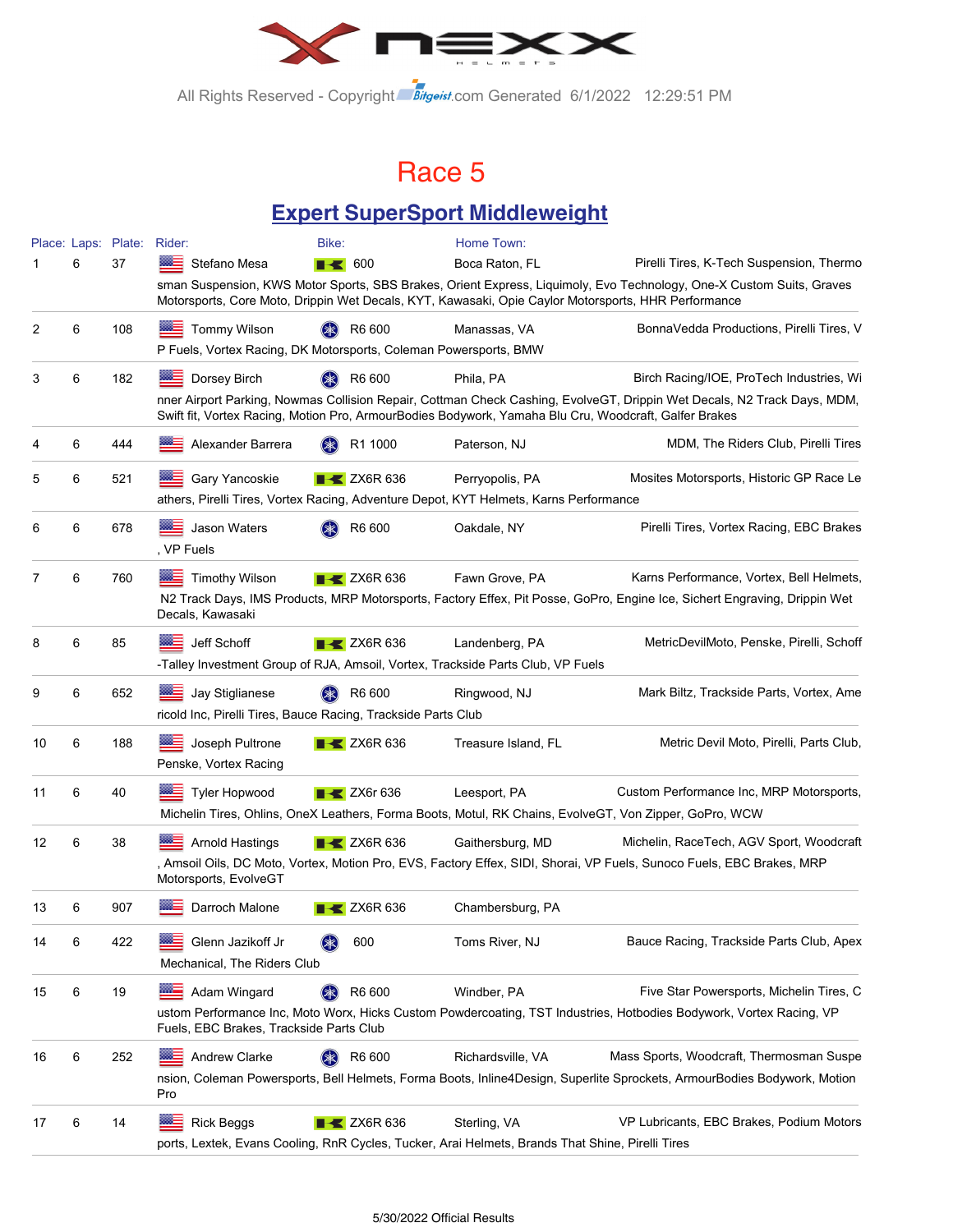

All Rights Reserved - Copyright Bitgeist.com Generated 6/1/2022 12:29:51 PM

### Race 5

### **Expert SuperSport Middleweight**

|    |   | Place: Laps: Plate: Rider: |                                                                                                        | Bike:                          | Home Town:          |                                                                                                                           |
|----|---|----------------------------|--------------------------------------------------------------------------------------------------------|--------------------------------|---------------------|---------------------------------------------------------------------------------------------------------------------------|
|    | 6 | 37                         | Stefano Mesa                                                                                           | $\blacksquare$ 600             | Boca Raton, FL      | Pirelli Tires, K-Tech Suspension, Thermo                                                                                  |
|    |   |                            | Motorsports, Core Moto, Drippin Wet Decals, KYT, Kawasaki, Opie Caylor Motorsports, HHR Performance    |                                |                     | sman Suspension, KWS Motor Sports, SBS Brakes, Orient Express, Liquimoly, Evo Technology, One-X Custom Suits, Graves      |
| 2  | 6 | 108                        | <b>Tommy Wilson</b>                                                                                    | R6 600                         | Manassas, VA        | BonnaVedda Productions, Pirelli Tires, V                                                                                  |
|    |   |                            | P Fuels, Vortex Racing, DK Motorsports, Coleman Powersports, BMW                                       |                                |                     |                                                                                                                           |
| 3  | 6 | 182                        | Dorsey Birch                                                                                           | R6 600                         | Phila, PA           | Birch Racing/IOE, ProTech Industries, Wi                                                                                  |
|    |   |                            | Swift fit, Vortex Racing, Motion Pro, ArmourBodies Bodywork, Yamaha Blu Cru, Woodcraft, Galfer Brakes  |                                |                     | nner Airport Parking, Nowmas Collision Repair, Cottman Check Cashing, EvolveGT, Drippin Wet Decals, N2 Track Days, MDM,   |
| 4  | 6 | 444                        | Alexander Barrera                                                                                      | R1 1000                        | Paterson, NJ        | MDM, The Riders Club, Pirelli Tires                                                                                       |
| 5  | 6 | 521                        | Gary Yancoskie                                                                                         | $\blacktriangleright$ ZX6R 636 | Perryopolis, PA     | Mosites Motorsports, Historic GP Race Le                                                                                  |
|    |   |                            | athers, Pirelli Tires, Vortex Racing, Adventure Depot, KYT Helmets, Karns Performance                  |                                |                     |                                                                                                                           |
| 6  | 6 | 678                        | Jason Waters<br>, VP Fuels                                                                             | R6 600                         | Oakdale, NY         | Pirelli Tires, Vortex Racing, EBC Brakes                                                                                  |
| 7  | 6 | 760                        | <b>Timothy Wilson</b>                                                                                  | $\triangleright$ ZX6R 636      | Fawn Grove, PA      | Karns Performance, Vortex, Bell Helmets,                                                                                  |
|    |   |                            | Decals, Kawasaki                                                                                       |                                |                     | N2 Track Days, IMS Products, MRP Motorsports, Factory Effex, Pit Posse, GoPro, Engine Ice, Sichert Engraving, Drippin Wet |
| 8  | 6 | 85                         | Jeff Schoff<br>⋙≕                                                                                      | $\blacktriangleright$ ZX6R 636 | Landenberg, PA      | MetricDevilMoto, Penske, Pirelli, Schoff                                                                                  |
|    |   |                            | -Talley Investment Group of RJA, Amsoil, Vortex, Trackside Parts Club, VP Fuels                        |                                |                     |                                                                                                                           |
| 9  | 6 | 652                        | Jay Stiglianese                                                                                        | R6 600                         | Ringwood, NJ        | Mark Biltz, Trackside Parts, Vortex, Ame                                                                                  |
|    |   |                            | ricold Inc, Pirelli Tires, Bauce Racing, Trackside Parts Club                                          |                                |                     |                                                                                                                           |
| 10 | 6 | 188                        | Joseph Pultrone<br>Penske, Vortex Racing                                                               | $\blacktriangleright$ ZX6R 636 | Treasure Island, FL | Metric Devil Moto, Pirelli, Parts Club,                                                                                   |
| 11 | 6 | 40                         | <b>Tyler Hopwood</b>                                                                                   | $\triangleright$ ZX6r 636      | Leesport, PA        | Custom Performance Inc, MRP Motorsports,                                                                                  |
|    |   |                            | Michelin Tires, Ohlins, OneX Leathers, Forma Boots, Motul, RK Chains, EvolveGT, Von Zipper, GoPro, WCW |                                |                     |                                                                                                                           |
| 12 | 6 | 38                         | <b>Arnold Hastings</b>                                                                                 | $\blacktriangleright$ ZX6R 636 | Gaithersburg, MD    | Michelin, RaceTech, AGV Sport, Woodcraft                                                                                  |
|    |   |                            | Motorsports, EvolveGT                                                                                  |                                |                     | , Amsoil Oils, DC Moto, Vortex, Motion Pro, EVS, Factory Effex, SIDI, Shorai, VP Fuels, Sunoco Fuels, EBC Brakes, MRP     |
| 13 | 6 | 907                        | Darroch Malone                                                                                         | $\blacktriangleright$ ZX6R 636 | Chambersburg, PA    |                                                                                                                           |
| 14 | 6 | 422                        | Glenn Jazikoff Jr<br>Mechanical, The Riders Club                                                       | 600                            | Toms River, NJ      | Bauce Racing, Trackside Parts Club, Apex                                                                                  |
| 15 | 6 | 19                         | ma –<br>Adam Wingard                                                                                   | R6 600                         | Windber, PA         | Five Star Powersports, Michelin Tires, C                                                                                  |
|    |   |                            | Fuels, EBC Brakes, Trackside Parts Club                                                                |                                |                     | ustom Performance Inc, Moto Worx, Hicks Custom Powdercoating, TST Industries, Hotbodies Bodywork, Vortex Racing, VP       |
| 16 | 6 | 252                        | Andrew Clarke                                                                                          | R6 600                         | Richardsville, VA   | Mass Sports, Woodcraft, Thermosman Suspe                                                                                  |
|    |   |                            | Pro                                                                                                    |                                |                     | nsion, Coleman Powersports, Bell Helmets, Forma Boots, Inline4Design, Superlite Sprockets, ArmourBodies Bodywork, Motion  |
| 17 | 6 | 14                         | ⅏<br><b>Rick Beggs</b>                                                                                 | $\blacktriangleright$ ZX6R 636 | Sterling, VA        | VP Lubricants, EBC Brakes, Podium Motors                                                                                  |
|    |   |                            | ports, Lextek, Evans Cooling, RnR Cycles, Tucker, Arai Helmets, Brands That Shine, Pirelli Tires       |                                |                     |                                                                                                                           |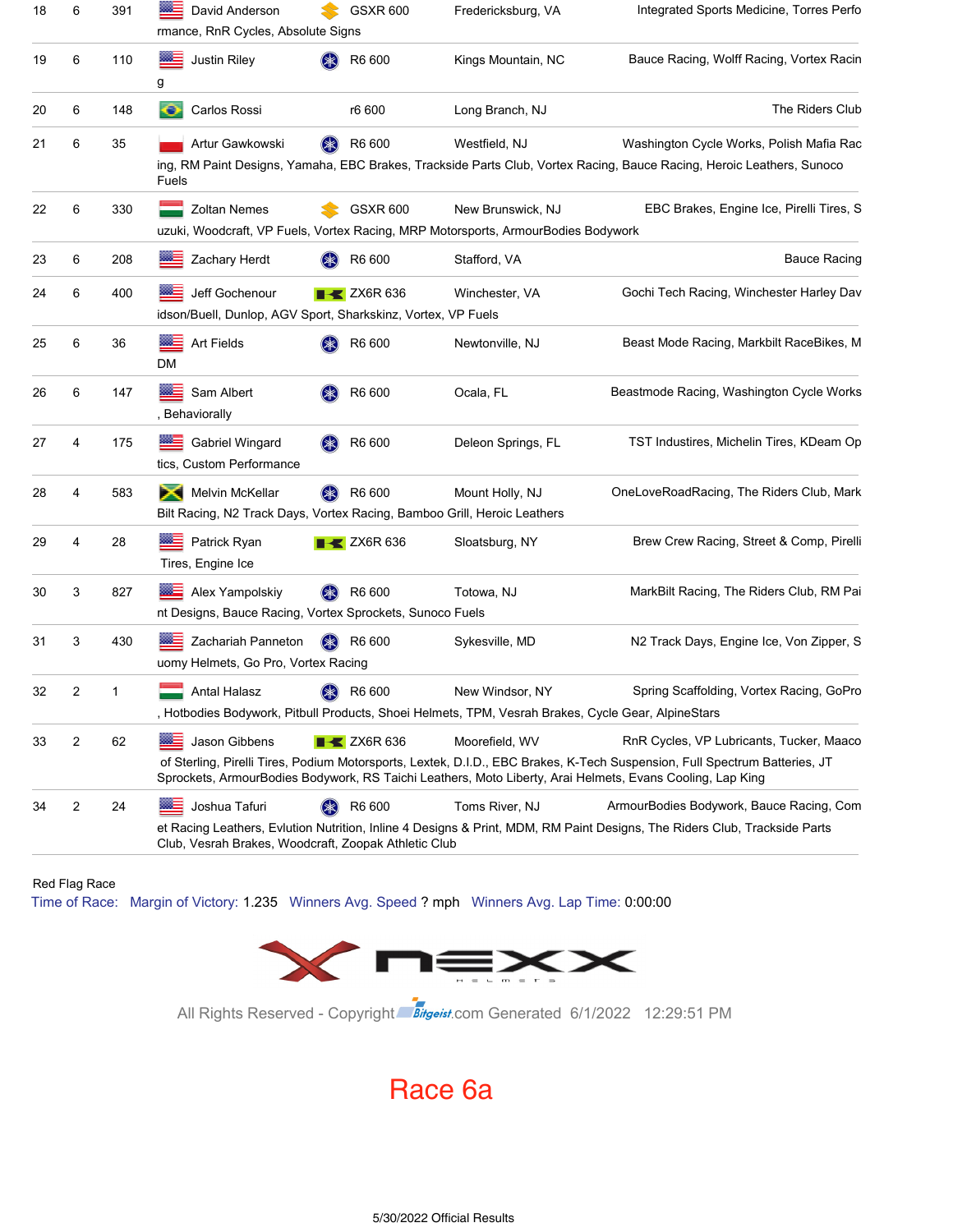| 18 | 6                       | 391 | David Anderson<br>8880<br>rmance, RnR Cycles, Absolute Signs                                     | <b>GSXR 600</b>                | Fredericksburg, VA                                                                                                    | Integrated Sports Medicine, Torres Perfo                                                                                                                                                                                                                                            |
|----|-------------------------|-----|--------------------------------------------------------------------------------------------------|--------------------------------|-----------------------------------------------------------------------------------------------------------------------|-------------------------------------------------------------------------------------------------------------------------------------------------------------------------------------------------------------------------------------------------------------------------------------|
| 19 | 6                       | 110 | Justin Riley<br>g                                                                                | R6 600                         | Kings Mountain, NC                                                                                                    | Bauce Racing, Wolff Racing, Vortex Racin                                                                                                                                                                                                                                            |
| 20 | 6                       | 148 | o<br>Carlos Rossi                                                                                | r6 600                         | Long Branch, NJ                                                                                                       | The Riders Club                                                                                                                                                                                                                                                                     |
| 21 | 6                       | 35  | Artur Gawkowski<br>Fuels                                                                         | R6 600<br>(≱≲)                 | Westfield, NJ                                                                                                         | Washington Cycle Works, Polish Mafia Rac<br>ing, RM Paint Designs, Yamaha, EBC Brakes, Trackside Parts Club, Vortex Racing, Bauce Racing, Heroic Leathers, Sunoco                                                                                                                   |
| 22 | 6                       | 330 | <b>Zoltan Nemes</b>                                                                              | <b>GSXR 600</b>                | New Brunswick, NJ<br>uzuki, Woodcraft, VP Fuels, Vortex Racing, MRP Motorsports, ArmourBodies Bodywork                | EBC Brakes, Engine Ice, Pirelli Tires, S                                                                                                                                                                                                                                            |
| 23 | 6                       | 208 | Zachary Herdt                                                                                    | R6 600                         | Stafford, VA                                                                                                          | <b>Bauce Racing</b>                                                                                                                                                                                                                                                                 |
| 24 | 6                       | 400 | Jeff Gochenour<br>idson/Buell, Dunlop, AGV Sport, Sharkskinz, Vortex, VP Fuels                   | $\blacktriangleright$ ZX6R 636 | Winchester, VA                                                                                                        | Gochi Tech Racing, Winchester Harley Dav                                                                                                                                                                                                                                            |
| 25 | 6                       | 36  | Art Fields<br>DM                                                                                 | R6 600                         | Newtonville, NJ                                                                                                       | Beast Mode Racing, Markbilt RaceBikes, M                                                                                                                                                                                                                                            |
| 26 | 6                       | 147 | Sam Albert<br>, Behaviorally                                                                     | R6 600                         | Ocala, FL                                                                                                             | Beastmode Racing, Washington Cycle Works                                                                                                                                                                                                                                            |
| 27 | 4                       | 175 | Gabriel Wingard<br>tics, Custom Performance                                                      | R6 600                         | Deleon Springs, FL                                                                                                    | TST Industires, Michelin Tires, KDeam Op                                                                                                                                                                                                                                            |
| 28 | 4                       | 583 | Ж<br>Melvin McKellar<br>Bilt Racing, N2 Track Days, Vortex Racing, Bamboo Grill, Heroic Leathers | (≱3<br>R6 600                  | Mount Holly, NJ                                                                                                       | OneLoveRoadRacing, The Riders Club, Mark                                                                                                                                                                                                                                            |
| 29 | 4                       | 28  | Patrick Ryan<br>Tires, Engine Ice                                                                | $\blacktriangleright$ ZX6R 636 | Sloatsburg, NY                                                                                                        | Brew Crew Racing, Street & Comp, Pirelli                                                                                                                                                                                                                                            |
| 30 | 3                       | 827 | Alex Yampolskiy<br>nt Designs, Bauce Racing, Vortex Sprockets, Sunoco Fuels                      | (≱≳)<br>R6 600                 | Totowa, NJ                                                                                                            | MarkBilt Racing, The Riders Club, RM Pai                                                                                                                                                                                                                                            |
| 31 | 3                       | 430 | Zachariah Panneton<br>uomy Helmets, Go Pro, Vortex Racing                                        | R6 600<br>(※)                  | Sykesville, MD                                                                                                        | N2 Track Days, Engine Ice, Von Zipper, S                                                                                                                                                                                                                                            |
| 32 | 2                       | 1   | Antal Halasz                                                                                     | (米)<br>R6 600                  | New Windsor, NY<br>, Hotbodies Bodywork, Pitbull Products, Shoei Helmets, TPM, Vesrah Brakes, Cycle Gear, AlpineStars | Spring Scaffolding, Vortex Racing, GoPro                                                                                                                                                                                                                                            |
| 33 | 2                       | 62  | Jason Gibbens<br>▩≘                                                                              | $\blacktriangleright$ ZX6R 636 | Moorefield, WV                                                                                                        | RnR Cycles, VP Lubricants, Tucker, Maaco<br>of Sterling, Pirelli Tires, Podium Motorsports, Lextek, D.I.D., EBC Brakes, K-Tech Suspension, Full Spectrum Batteries, JT<br>Sprockets, ArmourBodies Bodywork, RS Taichi Leathers, Moto Liberty, Arai Helmets, Evans Cooling, Lap King |
| 34 | $\overline{\mathbf{c}}$ | 24  | Joshua Tafuri<br>Club, Vesrah Brakes, Woodcraft, Zoopak Athletic Club                            | R6 600<br>(*)                  | Toms River, NJ                                                                                                        | ArmourBodies Bodywork, Bauce Racing, Com<br>et Racing Leathers, Evlution Nutrition, Inline 4 Designs & Print, MDM, RM Paint Designs, The Riders Club, Trackside Parts                                                                                                               |

Red Flag Race

Time of Race: Margin of Victory: 1.235 Winners Avg. Speed ? mph Winners Avg. Lap Time: 0:00:00



All Rights Reserved - Copyright Bitgeist.com Generated 6/1/2022 12:29:51 PM

### Race 6a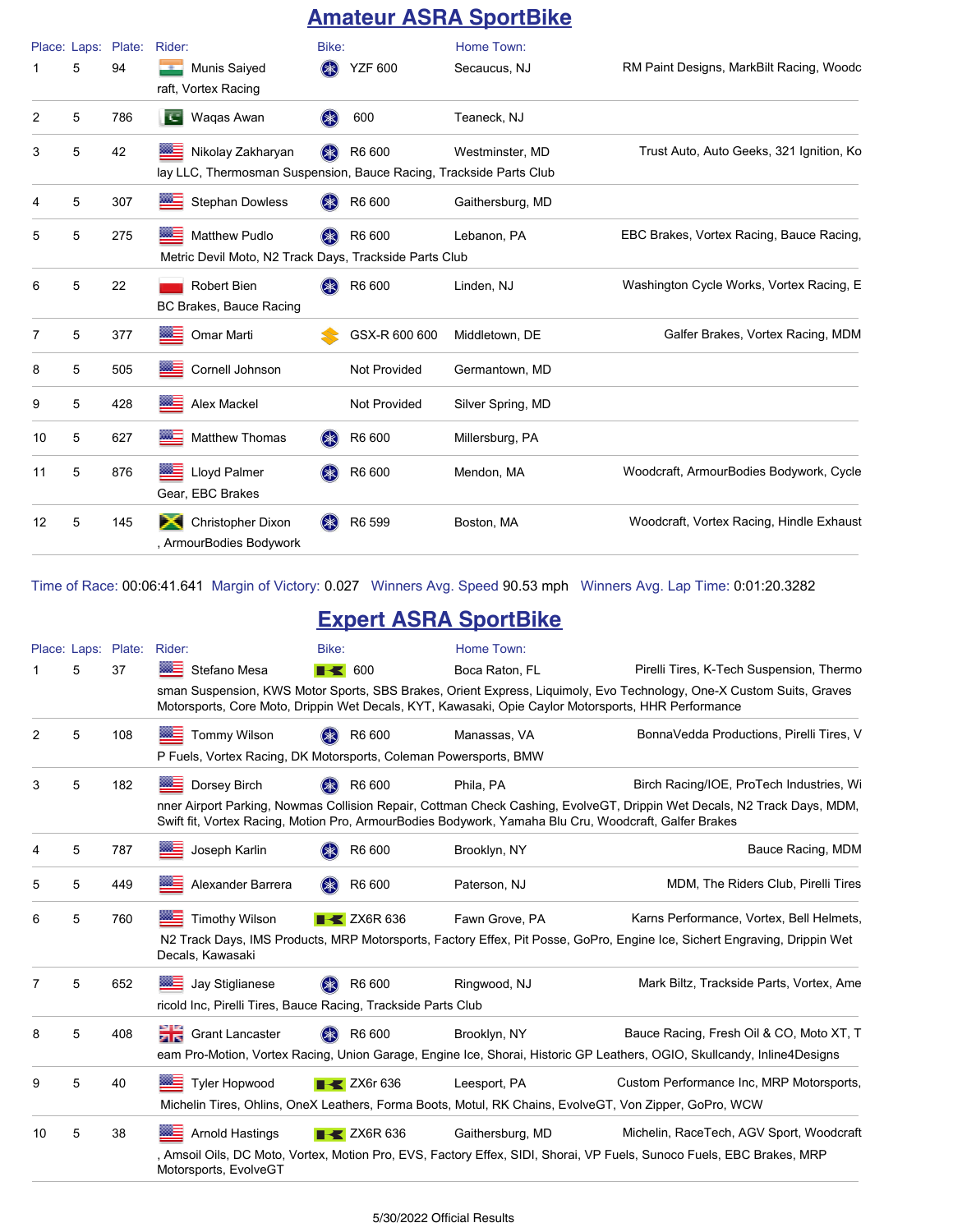### **Amateur ASRA SportBike**

|    | 5 | Place: Laps: Plate:<br>94 | Rider:<br>Munis Saiyed                                                                        | Bike:<br>(≱≲) | <b>YZF 600</b>      | Home Town:<br>Secaucus, NJ | RM Paint Designs, MarkBilt Racing, Woodc |
|----|---|---------------------------|-----------------------------------------------------------------------------------------------|---------------|---------------------|----------------------------|------------------------------------------|
|    |   |                           | raft, Vortex Racing                                                                           |               |                     |                            |                                          |
| 2  | 5 | 786                       | Wagas Awan<br>Т. 1                                                                            | <b>SK</b>     | 600                 | Teaneck, NJ                |                                          |
| 3  | 5 | 42                        | ▩▬<br>Nikolay Zakharyan<br>lay LLC, Thermosman Suspension, Bauce Racing, Trackside Parts Club | $(* )$        | R6 600              | Westminster, MD            | Trust Auto, Auto Geeks, 321 Ignition, Ko |
| 4  | 5 | 307                       | <b>Stephan Dowless</b>                                                                        |               | R6 600              | Gaithersburg, MD           |                                          |
| 5  | 5 | 275                       | <b>Matthew Pudlo</b><br>Metric Devil Moto, N2 Track Days, Trackside Parts Club                |               | R6 600              | Lebanon, PA                | EBC Brakes, Vortex Racing, Bauce Racing, |
| 6  | 5 | 22                        | <b>Robert Bien</b><br>BC Brakes, Bauce Racing                                                 | $(* )$        | R6 600              | Linden, NJ                 | Washington Cycle Works, Vortex Racing, E |
| 7  | 5 | 377                       | ▩≡<br>Omar Marti                                                                              |               | GSX-R 600 600       | Middletown, DE             | Galfer Brakes, Vortex Racing, MDM        |
| 8  | 5 | 505                       | Cornell Johnson                                                                               |               | <b>Not Provided</b> | Germantown, MD             |                                          |
| 9  | 5 | 428                       | Alex Mackel                                                                                   |               | Not Provided        | Silver Spring, MD          |                                          |
| 10 | 5 | 627                       | <b>Matthew Thomas</b>                                                                         |               | R6 600              | Millersburg, PA            |                                          |
| 11 | 5 | 876                       | Lloyd Palmer<br>Gear, EBC Brakes                                                              |               | R6 600              | Mendon, MA                 | Woodcraft, ArmourBodies Bodywork, Cycle  |
| 12 | 5 | 145                       | ж<br><b>Christopher Dixon</b><br>, ArmourBodies Bodywork                                      |               | R6 599              | Boston, MA                 | Woodcraft, Vortex Racing, Hindle Exhaust |

Time of Race: 00:06:41.641 Margin of Victory: 0.027 Winners Avg. Speed 90.53 mph Winners Avg. Lap Time: 0:01:20.3282

### **Expert ASRA SportBike**

| 5 | 37  | <b>WE Stefano Mesa</b>      |                                   |                  |                                                                                                                                                                                                                                                                                                                                                                                                                                                                                                                                                                                                                                                                                                                                                                                                                                                                                                                                                                         |
|---|-----|-----------------------------|-----------------------------------|------------------|-------------------------------------------------------------------------------------------------------------------------------------------------------------------------------------------------------------------------------------------------------------------------------------------------------------------------------------------------------------------------------------------------------------------------------------------------------------------------------------------------------------------------------------------------------------------------------------------------------------------------------------------------------------------------------------------------------------------------------------------------------------------------------------------------------------------------------------------------------------------------------------------------------------------------------------------------------------------------|
|   |     |                             | $\blacksquare$ 600                | Boca Raton, FL   | Pirelli Tires, K-Tech Suspension, Thermo                                                                                                                                                                                                                                                                                                                                                                                                                                                                                                                                                                                                                                                                                                                                                                                                                                                                                                                                |
|   |     |                             |                                   |                  | sman Suspension, KWS Motor Sports, SBS Brakes, Orient Express, Liquimoly, Evo Technology, One-X Custom Suits, Graves                                                                                                                                                                                                                                                                                                                                                                                                                                                                                                                                                                                                                                                                                                                                                                                                                                                    |
| 5 | 108 | <b>Tommy Wilson</b>         | R6 600                            | Manassas, VA     | BonnaVedda Productions, Pirelli Tires, V                                                                                                                                                                                                                                                                                                                                                                                                                                                                                                                                                                                                                                                                                                                                                                                                                                                                                                                                |
| 5 | 182 | <b>Dorsey Birch</b>         | R6 600                            | Phila, PA        | Birch Racing/IOE, ProTech Industries, Wi                                                                                                                                                                                                                                                                                                                                                                                                                                                                                                                                                                                                                                                                                                                                                                                                                                                                                                                                |
|   |     |                             |                                   |                  |                                                                                                                                                                                                                                                                                                                                                                                                                                                                                                                                                                                                                                                                                                                                                                                                                                                                                                                                                                         |
| 5 | 787 | Joseph Karlin               | R6 600                            | Brooklyn, NY     | Bauce Racing, MDM                                                                                                                                                                                                                                                                                                                                                                                                                                                                                                                                                                                                                                                                                                                                                                                                                                                                                                                                                       |
| 5 | 449 | Alexander Barrera           | R6 600                            | Paterson, NJ     | MDM, The Riders Club, Pirelli Tires                                                                                                                                                                                                                                                                                                                                                                                                                                                                                                                                                                                                                                                                                                                                                                                                                                                                                                                                     |
| 5 | 760 | ▩▬<br><b>Timothy Wilson</b> | $\blacktriangleright$ ZX6R 636    | Fawn Grove, PA   | Karns Performance, Vortex, Bell Helmets,                                                                                                                                                                                                                                                                                                                                                                                                                                                                                                                                                                                                                                                                                                                                                                                                                                                                                                                                |
|   |     | Decals, Kawasaki            |                                   |                  |                                                                                                                                                                                                                                                                                                                                                                                                                                                                                                                                                                                                                                                                                                                                                                                                                                                                                                                                                                         |
| 5 | 652 | Jay Stiglianese             | R6 600                            | Ringwood, NJ     | Mark Biltz, Trackside Parts, Vortex, Ame                                                                                                                                                                                                                                                                                                                                                                                                                                                                                                                                                                                                                                                                                                                                                                                                                                                                                                                                |
|   |     |                             |                                   |                  |                                                                                                                                                                                                                                                                                                                                                                                                                                                                                                                                                                                                                                                                                                                                                                                                                                                                                                                                                                         |
| 5 | 408 | <b>Crant Lancaster</b>      | R6 600                            | Brooklyn, NY     | Bauce Racing, Fresh Oil & CO, Moto XT, T                                                                                                                                                                                                                                                                                                                                                                                                                                                                                                                                                                                                                                                                                                                                                                                                                                                                                                                                |
|   |     |                             |                                   |                  |                                                                                                                                                                                                                                                                                                                                                                                                                                                                                                                                                                                                                                                                                                                                                                                                                                                                                                                                                                         |
| 5 | 40  | <b>Tyler Hopwood</b>        | $\overline{\phantom{1}}$ ZX6r 636 | Leesport, PA     | Custom Performance Inc, MRP Motorsports,                                                                                                                                                                                                                                                                                                                                                                                                                                                                                                                                                                                                                                                                                                                                                                                                                                                                                                                                |
|   |     |                             |                                   |                  |                                                                                                                                                                                                                                                                                                                                                                                                                                                                                                                                                                                                                                                                                                                                                                                                                                                                                                                                                                         |
| 5 | 38  | <b>Arnold Hastings</b>      | $\blacktriangleright$ ZX6R 636    | Gaithersburg, MD | Michelin, RaceTech, AGV Sport, Woodcraft                                                                                                                                                                                                                                                                                                                                                                                                                                                                                                                                                                                                                                                                                                                                                                                                                                                                                                                                |
|   |     | Motorsports, EvolveGT       |                                   |                  |                                                                                                                                                                                                                                                                                                                                                                                                                                                                                                                                                                                                                                                                                                                                                                                                                                                                                                                                                                         |
|   |     |                             |                                   |                  | Motorsports, Core Moto, Drippin Wet Decals, KYT, Kawasaki, Opie Caylor Motorsports, HHR Performance<br>P Fuels, Vortex Racing, DK Motorsports, Coleman Powersports, BMW<br>nner Airport Parking, Nowmas Collision Repair, Cottman Check Cashing, EvolveGT, Drippin Wet Decals, N2 Track Days, MDM,<br>Swift fit, Vortex Racing, Motion Pro, ArmourBodies Bodywork, Yamaha Blu Cru, Woodcraft, Galfer Brakes<br>N2 Track Days, IMS Products, MRP Motorsports, Factory Effex, Pit Posse, GoPro, Engine Ice, Sichert Engraving, Drippin Wet<br>ricold Inc, Pirelli Tires, Bauce Racing, Trackside Parts Club<br>eam Pro-Motion, Vortex Racing, Union Garage, Engine Ice, Shorai, Historic GP Leathers, OGIO, Skullcandy, Inline4Designs<br>Michelin Tires, Ohlins, OneX Leathers, Forma Boots, Motul, RK Chains, EvolveGT, Von Zipper, GoPro, WCW<br>, Amsoil Oils, DC Moto, Vortex, Motion Pro, EVS, Factory Effex, SIDI, Shorai, VP Fuels, Sunoco Fuels, EBC Brakes, MRP |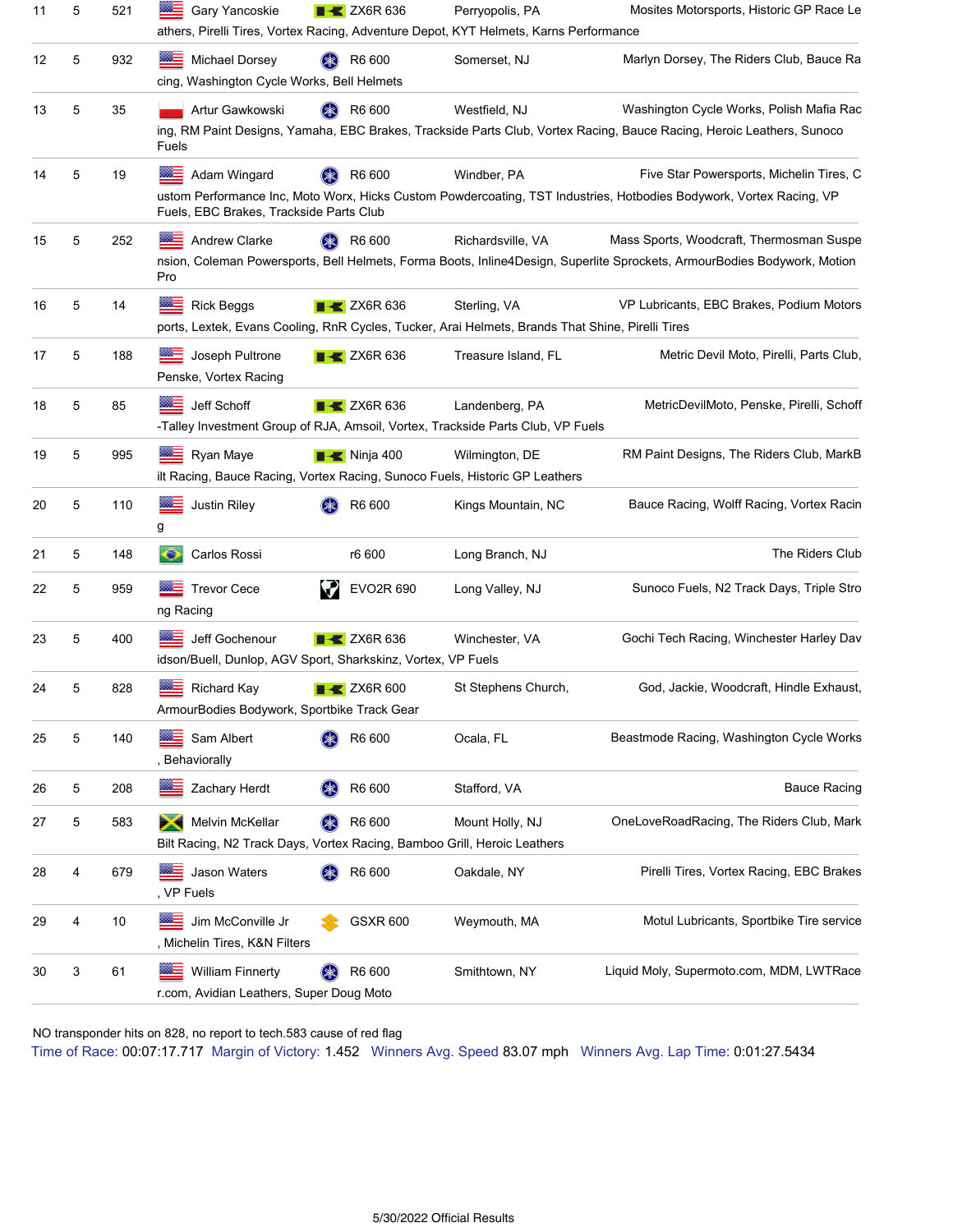| 11 | 5 | 521 | Gary Yancoskie<br>athers, Pirelli Tires, Vortex Racing, Adventure Depot, KYT Helmets, Karns Performance               | $\blacktriangleright$ ZX6R 636 | Perryopolis, PA     | Mosites Motorsports, Historic GP Race Le                                                                                                                             |
|----|---|-----|-----------------------------------------------------------------------------------------------------------------------|--------------------------------|---------------------|----------------------------------------------------------------------------------------------------------------------------------------------------------------------|
| 12 | 5 | 932 | $m =$<br>Michael Dorsey<br>cing, Washington Cycle Works, Bell Helmets                                                 | R6 600                         | Somerset, NJ        | Marlyn Dorsey, The Riders Club, Bauce Ra                                                                                                                             |
| 13 | 5 | 35  | Artur Gawkowski<br>Fuels                                                                                              | R6 600                         | Westfield, NJ       | Washington Cycle Works, Polish Mafia Rac<br>ing, RM Paint Designs, Yamaha, EBC Brakes, Trackside Parts Club, Vortex Racing, Bauce Racing, Heroic Leathers, Sunoco    |
| 14 | 5 | 19  | Adam Wingard<br>Fuels, EBC Brakes, Trackside Parts Club                                                               | R6 600                         | Windber, PA         | Five Star Powersports, Michelin Tires, C<br>ustom Performance Inc, Moto Worx, Hicks Custom Powdercoating, TST Industries, Hotbodies Bodywork, Vortex Racing, VP      |
| 15 | 5 | 252 | Andrew Clarke<br>Pro                                                                                                  | R6 600<br>(Ж)                  | Richardsville, VA   | Mass Sports, Woodcraft, Thermosman Suspe<br>nsion, Coleman Powersports, Bell Helmets, Forma Boots, Inline4Design, Superlite Sprockets, ArmourBodies Bodywork, Motion |
| 16 | 5 | 14  | <b>Rick Beggs</b><br>ports, Lextek, Evans Cooling, RnR Cycles, Tucker, Arai Helmets, Brands That Shine, Pirelli Tires | $\blacktriangleright$ ZX6R 636 | Sterling, VA        | VP Lubricants, EBC Brakes, Podium Motors                                                                                                                             |
| 17 | 5 | 188 | Joseph Pultrone<br>Penske, Vortex Racing                                                                              | $\blacktriangleright$ ZX6R 636 | Treasure Island, FL | Metric Devil Moto, Pirelli, Parts Club,                                                                                                                              |
| 18 | 5 | 85  | Jeff Schoff<br>-Talley Investment Group of RJA, Amsoil, Vortex, Trackside Parts Club, VP Fuels                        | $\blacktriangleright$ ZX6R 636 | Landenberg, PA      | MetricDevilMoto, Penske, Pirelli, Schoff                                                                                                                             |
| 19 | 5 | 995 | Ryan Maye<br><br>ilt Racing, Bauce Racing, Vortex Racing, Sunoco Fuels, Historic GP Leathers                          | $\blacksquare$ Ninja 400       | Wilmington, DE      | RM Paint Designs, The Riders Club, MarkB                                                                                                                             |
| 20 | 5 | 110 | Justin Riley<br>g                                                                                                     | R6 600                         | Kings Mountain, NC  | Bauce Racing, Wolff Racing, Vortex Racin                                                                                                                             |
| 21 | 5 | 148 | o<br>Carlos Rossi                                                                                                     | r6 600                         | Long Branch, NJ     | The Riders Club                                                                                                                                                      |
| 22 | 5 | 959 | <b>Trevor Cece</b><br>ng Racing                                                                                       | EVO2R 690<br>V                 | Long Valley, NJ     | Sunoco Fuels, N2 Track Days, Triple Stro                                                                                                                             |
| 23 | 5 | 400 | Jeff Gochenour<br>idson/Buell, Dunlop, AGV Sport, Sharkskinz, Vortex, VP Fuels                                        | $\blacktriangleright$ ZX6R 636 | Winchester, VA      | Gochi Tech Racing, Winchester Harley Dav                                                                                                                             |
| 24 | 5 | 828 | <b>Richard Kay</b><br>ArmourBodies Bodywork, Sportbike Track Gear                                                     | $\blacktriangleright$ ZX6R 600 | St Stephens Church, | God, Jackie, Woodcraft, Hindle Exhaust,                                                                                                                              |
| 25 | 5 | 140 | Sam Albert<br>, Behaviorally                                                                                          | R6 600                         | Ocala, FL           | Beastmode Racing, Washington Cycle Works                                                                                                                             |
| 26 | 5 | 208 | Zachary Herdt                                                                                                         | R6 600                         | Stafford, VA        | <b>Bauce Racing</b>                                                                                                                                                  |
| 27 | 5 | 583 | Melvin McKellar<br><b>PA</b><br>Bilt Racing, N2 Track Days, Vortex Racing, Bamboo Grill, Heroic Leathers              | R6 600                         | Mount Holly, NJ     | OneLoveRoadRacing, The Riders Club, Mark                                                                                                                             |
| 28 | 4 | 679 | Jason Waters<br>, VP Fuels                                                                                            | R6 600                         | Oakdale, NY         | Pirelli Tires, Vortex Racing, EBC Brakes                                                                                                                             |
| 29 | 4 | 10  | Jim McConville Jr<br>, Michelin Tires, K&N Filters                                                                    | <b>GSXR 600</b>                | Weymouth, MA        | Motul Lubricants, Sportbike Tire service                                                                                                                             |
| 30 | 3 | 61  | <b>William Finnerty</b><br>r.com, Avidian Leathers, Super Doug Moto                                                   | R6 600                         | Smithtown, NY       | Liquid Moly, Supermoto.com, MDM, LWTRace                                                                                                                             |

Time of Race: 00:07:17.717 Margin of Victory: 1.452 Winners Avg. Speed 83.07 mph Winners Avg. Lap Time: 0:01:27.5434 NO transponder hits on 828, no report to tech.583 cause of red flag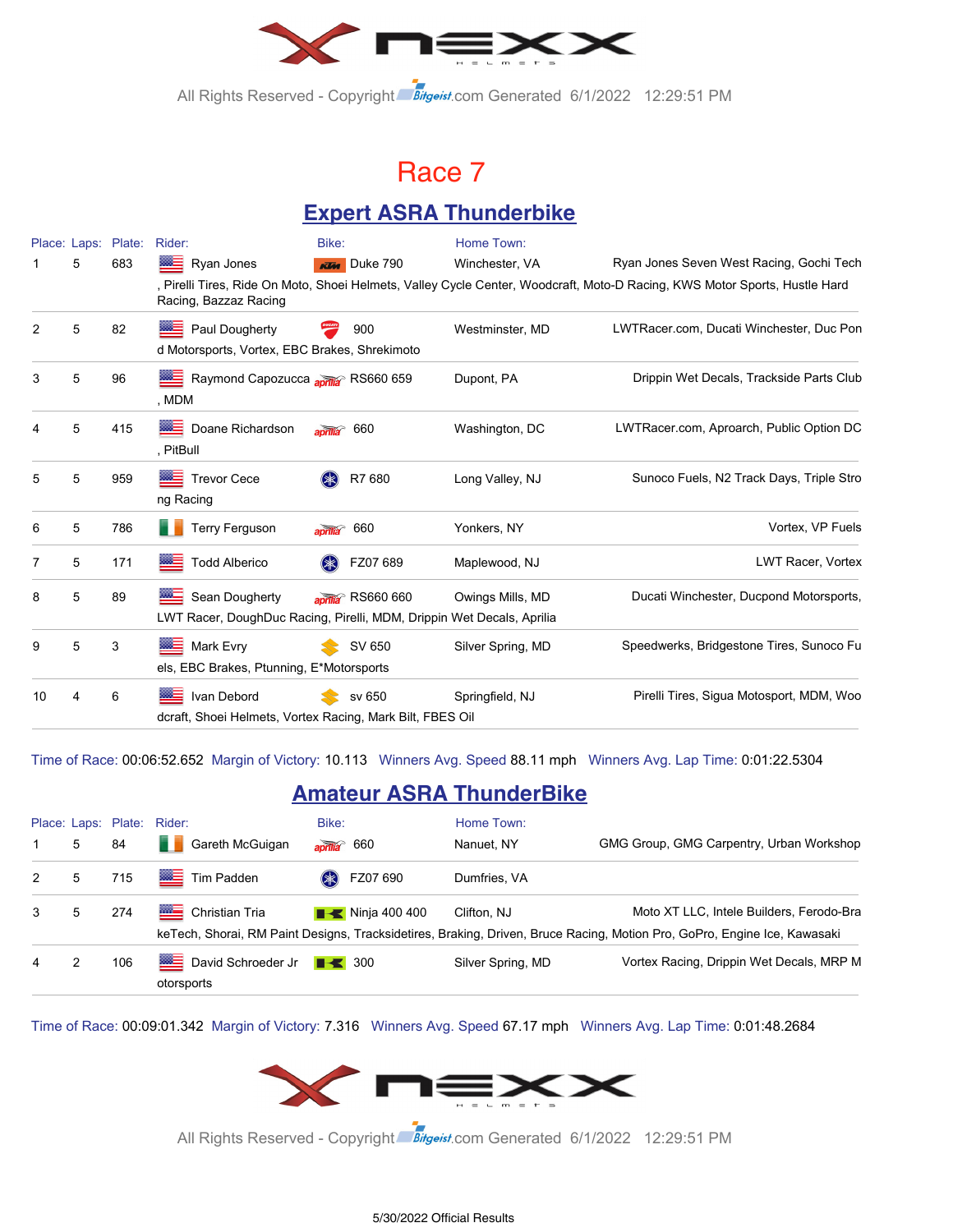

All Rights Reserved - Copyright Bitgeist.com Generated 6/1/2022 12:29:51 PM

### Race 7

### **Expert ASRA Thunderbike**

|    | Place: Laps: | Plate: | Rider:                                                                                  | Bike:                          | Home Town:        |                                                                                                                            |
|----|--------------|--------|-----------------------------------------------------------------------------------------|--------------------------------|-------------------|----------------------------------------------------------------------------------------------------------------------------|
|    | 5            | 683    | Ryan Jones                                                                              | <b>KIM</b> Duke 790            | Winchester, VA    | Ryan Jones Seven West Racing, Gochi Tech                                                                                   |
|    |              |        | Racing, Bazzaz Racing                                                                   |                                |                   | , Pirelli Tires, Ride On Moto, Shoei Helmets, Valley Cycle Center, Woodcraft, Moto-D Racing, KWS Motor Sports, Hustle Hard |
| 2  | 5            | 82     | Paul Dougherty<br>d Motorsports, Vortex, EBC Brakes, Shrekimoto                         | 900                            | Westminster, MD   | LWTRacer.com, Ducati Winchester, Duc Pon                                                                                   |
| 3  | 5            | 96     | Raymond Capozucca aprila <sup>&gt;</sup> RS660 659<br>, MDM                             |                                | Dupont, PA        | Drippin Wet Decals, Trackside Parts Club                                                                                   |
| 4  | 5            | 415    | <b>BEE</b> Doane Richardson<br>, PitBull                                                | 660<br>$\overline{and}$        | Washington, DC    | LWTRacer.com, Aproarch, Public Option DC                                                                                   |
| 5  | 5            | 959    | <b>Trevor Cece</b><br>ng Racing                                                         | R7 680                         | Long Valley, NJ   | Sunoco Fuels, N2 Track Days, Triple Stro                                                                                   |
| 6  | 5            | 786    | <b>Terry Ferguson</b>                                                                   | 660                            | Yonkers, NY       | Vortex. VP Fuels                                                                                                           |
| 7  | 5            | 171    | <b>Todd Alberico</b>                                                                    | FZ07 689                       | Maplewood, NJ     | <b>LWT Racer, Vortex</b>                                                                                                   |
| 8  | 5            | 89     | Sean Dougherty<br>LWT Racer, DoughDuc Racing, Pirelli, MDM, Drippin Wet Decals, Aprilia | aprilia <sup>®</sup> RS660 660 | Owings Mills, MD  | Ducati Winchester, Ducpond Motorsports,                                                                                    |
| 9  | 5            | 3      | Mark Evry<br>els, EBC Brakes, Ptunning, E*Motorsports                                   | SV 650                         | Silver Spring, MD | Speedwerks, Bridgestone Tires, Sunoco Fu                                                                                   |
| 10 | 4            | 6      | Ivan Debord<br>dcraft, Shoei Helmets, Vortex Racing, Mark Bilt, FBES Oil                | sv 650                         | Springfield, NJ   | Pirelli Tires, Sigua Motosport, MDM, Woo                                                                                   |

Time of Race: 00:06:52.652 Margin of Victory: 10.113 Winners Avg. Speed 88.11 mph Winners Avg. Lap Time: 0:01:22.5304

### **Amateur ASRA ThunderBike**

|   |   |     | Place: Laps: Plate: Rider:                    | Bike:                          | Home Town:        |                                                                                                                                                                      |
|---|---|-----|-----------------------------------------------|--------------------------------|-------------------|----------------------------------------------------------------------------------------------------------------------------------------------------------------------|
|   | 5 | 84  | Gareth McGuigan                               | $\frac{1}{2}$ aprilla 660      | Nanuet, NY        | GMG Group, GMG Carpentry, Urban Workshop                                                                                                                             |
| 2 | 5 | 715 | Tim Padden                                    | FZ07 690<br>$(\divideontimes)$ | Dumfries, VA      |                                                                                                                                                                      |
| 3 | 5 | 274 | <b>MAGES</b><br>Christian Tria                | $\blacksquare$ Ninja 400 400   | Clifton, NJ       | Moto XT LLC, Intele Builders, Ferodo-Bra<br>keTech, Shorai, RM Paint Designs, Tracksidetires, Braking, Driven, Bruce Racing, Motion Pro, GoPro, Engine Ice, Kawasaki |
| 4 |   | 106 | David Schroeder Jr <b>+</b> 300<br>otorsports |                                | Silver Spring, MD | Vortex Racing, Drippin Wet Decals, MRP M                                                                                                                             |

Time of Race: 00:09:01.342 Margin of Victory: 7.316 Winners Avg. Speed 67.17 mph Winners Avg. Lap Time: 0:01:48.2684



All Rights Reserved - Copyright Bitgeist.com Generated 6/1/2022 12:29:51 PM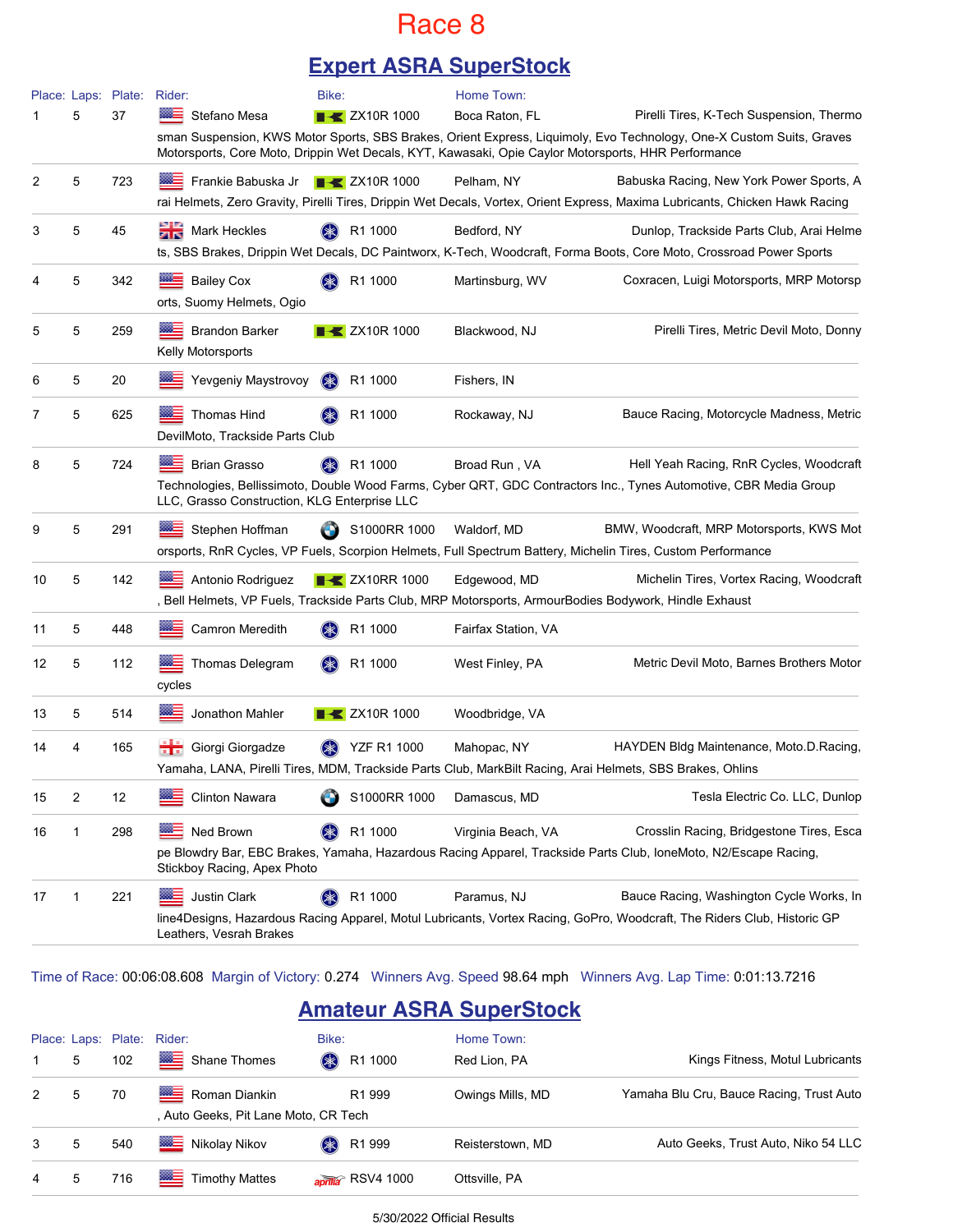### Race 8

### **Expert ASRA SuperStock**

|    |              | Place: Laps: Plate: Rider: |                                                                     | Bike:                             | Home Town:                                                                                                                 |                                                                                                                                                                     |
|----|--------------|----------------------------|---------------------------------------------------------------------|-----------------------------------|----------------------------------------------------------------------------------------------------------------------------|---------------------------------------------------------------------------------------------------------------------------------------------------------------------|
|    | 5            | 37                         | Stefano Mesa<br>▩≘                                                  | <b>EX</b> ZX10R 1000              | Boca Raton, FL                                                                                                             | Pirelli Tires, K-Tech Suspension, Thermo                                                                                                                            |
|    |              |                            |                                                                     |                                   | Motorsports, Core Moto, Drippin Wet Decals, KYT, Kawasaki, Opie Caylor Motorsports, HHR Performance                        | sman Suspension, KWS Motor Sports, SBS Brakes, Orient Express, Liquimoly, Evo Technology, One-X Custom Suits, Graves                                                |
| 2  | 5            | 723                        | Frankie Babuska Jr                                                  | $\blacktriangleright$ ZX10R 1000  | Pelham, NY                                                                                                                 | Babuska Racing, New York Power Sports, A                                                                                                                            |
|    |              |                            |                                                                     |                                   |                                                                                                                            | rai Helmets, Zero Gravity, Pirelli Tires, Drippin Wet Decals, Vortex, Orient Express, Maxima Lubricants, Chicken Hawk Racing                                        |
| 3  | 5            | 45                         | Mark Heckles                                                        | R1 1000                           | Bedford, NY                                                                                                                | Dunlop, Trackside Parts Club, Arai Helme<br>ts, SBS Brakes, Drippin Wet Decals, DC Paintworx, K-Tech, Woodcraft, Forma Boots, Core Moto, Crossroad Power Sports     |
|    | 5            | 342                        | Bailey Cox<br>orts, Suomy Helmets, Ogio                             | R1 1000                           | Martinsburg, WV                                                                                                            | Coxracen, Luigi Motorsports, MRP Motorsp                                                                                                                            |
| 5  | 5            | 259                        | <b>Brandon Barker</b><br>Kelly Motorsports                          | $\blacktriangleright$ ZX10R 1000  | Blackwood, NJ                                                                                                              | Pirelli Tires, Metric Devil Moto, Donny                                                                                                                             |
| 6  | 5            | 20                         | Yevgeniy Maystrovoy                                                 | $(* )$<br>R1 1000                 | Fishers, IN                                                                                                                |                                                                                                                                                                     |
| 7  | 5            | 625                        | <b>Thomas Hind</b><br>DevilMoto, Trackside Parts Club               | R1 1000                           | Rockaway, NJ                                                                                                               | Bauce Racing, Motorcycle Madness, Metric                                                                                                                            |
| 8  | 5            | 724                        | <b>Brian Grasso</b><br>LLC, Grasso Construction, KLG Enterprise LLC | R1 1000                           | Broad Run, VA                                                                                                              | Hell Yeah Racing, RnR Cycles, Woodcraft<br>Technologies, Bellissimoto, Double Wood Farms, Cyber QRT, GDC Contractors Inc., Tynes Automotive, CBR Media Group        |
| 9  | 5            | 291                        | Stephen Hoffman                                                     | S1000RR 1000                      | Waldorf, MD<br>orsports, RnR Cycles, VP Fuels, Scorpion Helmets, Full Spectrum Battery, Michelin Tires, Custom Performance | BMW, Woodcraft, MRP Motorsports, KWS Mot                                                                                                                            |
| 10 | 5            | 142                        | Antonio Rodriguez                                                   | $\blacktriangleright$ ZX10RR 1000 | Edgewood, MD<br>, Bell Helmets, VP Fuels, Trackside Parts Club, MRP Motorsports, ArmourBodies Bodywork, Hindle Exhaust     | Michelin Tires, Vortex Racing, Woodcraft                                                                                                                            |
| 11 | 5            | 448                        | Camron Meredith                                                     | R1 1000                           | Fairfax Station, VA                                                                                                        |                                                                                                                                                                     |
| 12 | 5            | 112                        | <b>Thomas Delegram</b><br>cycles                                    | R1 1000                           | West Finley, PA                                                                                                            | Metric Devil Moto, Barnes Brothers Motor                                                                                                                            |
| 13 | 5            | 514                        | Jonathon Mahler                                                     | $\blacktriangleright$ ZX10R 1000  | Woodbridge, VA                                                                                                             |                                                                                                                                                                     |
| 14 | 4            | 165                        | Giorgi Giorgadze                                                    | <b>YZF R1 1000</b>                | Mahopac, NY<br>Yamaha, LANA, Pirelli Tires, MDM, Trackside Parts Club, MarkBilt Racing, Arai Helmets, SBS Brakes, Ohlins   | HAYDEN Bldg Maintenance, Moto.D.Racing,                                                                                                                             |
| 15 | 2            | 12                         | Clinton Nawara                                                      | S1000RR 1000                      | Damascus, MD                                                                                                               | Tesla Electric Co. LLC, Dunlop                                                                                                                                      |
| 16 | $\mathbf{1}$ | 298                        | Ned Brown<br>Stickboy Racing, Apex Photo                            | R1 1000                           | Virginia Beach, VA                                                                                                         | Crosslin Racing, Bridgestone Tires, Esca<br>pe Blowdry Bar, EBC Brakes, Yamaha, Hazardous Racing Apparel, Trackside Parts Club, IoneMoto, N2/Escape Racing,         |
| 17 | 1            | 221                        | Justin Clark<br>Leathers, Vesrah Brakes                             | R1 1000                           | Paramus, NJ                                                                                                                | Bauce Racing, Washington Cycle Works, In<br>line4Designs, Hazardous Racing Apparel, Motul Lubricants, Vortex Racing, GoPro, Woodcraft, The Riders Club, Historic GP |

Time of Race: 00:06:08.608 Margin of Victory: 0.274 Winners Avg. Speed 98.64 mph Winners Avg. Lap Time: 0:01:13.7216

### **Amateur ASRA SuperStock**

|                |   |     | Place: Laps: Plate: Rider:                            | Bike:                        | Home Town:       |                                          |
|----------------|---|-----|-------------------------------------------------------|------------------------------|------------------|------------------------------------------|
|                | 5 | 102 | Shane Thomes                                          | (米)<br>R1 1000               | Red Lion, PA     | Kings Fitness, Motul Lubricants          |
| 2              | 5 | 70  | Roman Diankin<br>, Auto Geeks, Pit Lane Moto, CR Tech | R <sub>1</sub> 999           | Owings Mills, MD | Yamaha Blu Cru, Bauce Racing, Trust Auto |
| 3              | 5 | 540 | Nikolay Nikov                                         | R1 999<br>$(\divideontimes)$ | Reisterstown, MD | Auto Geeks, Trust Auto, Niko 54 LLC      |
| $\overline{4}$ | 5 | 716 | Timothy Mattes                                        | april $\hat{a}$ RSV4 1000    | Ottsville, PA    |                                          |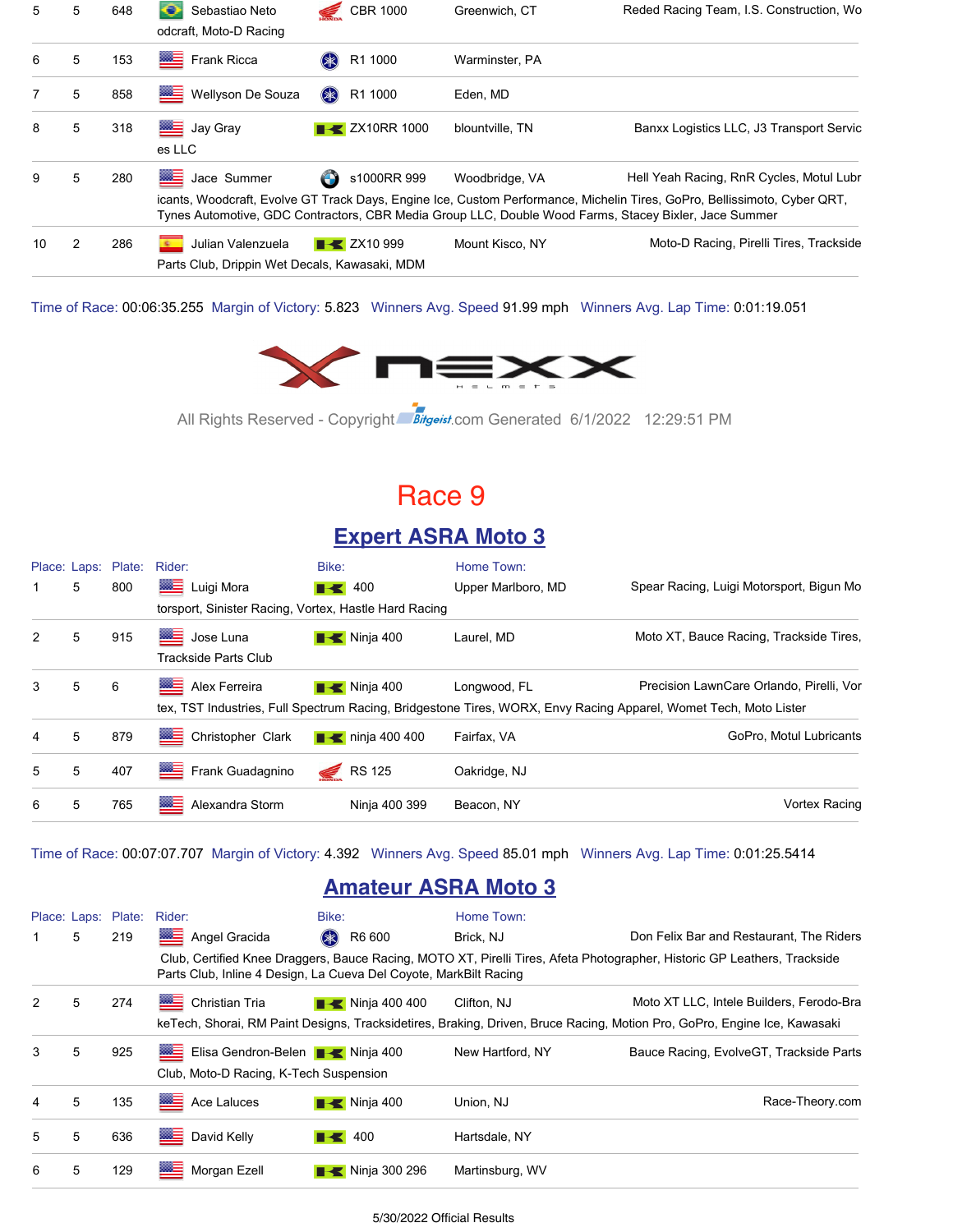| 5  | 5 | 648 | ⊖<br>Sebastiao Neto<br>odcraft, Moto-D Racing                                    | <b>CBR 1000</b>                   | Greenwich, CT   | Reded Racing Team, I.S. Construction, Wo                                                                                                                                                                                                                                      |
|----|---|-----|----------------------------------------------------------------------------------|-----------------------------------|-----------------|-------------------------------------------------------------------------------------------------------------------------------------------------------------------------------------------------------------------------------------------------------------------------------|
| 6  | 5 | 153 | Frank Ricca                                                                      | R1 1000<br>$(* )$                 | Warminster, PA  |                                                                                                                                                                                                                                                                               |
|    | 5 | 858 | ▩≣<br>Wellyson De Souza                                                          | \$<br>R1 1000                     | Eden. MD        |                                                                                                                                                                                                                                                                               |
| 8  | 5 | 318 | <b>BEE</b> Jay Gray<br>es LLC                                                    | $\blacktriangleright$ ZX10RR 1000 | blountville. TN | Banxx Logistics LLC, J3 Transport Servic                                                                                                                                                                                                                                      |
| 9  | 5 | 280 | <b>ME</b><br>Jace Summer                                                         | s1000RR 999<br>O                  | Woodbridge, VA  | Hell Yeah Racing, RnR Cycles, Motul Lubr<br>icants, Woodcraft, Evolve GT Track Days, Engine Ice, Custom Performance, Michelin Tires, GoPro, Bellissimoto, Cyber QRT,<br>Tynes Automotive, GDC Contractors, CBR Media Group LLC, Double Wood Farms, Stacey Bixler, Jace Summer |
| 10 | 2 | 286 | Julian Valenzuela<br><b>BOY</b><br>Parts Club, Drippin Wet Decals, Kawasaki, MDM | $\rightarrow$ ZX10 999            | Mount Kisco, NY | Moto-D Racing, Pirelli Tires, Trackside                                                                                                                                                                                                                                       |

Time of Race: 00:06:35.255 Margin of Victory: 5.823 Winners Avg. Speed 91.99 mph Winners Avg. Lap Time: 0:01:19.051



All Rights Reserved - Copyright Bitgeist.com Generated 6/1/2022 12:29:51 PM

### Race 9

### **Expert ASRA Moto 3**

|               |   | Place: Laps: Plate: | Rider:                                                | Bike:                        | Home Town:         |                                                                                                                                                              |
|---------------|---|---------------------|-------------------------------------------------------|------------------------------|--------------------|--------------------------------------------------------------------------------------------------------------------------------------------------------------|
|               | 5 | 800                 | ▩▅<br>Luigi Mora                                      | $\blacksquare$ 400           | Upper Marlboro, MD | Spear Racing, Luigi Motorsport, Bigun Mo                                                                                                                     |
|               |   |                     | torsport, Sinister Racing, Vortex, Hastle Hard Racing |                              |                    |                                                                                                                                                              |
| 2             | 5 | 915                 | Jose Luna<br><b>Trackside Parts Club</b>              | $\blacksquare$ Ninja 400     | Laurel, MD         | Moto XT, Bauce Racing, Trackside Tires,                                                                                                                      |
| $\mathcal{S}$ | 5 | 6                   | ▩≡<br>Alex Ferreira                                   | $\blacksquare$ Ninja 400     | Longwood, FL       | Precision LawnCare Orlando, Pirelli, Vor<br>tex, TST Industries, Full Spectrum Racing, Bridgestone Tires, WORX, Envy Racing Apparel, Womet Tech, Moto Lister |
| 4             | 5 | 879                 | Christopher Clark                                     | $\blacksquare$ ninja 400 400 | Fairfax, VA        | GoPro, Motul Lubricants                                                                                                                                      |
| 5             | 5 | 407                 | Frank Guadagnino                                      | <b>RS 125</b>                | Oakridge, NJ       |                                                                                                                                                              |
| 6             | 5 | 765                 | ▩▤<br>Alexandra Storm                                 | Ninja 400 399                | Beacon, NY         | <b>Vortex Racing</b>                                                                                                                                         |

Time of Race: 00:07:07.707 Margin of Victory: 4.392 Winners Avg. Speed 85.01 mph Winners Avg. Lap Time: 0:01:25.5414

### **Amateur ASRA Moto 3**

|   |   | Place: Laps: Plate: | Rider:                                                                                                                               | Bike:                        | Home Town:       |                                                                                                                          |
|---|---|---------------------|--------------------------------------------------------------------------------------------------------------------------------------|------------------------------|------------------|--------------------------------------------------------------------------------------------------------------------------|
| 1 | 5 | 219                 | ▓▆<br>Angel Gracida                                                                                                                  | R6 600<br>$(* )$             | Brick, NJ        | Don Felix Bar and Restaurant, The Riders                                                                                 |
|   |   |                     | Parts Club, Inline 4 Design, La Cueva Del Coyote, MarkBilt Racing                                                                    |                              |                  | Club, Certified Knee Draggers, Bauce Racing, MOTO XT, Pirelli Tires, Afeta Photographer, Historic GP Leathers, Trackside |
| 2 | 5 | 274                 | ⊟<br><b>Christian Tria</b>                                                                                                           | $\blacksquare$ Ninja 400 400 | Clifton, NJ      | Moto XT LLC. Intele Builders. Ferodo-Bra                                                                                 |
|   |   |                     |                                                                                                                                      |                              |                  | keTech, Shorai, RM Paint Designs, Tracksidetires, Braking, Driven, Bruce Racing, Motion Pro, GoPro, Engine Ice, Kawasaki |
| 3 | 5 | 925                 | Elisa Gendron-Belen <b>B</b> Ninja 400<br><b>BRE</b>                                                                                 |                              | New Hartford, NY | Bauce Racing, EvolveGT, Trackside Parts                                                                                  |
|   |   |                     | Club, Moto-D Racing, K-Tech Suspension                                                                                               |                              |                  |                                                                                                                          |
| 4 | 5 | 135                 | <b>The Contract of the Contract of The Contract of The Contract of The Contract of The Contract of The Contract o</b><br>Ace Laluces | $\blacksquare$ Ninja 400     | Union, NJ        | Race-Theory.com                                                                                                          |
| 5 | 5 | 636                 | ▩≣<br>David Kelly                                                                                                                    | $\blacktriangleright$ 400    | Hartsdale, NY    |                                                                                                                          |
| 6 | 5 | 129                 | ▩≡<br>Morgan Ezell                                                                                                                   | $\blacksquare$ Ninja 300 296 | Martinsburg, WV  |                                                                                                                          |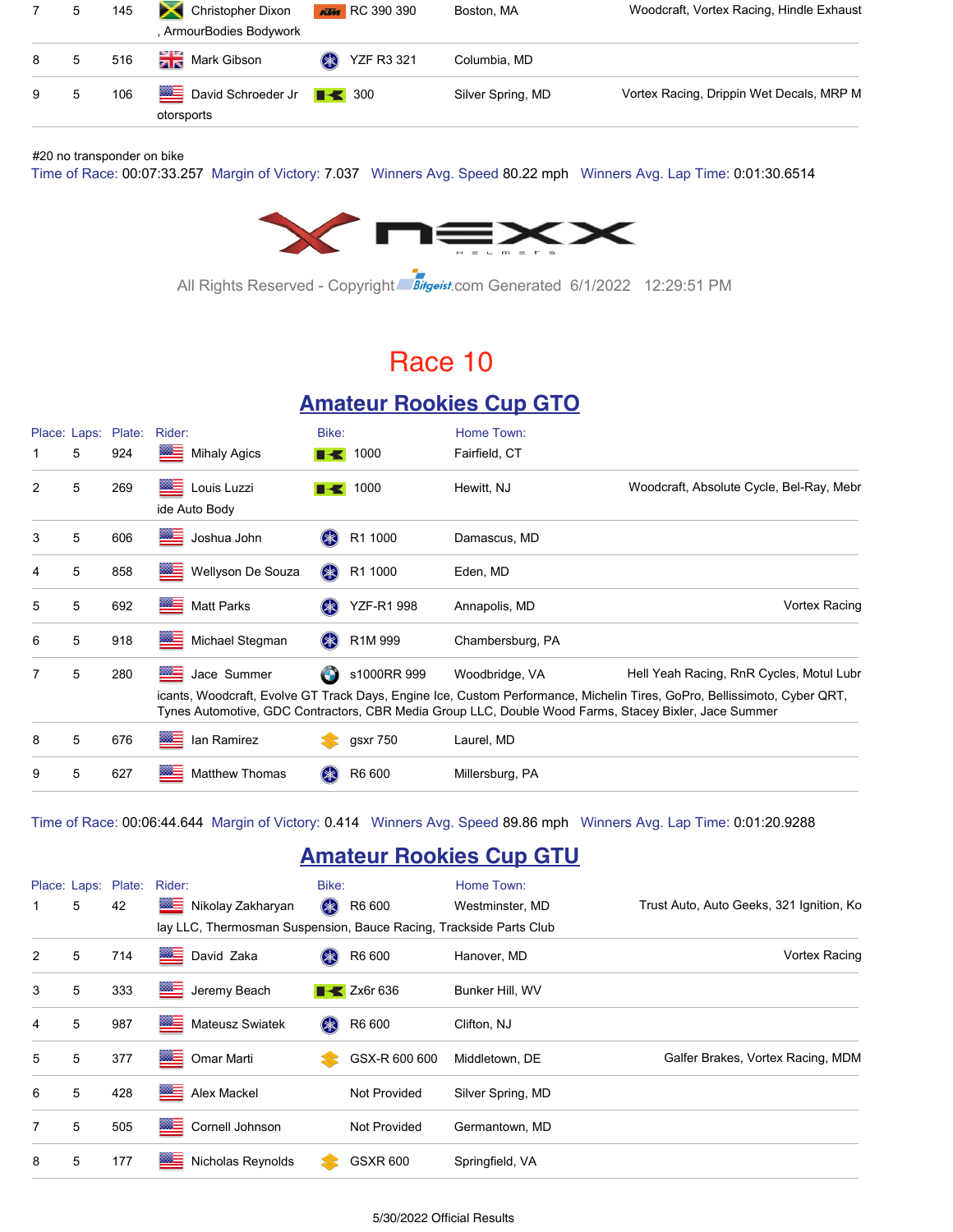|     | -5          | 145 | Christopher Dixon<br>, ArmourBodies Bodywork                        | $\frac{1}{1000}$ RC 390 390 | Boston, MA        | Woodcraft, Vortex Racing, Hindle Exhaust |
|-----|-------------|-----|---------------------------------------------------------------------|-----------------------------|-------------------|------------------------------------------|
| 8   | $5^{\circ}$ | 516 | <b>The Mark Gibson</b>                                              | <b>EXP</b> YZF R3 321       | Columbia, MD      |                                          |
| 9 5 |             | 106 | <b>EXECUTE:</b> David Schroeder Jr F <del>I</del> 300<br>otorsports |                             | Silver Spring, MD | Vortex Racing, Drippin Wet Decals, MRP M |

#### #20 no transponder on bike

Time of Race: 00:07:33.257 Margin of Victory: 7.037 Winners Avg. Speed 80.22 mph Winners Avg. Lap Time: 0:01:30.6514



All Rights Reserved - Copyright Bitgeist.com Generated 6/1/2022 12:29:51 PM

### Race 10

#### **Amateur Rookies Cup GTO**

| 1              | Place: Laps:<br>5 | Plate:<br>924 | Rider:<br>▩▤<br><b>Mihaly Agics</b> | Bike:<br>I KI | 1000                            | Home Town:<br>Fairfield, CT                                                                                             |                                                                                                                                                                      |
|----------------|-------------------|---------------|-------------------------------------|---------------|---------------------------------|-------------------------------------------------------------------------------------------------------------------------|----------------------------------------------------------------------------------------------------------------------------------------------------------------------|
| 2              | 5                 | 269           | ▓≡<br>Louis Luzzi<br>ide Auto Body  |               | 1000                            | Hewitt, NJ                                                                                                              | Woodcraft, Absolute Cycle, Bel-Ray, Mebr                                                                                                                             |
| 3              | 5                 | 606           | ⋐⋤<br>Joshua John                   | $(* )$        | R1 1000                         | Damascus, MD                                                                                                            |                                                                                                                                                                      |
| 4              | 5                 | 858           | ⋐⋽<br>Wellyson De Souza             | (米)           | R1 1000                         | Eden, MD                                                                                                                |                                                                                                                                                                      |
| 5              | 5                 | 692           | ≝<br><b>Matt Parks</b>              | $(* )$        | YZF-R1 998                      | Annapolis, MD                                                                                                           | Vortex Racing                                                                                                                                                        |
| 6              | 5                 | 918           | ▩≡<br>Michael Stegman               | (米)           | R <sub>1</sub> M <sub>999</sub> | Chambersburg, PA                                                                                                        |                                                                                                                                                                      |
| $\overline{7}$ | 5                 | 280           | <b>MAGE</b><br>Jace Summer          |               | s1000RR 999                     | Woodbridge, VA<br>Tynes Automotive, GDC Contractors, CBR Media Group LLC, Double Wood Farms, Stacey Bixler, Jace Summer | Hell Yeah Racing, RnR Cycles, Motul Lubr<br>icants, Woodcraft, Evolve GT Track Days, Engine Ice, Custom Performance, Michelin Tires, GoPro, Bellissimoto, Cyber QRT, |
| 8              | 5                 | 676           | ▩▬<br>lan Ramirez                   |               | gsxr 750                        | Laurel, MD                                                                                                              |                                                                                                                                                                      |
| 9              | 5                 | 627           | ▩≡<br><b>Matthew Thomas</b>         | (米)           | R6 600                          | Millersburg, PA                                                                                                         |                                                                                                                                                                      |

Time of Race: 00:06:44.644 Margin of Victory: 0.414 Winners Avg. Speed 89.86 mph Winners Avg. Lap Time: 0:01:20.9288

#### **Amateur Rookies Cup GTU**

|             |   | Place: Laps: Plate: | Rider:                                                             | Bike:  |                           | Home Town:        |                                          |
|-------------|---|---------------------|--------------------------------------------------------------------|--------|---------------------------|-------------------|------------------------------------------|
| $\mathbf 1$ | 5 | 42                  | Nikolay Zakharyan                                                  | $(* )$ | R6 600                    | Westminster, MD   | Trust Auto, Auto Geeks, 321 Ignition, Ko |
|             |   |                     | lay LLC, Thermosman Suspension, Bauce Racing, Trackside Parts Club |        |                           |                   |                                          |
| 2           | 5 | 714                 | David Zaka                                                         | (米)    | R6 600                    | Hanover, MD       | Vortex Racing                            |
| 3           | 5 | 333                 | ▩⋚<br>Jeremy Beach                                                 |        | $\triangleright$ Zx6r 636 | Bunker Hill, WV   |                                          |
| 4           | 5 | 987                 | ▩≡<br>Mateusz Swiatek                                              | (米)    | R6 600                    | Clifton, NJ       |                                          |
| 5           | 5 | 377                 | ▩▤<br>Omar Marti                                                   |        | GSX-R 600 600             | Middletown, DE    | Galfer Brakes, Vortex Racing, MDM        |
| 6           | 5 | 428                 | ▩⋸<br>Alex Mackel                                                  |        | Not Provided              | Silver Spring, MD |                                          |
| 7           | 5 | 505                 | ▩▤<br>Cornell Johnson                                              |        | Not Provided              | Germantown, MD    |                                          |
| 8           | 5 | 177                 | ≝<br>Nicholas Reynolds                                             |        | <b>GSXR 600</b>           | Springfield, VA   |                                          |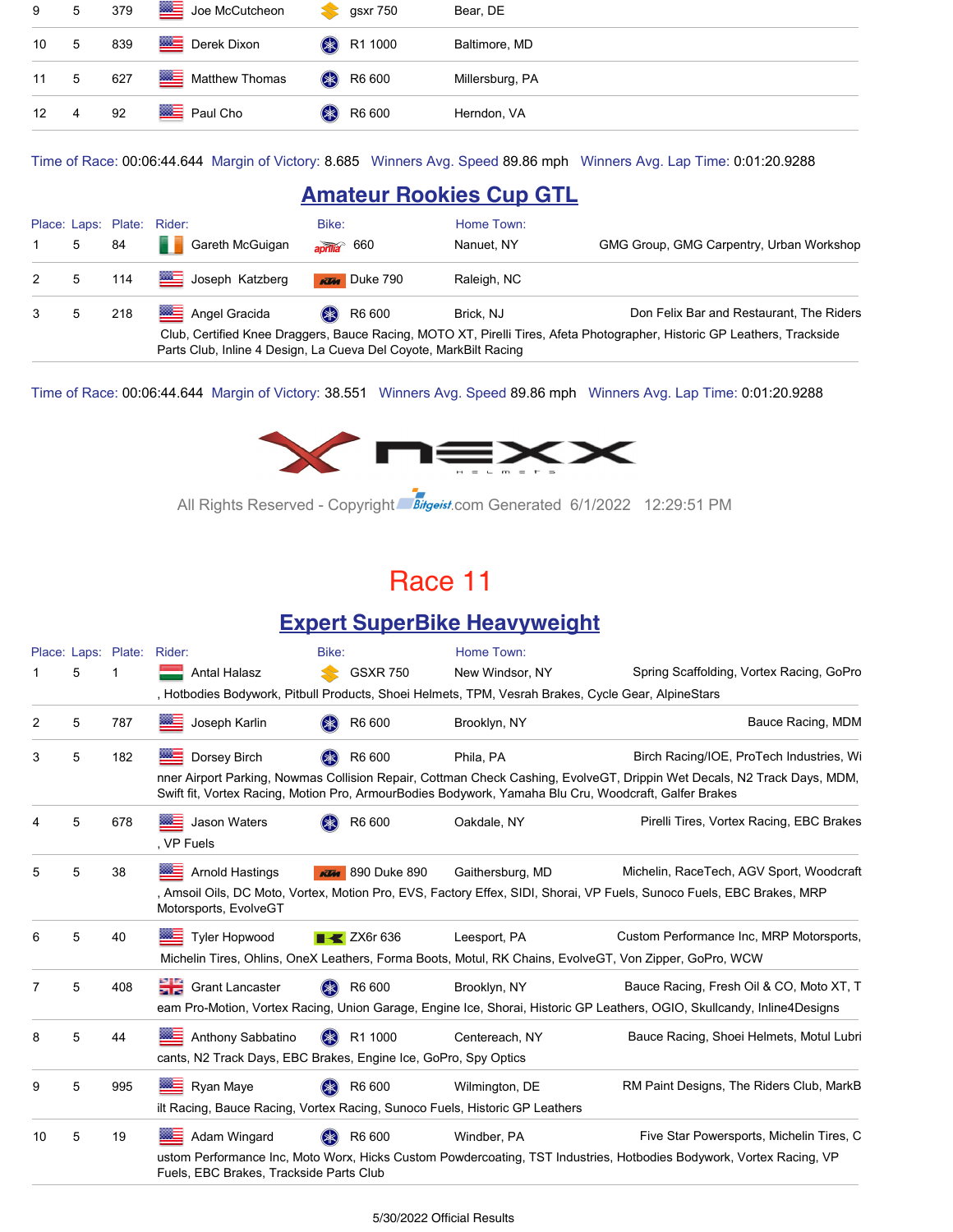|               | 9 5 379 |     | Joe McCutcheon           | gsxr 750<br>$\mathbf{X}$     | Bear, DE        |
|---------------|---------|-----|--------------------------|------------------------------|-----------------|
| 10 5          |         | 839 | Derek Dixon              | <b>A</b> R1 1000             | Baltimore, MD   |
| 11 5          |         | 627 | Matthew Thomas           | <b>8</b> R6 600              | Millersburg, PA |
| $12 \qquad 4$ |         | 92  | <b>EXECUTE:</b> Paul Cho | R6 600<br>$(\divideontimes)$ | Herndon, VA     |

Time of Race: 00:06:44.644 Margin of Victory: 8.685 Winners Avg. Speed 89.86 mph Winners Avg. Lap Time: 0:01:20.9288

#### **Amateur Rookies Cup GTL**

|                                                                                                                          |   |         | Place: Laps: Plate: Rider:                                        | Bike:                     | Home Town:  |                                          |  |  |  |
|--------------------------------------------------------------------------------------------------------------------------|---|---------|-------------------------------------------------------------------|---------------------------|-------------|------------------------------------------|--|--|--|
| $\sim$ 1                                                                                                                 | 5 | 84      | Gareth McGuigan                                                   | $\frac{1}{2}$ aprilla 660 | Nanuet. NY  | GMG Group, GMG Carpentry, Urban Workshop |  |  |  |
|                                                                                                                          |   | 2 5 114 | Joseph Katzberg                                                   | $x \overline{u}$ Duke 790 | Raleigh, NC |                                          |  |  |  |
| $3 \quad 5$                                                                                                              |   | 218     | Angel Gracida                                                     | <b>8</b> R6 600           | Brick, NJ   | Don Felix Bar and Restaurant, The Riders |  |  |  |
| Club, Certified Knee Draggers, Bauce Racing, MOTO XT, Pirelli Tires, Afeta Photographer, Historic GP Leathers, Trackside |   |         |                                                                   |                           |             |                                          |  |  |  |
|                                                                                                                          |   |         | Parts Club, Inline 4 Design, La Cueva Del Coyote, MarkBilt Racing |                           |             |                                          |  |  |  |

Time of Race: 00:06:44.644 Margin of Victory: 38.551 Winners Avg. Speed 89.86 mph Winners Avg. Lap Time: 0:01:20.9288



All Rights Reserved - Copyright Bitgeist.com Generated 6/1/2022 12:29:51 PM

### Race 11

#### **Expert SuperBike Heavyweight**

|    |   | Place: Laps: Plate: Rider: |                                                                                                                                                                                                                                  | Bike:                        | Home Town:       |                                                                                                                         |  |  |  |
|----|---|----------------------------|----------------------------------------------------------------------------------------------------------------------------------------------------------------------------------------------------------------------------------|------------------------------|------------------|-------------------------------------------------------------------------------------------------------------------------|--|--|--|
|    | 5 |                            | Antal Halasz                                                                                                                                                                                                                     | <b>GSXR 750</b>              | New Windsor, NY  | Spring Scaffolding, Vortex Racing, GoPro                                                                                |  |  |  |
|    |   |                            | , Hotbodies Bodywork, Pitbull Products, Shoei Helmets, TPM, Vesrah Brakes, Cycle Gear, AlpineStars                                                                                                                               |                              |                  |                                                                                                                         |  |  |  |
| 2  | 5 | 787                        | ⋙≡<br>Joseph Karlin                                                                                                                                                                                                              | R6 600                       | Brooklyn, NY     | Bauce Racing, MDM                                                                                                       |  |  |  |
| 3  | 5 | 182                        | 然生<br>Dorsey Birch                                                                                                                                                                                                               | R6 600                       | Phila, PA        | Birch Racing/IOE, ProTech Industries, Wi                                                                                |  |  |  |
|    |   |                            | nner Airport Parking, Nowmas Collision Repair, Cottman Check Cashing, EvolveGT, Drippin Wet Decals, N2 Track Days, MDM,<br>Swift fit, Vortex Racing, Motion Pro, ArmourBodies Bodywork, Yamaha Blu Cru, Woodcraft, Galfer Brakes |                              |                  |                                                                                                                         |  |  |  |
| 4  | 5 | 678                        | Jason Waters<br><b>BBC</b><br>. VP Fuels                                                                                                                                                                                         | R6 600                       | Oakdale, NY      | Pirelli Tires, Vortex Racing, EBC Brakes                                                                                |  |  |  |
| 5  | 5 | 38                         | <b>Arnold Hastings</b>                                                                                                                                                                                                           | <b>KTM</b> 890 Duke 890      | Gaithersburg, MD | Michelin, RaceTech, AGV Sport, Woodcraft                                                                                |  |  |  |
|    |   |                            | Motorsports, EvolveGT                                                                                                                                                                                                            |                              |                  | , Amsoil Oils, DC Moto, Vortex, Motion Pro, EVS, Factory Effex, SIDI, Shorai, VP Fuels, Sunoco Fuels, EBC Brakes, MRP   |  |  |  |
| 6  | 5 | 40                         | <b>Tyler Hopwood</b>                                                                                                                                                                                                             | $\rightarrow$ ZX6r 636       | Leesport, PA     | Custom Performance Inc, MRP Motorsports,                                                                                |  |  |  |
|    |   |                            |                                                                                                                                                                                                                                  |                              |                  | Michelin Tires, Ohlins, OneX Leathers, Forma Boots, Motul, RK Chains, EvolveGT, Von Zipper, GoPro, WCW                  |  |  |  |
| 7  | 5 | 408                        | <b>Crant Lancaster</b>                                                                                                                                                                                                           | R6 600<br>$(\divideontimes)$ | Brooklyn, NY     | Bauce Racing, Fresh Oil & CO, Moto XT, T                                                                                |  |  |  |
|    |   |                            |                                                                                                                                                                                                                                  |                              |                  | eam Pro-Motion, Vortex Racing, Union Garage, Engine Ice, Shorai, Historic GP Leathers, OGIO, Skullcandy, Inline4Designs |  |  |  |
| 8  | 5 | 44                         | Anthony Sabbatino                                                                                                                                                                                                                | R1 1000                      | Centereach, NY   | Bauce Racing, Shoei Helmets, Motul Lubri                                                                                |  |  |  |
|    |   |                            | cants, N2 Track Days, EBC Brakes, Engine Ice, GoPro, Spy Optics                                                                                                                                                                  |                              |                  |                                                                                                                         |  |  |  |
| 9  | 5 | 995                        | <b>EXAMPLE Ryan Maye</b>                                                                                                                                                                                                         | R6 600                       | Wilmington, DE   | RM Paint Designs, The Riders Club, MarkB                                                                                |  |  |  |
|    |   |                            | ilt Racing, Bauce Racing, Vortex Racing, Sunoco Fuels, Historic GP Leathers                                                                                                                                                      |                              |                  |                                                                                                                         |  |  |  |
| 10 | 5 | 19                         | Adam Wingard                                                                                                                                                                                                                     | R6 600                       | Windber, PA      | Five Star Powersports, Michelin Tires, C                                                                                |  |  |  |
|    |   |                            | Fuels, EBC Brakes, Trackside Parts Club                                                                                                                                                                                          |                              |                  | ustom Performance Inc, Moto Worx, Hicks Custom Powdercoating, TST Industries, Hotbodies Bodywork, Vortex Racing, VP     |  |  |  |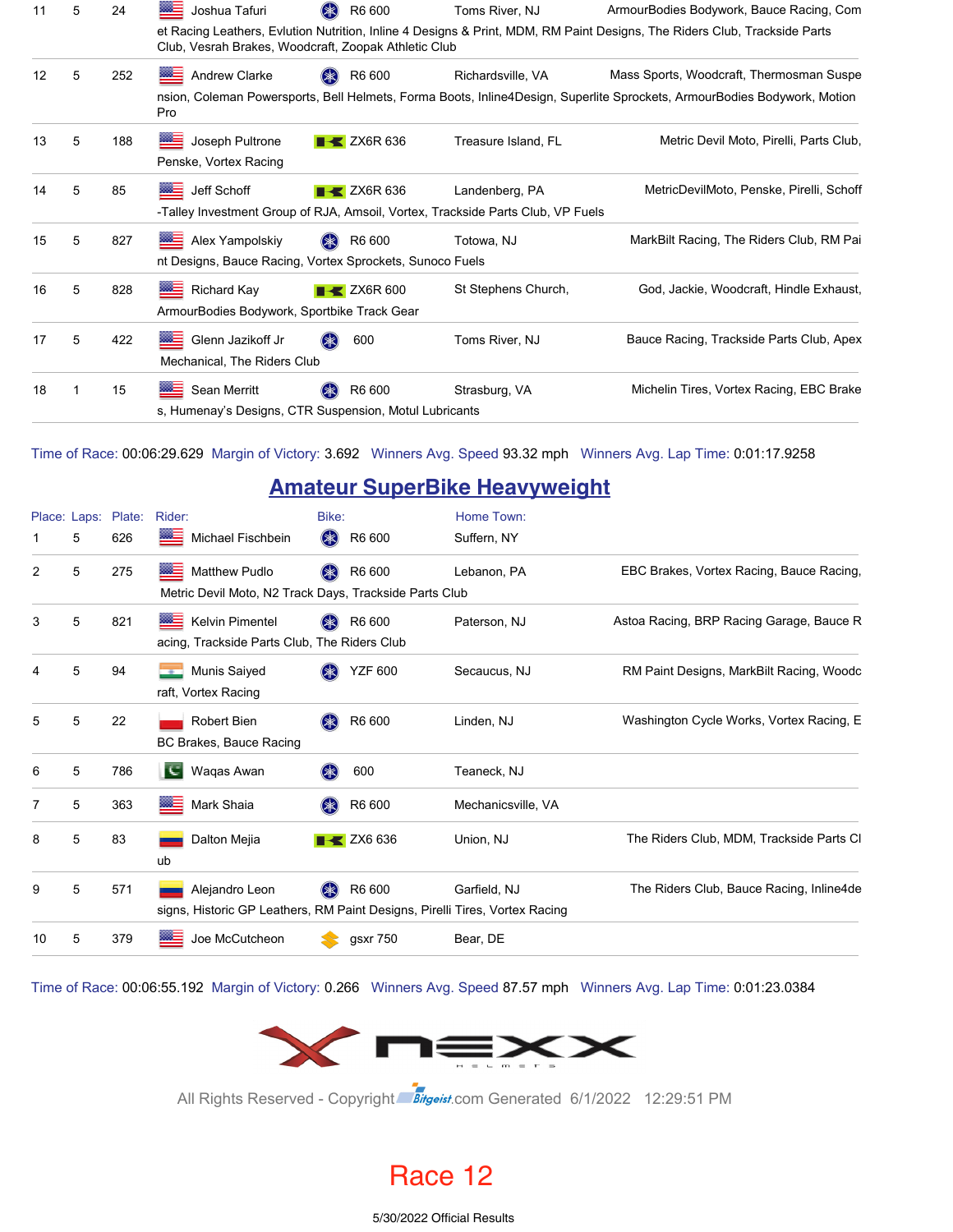| 11 | 5 | 24  | ▩≘<br>Joshua Tafuri                                                                    | R6 600                         | Toms River, NJ                                                                                    | ArmourBodies Bodywork, Bauce Racing, Com                                                                                  |
|----|---|-----|----------------------------------------------------------------------------------------|--------------------------------|---------------------------------------------------------------------------------------------------|---------------------------------------------------------------------------------------------------------------------------|
|    |   |     | Club, Vesrah Brakes, Woodcraft, Zoopak Athletic Club                                   |                                |                                                                                                   | et Racing Leathers, Evlution Nutrition, Inline 4 Designs & Print, MDM, RM Paint Designs, The Riders Club, Trackside Parts |
| 12 | 5 | 252 | Andrew Clarke                                                                          | R6 600                         | Richardsville, VA                                                                                 | Mass Sports, Woodcraft, Thermosman Suspe                                                                                  |
|    |   |     | Pro                                                                                    |                                |                                                                                                   | nsion, Coleman Powersports, Bell Helmets, Forma Boots, Inline4Design, Superlite Sprockets, ArmourBodies Bodywork, Motion  |
| 13 | 5 | 188 | Joseph Pultrone<br>Penske, Vortex Racing                                               | $\blacktriangleright$ ZX6R 636 | Treasure Island, FL                                                                               | Metric Devil Moto, Pirelli, Parts Club,                                                                                   |
| 14 | 5 | 85  | ▩▬<br>Jeff Schoff                                                                      | $\blacktriangleright$ ZX6R 636 | Landenberg, PA<br>-Talley Investment Group of RJA, Amsoil, Vortex, Trackside Parts Club, VP Fuels | MetricDevilMoto, Penske, Pirelli, Schoff                                                                                  |
| 15 | 5 | 827 | <b>MEE</b> Alex Yampolskiy<br>nt Designs, Bauce Racing, Vortex Sprockets, Sunoco Fuels | R6 600<br>$(* )$               | Totowa, NJ                                                                                        | MarkBilt Racing, The Riders Club, RM Pai                                                                                  |
| 16 | 5 | 828 | Richard Kay<br>ArmourBodies Bodywork, Sportbike Track Gear                             | $\blacktriangleright$ ZX6R 600 | St Stephens Church,                                                                               | God, Jackie, Woodcraft, Hindle Exhaust,                                                                                   |
| 17 | 5 | 422 | <b>BEE</b> Glenn Jazikoff Jr<br>Mechanical, The Riders Club                            | 600                            | Toms River, NJ                                                                                    | Bauce Racing, Trackside Parts Club, Apex                                                                                  |
| 18 |   | 15  | Sean Merritt<br>s, Humenay's Designs, CTR Suspension, Motul Lubricants                 | R6 600                         | Strasburg, VA                                                                                     | Michelin Tires, Vortex Racing, EBC Brake                                                                                  |

Time of Race: 00:06:29.629 Margin of Victory: 3.692 Winners Avg. Speed 93.32 mph Winners Avg. Lap Time: 0:01:17.9258

#### **Amateur SuperBike Heavyweight**

|                |   | Place: Laps: Plate: | Rider:                                                                                        | Bike:                         | Home Town:         |                                          |
|----------------|---|---------------------|-----------------------------------------------------------------------------------------------|-------------------------------|--------------------|------------------------------------------|
|                | 5 | 626                 | Michael Fischbein                                                                             | <b>(*)</b><br>R6 600          | Suffern, NY        |                                          |
| 2              | 5 | 275                 | ▩▅<br><b>Matthew Pudlo</b><br>Metric Devil Moto, N2 Track Days, Trackside Parts Club          | $(* )$<br>R6 600              | Lebanon, PA        | EBC Brakes, Vortex Racing, Bauce Racing, |
| 3              | 5 | 821                 | Kelvin Pimentel<br><u> West</u><br>acing, Trackside Parts Club, The Riders Club               | R6 600<br>(⋙                  | Paterson, NJ       | Astoa Racing, BRP Racing Garage, Bauce R |
| 4              | 5 | 94                  | Munis Saiyed<br>raft, Vortex Racing                                                           | <b>YZF 600</b><br>(米)         | Secaucus, NJ       | RM Paint Designs, MarkBilt Racing, Woodc |
| 5              | 5 | 22                  | <b>Robert Bien</b><br>BC Brakes, Bauce Racing                                                 | R6 600<br>$(\divideontimes)$  | Linden, NJ         | Washington Cycle Works, Vortex Racing, E |
| 6              | 5 | 786                 | Waqas Awan<br>TC I                                                                            | $(\divideontimes)$<br>600     | Teaneck, NJ        |                                          |
| $\overline{7}$ | 5 | 363                 | ▓≡<br>Mark Shaia                                                                              | R6 600<br>(*                  | Mechanicsville, VA |                                          |
| 8              | 5 | 83                  | Dalton Mejia<br>ub                                                                            | $\blacktriangleright$ ZX6 636 | Union, NJ          | The Riders Club, MDM, Trackside Parts Cl |
| 9              | 5 | 571                 | Alejandro Leon<br>signs, Historic GP Leathers, RM Paint Designs, Pirelli Tires, Vortex Racing | (*)<br>R6 600                 | Garfield, NJ       | The Riders Club, Bauce Racing, Inline4de |
| 10             | 5 | 379                 | Joe McCutcheon                                                                                | gsxr 750                      | Bear, DE           |                                          |

Time of Race: 00:06:55.192 Margin of Victory: 0.266 Winners Avg. Speed 87.57 mph Winners Avg. Lap Time: 0:01:23.0384



All Rights Reserved - Copyright Bitgeist.com Generated 6/1/2022 12:29:51 PM

### Race 12

5/30/2022 Official Results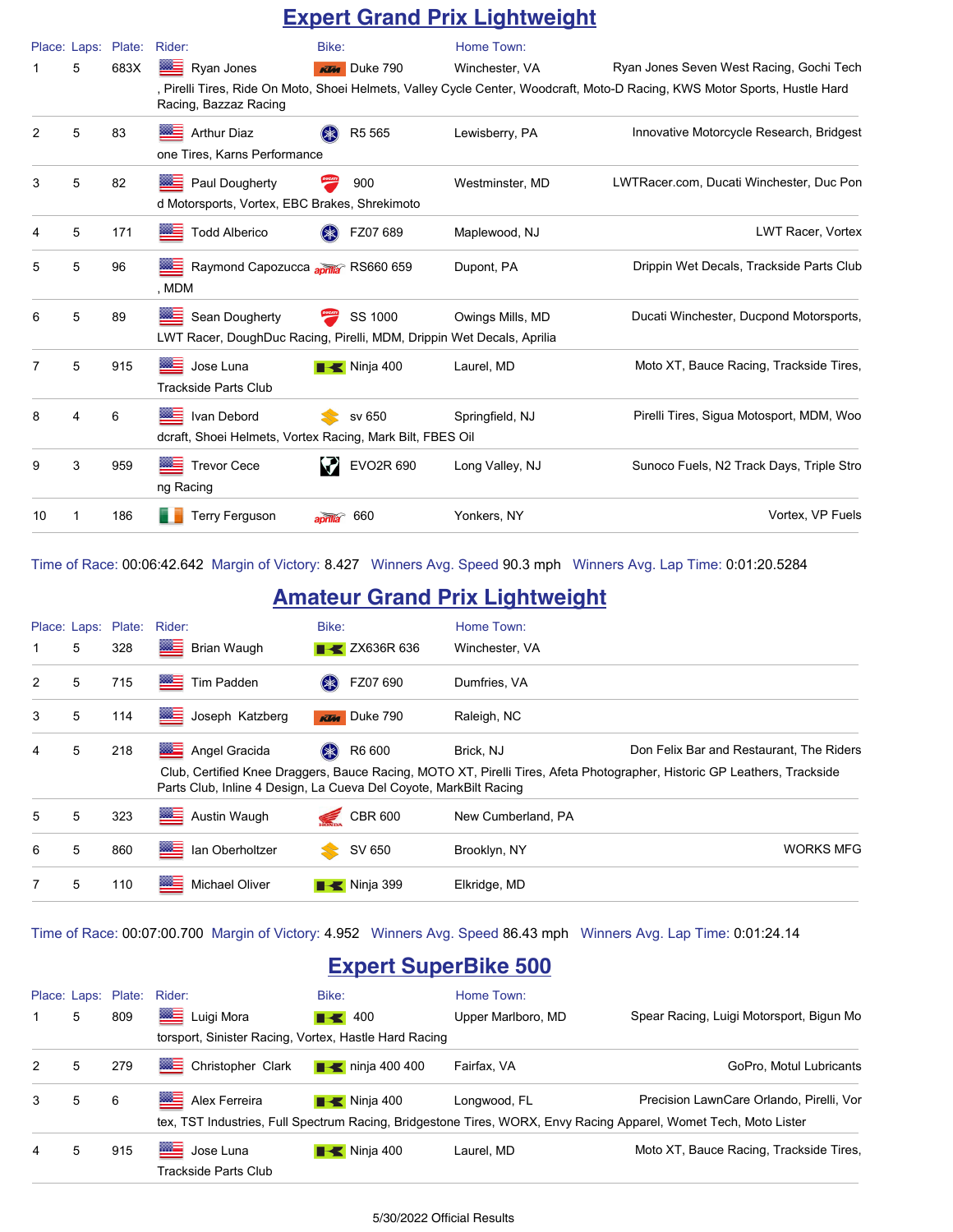|    |                   |                |                                                                                               |                                  |           | <b>Expert Grand Prix Lightweight</b> |                                                                                                                                                                        |
|----|-------------------|----------------|-----------------------------------------------------------------------------------------------|----------------------------------|-----------|--------------------------------------|------------------------------------------------------------------------------------------------------------------------------------------------------------------------|
|    | Place: Laps:<br>5 | Plate:<br>683X | Rider:<br>▩▬<br>Ryan Jones<br>Racing, Bazzaz Racing                                           | Bike:<br>Duke 790<br><b>Klas</b> |           | Home Town:<br>Winchester, VA         | Ryan Jones Seven West Racing, Gochi Tech<br>, Pirelli Tires, Ride On Moto, Shoei Helmets, Valley Cycle Center, Woodcraft, Moto-D Racing, KWS Motor Sports, Hustle Hard |
| 2  | 5                 | 83             | <b>Arthur Diaz</b><br>one Tires, Karns Performance                                            | R <sub>5</sub> 565               |           | Lewisberry, PA                       | Innovative Motorcycle Research, Bridgest                                                                                                                               |
| 3  | 5                 | 82             | Paul Dougherty<br>d Motorsports, Vortex, EBC Brakes, Shrekimoto                               | 900                              |           | Westminster, MD                      | LWTRacer.com, Ducati Winchester, Duc Pon                                                                                                                               |
| 4  | 5                 | 171            | <b>Todd Alberico</b>                                                                          | FZ07 689                         |           | Maplewood, NJ                        | <b>LWT Racer, Vortex</b>                                                                                                                                               |
| 5  | 5                 | 96             | Raymond Capozucca anima <sup>2</sup> RS660 659<br>, MDM                                       |                                  |           | Dupont, PA                           | Drippin Wet Decals, Trackside Parts Club                                                                                                                               |
| 6  | 5                 | 89             | ▩≡<br>Sean Dougherty<br>LWT Racer, DoughDuc Racing, Pirelli, MDM, Drippin Wet Decals, Aprilia | SS 1000                          |           | Owings Mills, MD                     | Ducati Winchester, Ducpond Motorsports,                                                                                                                                |
| 7  | 5                 | 915            | Jose Luna<br><b>Trackside Parts Club</b>                                                      | <b>K</b> Ninja 400               |           | Laurel, MD                           | Moto XT, Bauce Racing, Trackside Tires,                                                                                                                                |
| 8  | 4                 | 6              | Ivan Debord<br>dcraft, Shoei Helmets, Vortex Racing, Mark Bilt, FBES Oil                      | sv 650                           |           | Springfield, NJ                      | Pirelli Tires, Sigua Motosport, MDM, Woo                                                                                                                               |
| 9  | 3                 | 959            | <b>Trevor Cece</b><br>ng Racing                                                               |                                  | EVO2R 690 | Long Valley, NJ                      | Sunoco Fuels, N2 Track Days, Triple Stro                                                                                                                               |
| 10 | 1                 | 186            | <b>Terry Ferguson</b>                                                                         | 660                              |           | Yonkers, NY                          | Vortex, VP Fuels                                                                                                                                                       |

Time of Race: 00:06:42.642 Margin of Victory: 8.427 Winners Avg. Speed 90.3 mph Winners Avg. Lap Time: 0:01:20.5284

### **Amateur Grand Prix Lightweight**

|   |   | Place: Laps: Plate: | Rider:                                                                                            | Bike:                           | Home Town:         |                                                                                                                                                                      |
|---|---|---------------------|---------------------------------------------------------------------------------------------------|---------------------------------|--------------------|----------------------------------------------------------------------------------------------------------------------------------------------------------------------|
| 1 | 5 | 328                 | ▩≣<br><b>Brian Waugh</b>                                                                          | <b>EXAMPLE 2X636R 636</b>       | Winchester, VA     |                                                                                                                                                                      |
| 2 | 5 | 715                 | ▩≣<br>Tim Padden                                                                                  | FZ07 690<br>$(* )$              | Dumfries, VA       |                                                                                                                                                                      |
| 3 | 5 | 114                 | ▩≣<br>Joseph Katzberg                                                                             | <b>KTM</b> Duke 790             | Raleigh, NC        |                                                                                                                                                                      |
| 4 | 5 | 218                 | <b>WELL</b><br>Angel Gracida<br>Parts Club, Inline 4 Design, La Cueva Del Coyote, MarkBilt Racing | $(*$<br>R6 600                  | Brick, NJ          | Don Felix Bar and Restaurant, The Riders<br>Club, Certified Knee Draggers, Bauce Racing, MOTO XT, Pirelli Tires, Afeta Photographer, Historic GP Leathers, Trackside |
| 5 | 5 | 323                 | ▩▤<br>Austin Waugh                                                                                | <b>CBR 600</b><br>S.            | New Cumberland, PA |                                                                                                                                                                      |
| 6 | 5 | 860                 | ▩▤<br>lan Oberholtzer                                                                             | SV 650<br>$\blacktriangleright$ | Brooklyn, NY       | <b>WORKS MFG</b>                                                                                                                                                     |
| 7 | 5 | 110                 | ▩≡<br>Michael Oliver                                                                              | $\blacksquare$ Ninja 399        | Elkridge, MD       |                                                                                                                                                                      |

Time of Race: 00:07:00.700 Margin of Victory: 4.952 Winners Avg. Speed 86.43 mph Winners Avg. Lap Time: 0:01:24.14

### **Expert SuperBike 500**

|               |   |     | Place: Laps: Plate: Rider:                                                                                       | Bike:                        | Home Town:         |                                          |
|---------------|---|-----|------------------------------------------------------------------------------------------------------------------|------------------------------|--------------------|------------------------------------------|
|               | 5 | 809 | Luigi Mora                                                                                                       | $\blacksquare$ 400           | Upper Marlboro, MD | Spear Racing, Luigi Motorsport, Bigun Mo |
|               |   |     | torsport, Sinister Racing, Vortex, Hastle Hard Racing                                                            |                              |                    |                                          |
| 2             | 5 | 279 | <b>WE Christopher Clark</b>                                                                                      | $\blacksquare$ ninja 400 400 | Fairfax, VA        | GoPro, Motul Lubricants                  |
| $\mathcal{S}$ | 5 | 6   | Alex Ferreira                                                                                                    | $\blacksquare$ Ninja 400     | Longwood, FL       | Precision LawnCare Orlando, Pirelli, Vor |
|               |   |     | tex, TST Industries, Full Spectrum Racing, Bridgestone Tires, WORX, Envy Racing Apparel, Womet Tech, Moto Lister |                              |                    |                                          |
| 4             | 5 | 915 | <b>MED</b> Jose Luna<br>Trackside Parts Club                                                                     | $\blacksquare$ Ninja 400     | Laurel, MD         | Moto XT, Bauce Racing, Trackside Tires,  |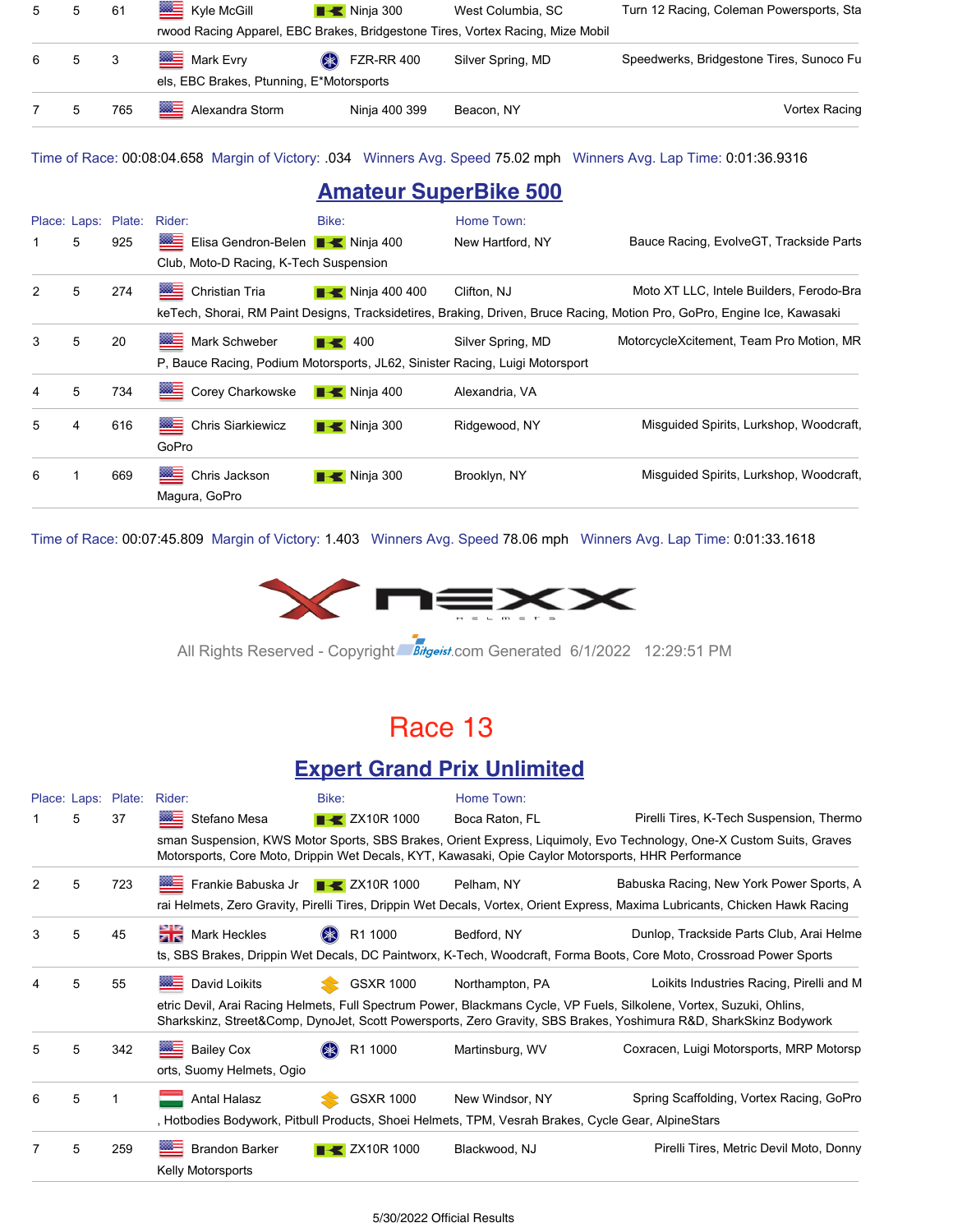| 5 5 |       | 61  | <b>Kyle McGill</b>                       | $\blacksquare$ Ninja 300 | West Columbia, SC                                                              | Turn 12 Racing, Coleman Powersports, Sta |
|-----|-------|-----|------------------------------------------|--------------------------|--------------------------------------------------------------------------------|------------------------------------------|
|     |       |     |                                          |                          | rwood Racing Apparel, EBC Brakes, Bridgestone Tires, Vortex Racing, Mize Mobil |                                          |
|     | 6 5 3 |     | <b>Mark Evry</b>                         | <b>&amp;</b> FZR-RR 400  | Silver Spring, MD                                                              | Speedwerks, Bridgestone Tires, Sunoco Fu |
|     |       |     | els, EBC Brakes, Ptunning, E*Motorsports |                          |                                                                                |                                          |
| 7 5 |       | 765 | Alexandra Storm                          | Ninja 400 399            | Beacon, NY                                                                     | Vortex Racing                            |

Time of Race: 00:08:04.658 Margin of Victory: .034 Winners Avg. Speed 75.02 mph Winners Avg. Lap Time: 0:01:36.9316

#### **Amateur SuperBike 500**

|   |   | Place: Laps: Plate: | Rider:                                                                       | Bike:                        | Home Town:        |                                                                                                                          |
|---|---|---------------------|------------------------------------------------------------------------------|------------------------------|-------------------|--------------------------------------------------------------------------------------------------------------------------|
|   | 5 | 925                 | Elisa Gendron-Belen <b>B</b> Ninja 400                                       |                              | New Hartford, NY  | Bauce Racing, EvolveGT, Trackside Parts                                                                                  |
|   |   |                     | Club, Moto-D Racing, K-Tech Suspension                                       |                              |                   |                                                                                                                          |
| 2 | 5 | 274                 | 签写<br><b>Christian Tria</b>                                                  | $\blacksquare$ Ninja 400 400 | Clifton, NJ       | Moto XT LLC, Intele Builders, Ferodo-Bra                                                                                 |
|   |   |                     |                                                                              |                              |                   | keTech, Shorai, RM Paint Designs, Tracksidetires, Braking, Driven, Bruce Racing, Motion Pro, GoPro, Engine Ice, Kawasaki |
| 3 | 5 | 20                  | ▨≘<br>Mark Schweber                                                          | $\blacksquare$ 400           | Silver Spring, MD | MotorcycleXcitement, Team Pro Motion, MR                                                                                 |
|   |   |                     | P, Bauce Racing, Podium Motorsports, JL62, Sinister Racing, Luigi Motorsport |                              |                   |                                                                                                                          |
| 4 | 5 | 734                 | <b>ME</b><br>Corey Charkowske                                                | $\blacksquare$ Ninja 400     | Alexandria, VA    |                                                                                                                          |
| 5 | 4 | 616                 | ▩≣<br><b>Chris Siarkiewicz</b><br>GoPro                                      | $\blacksquare$ Ninja 300     | Ridgewood, NY     | Misquided Spirits, Lurkshop, Woodcraft,                                                                                  |
| 6 | 1 | 669                 | ※三<br>Chris Jackson<br>Magura, GoPro                                         | $\blacksquare$ Ninja 300     | Brooklyn, NY      | Misquided Spirits, Lurkshop, Woodcraft,                                                                                  |

Time of Race: 00:07:45.809 Margin of Victory: 1.403 Winners Avg. Speed 78.06 mph Winners Avg. Lap Time: 0:01:33.1618



All Rights Reserved - Copyright Bitgeist.com Generated 6/1/2022 12:29:51 PM

### Race 13

#### **Expert Grand Prix Unlimited**

|   |   | Place: Laps: Plate: | Rider:                                          | Bike:                                                                                                               | Home Town:                                                                                          |                                                                                                                                                                                                                                           |  |  |  |  |
|---|---|---------------------|-------------------------------------------------|---------------------------------------------------------------------------------------------------------------------|-----------------------------------------------------------------------------------------------------|-------------------------------------------------------------------------------------------------------------------------------------------------------------------------------------------------------------------------------------------|--|--|--|--|
|   | 5 | 37                  | Stefano Mesa                                    | $\rightarrow$ ZX10R 1000                                                                                            | Boca Raton, FL                                                                                      | Pirelli Tires, K-Tech Suspension, Thermo                                                                                                                                                                                                  |  |  |  |  |
|   |   |                     |                                                 |                                                                                                                     | Motorsports, Core Moto, Drippin Wet Decals, KYT, Kawasaki, Opie Caylor Motorsports, HHR Performance | sman Suspension, KWS Motor Sports, SBS Brakes, Orient Express, Liquimoly, Evo Technology, One-X Custom Suits, Graves                                                                                                                      |  |  |  |  |
| 2 | 5 | 723                 | <b>EXAMPLE Frankie Babuska Jr TK ZX10R 1000</b> |                                                                                                                     | Pelham, NY                                                                                          | Babuska Racing, New York Power Sports, A                                                                                                                                                                                                  |  |  |  |  |
|   |   |                     |                                                 |                                                                                                                     |                                                                                                     | rai Helmets, Zero Gravity, Pirelli Tires, Drippin Wet Decals, Vortex, Orient Express, Maxima Lubricants, Chicken Hawk Racing                                                                                                              |  |  |  |  |
| 3 | 5 | 45                  | Mark Heckles                                    | R1 1000<br>$(* )$                                                                                                   | Bedford, NY                                                                                         | Dunlop, Trackside Parts Club, Arai Helme                                                                                                                                                                                                  |  |  |  |  |
|   |   |                     |                                                 | ts, SBS Brakes, Drippin Wet Decals, DC Paintworx, K-Tech, Woodcraft, Forma Boots, Core Moto, Crossroad Power Sports |                                                                                                     |                                                                                                                                                                                                                                           |  |  |  |  |
|   | 5 | 55                  | <b>Booth</b> David Loikits                      | <b>GSXR 1000</b>                                                                                                    | Northampton, PA                                                                                     | Loikits Industries Racing, Pirelli and M                                                                                                                                                                                                  |  |  |  |  |
|   |   |                     |                                                 |                                                                                                                     |                                                                                                     | etric Devil, Arai Racing Helmets, Full Spectrum Power, Blackmans Cycle, VP Fuels, Silkolene, Vortex, Suzuki, Ohlins,<br>Sharkskinz, Street&Comp, DynoJet, Scott Powersports, Zero Gravity, SBS Brakes, Yoshimura R&D, SharkSkinz Bodywork |  |  |  |  |
| 5 | 5 | 342                 | <b>Bailey Cox</b>                               | R1 1000                                                                                                             | Martinsburg, WV                                                                                     | Coxracen, Luigi Motorsports, MRP Motorsp                                                                                                                                                                                                  |  |  |  |  |
|   |   |                     | orts, Suomy Helmets, Ogio                       |                                                                                                                     |                                                                                                     |                                                                                                                                                                                                                                           |  |  |  |  |
| 6 | 5 |                     | Antal Halasz                                    | GSXR 1000                                                                                                           | New Windsor, NY                                                                                     | Spring Scaffolding, Vortex Racing, GoPro                                                                                                                                                                                                  |  |  |  |  |
|   |   |                     |                                                 |                                                                                                                     | , Hotbodies Bodywork, Pitbull Products, Shoei Helmets, TPM, Vesrah Brakes, Cycle Gear, AlpineStars  |                                                                                                                                                                                                                                           |  |  |  |  |
|   | 5 | 259                 | <b>Brandon Barker</b>                           | $\blacktriangleright$ ZX10R 1000                                                                                    | Blackwood, NJ                                                                                       | Pirelli Tires, Metric Devil Moto, Donny                                                                                                                                                                                                   |  |  |  |  |
|   |   |                     | Kelly Motorsports                               |                                                                                                                     |                                                                                                     |                                                                                                                                                                                                                                           |  |  |  |  |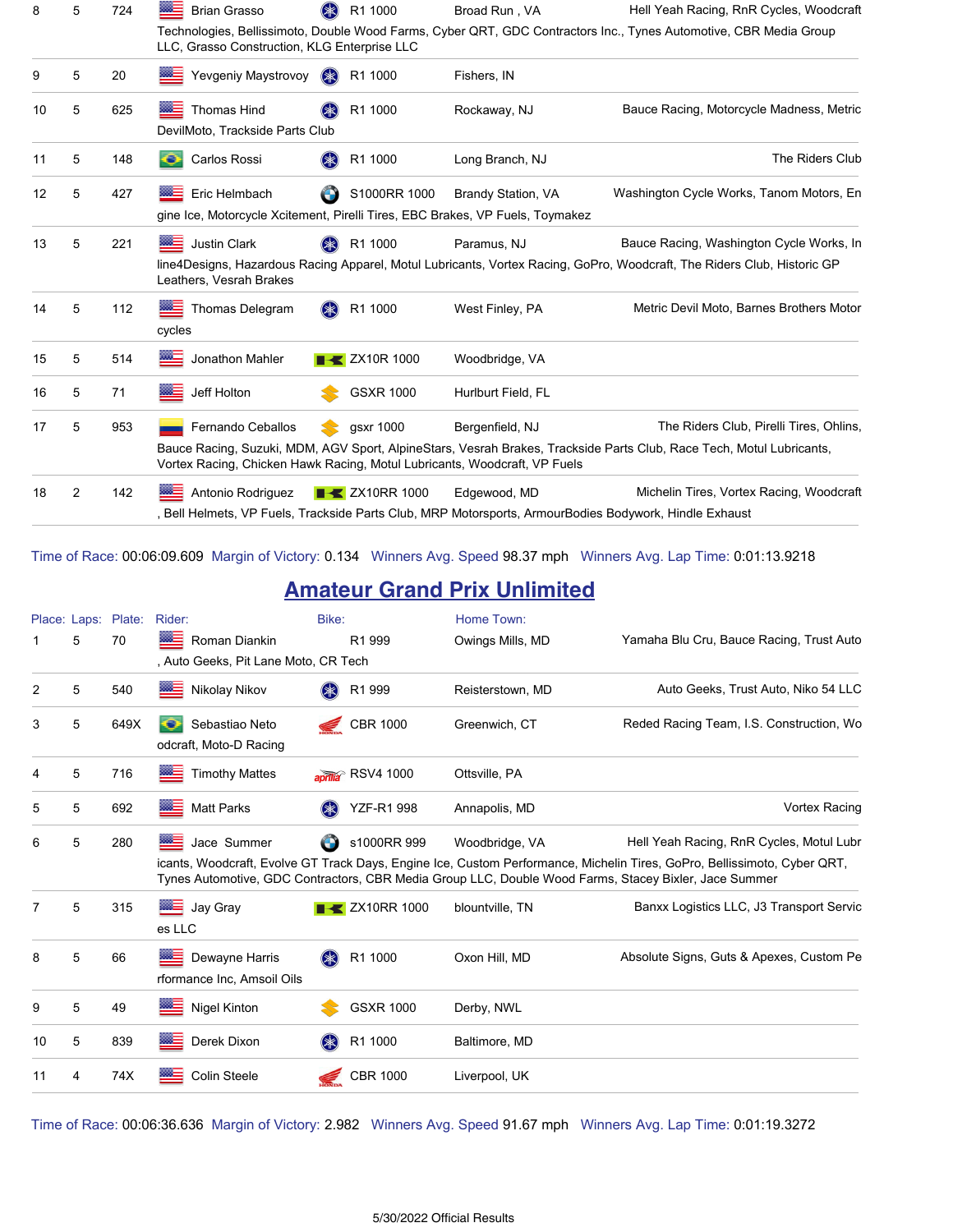| 8  | 5              | 724 | ▩≘<br><b>Brian Grasso</b>                                                                            | (米)<br>R1 1000                   | Broad Run, VA             | Hell Yeah Racing, RnR Cycles, Woodcraft                                                                                                                             |
|----|----------------|-----|------------------------------------------------------------------------------------------------------|----------------------------------|---------------------------|---------------------------------------------------------------------------------------------------------------------------------------------------------------------|
|    |                |     | LLC, Grasso Construction, KLG Enterprise LLC                                                         |                                  |                           | Technologies, Bellissimoto, Double Wood Farms, Cyber QRT, GDC Contractors Inc., Tynes Automotive, CBR Media Group                                                   |
| 9  | 5              | 20  | Yevgeniy Maystrovoy                                                                                  | <b>OK</b><br>R1 1000             | Fishers, IN               |                                                                                                                                                                     |
| 10 | 5              | 625 | <b>Thomas Hind</b><br>DevilMoto, Trackside Parts Club                                                | R1 1000                          | Rockaway, NJ              | Bauce Racing, Motorcycle Madness, Metric                                                                                                                            |
| 11 | 5              | 148 | Carlos Rossi<br>o                                                                                    | R1 1000                          | Long Branch, NJ           | The Riders Club                                                                                                                                                     |
| 12 | 5              | 427 | 深三<br>Eric Helmbach<br>gine Ice, Motorcycle Xcitement, Pirelli Tires, EBC Brakes, VP Fuels, Toymakez | S1000RR 1000                     | <b>Brandy Station, VA</b> | Washington Cycle Works, Tanom Motors, En                                                                                                                            |
| 13 | 5              | 221 | ⋙<br><b>Justin Clark</b><br>Leathers, Vesrah Brakes                                                  | R1 1000                          | Paramus, NJ               | Bauce Racing, Washington Cycle Works, In<br>line4Designs, Hazardous Racing Apparel, Motul Lubricants, Vortex Racing, GoPro, Woodcraft, The Riders Club, Historic GP |
| 14 | 5              | 112 | Thomas Delegram<br>cycles                                                                            | R1 1000<br>$(\divideontimes)$    | West Finley, PA           | Metric Devil Moto, Barnes Brothers Motor                                                                                                                            |
| 15 | 5              | 514 | Jonathon Mahler                                                                                      | $\blacktriangleright$ ZX10R 1000 | Woodbridge, VA            |                                                                                                                                                                     |
| 16 | 5              | 71  | Jeff Holton                                                                                          | <b>GSXR 1000</b>                 | Hurlburt Field, FL        |                                                                                                                                                                     |
| 17 | 5              | 953 | Fernando Ceballos<br>Vortex Racing, Chicken Hawk Racing, Motul Lubricants, Woodcraft, VP Fuels       | gsxr 1000                        | Bergenfield, NJ           | The Riders Club, Pirelli Tires, Ohlins,<br>Bauce Racing, Suzuki, MDM, AGV Sport, AlpineStars, Vesrah Brakes, Trackside Parts Club, Race Tech, Motul Lubricants,     |
| 18 | $\overline{2}$ | 142 | Antonio Rodriguez                                                                                    | <b>EXAMPLE 2X10RR 1000</b>       | Edgewood, MD              | Michelin Tires, Vortex Racing, Woodcraft<br>Bell Helmets, VP Fuels, Trackside Parts Club, MRP Motorsports, ArmourBodies Bodywork, Hindle Exhaust                    |

Time of Race: 00:06:09.609 Margin of Victory: 0.134 Winners Avg. Speed 98.37 mph Winners Avg. Lap Time: 0:01:13.9218

### **Amateur Grand Prix Unlimited**

|    | Place: Laps: | Plate: | Rider:                                                | Bike:                                 | Home Town:                                                                                                              |                                                                                                                                                                      |
|----|--------------|--------|-------------------------------------------------------|---------------------------------------|-------------------------------------------------------------------------------------------------------------------------|----------------------------------------------------------------------------------------------------------------------------------------------------------------------|
|    | 5            | 70     | Roman Diankin<br>, Auto Geeks, Pit Lane Moto, CR Tech | R1 999                                | Owings Mills, MD                                                                                                        | Yamaha Blu Cru, Bauce Racing, Trust Auto                                                                                                                             |
| 2  | 5            | 540    | Nikolay Nikov                                         | R1 999                                | Reisterstown, MD                                                                                                        | Auto Geeks, Trust Auto, Niko 54 LLC                                                                                                                                  |
| 3  | 5            | 649X   | Sebastiao Neto<br>odcraft, Moto-D Racing              | <b>CBR 1000</b><br><i><del></del></i> | Greenwich, CT                                                                                                           | Reded Racing Team, I.S. Construction, Wo                                                                                                                             |
| 4  | 5            | 716    | <b>Timothy Mattes</b>                                 | aprilla <sup>®</sup> RSV4 1000        | Ottsville, PA                                                                                                           |                                                                                                                                                                      |
| 5  | 5            | 692    | ▩≡<br><b>Matt Parks</b>                               | YZF-R1 998                            | Annapolis, MD                                                                                                           | <b>Vortex Racing</b>                                                                                                                                                 |
| 6  | 5            | 280    | Jace Summer                                           | s1000RR 999                           | Woodbridge, VA<br>Tynes Automotive, GDC Contractors, CBR Media Group LLC, Double Wood Farms, Stacey Bixler, Jace Summer | Hell Yeah Racing, RnR Cycles, Motul Lubr<br>icants, Woodcraft, Evolve GT Track Days, Engine Ice, Custom Performance, Michelin Tires, GoPro, Bellissimoto, Cyber QRT, |
| 7  | 5            | 315    | <b>Booth</b> Jay Gray<br>es LLC                       | <b>EXAMPLE 2X10RR 1000</b>            | blountville, TN                                                                                                         | Banxx Logistics LLC, J3 Transport Servic                                                                                                                             |
| 8  | 5            | 66     | <b>Dewayne Harris</b><br>rformance Inc, Amsoil Oils   | <b>(*)</b><br>R1 1000                 | Oxon Hill, MD                                                                                                           | Absolute Signs, Guts & Apexes, Custom Pe                                                                                                                             |
| 9  | 5            | 49     | Nigel Kinton                                          | <b>GSXR 1000</b>                      | Derby, NWL                                                                                                              |                                                                                                                                                                      |
| 10 | 5            | 839    | Derek Dixon                                           | R1 1000                               | Baltimore, MD                                                                                                           |                                                                                                                                                                      |
| 11 | 4            | 74X    | <b>Colin Steele</b>                                   | <b>CBR 1000</b>                       | Liverpool, UK                                                                                                           |                                                                                                                                                                      |
|    |              |        |                                                       |                                       |                                                                                                                         |                                                                                                                                                                      |

Time of Race: 00:06:36.636 Margin of Victory: 2.982 Winners Avg. Speed 91.67 mph Winners Avg. Lap Time: 0:01:19.3272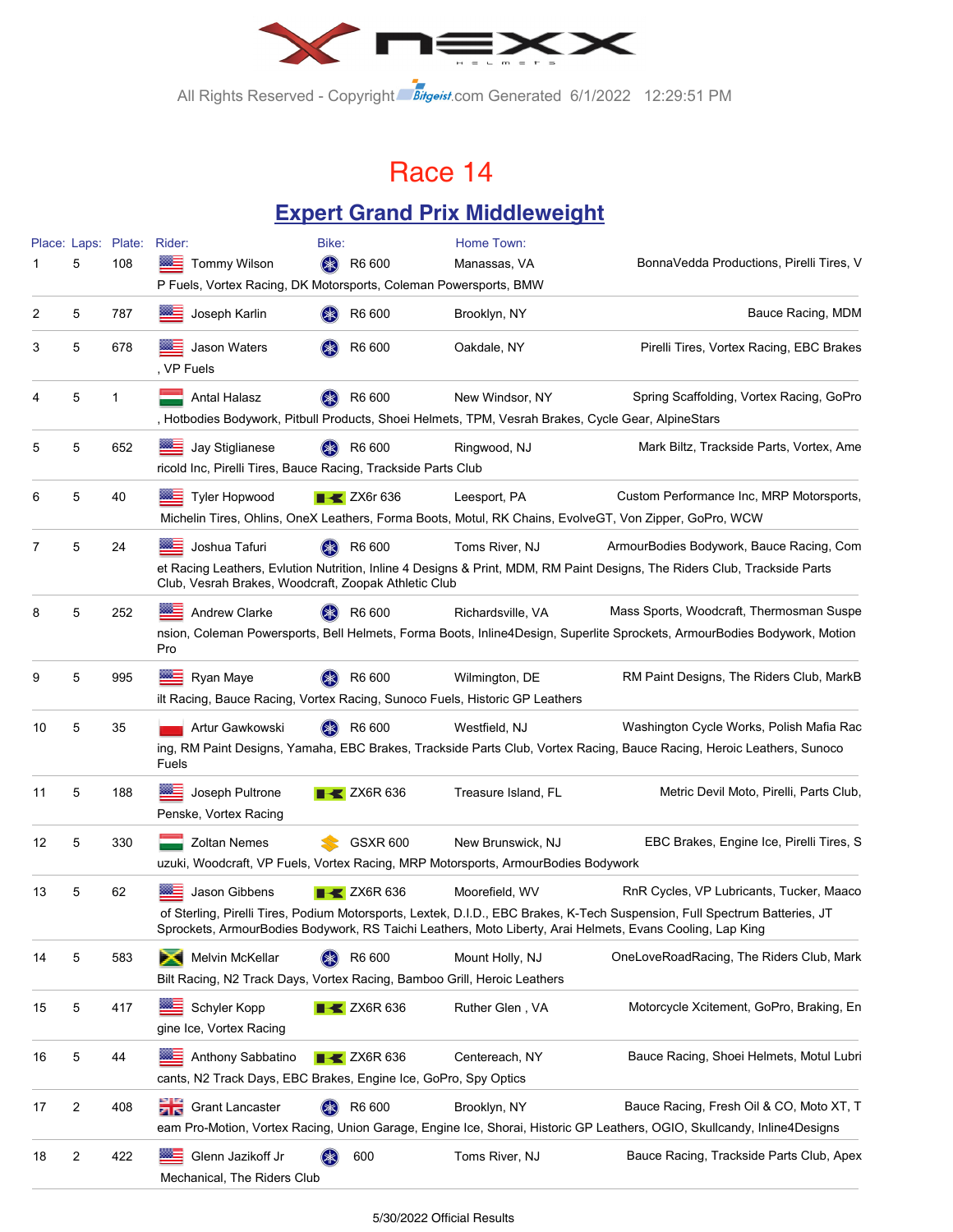

All Rights Reserved - Copyright Bitgeist.com Generated 6/1/2022 12:29:51 PM

### Race 14

### **Expert Grand Prix Middleweight**

|    |   | Place: Laps: Plate: Rider: |                                                                                                                           | Bike:              |                                | Home Town:          |                                                                                                                                                                                                                                                                                     |
|----|---|----------------------------|---------------------------------------------------------------------------------------------------------------------------|--------------------|--------------------------------|---------------------|-------------------------------------------------------------------------------------------------------------------------------------------------------------------------------------------------------------------------------------------------------------------------------------|
|    | 5 | 108                        | <b>Tommy Wilson</b><br>P Fuels, Vortex Racing, DK Motorsports, Coleman Powersports, BMW                                   | $(\divideontimes)$ | R6 600                         | Manassas, VA        | BonnaVedda Productions, Pirelli Tires, V                                                                                                                                                                                                                                            |
| 2  | 5 | 787                        | Joseph Karlin                                                                                                             |                    | R6 600                         | Brooklyn, NY        | Bauce Racing, MDM                                                                                                                                                                                                                                                                   |
| 3  | 5 | 678                        | Jason Waters<br>, VP Fuels                                                                                                |                    | R6 600                         | Oakdale, NY         | Pirelli Tires, Vortex Racing, EBC Brakes                                                                                                                                                                                                                                            |
| 4  | 5 | 1                          | <b>Antal Halasz</b><br>, Hotbodies Bodywork, Pitbull Products, Shoei Helmets, TPM, Vesrah Brakes, Cycle Gear, AlpineStars |                    | R6 600                         | New Windsor, NY     | Spring Scaffolding, Vortex Racing, GoPro                                                                                                                                                                                                                                            |
| 5  | 5 | 652                        | Jay Stiglianese<br>ricold Inc, Pirelli Tires, Bauce Racing, Trackside Parts Club                                          |                    | R6 600                         | Ringwood, NJ        | Mark Biltz, Trackside Parts, Vortex, Ame                                                                                                                                                                                                                                            |
| 6  | 5 | 40                         | <b>Tyler Hopwood</b>                                                                                                      |                    | $\blacktriangleright$ ZX6r 636 | Leesport, PA        | Custom Performance Inc, MRP Motorsports,<br>Michelin Tires, Ohlins, OneX Leathers, Forma Boots, Motul, RK Chains, EvolveGT, Von Zipper, GoPro, WCW                                                                                                                                  |
| 7  | 5 | 24                         | Joshua Tafuri<br>Club, Vesrah Brakes, Woodcraft, Zoopak Athletic Club                                                     |                    | R6 600                         | Toms River, NJ      | ArmourBodies Bodywork, Bauce Racing, Com<br>et Racing Leathers, Evlution Nutrition, Inline 4 Designs & Print, MDM, RM Paint Designs, The Riders Club, Trackside Parts                                                                                                               |
| 8  | 5 | 252                        | ▩≘<br><b>Andrew Clarke</b><br>Pro                                                                                         |                    | R6 600                         | Richardsville, VA   | Mass Sports, Woodcraft, Thermosman Suspe<br>nsion, Coleman Powersports, Bell Helmets, Forma Boots, Inline4Design, Superlite Sprockets, ArmourBodies Bodywork, Motion                                                                                                                |
| 9  | 5 | 995                        | ※三<br>Ryan Maye<br>ilt Racing, Bauce Racing, Vortex Racing, Sunoco Fuels, Historic GP Leathers                            |                    | R6 600                         | Wilmington, DE      | RM Paint Designs, The Riders Club, MarkB                                                                                                                                                                                                                                            |
| 10 | 5 | 35                         | Artur Gawkowski<br>Fuels                                                                                                  |                    | R6 600                         | Westfield, NJ       | Washington Cycle Works, Polish Mafia Rac<br>ing, RM Paint Designs, Yamaha, EBC Brakes, Trackside Parts Club, Vortex Racing, Bauce Racing, Heroic Leathers, Sunoco                                                                                                                   |
| 11 | 5 | 188                        | Joseph Pultrone<br>Penske, Vortex Racing                                                                                  |                    | $\blacktriangleright$ ZX6R 636 | Treasure Island, FL | Metric Devil Moto, Pirelli, Parts Club,                                                                                                                                                                                                                                             |
| 12 | 5 | 330                        | <b>Zoltan Nemes</b><br>uzuki, Woodcraft, VP Fuels, Vortex Racing, MRP Motorsports, ArmourBodies Bodywork                  |                    | <b>GSXR 600</b>                | New Brunswick, NJ   | EBC Brakes, Engine Ice, Pirelli Tires, S                                                                                                                                                                                                                                            |
| 13 | 5 | 62                         | Jason Gibbens                                                                                                             |                    | $\blacktriangleright$ ZX6R 636 | Moorefield, WV      | RnR Cycles, VP Lubricants, Tucker, Maaco<br>of Sterling, Pirelli Tires, Podium Motorsports, Lextek, D.I.D., EBC Brakes, K-Tech Suspension, Full Spectrum Batteries, JT<br>Sprockets, ArmourBodies Bodywork, RS Taichi Leathers, Moto Liberty, Arai Helmets, Evans Cooling, Lap King |
| 14 | 5 | 583                        | Melvin McKellar<br>Bilt Racing, N2 Track Days, Vortex Racing, Bamboo Grill, Heroic Leathers                               | <b>(*)</b>         | R6 600                         | Mount Holly, NJ     | OneLoveRoadRacing, The Riders Club, Mark                                                                                                                                                                                                                                            |
| 15 | 5 | 417                        | Schyler Kopp<br>gine Ice, Vortex Racing                                                                                   |                    | $\blacktriangleright$ ZX6R 636 | Ruther Glen, VA     | Motorcycle Xcitement, GoPro, Braking, En                                                                                                                                                                                                                                            |
| 16 | 5 | 44                         | Anthony Sabbatino<br>cants, N2 Track Days, EBC Brakes, Engine Ice, GoPro, Spy Optics                                      |                    | $\blacktriangleright$ ZX6R 636 | Centereach, NY      | Bauce Racing, Shoei Helmets, Motul Lubri                                                                                                                                                                                                                                            |
| 17 | 2 | 408                        | ăк<br><b>Grant Lancaster</b>                                                                                              |                    | R6 600                         | Brooklyn, NY        | Bauce Racing, Fresh Oil & CO, Moto XT, T<br>eam Pro-Motion, Vortex Racing, Union Garage, Engine Ice, Shorai, Historic GP Leathers, OGIO, Skullcandy, Inline4Designs                                                                                                                 |
| 18 | 2 | 422                        | Glenn Jazikoff Jr<br>Mechanical, The Riders Club                                                                          |                    | 600                            | Toms River, NJ      | Bauce Racing, Trackside Parts Club, Apex                                                                                                                                                                                                                                            |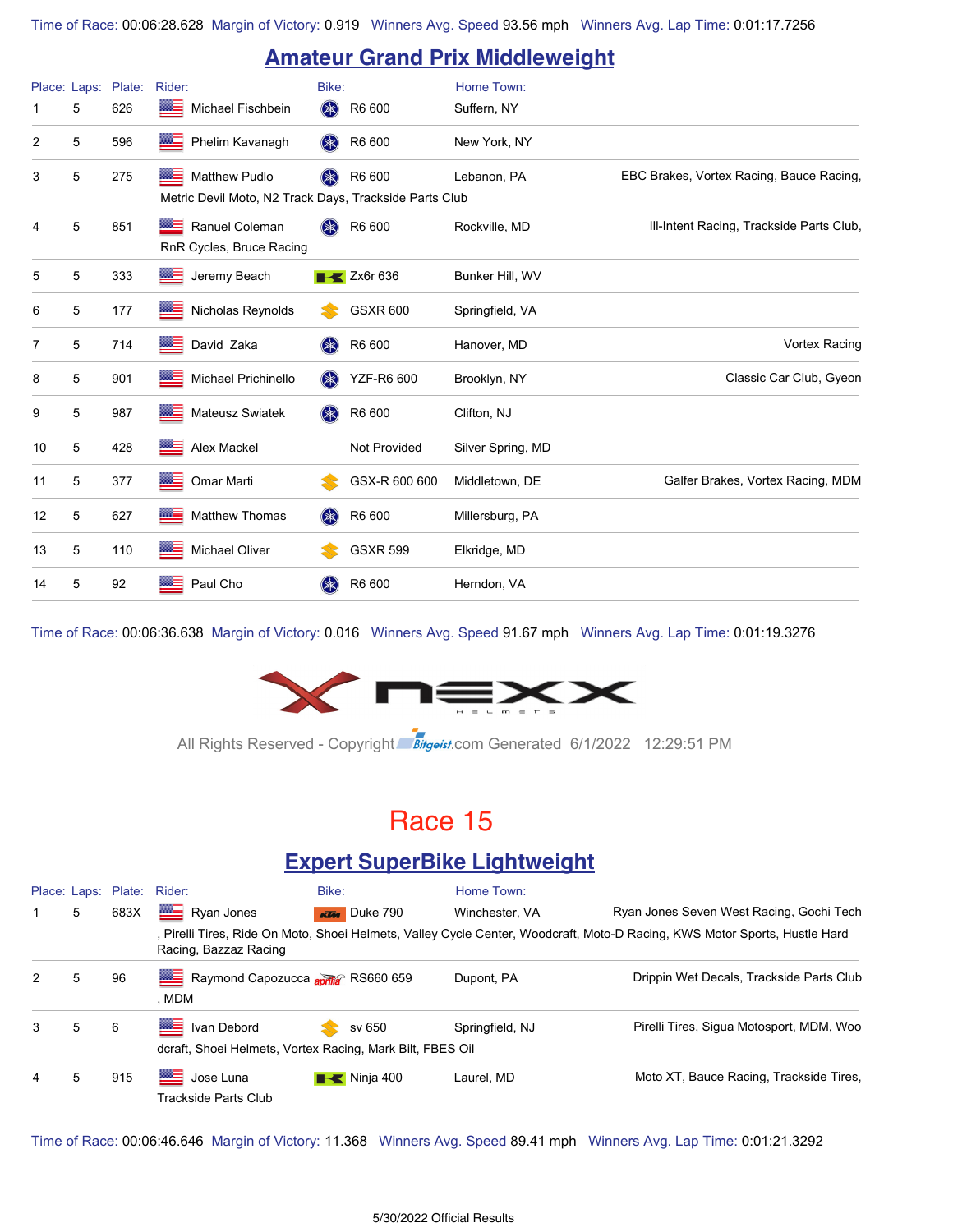### **Amateur Grand Prix Middleweight**

|    |   | Place: Laps: Plate: | Rider:                                                                  | Bike:     |                                | Home Town:        |                                          |
|----|---|---------------------|-------------------------------------------------------------------------|-----------|--------------------------------|-------------------|------------------------------------------|
|    | 5 | 626                 | ▩≡<br>Michael Fischbein                                                 | \$        | R6 600                         | Suffern, NY       |                                          |
| 2  | 5 | 596                 | ▩≡<br>Phelim Kavanagh                                                   | \$        | R6 600                         | New York, NY      |                                          |
| 3  | 5 | 275                 | Matthew Pudlo<br>Metric Devil Moto, N2 Track Days, Trackside Parts Club | $(\ast)$  | R6 600                         | Lebanon, PA       | EBC Brakes, Vortex Racing, Bauce Racing, |
| 4  | 5 | 851                 | Ranuel Coleman<br>▩≘<br>RnR Cycles, Bruce Racing                        | $(*$      | R6 600                         | Rockville, MD     | Ill-Intent Racing, Trackside Parts Club, |
| 5  | 5 | 333                 | ▩∃<br>Jeremy Beach                                                      |           | $\blacktriangleright$ Zx6r 636 | Bunker Hill, WV   |                                          |
| 6  | 5 | 177                 | ▩═<br>Nicholas Reynolds                                                 |           | <b>GSXR 600</b>                | Springfield, VA   |                                          |
| 7  | 5 | 714                 | ▩≡<br>David Zaka                                                        | (*        | R6 600                         | Hanover, MD       | Vortex Racing                            |
| 8  | 5 | 901                 | ▩▬<br>Michael Prichinello                                               | <b>SK</b> | <b>YZF-R6 600</b>              | Brooklyn, NY      | Classic Car Club, Gyeon                  |
| 9  | 5 | 987                 | ▩≡<br><b>Mateusz Swiatek</b>                                            | (米)       | R6 600                         | Clifton, NJ       |                                          |
| 10 | 5 | 428                 | $rac{333-1}{2}$<br>Alex Mackel                                          |           | Not Provided                   | Silver Spring, MD |                                          |
| 11 | 5 | 377                 | ▓≡<br>Omar Marti                                                        |           | GSX-R 600 600                  | Middletown, DE    | Galfer Brakes, Vortex Racing, MDM        |
| 12 | 5 | 627                 | ▩▀<br>Matthew Thomas                                                    | \$        | R6 600                         | Millersburg, PA   |                                          |
| 13 | 5 | 110                 | ▩ਵ<br>Michael Oliver                                                    |           | <b>GSXR 599</b>                | Elkridge, MD      |                                          |
| 14 | 5 | 92                  | Paul Cho<br>▩═                                                          | $(*$      | R6 600                         | Herndon, VA       |                                          |

Time of Race: 00:06:36.638 Margin of Victory: 0.016 Winners Avg. Speed 91.67 mph Winners Avg. Lap Time: 0:01:19.3276



All Rights Reserved - Copyright Bitgeist.com Generated 6/1/2022 12:29:51 PM

### Race 15

#### **Expert SuperBike Lightweight**

|   |   | Place: Laps: Plate: Rider: |                                                                                | Bike:                    | Home Town:      |                                                                                                                            |
|---|---|----------------------------|--------------------------------------------------------------------------------|--------------------------|-----------------|----------------------------------------------------------------------------------------------------------------------------|
|   | 5 | 683X                       | Ryan Jones                                                                     | <b>KTM</b> Duke 790      | Winchester, VA  | Ryan Jones Seven West Racing, Gochi Tech                                                                                   |
|   |   |                            | Racing, Bazzaz Racing                                                          |                          |                 | , Pirelli Tires, Ride On Moto, Shoei Helmets, Valley Cycle Center, Woodcraft, Moto-D Racing, KWS Motor Sports, Hustle Hard |
| 2 | 5 | 96                         | Raymond Capozucca aprilia RS660 659<br>, MDM                                   |                          | Dupont, PA      | Drippin Wet Decals, Trackside Parts Club                                                                                   |
| 3 | 5 | 6                          | ▩≘<br>Ivan Debord<br>dcraft, Shoei Helmets, Vortex Racing, Mark Bilt, FBES Oil | sv 650                   | Springfield, NJ | Pirelli Tires, Sigua Motosport, MDM, Woo                                                                                   |
| 4 | 5 | 915                        | 든<br>Jose Luna<br>Trackside Parts Club                                         | $\blacksquare$ Ninja 400 | Laurel, MD      | Moto XT, Bauce Racing, Trackside Tires,                                                                                    |

Time of Race: 00:06:46.646 Margin of Victory: 11.368 Winners Avg. Speed 89.41 mph Winners Avg. Lap Time: 0:01:21.3292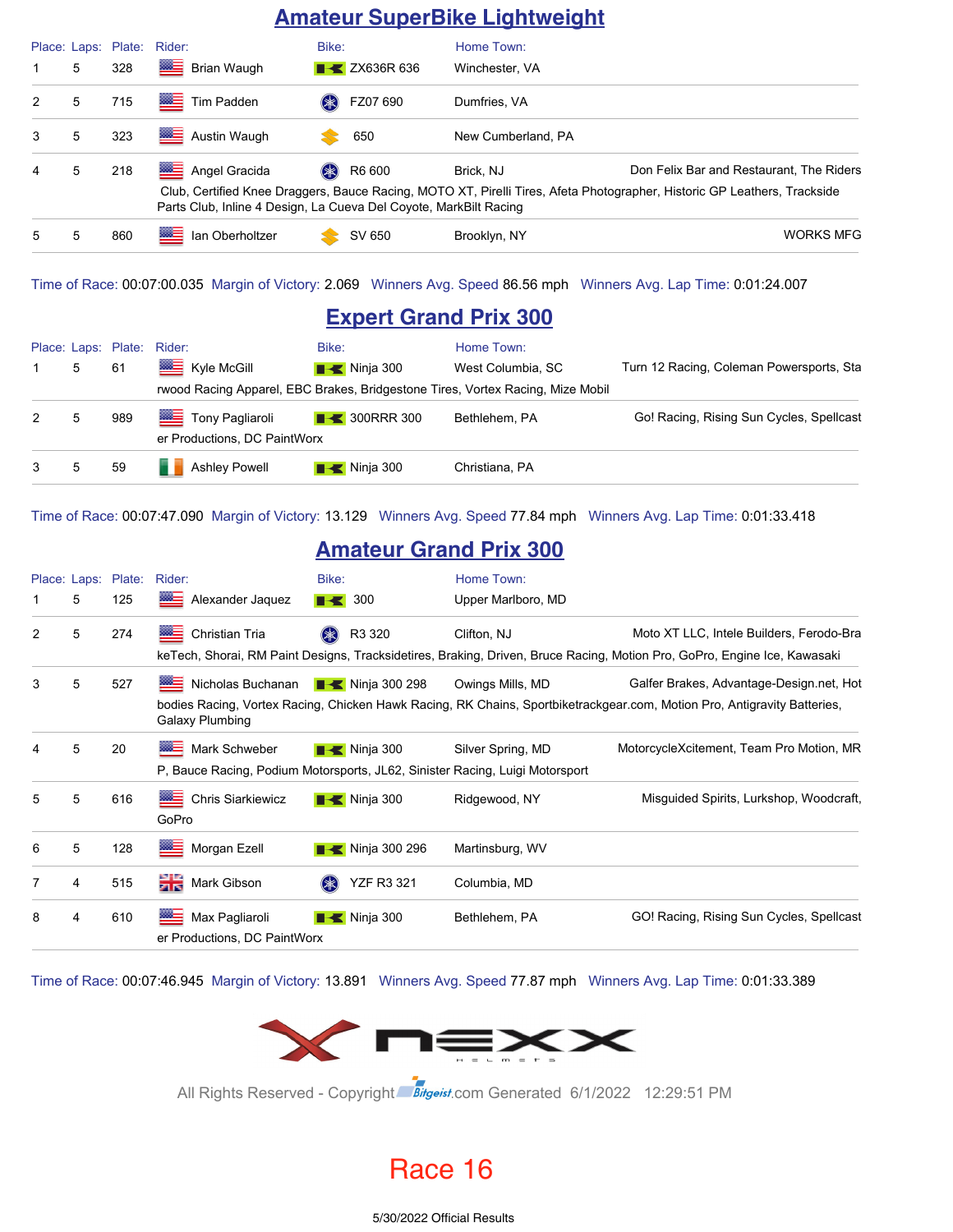#### **Amateur SuperBike Lightweight**

|   |   | Place: Laps: Plate: Rider: |                                                                   | Bike:                     | Home Town:         |                                                                                                                          |
|---|---|----------------------------|-------------------------------------------------------------------|---------------------------|--------------------|--------------------------------------------------------------------------------------------------------------------------|
|   | 5 | 328                        | ▩▬<br>Brian Waugh                                                 | <b>EXAMPLE 2X636R 636</b> | Winchester, VA     |                                                                                                                          |
| 2 | 5 | 715                        | Tim Padden                                                        | FZ07 690                  | Dumfries, VA       |                                                                                                                          |
| 3 | 5 | 323                        | Austin Waugh                                                      | 650                       | New Cumberland, PA |                                                                                                                          |
| 4 | 5 | 218                        | ▩▤<br>Angel Gracida                                               | R6 600<br>$(* )$          | Brick, NJ          | Don Felix Bar and Restaurant. The Riders                                                                                 |
|   |   |                            | Parts Club, Inline 4 Design, La Cueva Del Coyote, MarkBilt Racing |                           |                    | Club, Certified Knee Draggers, Bauce Racing, MOTO XT, Pirelli Tires, Afeta Photographer, Historic GP Leathers, Trackside |
| 5 | 5 | 860                        | ▩≡<br>lan Oberholtzer                                             | SV 650                    | Brooklyn, NY       | <b>WORKS MFG</b>                                                                                                         |

Time of Race: 00:07:00.035 Margin of Victory: 2.069 Winners Avg. Speed 86.56 mph Winners Avg. Lap Time: 0:01:24.007

### **Expert Grand Prix 300**

|              |   | Place: Laps: Plate: | Rider:                                                                         | Bike:                    | Home Town:        |                                          |  |  |  |
|--------------|---|---------------------|--------------------------------------------------------------------------------|--------------------------|-------------------|------------------------------------------|--|--|--|
|              | 5 | 61                  | Kyle McGill                                                                    | $\blacksquare$ Ninja 300 | West Columbia, SC | Turn 12 Racing, Coleman Powersports, Sta |  |  |  |
|              |   |                     | rwood Racing Apparel, EBC Brakes, Bridgestone Tires, Vortex Racing, Mize Mobil |                          |                   |                                          |  |  |  |
| 2            | 5 | 989                 | Tony Pagliaroli<br>er Productions, DC PaintWorx                                | $\rightarrow$ 300RRR 300 | Bethlehem, PA     | Go! Racing, Rising Sun Cycles, Spellcast |  |  |  |
| $\mathbf{3}$ | 5 | 59                  | <b>Ashley Powell</b>                                                           | $\blacksquare$ Ninja 300 | Christiana, PA    |                                          |  |  |  |

Time of Race: 00:07:47.090 Margin of Victory: 13.129 Winners Avg. Speed 77.84 mph Winners Avg. Lap Time: 0:01:33.418

#### **Amateur Grand Prix 300**

|   |   | Place: Laps: Plate: | Rider:                                                                       | Bike:                        | Home Town:         |                                                                                                                          |
|---|---|---------------------|------------------------------------------------------------------------------|------------------------------|--------------------|--------------------------------------------------------------------------------------------------------------------------|
|   | 5 | 125                 | Alexander Jaquez                                                             | $\blacksquare$ 300           | Upper Marlboro, MD |                                                                                                                          |
| 2 | 5 | 274                 | ▩▅<br>Christian Tria                                                         | R3 320                       | Clifton, NJ        | Moto XT LLC, Intele Builders, Ferodo-Bra                                                                                 |
|   |   |                     |                                                                              |                              |                    | keTech, Shorai, RM Paint Designs, Tracksidetires, Braking, Driven, Bruce Racing, Motion Pro, GoPro, Engine Ice, Kawasaki |
| 3 | 5 | 527                 | Nicholas Buchanan                                                            | ■ Ninja 300 298              | Owings Mills, MD   | Galfer Brakes, Advantage-Design.net, Hot                                                                                 |
|   |   |                     | Galaxy Plumbing                                                              |                              |                    | bodies Racing, Vortex Racing, Chicken Hawk Racing, RK Chains, Sportbiketrackgear.com, Motion Pro, Antigravity Batteries, |
| 4 | 5 | 20                  | ⋙<br>Mark Schweber                                                           | $\blacksquare$ Ninja 300     | Silver Spring, MD  | MotorcycleXcitement, Team Pro Motion, MR                                                                                 |
|   |   |                     | P. Bauce Racing, Podium Motorsports, JL62, Sinister Racing, Luigi Motorsport |                              |                    |                                                                                                                          |
| 5 | 5 | 616                 | ※三<br><b>Chris Siarkiewicz</b><br>GoPro                                      | $\blacksquare$ Ninja 300     | Ridgewood, NY      | Misguided Spirits, Lurkshop, Woodcraft,                                                                                  |
| 6 | 5 | 128                 | 들<br>Morgan Ezell                                                            | $\blacksquare$ Ninja 300 296 | Martinsburg, WV    |                                                                                                                          |
| 7 | 4 | 515                 | Mark Gibson                                                                  | <b>YZF R3 321</b><br>$(* )$  | Columbia, MD       |                                                                                                                          |
| 8 | 4 | 610                 | $\frac{m}{2}$<br>Max Pagliaroli<br>er Productions, DC PaintWorx              | $\blacksquare$ Ninja 300     | Bethlehem, PA      | GO! Racing, Rising Sun Cycles, Spellcast                                                                                 |

Time of Race: 00:07:46.945 Margin of Victory: 13.891 Winners Avg. Speed 77.87 mph Winners Avg. Lap Time: 0:01:33.389



All Rights Reserved - Copyright Bitgeist.com Generated 6/1/2022 12:29:51 PM

Race 16

5/30/2022 Official Results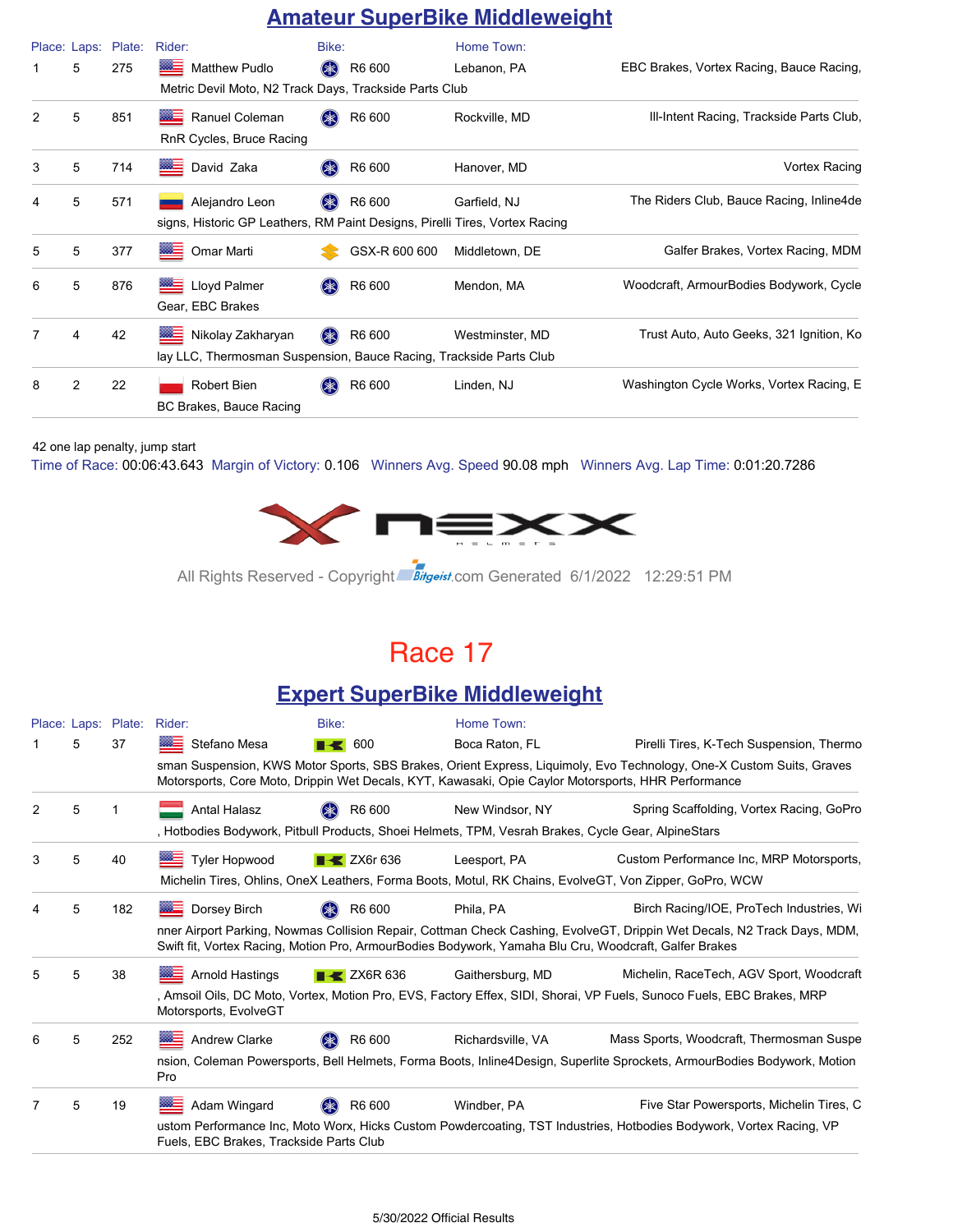### **Amateur SuperBike Middleweight**

|   | Place: Laps: | Plate: | Rider:                                                                                        | Bike:                          | Home Town:      |                                          |
|---|--------------|--------|-----------------------------------------------------------------------------------------------|--------------------------------|-----------------|------------------------------------------|
| 1 | 5            | 275    | ▩≘<br><b>Matthew Pudlo</b>                                                                    | R6 600<br>$(\divideontimes)$   | Lebanon, PA     | EBC Brakes, Vortex Racing, Bauce Racing, |
|   |              |        | Metric Devil Moto, N2 Track Days, Trackside Parts Club                                        |                                |                 |                                          |
| 2 | 5            | 851    | Ranuel Coleman<br><b>REAL</b><br>RnR Cycles, Bruce Racing                                     | R6 600<br>$(\divideontimes k)$ | Rockville, MD   | Ill-Intent Racing, Trackside Parts Club, |
| 3 | 5            | 714    | <b>The Co</b><br>David Zaka                                                                   | R6 600<br>$(* )$               | Hanover, MD     | Vortex Racing                            |
| 4 | 5            | 571    | Alejandro Leon<br>signs, Historic GP Leathers, RM Paint Designs, Pirelli Tires, Vortex Racing | R6 600                         | Garfield, NJ    | The Riders Club, Bauce Racing, Inline4de |
| 5 | 5            | 377    | $\frac{333}{200}$<br>Omar Marti                                                               | GSX-R 600 600                  | Middletown, DE  | Galfer Brakes, Vortex Racing, MDM        |
| 6 | 5            | 876    | Lloyd Palmer<br>Gear, EBC Brakes                                                              | R6 600                         | Mendon, MA      | Woodcraft, ArmourBodies Bodywork, Cycle  |
| 7 | 4            | 42     | Nikolay Zakharyan<br>lay LLC, Thermosman Suspension, Bauce Racing, Trackside Parts Club       | R6 600<br>$(\divideontimes)$   | Westminster, MD | Trust Auto, Auto Geeks, 321 Ignition, Ko |
| 8 | 2            | 22     | Robert Bien<br>BC Brakes, Bauce Racing                                                        | R6 600<br>$(*$                 | Linden, NJ      | Washington Cycle Works, Vortex Racing, E |

42 one lap penalty, jump start

Time of Race: 00:06:43.643 Margin of Victory: 0.106 Winners Avg. Speed 90.08 mph Winners Avg. Lap Time: 0:01:20.7286



All Rights Reserved - Copyright Bitgeist.com Generated 6/1/2022 12:29:51 PM

### Race 17

### **Expert SuperBike Middleweight**

|               |   | Place: Laps: Plate: | Rider:                                  | Bike:                                                                                                  | Home Town:                                                                                            |                                                                                                                          |  |  |  |
|---------------|---|---------------------|-----------------------------------------|--------------------------------------------------------------------------------------------------------|-------------------------------------------------------------------------------------------------------|--------------------------------------------------------------------------------------------------------------------------|--|--|--|
|               | 5 | 37                  | Stefano Mesa                            | 600<br>R-S                                                                                             | Boca Raton, FL                                                                                        | Pirelli Tires, K-Tech Suspension, Thermo                                                                                 |  |  |  |
|               |   |                     |                                         |                                                                                                        | Motorsports, Core Moto, Drippin Wet Decals, KYT, Kawasaki, Opie Caylor Motorsports, HHR Performance   | sman Suspension, KWS Motor Sports, SBS Brakes, Orient Express, Liquimoly, Evo Technology, One-X Custom Suits, Graves     |  |  |  |
| $\mathcal{P}$ | 5 |                     | <b>Antal Halasz</b>                     | R6 600<br>$(\divideontimes)$                                                                           | New Windsor, NY                                                                                       | Spring Scaffolding, Vortex Racing, GoPro                                                                                 |  |  |  |
|               |   |                     |                                         |                                                                                                        | , Hotbodies Bodywork, Pitbull Products, Shoei Helmets, TPM, Vesrah Brakes, Cycle Gear, AlpineStars    |                                                                                                                          |  |  |  |
| 3             | 5 | 40                  | ▩▆<br><b>Tyler Hopwood</b>              | $\rightarrow$ ZX6r 636                                                                                 | Leesport, PA                                                                                          | Custom Performance Inc, MRP Motorsports,                                                                                 |  |  |  |
|               |   |                     |                                         | Michelin Tires, Ohlins, OneX Leathers, Forma Boots, Motul, RK Chains, EvolveGT, Von Zipper, GoPro, WCW |                                                                                                       |                                                                                                                          |  |  |  |
|               | 5 | 182                 | <b>BEE</b> Dorsey Birch                 | R6 600                                                                                                 | Phila, PA                                                                                             | Birch Racing/IOE, ProTech Industries, Wi                                                                                 |  |  |  |
|               |   |                     |                                         |                                                                                                        | Swift fit, Vortex Racing, Motion Pro, ArmourBodies Bodywork, Yamaha Blu Cru, Woodcraft, Galfer Brakes | nner Airport Parking, Nowmas Collision Repair, Cottman Check Cashing, EvolveGT, Drippin Wet Decals, N2 Track Days, MDM,  |  |  |  |
| 5             | 5 | 38                  | <b>WE Arnold Hastings</b>               | $\rightarrow$ ZX6R 636                                                                                 | Gaithersburg, MD                                                                                      | Michelin, RaceTech, AGV Sport, Woodcraft                                                                                 |  |  |  |
|               |   |                     | Motorsports, EvolveGT                   |                                                                                                        |                                                                                                       | , Amsoil Oils, DC Moto, Vortex, Motion Pro, EVS, Factory Effex, SIDI, Shorai, VP Fuels, Sunoco Fuels, EBC Brakes, MRP    |  |  |  |
| 6             | 5 | 252                 | Andrew Clarke                           | R6 600<br>$(\divideontimes)$                                                                           | Richardsville, VA                                                                                     | Mass Sports, Woodcraft, Thermosman Suspe                                                                                 |  |  |  |
|               |   |                     | Pro                                     |                                                                                                        |                                                                                                       | nsion, Coleman Powersports, Bell Helmets, Forma Boots, Inline4Design, Superlite Sprockets, ArmourBodies Bodywork, Motion |  |  |  |
|               | 5 | 19                  | Adam Wingard                            | (*)<br>R6 600                                                                                          | Windber, PA                                                                                           | Five Star Powersports, Michelin Tires, C                                                                                 |  |  |  |
|               |   |                     | Fuels, EBC Brakes, Trackside Parts Club |                                                                                                        |                                                                                                       | ustom Performance Inc, Moto Worx, Hicks Custom Powdercoating, TST Industries, Hotbodies Bodywork, Vortex Racing, VP      |  |  |  |
|               |   |                     |                                         |                                                                                                        |                                                                                                       |                                                                                                                          |  |  |  |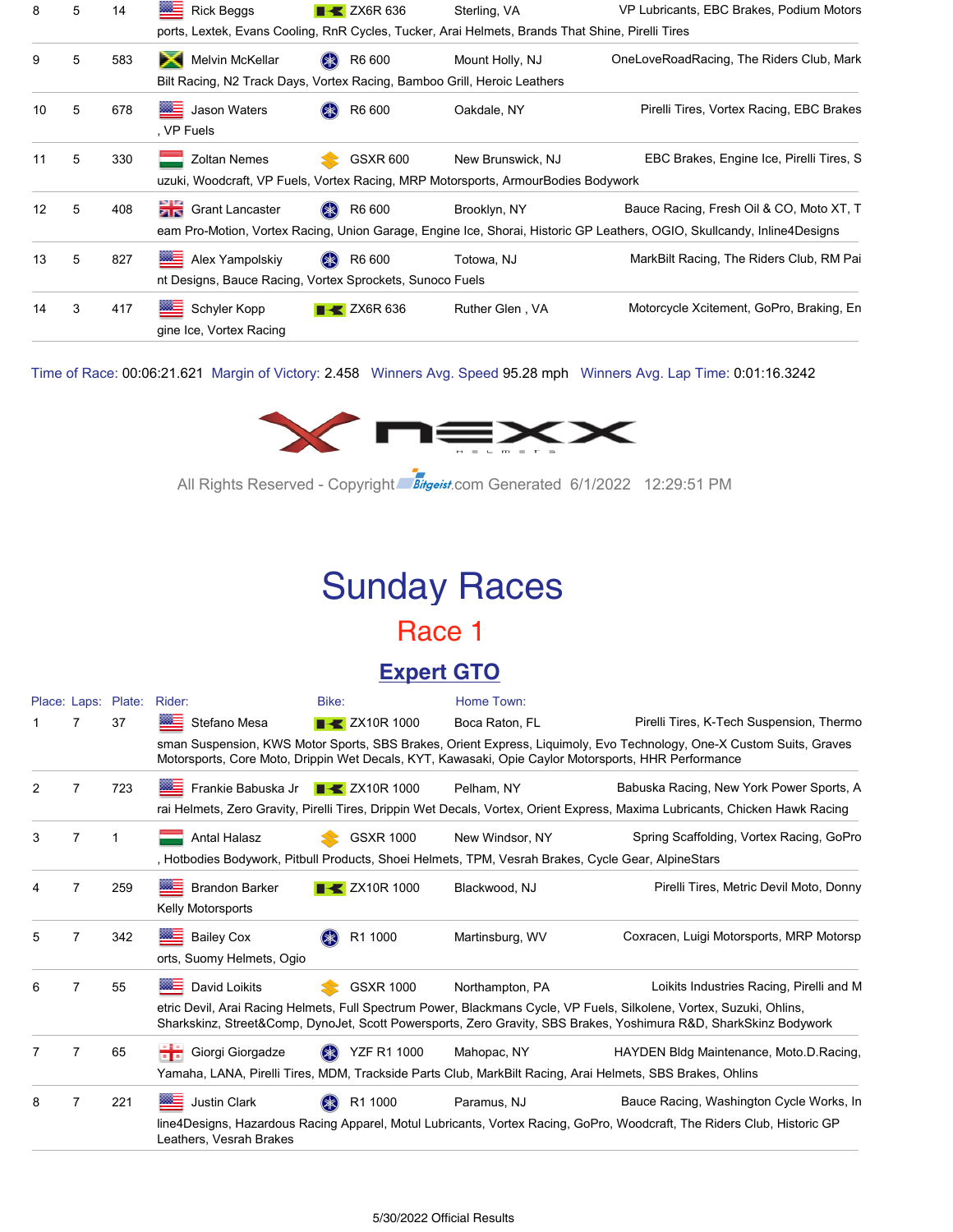|    |   |     | ▩═<br><b>Rick Beggs</b>                                                           | $\blacktriangleright$ ZX6R 636 | Sterling, VA                                                                                           | VP Lubricants, EBC Brakes, Podium Motors                                                                                                                            |
|----|---|-----|-----------------------------------------------------------------------------------|--------------------------------|--------------------------------------------------------------------------------------------------------|---------------------------------------------------------------------------------------------------------------------------------------------------------------------|
|    |   |     |                                                                                   |                                | ports, Lextek, Evans Cooling, RnR Cycles, Tucker, Arai Helmets, Brands That Shine, Pirelli Tires       |                                                                                                                                                                     |
| 9  | 5 | 583 | Melvin McKellar<br>$\mathbf{\times}$                                              | (*<br>R6 600                   | Mount Holly, NJ                                                                                        | OneLoveRoadRacing, The Riders Club, Mark                                                                                                                            |
|    |   |     | Bilt Racing, N2 Track Days, Vortex Racing, Bamboo Grill, Heroic Leathers          |                                |                                                                                                        |                                                                                                                                                                     |
| 10 | 5 | 678 | <b>ME</b> Jason Waters<br>. VP Fuels                                              | R6 600                         | Oakdale, NY                                                                                            | Pirelli Tires, Vortex Racing, EBC Brakes                                                                                                                            |
| 11 | 5 | 330 | <b>Zoltan Nemes</b>                                                               | <b>GSXR 600</b>                | New Brunswick, NJ<br>uzuki, Woodcraft, VP Fuels, Vortex Racing, MRP Motorsports, ArmourBodies Bodywork | EBC Brakes, Engine Ice, Pirelli Tires, S.                                                                                                                           |
| 12 | 5 | 408 | <b>Crant Lancaster</b>                                                            | $(*$<br>R6 600                 | Brooklyn, NY                                                                                           | Bauce Racing, Fresh Oil & CO, Moto XT, T<br>eam Pro-Motion, Vortex Racing, Union Garage, Engine Ice, Shorai, Historic GP Leathers, OGIO, Skullcandy, Inline4Designs |
| 13 | 5 | 827 | ▩═<br>Alex Yampolskiy<br>nt Designs, Bauce Racing, Vortex Sprockets, Sunoco Fuels | R6 600<br>$(*$                 | Totowa, NJ                                                                                             | MarkBilt Racing, The Riders Club, RM Pai                                                                                                                            |
| 14 | 3 | 417 | 经生<br>Schyler Kopp<br>gine Ice, Vortex Racing                                     | $\blacktriangleright$ ZX6R 636 | Ruther Glen, VA                                                                                        | Motorcycle Xcitement, GoPro, Braking, En                                                                                                                            |

Time of Race: 00:06:21.621 Margin of Victory: 2.458 Winners Avg. Speed 95.28 mph Winners Avg. Lap Time: 0:01:16.3242



All Rights Reserved - Copyright Bitgeist.com Generated 6/1/2022 12:29:51 PM

# Sunday Races

### Race 1

### **Expert GTO**

|   |                | Place: Laps: Plate: | Rider:                                                | Bike:                            | Home Town:                                                                                          |                                                                                                                                                                                                                                           |
|---|----------------|---------------------|-------------------------------------------------------|----------------------------------|-----------------------------------------------------------------------------------------------------|-------------------------------------------------------------------------------------------------------------------------------------------------------------------------------------------------------------------------------------------|
|   | 7              | 37                  | Stefano Mesa                                          | $\blacktriangleright$ ZX10R 1000 | Boca Raton, FL                                                                                      | Pirelli Tires, K-Tech Suspension, Thermo                                                                                                                                                                                                  |
|   |                |                     |                                                       |                                  | Motorsports, Core Moto, Drippin Wet Decals, KYT, Kawasaki, Opie Caylor Motorsports, HHR Performance | sman Suspension, KWS Motor Sports, SBS Brakes, Orient Express, Liquimoly, Evo Technology, One-X Custom Suits, Graves                                                                                                                      |
| 2 | 7              | 723                 | Frankie Babuska Jr Frankie Babuska Jr FRIK 2X10R 1000 |                                  | Pelham, NY                                                                                          | Babuska Racing, New York Power Sports, A                                                                                                                                                                                                  |
|   |                |                     |                                                       |                                  |                                                                                                     | rai Helmets, Zero Gravity, Pirelli Tires, Drippin Wet Decals, Vortex, Orient Express, Maxima Lubricants, Chicken Hawk Racing                                                                                                              |
| 3 | 7              |                     | <b>Antal Halasz</b>                                   | <b>GSXR 1000</b>                 | New Windsor, NY                                                                                     | Spring Scaffolding, Vortex Racing, GoPro                                                                                                                                                                                                  |
|   |                |                     |                                                       |                                  | , Hotbodies Bodywork, Pitbull Products, Shoei Helmets, TPM, Vesrah Brakes, Cycle Gear, AlpineStars  |                                                                                                                                                                                                                                           |
|   | 7              | 259                 | <b>Brandon Barker</b>                                 | $\blacktriangleright$ ZX10R 1000 | Blackwood, NJ                                                                                       | Pirelli Tires, Metric Devil Moto, Donny                                                                                                                                                                                                   |
|   |                |                     | <b>Kelly Motorsports</b>                              |                                  |                                                                                                     |                                                                                                                                                                                                                                           |
| 5 | 7              | 342                 | <b>Bailey Cox</b>                                     | $(\divideontimes)$<br>R1 1000    | Martinsburg, WV                                                                                     | Coxracen, Luigi Motorsports, MRP Motorsp                                                                                                                                                                                                  |
|   |                |                     | orts, Suomy Helmets, Ogio                             |                                  |                                                                                                     |                                                                                                                                                                                                                                           |
| 6 | $\overline{7}$ | 55                  | <b>WE David Loikits</b>                               | <b>GSXR 1000</b>                 | Northampton, PA                                                                                     | Loikits Industries Racing, Pirelli and M                                                                                                                                                                                                  |
|   |                |                     |                                                       |                                  |                                                                                                     | etric Devil, Arai Racing Helmets, Full Spectrum Power, Blackmans Cycle, VP Fuels, Silkolene, Vortex, Suzuki, Ohlins,<br>Sharkskinz, Street&Comp, DynoJet, Scott Powersports, Zero Gravity, SBS Brakes, Yoshimura R&D, SharkSkinz Bodywork |
|   | 7              | 65                  | Giorgi Giorgadze                                      | <b>YZF R1 1000</b>               | Mahopac, NY                                                                                         | HAYDEN Bldg Maintenance, Moto.D.Racing,                                                                                                                                                                                                   |
|   |                |                     |                                                       |                                  |                                                                                                     | Yamaha, LANA, Pirelli Tires, MDM, Trackside Parts Club, MarkBilt Racing, Arai Helmets, SBS Brakes, Ohlins                                                                                                                                 |
| 8 | 7              | 221                 | <b>WE Justin Clark</b>                                | R1 1000                          | Paramus, NJ                                                                                         | Bauce Racing, Washington Cycle Works, In                                                                                                                                                                                                  |
|   |                |                     | Leathers, Vesrah Brakes                               |                                  |                                                                                                     | line4Designs, Hazardous Racing Apparel, Motul Lubricants, Vortex Racing, GoPro, Woodcraft, The Riders Club, Historic GP                                                                                                                   |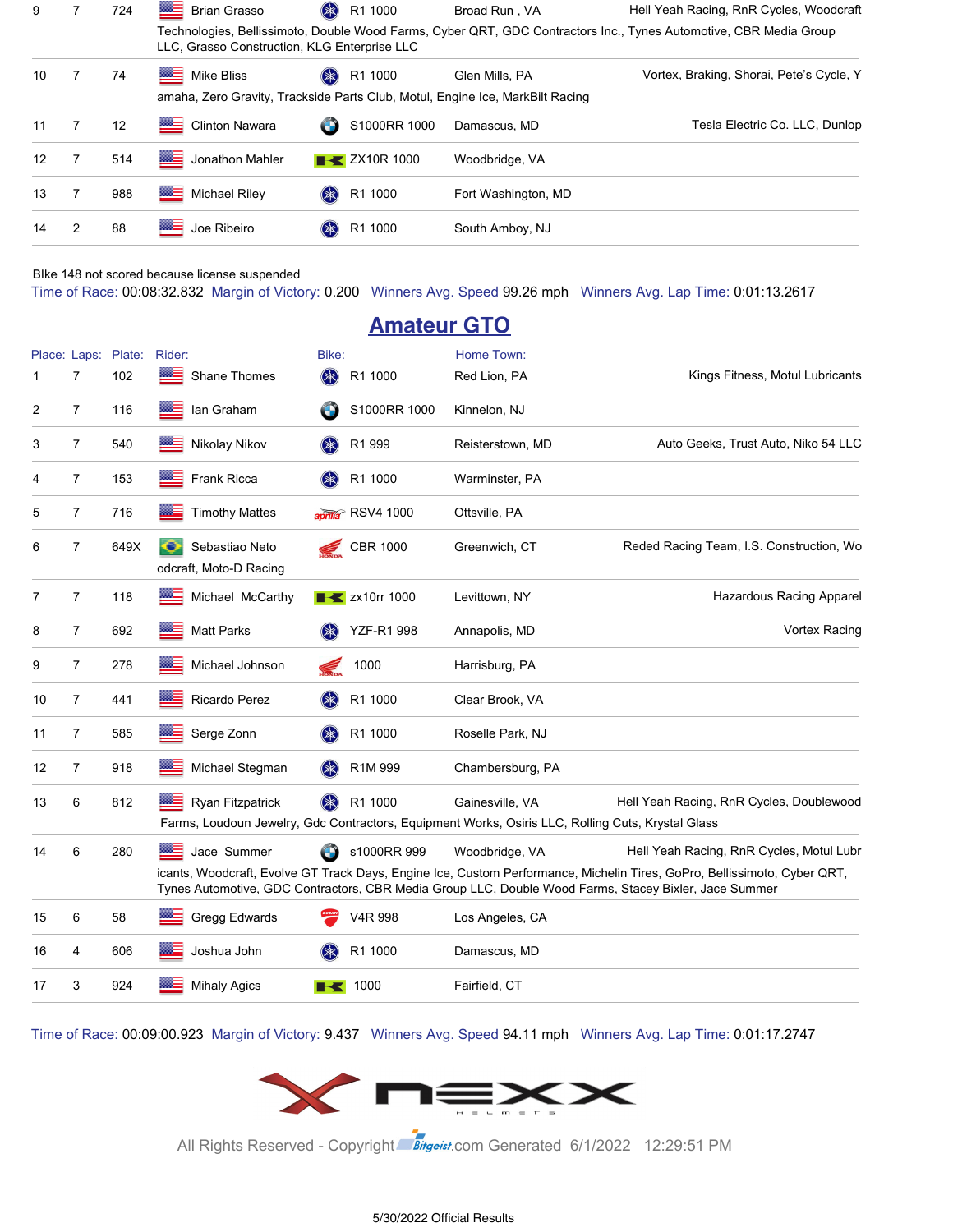| 9                 |   | 724 | <b>Brian Grasso</b>                          | R1 1000<br>$(* )$        | Broad Run, VA                                                                                   | Hell Yeah Racing, RnR Cycles, Woodcraft                                                                           |
|-------------------|---|-----|----------------------------------------------|--------------------------|-------------------------------------------------------------------------------------------------|-------------------------------------------------------------------------------------------------------------------|
|                   |   |     | LLC, Grasso Construction, KLG Enterprise LLC |                          |                                                                                                 | Technologies, Bellissimoto, Double Wood Farms, Cyber QRT, GDC Contractors Inc., Tynes Automotive, CBR Media Group |
| 10                |   | 74  | Mike Bliss                                   | R1 1000<br>$(* )$        | Glen Mills, PA<br>amaha, Zero Gravity, Trackside Parts Club, Motul, Engine Ice, MarkBilt Racing | Vortex, Braking, Shorai, Pete's Cycle, Y                                                                          |
| 11                | 7 | 12  | <u> 222 m</u><br><b>Clinton Nawara</b>       | S1000RR 1000<br>G        | Damascus, MD                                                                                    | Tesla Electric Co. LLC, Dunlop                                                                                    |
| $12 \overline{ }$ |   | 514 | ▩▤<br>Jonathon Mahler                        | $\rightarrow$ ZX10R 1000 | Woodbridge, VA                                                                                  |                                                                                                                   |
| 13                |   | 988 | ≋≊≡<br>Michael Riley                         | R1 1000<br>$(* )$        | Fort Washington, MD                                                                             |                                                                                                                   |
| 14                | 2 | 88  | ▩<br>Joe Ribeiro                             | R1 1000                  | South Amboy, NJ                                                                                 |                                                                                                                   |

BIke 148 not scored because license suspended

Time of Race: 00:08:32.832 Margin of Victory: 0.200 Winners Avg. Speed 99.26 mph Winners Avg. Lap Time: 0:01:13.2617

|    |                |                            |                                          |             | <b>Amateur GTO</b>                |                                                                                                                      |                                                                                                                                                                                                                                                                               |
|----|----------------|----------------------------|------------------------------------------|-------------|-----------------------------------|----------------------------------------------------------------------------------------------------------------------|-------------------------------------------------------------------------------------------------------------------------------------------------------------------------------------------------------------------------------------------------------------------------------|
| 1  | 7              | Place: Laps: Plate:<br>102 | Rider:<br>Shane Thomes                   | Bike:<br>\$ | R1 1000                           | Home Town:<br>Red Lion, PA                                                                                           | Kings Fitness, Motul Lubricants                                                                                                                                                                                                                                               |
| 2  | $\overline{7}$ | 116                        | lan Graham                               |             | S1000RR 1000                      | Kinnelon, NJ                                                                                                         |                                                                                                                                                                                                                                                                               |
| 3  | 7              | 540                        | Nikolay Nikov                            |             | R1 999                            | Reisterstown, MD                                                                                                     | Auto Geeks, Trust Auto, Niko 54 LLC                                                                                                                                                                                                                                           |
| 4  | $\overline{7}$ | 153                        | <b>Frank Ricca</b><br>8865               |             | R1 1000                           | Warminster, PA                                                                                                       |                                                                                                                                                                                                                                                                               |
| 5  | 7              | 716                        | <b>Timothy Mattes</b>                    |             | aprilla <sup>®</sup> RSV4 1000    | Ottsville, PA                                                                                                        |                                                                                                                                                                                                                                                                               |
| 6  | 7              | 649X                       | Sebastiao Neto<br>odcraft, Moto-D Racing |             | <b>CBR 1000</b>                   | Greenwich, CT                                                                                                        | Reded Racing Team, I.S. Construction, Wo                                                                                                                                                                                                                                      |
| 7  | 7              | 118                        | $m =$<br>Michael McCarthy                |             | $\blacktriangleright$ zx10rr 1000 | Levittown, NY                                                                                                        | <b>Hazardous Racing Apparel</b>                                                                                                                                                                                                                                               |
| 8  | 7              | 692                        | <b>Matt Parks</b>                        |             | <b>YZF-R1 998</b>                 | Annapolis, MD                                                                                                        | <b>Vortex Racing</b>                                                                                                                                                                                                                                                          |
| 9  | 7              | 278                        | Michael Johnson                          |             | 1000                              | Harrisburg, PA                                                                                                       |                                                                                                                                                                                                                                                                               |
| 10 | 7              | 441                        | Ricardo Perez                            | (≱≳)        | R1 1000                           | Clear Brook, VA                                                                                                      |                                                                                                                                                                                                                                                                               |
| 11 | 7              | 585                        | Serge Zonn                               |             | R1 1000                           | Roselle Park, NJ                                                                                                     |                                                                                                                                                                                                                                                                               |
| 12 | 7              | 918                        | Michael Stegman                          |             | R1M 999                           | Chambersburg, PA                                                                                                     |                                                                                                                                                                                                                                                                               |
| 13 | 6              | 812                        | Ryan Fitzpatrick                         |             | R1 1000                           | Gainesville, VA<br>Farms, Loudoun Jewelry, Gdc Contractors, Equipment Works, Osiris LLC, Rolling Cuts, Krystal Glass | Hell Yeah Racing, RnR Cycles, Doublewood                                                                                                                                                                                                                                      |
| 14 | 6              | 280                        | Jace Summer                              |             | s1000RR 999                       | Woodbridge, VA                                                                                                       | Hell Yeah Racing, RnR Cycles, Motul Lubr<br>icants, Woodcraft, Evolve GT Track Days, Engine Ice, Custom Performance, Michelin Tires, GoPro, Bellissimoto, Cyber QRT,<br>Tynes Automotive, GDC Contractors, CBR Media Group LLC, Double Wood Farms, Stacey Bixler, Jace Summer |
| 15 | 6              | 58                         | Gregg Edwards                            |             | V4R 998                           | Los Angeles, CA                                                                                                      |                                                                                                                                                                                                                                                                               |
| 16 | 4              | 606                        | Joshua John                              |             | R1 1000                           | Damascus, MD                                                                                                         |                                                                                                                                                                                                                                                                               |
| 17 | 3              | 924                        | <b>Mihaly Agics</b>                      |             | 1000                              | Fairfield, CT                                                                                                        |                                                                                                                                                                                                                                                                               |

Time of Race: 00:09:00.923 Margin of Victory: 9.437 Winners Avg. Speed 94.11 mph Winners Avg. Lap Time: 0:01:17.2747



All Rights Reserved - Copyright Bitgeist.com Generated 6/1/2022 12:29:51 PM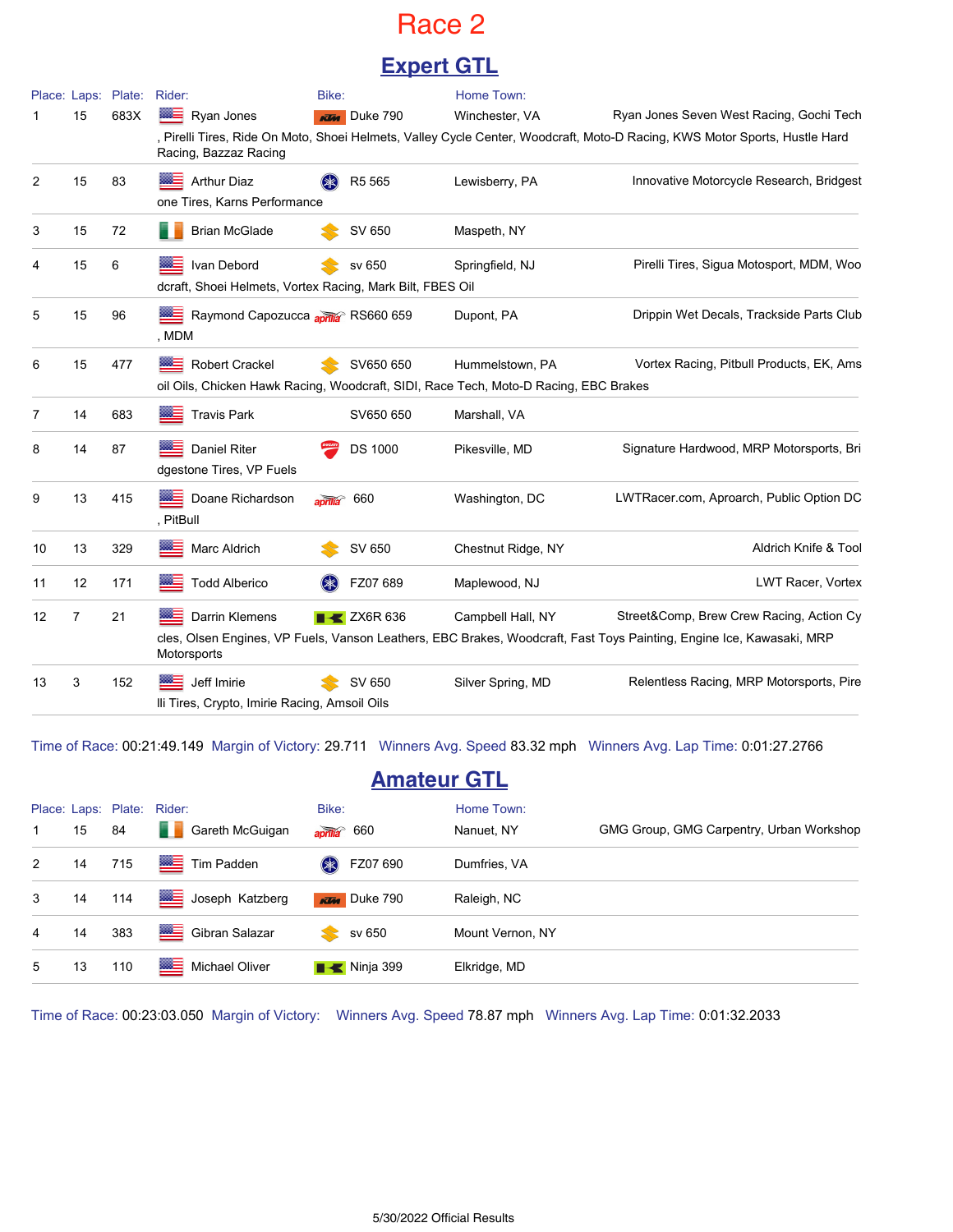### Race 2

### **Expert GTL**

|    |                | Place: Laps: Plate: | Rider:                                                                                                 | Bike:            |                                | Home Town:         |                                                                                                                                                                  |
|----|----------------|---------------------|--------------------------------------------------------------------------------------------------------|------------------|--------------------------------|--------------------|------------------------------------------------------------------------------------------------------------------------------------------------------------------|
|    | 15             | 683X                | ⋙<br>Ryan Jones                                                                                        |                  | <b>KTM</b> Duke 790            | Winchester, VA     | Ryan Jones Seven West Racing, Gochi Tech                                                                                                                         |
|    |                |                     | Racing, Bazzaz Racing                                                                                  |                  |                                |                    | , Pirelli Tires, Ride On Moto, Shoei Helmets, Valley Cycle Center, Woodcraft, Moto-D Racing, KWS Motor Sports, Hustle Hard                                       |
| 2  | 15             | 83                  | <b>Arthur Diaz</b><br>one Tires, Karns Performance                                                     |                  | R5 565                         | Lewisberry, PA     | Innovative Motorcycle Research, Bridgest                                                                                                                         |
| 3  | 15             | 72                  | <b>Brian McGlade</b>                                                                                   |                  | SV 650                         | Maspeth, NY        |                                                                                                                                                                  |
| 4  | 15             | 6                   | Ivan Debord<br>dcraft, Shoei Helmets, Vortex Racing, Mark Bilt, FBES Oil                               |                  | sv 650                         | Springfield, NJ    | Pirelli Tires, Sigua Motosport, MDM, Woo                                                                                                                         |
| 5  | 15             | 96                  | Raymond Capozucca aprila RS660 659<br>, MDM                                                            |                  |                                | Dupont, PA         | Drippin Wet Decals, Trackside Parts Club                                                                                                                         |
| 6  | 15             | 477                 | Robert Crackel<br>oil Oils, Chicken Hawk Racing, Woodcraft, SIDI, Race Tech, Moto-D Racing, EBC Brakes |                  | SV650 650                      | Hummelstown, PA    | Vortex Racing, Pitbull Products, EK, Ams                                                                                                                         |
| 7  | 14             | 683                 | <b>Travis Park</b>                                                                                     |                  | SV650 650                      | Marshall, VA       |                                                                                                                                                                  |
| 8  | 14             | 87                  | <b>Daniel Riter</b><br>dgestone Tires, VP Fuels                                                        |                  | <b>DS 1000</b>                 | Pikesville, MD     | Signature Hardwood, MRP Motorsports, Bri                                                                                                                         |
| 9  | 13             | 415                 | Doane Richardson<br>, PitBull                                                                          | $\overline{and}$ | 660                            | Washington, DC     | LWTRacer.com, Aproarch, Public Option DC                                                                                                                         |
| 10 | 13             | 329                 | Marc Aldrich                                                                                           |                  | SV 650                         | Chestnut Ridge, NY | Aldrich Knife & Tool                                                                                                                                             |
| 11 | 12             | 171                 | <b>Todd Alberico</b>                                                                                   |                  | FZ07 689                       | Maplewood, NJ      | LWT Racer, Vortex                                                                                                                                                |
| 12 | $\overline{7}$ | 21                  | Darrin Klemens<br>Motorsports                                                                          |                  | $\blacktriangleright$ ZX6R 636 | Campbell Hall, NY  | Street&Comp, Brew Crew Racing, Action Cy<br>cles, Olsen Engines, VP Fuels, Vanson Leathers, EBC Brakes, Woodcraft, Fast Toys Painting, Engine Ice, Kawasaki, MRP |
| 13 | 3              | 152                 | Jeff Imirie<br>Ili Tires, Crypto, Imirie Racing, Amsoil Oils                                           |                  | SV 650                         | Silver Spring, MD  | Relentless Racing, MRP Motorsports, Pire                                                                                                                         |

Time of Race: 00:21:49.149 Margin of Victory: 29.711 Winners Avg. Speed 83.32 mph Winners Avg. Lap Time: 0:01:27.2766

### **Amateur GTL**

|   |    |     | Place: Laps: Plate: Rider: | Bike:                     | Home Town:       |                                          |
|---|----|-----|----------------------------|---------------------------|------------------|------------------------------------------|
|   | 15 | 84  | Gareth McGuigan<br>an na   | $\frac{1}{2}$ aprilla 660 | Nanuet, NY       | GMG Group, GMG Carpentry, Urban Workshop |
| 2 | 14 | 715 | Tim Padden                 | FZ07 690<br>$(* )$        | Dumfries, VA     |                                          |
| 3 | 14 | 114 | Joseph Katzberg            | <b>KTM</b> Duke 790       | Raleigh, NC      |                                          |
| 4 | 14 | 383 | Gibran Salazar             | sv 650                    | Mount Vernon, NY |                                          |
| 5 | 13 | 110 | Michael Oliver             | $\blacksquare$ Ninja 399  | Elkridge, MD     |                                          |

Time of Race: 00:23:03.050 Margin of Victory: Winners Avg. Speed 78.87 mph Winners Avg. Lap Time: 0:01:32.2033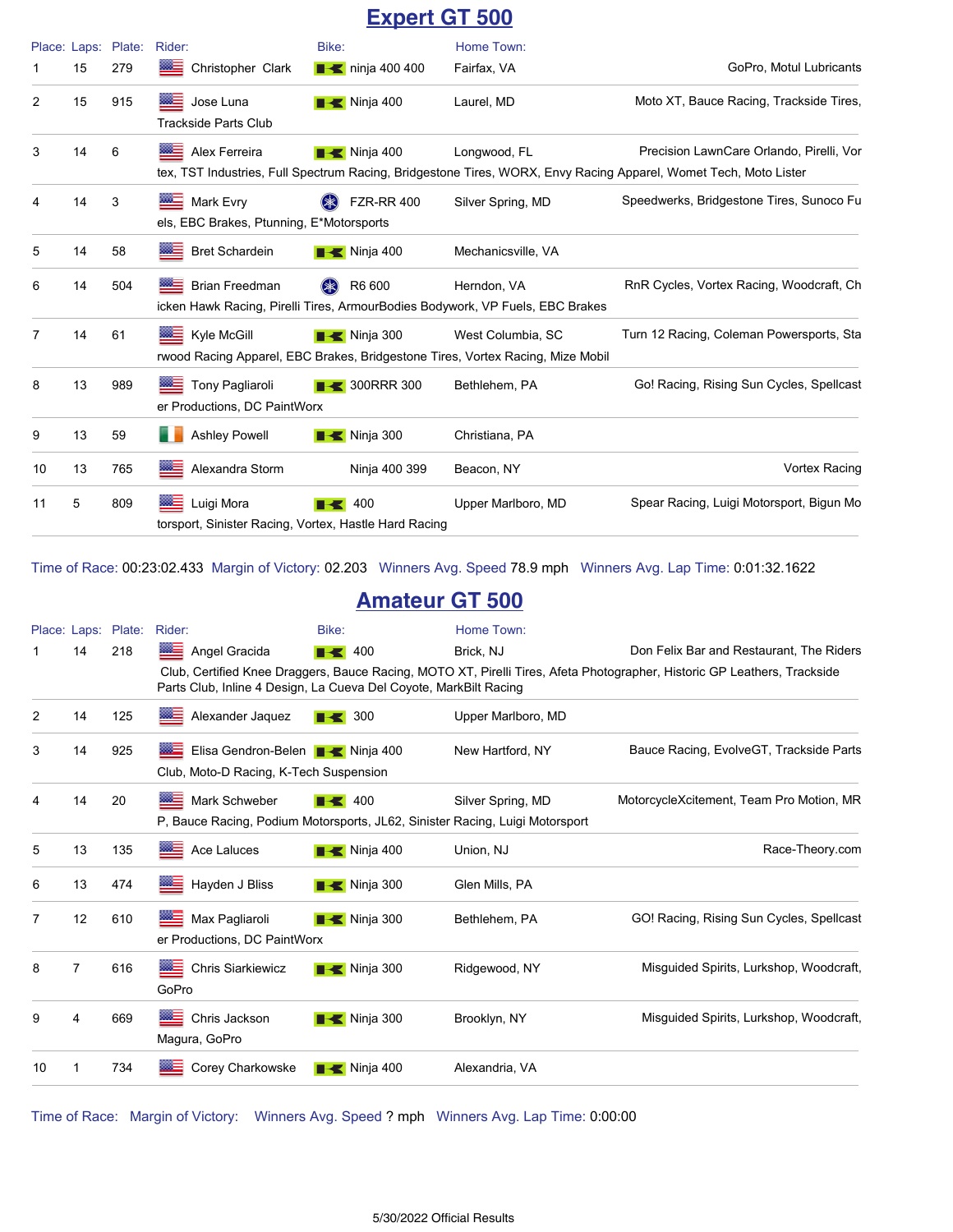### **Expert GT 500**

|    | Place: Laps: | Plate: | Rider:                                                              | Bike:                        | Home Town:                                                                                          |                                                                                                                                                              |
|----|--------------|--------|---------------------------------------------------------------------|------------------------------|-----------------------------------------------------------------------------------------------------|--------------------------------------------------------------------------------------------------------------------------------------------------------------|
|    | 15           | 279    | Christopher Clark                                                   | $\blacksquare$ ninja 400 400 | Fairfax, VA                                                                                         | GoPro, Motul Lubricants                                                                                                                                      |
| 2  | 15           | 915    | ▨≘<br>Jose Luna<br><b>Trackside Parts Club</b>                      | $\blacksquare$ Ninja 400     | Laurel, MD                                                                                          | Moto XT, Bauce Racing, Trackside Tires,                                                                                                                      |
| 3  | 14           | 6      | Alex Ferreira                                                       | <b>Ninja 400</b>             | Longwood, FL                                                                                        | Precision LawnCare Orlando, Pirelli, Vor<br>tex, TST Industries, Full Spectrum Racing, Bridgestone Tires, WORX, Envy Racing Apparel, Womet Tech, Moto Lister |
| 4  | 14           | 3      | <b>Mark Evry</b><br>els, EBC Brakes, Ptunning, E*Motorsports        | <b>FZR-RR 400</b>            | Silver Spring, MD                                                                                   | Speedwerks, Bridgestone Tires, Sunoco Fu                                                                                                                     |
| 5  | 14           | 58     | <b>Bret Schardein</b>                                               | $\blacksquare$ Ninja 400     | Mechanicsville, VA                                                                                  |                                                                                                                                                              |
| 6  | 14           | 504    | $rac{800-1}{200}$<br>Brian Freedman                                 | R6 600<br>$(\divideontimes)$ | Herndon, VA<br>icken Hawk Racing, Pirelli Tires, ArmourBodies Bodywork, VP Fuels, EBC Brakes        | RnR Cycles, Vortex Racing, Woodcraft, Ch                                                                                                                     |
| 7  | 14           | 61     | <b>WE Kyle McGill</b>                                               | $\blacksquare$ Ninja 300     | West Columbia, SC<br>rwood Racing Apparel, EBC Brakes, Bridgestone Tires, Vortex Racing, Mize Mobil | Turn 12 Racing, Coleman Powersports, Sta                                                                                                                     |
| 8  | 13           | 989    | <b>Tony Pagliaroli</b><br>er Productions, DC PaintWorx              | <b>B</b> 300RRR 300          | Bethlehem, PA                                                                                       | Go! Racing, Rising Sun Cycles, Spellcast                                                                                                                     |
| 9  | 13           | 59     | <b>Ashley Powell</b>                                                | $\blacksquare$ Ninja 300     | Christiana, PA                                                                                      |                                                                                                                                                              |
| 10 | 13           | 765    | Alexandra Storm                                                     | Ninja 400 399                | Beacon, NY                                                                                          | Vortex Racing                                                                                                                                                |
| 11 | 5            | 809    | Luigi Mora<br>torsport, Sinister Racing, Vortex, Hastle Hard Racing | 400                          | Upper Marlboro, MD                                                                                  | Spear Racing, Luigi Motorsport, Bigun Mo                                                                                                                     |

Time of Race: 00:23:02.433 Margin of Victory: 02.203 Winners Avg. Speed 78.9 mph Winners Avg. Lap Time: 0:01:32.1622

#### **Amateur GT 500**

|    |    | Place: Laps: Plate: | Rider:                                                                                        | Bike:                     | Home Town:         |                                                                                                                          |
|----|----|---------------------|-----------------------------------------------------------------------------------------------|---------------------------|--------------------|--------------------------------------------------------------------------------------------------------------------------|
|    | 14 | 218                 | Angel Gracida                                                                                 | 400<br>BB                 | Brick, NJ          | Don Felix Bar and Restaurant, The Riders                                                                                 |
|    |    |                     | Parts Club, Inline 4 Design, La Cueva Del Coyote, MarkBilt Racing                             |                           |                    | Club, Certified Knee Draggers, Bauce Racing, MOTO XT, Pirelli Tires, Afeta Photographer, Historic GP Leathers, Trackside |
| 2  | 14 | 125                 | Alexander Jaquez                                                                              | $\blacktriangleright$ 300 | Upper Marlboro, MD |                                                                                                                          |
| 3  | 14 | 925                 | Elisa Gendron-Belen <b>B</b> Ninja 400<br>▩≡<br>Club, Moto-D Racing, K-Tech Suspension        |                           | New Hartford, NY   | Bauce Racing, EvolveGT, Trackside Parts                                                                                  |
|    | 14 | 20                  | Mark Schweber<br>P. Bauce Racing, Podium Motorsports, JL62, Sinister Racing, Luigi Motorsport | 400<br>EKI                | Silver Spring, MD  | MotorcycleXcitement, Team Pro Motion, MR                                                                                 |
| 5  | 13 | 135                 | Ace Laluces                                                                                   | $\blacksquare$ Ninja 400  | Union, NJ          | Race-Theory.com                                                                                                          |
| 6  | 13 | 474                 | Hayden J Bliss                                                                                | $\blacksquare$ Ninja 300  | Glen Mills, PA     |                                                                                                                          |
| 7  | 12 | 610                 | ▓≧<br>Max Pagliaroli<br>er Productions, DC PaintWorx                                          | $\blacksquare$ Ninja 300  | Bethlehem, PA      | GO! Racing, Rising Sun Cycles, Spellcast                                                                                 |
| 8  | 7  | 616                 | ▩≡<br><b>Chris Siarkiewicz</b><br>GoPro                                                       | $\blacksquare$ Ninja 300  | Ridgewood, NY      | Misquided Spirits, Lurkshop, Woodcraft,                                                                                  |
| 9  | 4  | 669                 | Chris Jackson<br>Magura, GoPro                                                                | $\blacksquare$ Ninja 300  | Brooklyn, NY       | Misquided Spirits, Lurkshop, Woodcraft,                                                                                  |
| 10 | 1  | 734                 | Corey Charkowske                                                                              | $\blacksquare$ Ninja 400  | Alexandria, VA     |                                                                                                                          |

Time of Race: Margin of Victory: Winners Avg. Speed ? mph Winners Avg. Lap Time: 0:00:00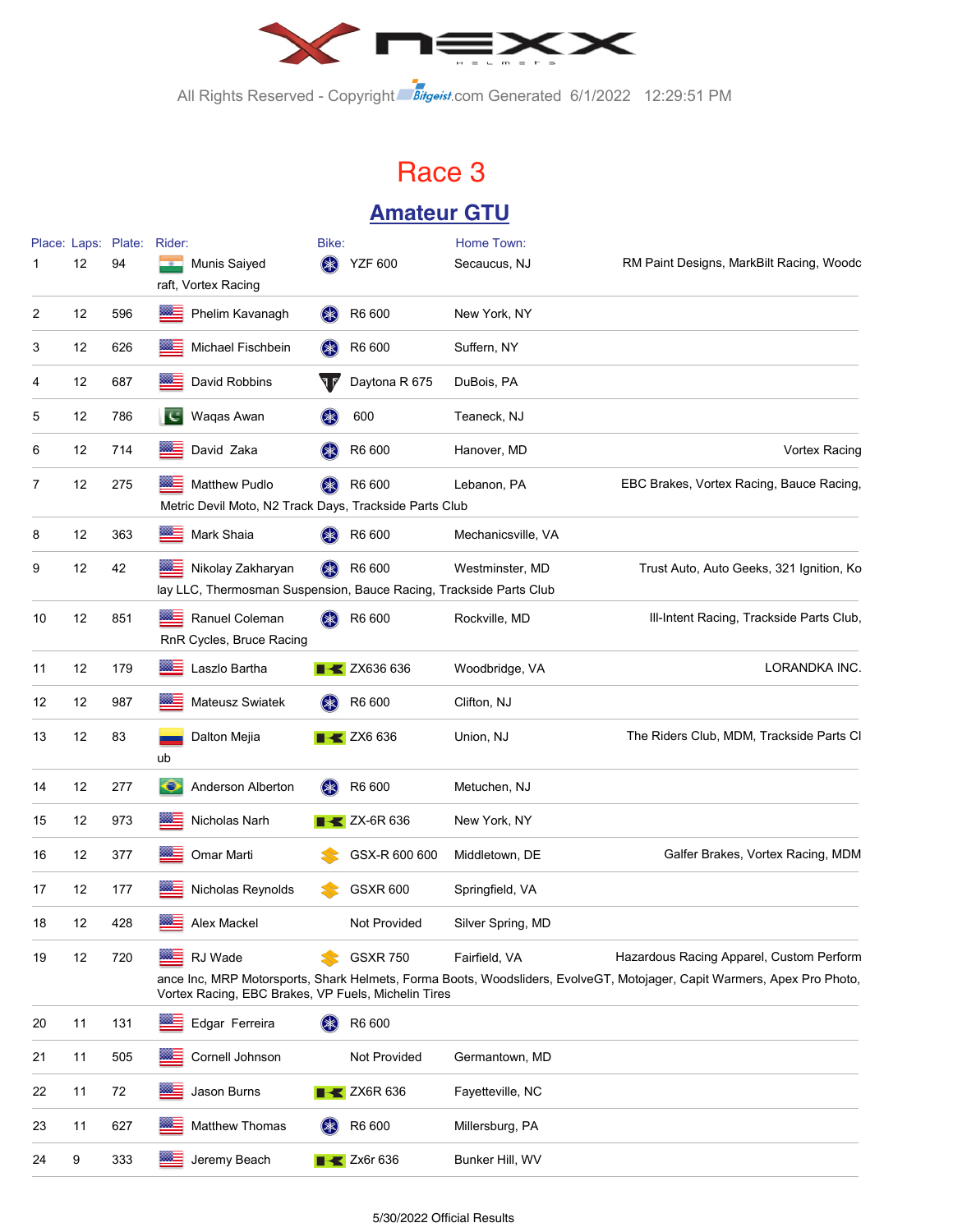

All Rights Reserved - Copyright Bitgeist.com Generated 6/1/2022 12:29:51 PM

# Race 3 **Amateur GTU**

|    | 12 | Place: Laps: Plate:<br>94 | Rider:<br><b>Munis Saiyed</b>                                                                 | Bike:<br>(≱≲) | <b>YZF 600</b>                 | Home Town:<br>Secaucus, NJ | RM Paint Designs, MarkBilt Racing, Woodc                                                                                                                            |
|----|----|---------------------------|-----------------------------------------------------------------------------------------------|---------------|--------------------------------|----------------------------|---------------------------------------------------------------------------------------------------------------------------------------------------------------------|
| 2  | 12 | 596                       | raft, Vortex Racing<br>Phelim Kavanagh<br>$m =$                                               | (*            | R6 600                         | New York, NY               |                                                                                                                                                                     |
| 3  | 12 | 626                       | Michael Fischbein<br>⋙                                                                        | (≭)           | R6 600                         | Suffern, NY                |                                                                                                                                                                     |
| 4  | 12 | 687                       | ⋙<br>David Robbins                                                                            |               | Daytona R 675                  | DuBois, PA                 |                                                                                                                                                                     |
| 5  | 12 | 786                       | TC.<br>Waqas Awan                                                                             | (≭)           | 600                            | Teaneck, NJ                |                                                                                                                                                                     |
| 6  | 12 | 714                       | David Zaka                                                                                    | (*)           | R6 600                         | Hanover, MD                | <b>Vortex Racing</b>                                                                                                                                                |
| 7  | 12 | 275                       | <b>Matthew Pudlo</b><br>▩▬<br>Metric Devil Moto, N2 Track Days, Trackside Parts Club          |               | R6 600                         | Lebanon, PA                | EBC Brakes, Vortex Racing, Bauce Racing,                                                                                                                            |
| 8  | 12 | 363                       | Mark Shaia<br>œ.                                                                              |               | R6 600                         | Mechanicsville, VA         |                                                                                                                                                                     |
| 9  | 12 | 42                        | 羅三<br>Nikolay Zakharyan<br>lay LLC, Thermosman Suspension, Bauce Racing, Trackside Parts Club |               | R6 600                         | Westminster, MD            | Trust Auto, Auto Geeks, 321 Ignition, Ko                                                                                                                            |
| 10 | 12 | 851                       | Ranuel Coleman<br>RnR Cycles, Bruce Racing                                                    | (≱≲)          | R6 600                         | Rockville, MD              | Ill-Intent Racing, Trackside Parts Club,                                                                                                                            |
| 11 | 12 | 179                       | ⋙<br>Laszlo Bartha                                                                            |               | <b>EXAMPLE 2X636 636</b>       | Woodbridge, VA             | <b>LORANDKA INC.</b>                                                                                                                                                |
| 12 | 12 | 987                       | œ.<br>Mateusz Swiatek                                                                         |               | R6 600                         | Clifton, NJ                |                                                                                                                                                                     |
| 13 | 12 | 83                        | Dalton Mejia<br>ub                                                                            |               | $\blacktriangleright$ ZX6 636  | Union, NJ                  | The Riders Club, MDM, Trackside Parts Cl                                                                                                                            |
| 14 | 12 | 277                       | ∙<br>Anderson Alberton                                                                        | $(* )$        | R6 600                         | Metuchen, NJ               |                                                                                                                                                                     |
| 15 | 12 | 973                       | ▩▄<br>Nicholas Narh                                                                           |               | $X$ ZX-6R 636                  | New York, NY               |                                                                                                                                                                     |
| 16 | 12 | 377                       | ▩≘<br>Omar Marti                                                                              |               | GSX-R 600 600                  | Middletown, DE             | Galfer Brakes, Vortex Racing, MDM                                                                                                                                   |
| 17 | 12 | 177                       | Nicholas Reynolds<br>œ.                                                                       |               | <b>GSXR 600</b>                | Springfield, VA            |                                                                                                                                                                     |
| 18 | 12 | 428                       | ▩≘<br>Alex Mackel                                                                             |               | Not Provided                   | Silver Spring, MD          |                                                                                                                                                                     |
| 19 | 12 | 720                       | RJ Wade<br>Vortex Racing, EBC Brakes, VP Fuels, Michelin Tires                                |               | <b>GSXR 750</b>                | Fairfield, VA              | Hazardous Racing Apparel, Custom Perform<br>ance Inc, MRP Motorsports, Shark Helmets, Forma Boots, Woodsliders, EvolveGT, Motojager, Capit Warmers, Apex Pro Photo, |
| 20 | 11 | 131                       | Edgar Ferreira                                                                                | $(*$          | R6 600                         |                            |                                                                                                                                                                     |
| 21 | 11 | 505                       | Cornell Johnson<br>886                                                                        |               | Not Provided                   | Germantown, MD             |                                                                                                                                                                     |
| 22 | 11 | 72                        | Jason Burns<br>⋙                                                                              |               | $\blacktriangleright$ ZX6R 636 | Fayetteville, NC           |                                                                                                                                                                     |
| 23 | 11 | 627                       | Matthew Thomas                                                                                |               | R6 600                         | Millersburg, PA            |                                                                                                                                                                     |
| 24 | 9  | 333                       | Jeremy Beach<br>œ.                                                                            |               | $\blacktriangleright$ Zx6r 636 | Bunker Hill, WV            |                                                                                                                                                                     |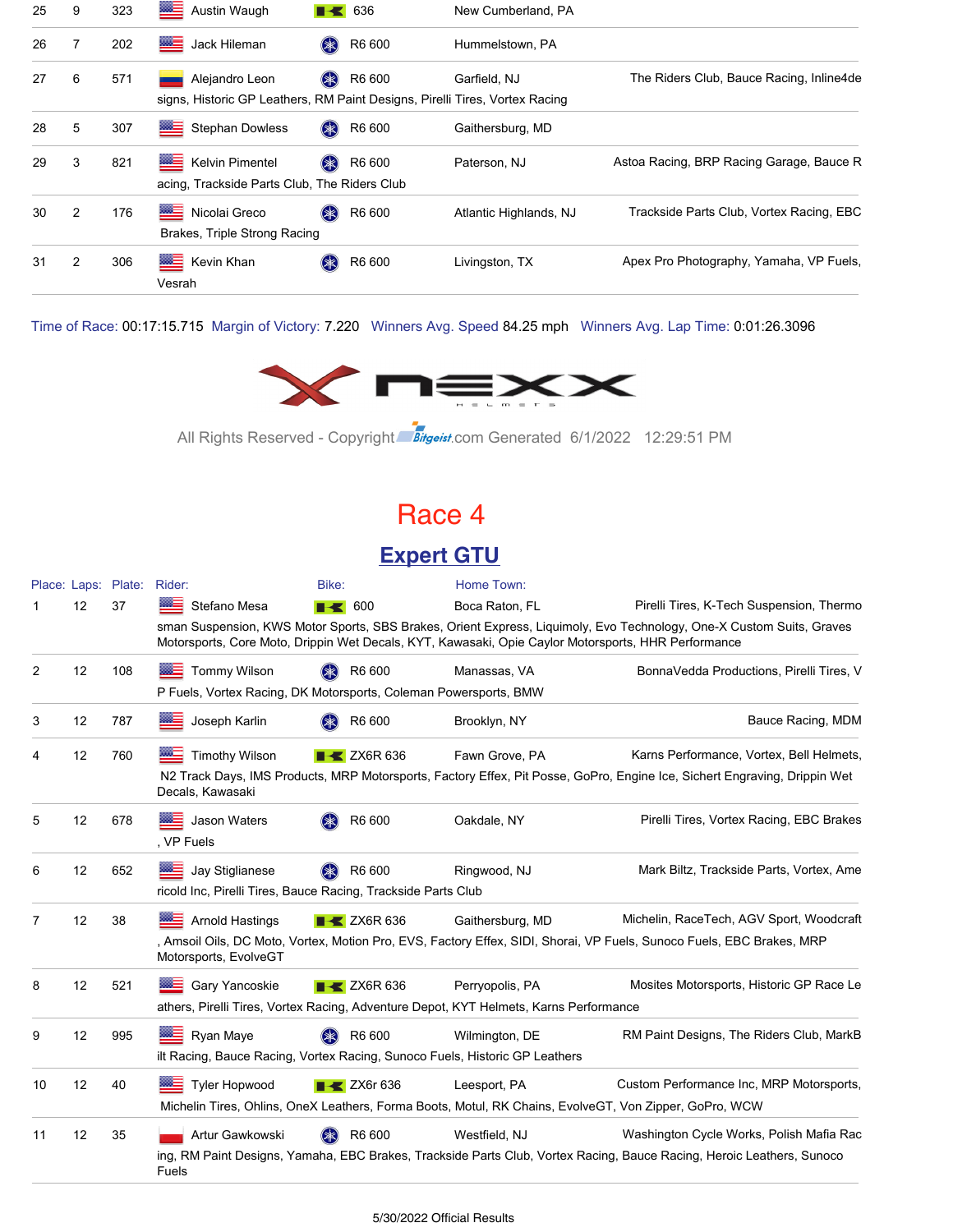| 25 | 9 | 323 | ▩▤<br>Austin Waugh                                                                            | 636              | New Cumberland, PA     |                                          |
|----|---|-----|-----------------------------------------------------------------------------------------------|------------------|------------------------|------------------------------------------|
| 26 |   | 202 | ▩▤<br>Jack Hileman                                                                            | R6 600<br>(*     | Hummelstown, PA        |                                          |
| 27 | 6 | 571 | Alejandro Leon<br>signs, Historic GP Leathers, RM Paint Designs, Pirelli Tires, Vortex Racing | R6 600<br>$(* )$ | Garfield, NJ           | The Riders Club, Bauce Racing, Inline4de |
| 28 | 5 | 307 | ▩≡<br><b>Stephan Dowless</b>                                                                  | (米)<br>R6 600    | Gaithersburg, MD       |                                          |
| 29 | 3 | 821 | ▩≘<br>Kelvin Pimentel<br>acing, Trackside Parts Club, The Riders Club                         | R6 600<br>$(*$   | Paterson, NJ           | Astoa Racing, BRP Racing Garage, Bauce R |
| 30 | 2 | 176 | <b>MEDIA</b><br>Nicolai Greco<br>Brakes, Triple Strong Racing                                 | (米)<br>R6 600    | Atlantic Highlands, NJ | Trackside Parts Club, Vortex Racing, EBC |
| 31 | 2 | 306 | ▩≡<br>Kevin Khan<br>Vesrah                                                                    | R6 600<br>$(*$   | Livingston, TX         | Apex Pro Photography, Yamaha, VP Fuels,  |

Time of Race: 00:17:15.715 Margin of Victory: 7.220 Winners Avg. Speed 84.25 mph Winners Avg. Lap Time: 0:01:26.3096



All Rights Reserved - Copyright Bitgeist.com Generated 6/1/2022 12:29:51 PM

### Race 4

#### **Expert GTU**

|    |    | Place: Laps: Plate: Rider: |                                                                                                     | Bike:                          | Home Town:                                                                                             |                                                                                                                           |
|----|----|----------------------------|-----------------------------------------------------------------------------------------------------|--------------------------------|--------------------------------------------------------------------------------------------------------|---------------------------------------------------------------------------------------------------------------------------|
|    | 12 | 37                         | Stefano Mesa                                                                                        | $\blacksquare$ 600             | Boca Raton, FL                                                                                         | Pirelli Tires, K-Tech Suspension, Thermo                                                                                  |
|    |    |                            | Motorsports, Core Moto, Drippin Wet Decals, KYT, Kawasaki, Opie Caylor Motorsports, HHR Performance |                                |                                                                                                        | sman Suspension, KWS Motor Sports, SBS Brakes, Orient Express, Liquimoly, Evo Technology, One-X Custom Suits, Graves      |
| 2  | 12 | 108                        | <b>Tommy Wilson</b><br>≡                                                                            | R6 600<br>$(\divideontimes)$   | Manassas, VA                                                                                           | BonnaVedda Productions, Pirelli Tires, V                                                                                  |
|    |    |                            | P Fuels, Vortex Racing, DK Motorsports, Coleman Powersports, BMW                                    |                                |                                                                                                        |                                                                                                                           |
| 3  | 12 | 787                        | Joseph Karlin                                                                                       | R6 600                         | Brooklyn, NY                                                                                           | Bauce Racing, MDM                                                                                                         |
| 4  | 12 | 760                        | <b>Timothy Wilson</b>                                                                               | $\blacktriangleright$ ZX6R 636 | Fawn Grove, PA                                                                                         | Karns Performance, Vortex, Bell Helmets,                                                                                  |
|    |    |                            | Decals, Kawasaki                                                                                    |                                |                                                                                                        | N2 Track Days, IMS Products, MRP Motorsports, Factory Effex, Pit Posse, GoPro, Engine Ice, Sichert Engraving, Drippin Wet |
| 5  | 12 | 678                        | Jason Waters<br>⋙<br>. VP Fuels                                                                     | R6 600                         | Oakdale, NY                                                                                            | Pirelli Tires, Vortex Racing, EBC Brakes                                                                                  |
| 6  | 12 | 652                        | ※三<br>Jay Stiglianese<br>ricold Inc, Pirelli Tires, Bauce Racing, Trackside Parts Club              | R6 600                         | Ringwood, NJ                                                                                           | Mark Biltz, Trackside Parts, Vortex, Ame                                                                                  |
| 7  | 12 | 38                         | <b>Arnold Hastings</b>                                                                              | $\blacktriangleright$ ZX6R 636 | Gaithersburg, MD                                                                                       | Michelin, RaceTech, AGV Sport, Woodcraft                                                                                  |
|    |    |                            | Motorsports, EvolveGT                                                                               |                                |                                                                                                        | , Amsoil Oils, DC Moto, Vortex, Motion Pro, EVS, Factory Effex, SIDI, Shorai, VP Fuels, Sunoco Fuels, EBC Brakes, MRP     |
| 8  | 12 | 521                        | Gary Yancoskie<br>▩▬                                                                                | $\blacktriangleright$ ZX6R 636 | Perryopolis, PA                                                                                        | Mosites Motorsports, Historic GP Race Le                                                                                  |
|    |    |                            | athers, Pirelli Tires, Vortex Racing, Adventure Depot, KYT Helmets, Karns Performance               |                                |                                                                                                        |                                                                                                                           |
| 9  | 12 | 995                        | Ryan Maye                                                                                           | R6 600                         | Wilmington, DE                                                                                         | RM Paint Designs, The Riders Club, MarkB                                                                                  |
|    |    |                            | ilt Racing, Bauce Racing, Vortex Racing, Sunoco Fuels, Historic GP Leathers                         |                                |                                                                                                        |                                                                                                                           |
| 10 | 12 | 40                         | <b>Tyler Hopwood</b>                                                                                | $\blacktriangleright$ ZX6r 636 | Leesport, PA                                                                                           | Custom Performance Inc, MRP Motorsports,                                                                                  |
|    |    |                            |                                                                                                     |                                | Michelin Tires, Ohlins, OneX Leathers, Forma Boots, Motul, RK Chains, EvolveGT, Von Zipper, GoPro, WCW |                                                                                                                           |
| 11 | 12 | 35                         | Artur Gawkowski                                                                                     | R6 600                         | Westfield, NJ                                                                                          | Washington Cycle Works, Polish Mafia Rac                                                                                  |
|    |    |                            | Fuels                                                                                               |                                |                                                                                                        | ing, RM Paint Designs, Yamaha, EBC Brakes, Trackside Parts Club, Vortex Racing, Bauce Racing, Heroic Leathers, Sunoco     |
|    |    |                            |                                                                                                     |                                |                                                                                                        |                                                                                                                           |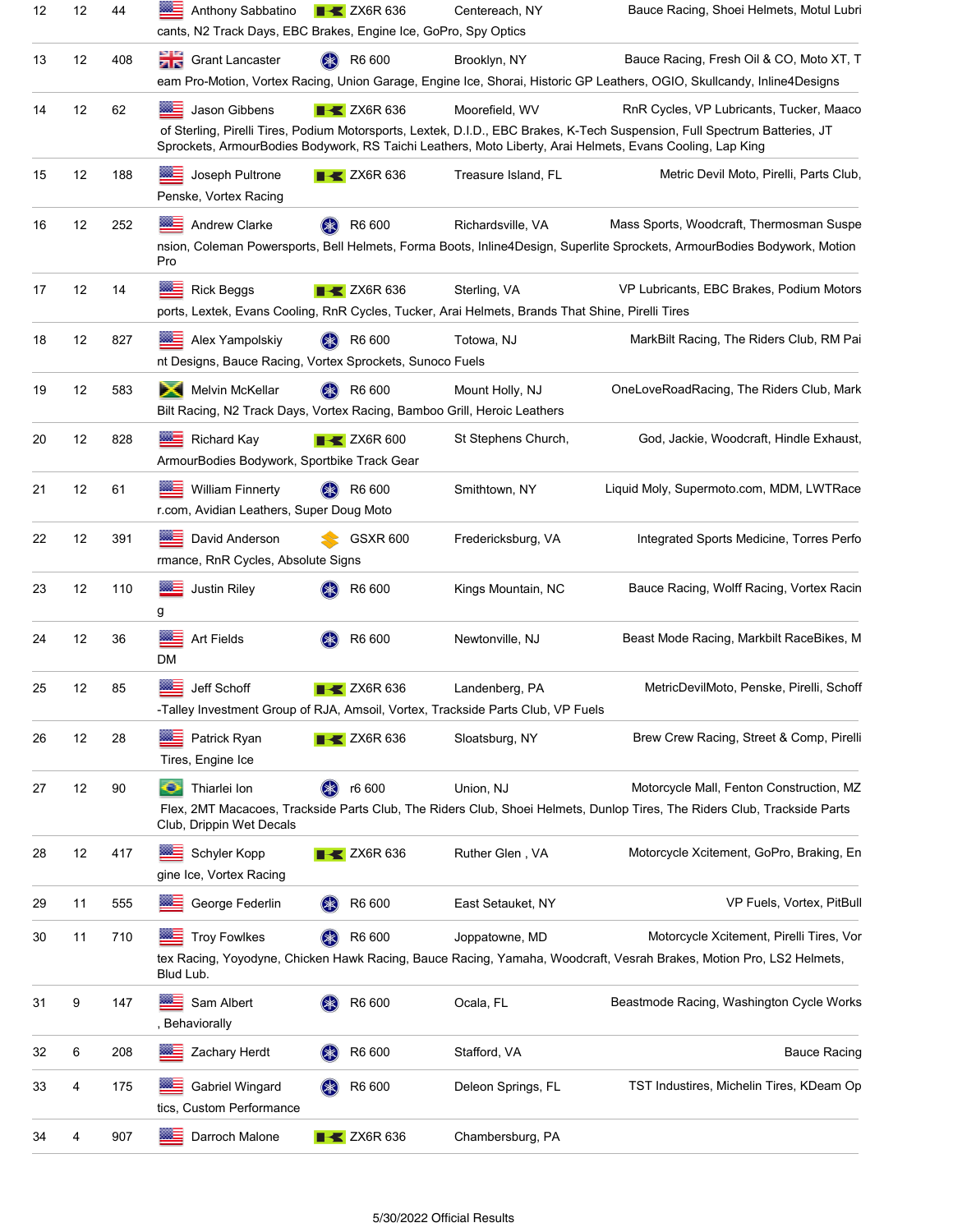| 12 | 12 | 44  | Anthony Sabbatino<br>cants, N2 Track Days, EBC Brakes, Engine Ice, GoPro, Spy Optics        | $\triangleright$ ZX6R 636      | Centereach, NY                                                                                                   | Bauce Racing, Shoei Helmets, Motul Lubri                                                                                                                                                                                                                                            |
|----|----|-----|---------------------------------------------------------------------------------------------|--------------------------------|------------------------------------------------------------------------------------------------------------------|-------------------------------------------------------------------------------------------------------------------------------------------------------------------------------------------------------------------------------------------------------------------------------------|
| 13 | 12 | 408 | <b>Crant Lancaster</b>                                                                      | R6 600                         | Brooklyn, NY                                                                                                     | Bauce Racing, Fresh Oil & CO, Moto XT, T<br>eam Pro-Motion, Vortex Racing, Union Garage, Engine Ice, Shorai, Historic GP Leathers, OGIO, Skullcandy, Inline4Designs                                                                                                                 |
| 14 | 12 | 62  | Jason Gibbens                                                                               | $\blacktriangleright$ ZX6R 636 | Moorefield, WV                                                                                                   | RnR Cycles, VP Lubricants, Tucker, Maaco<br>of Sterling, Pirelli Tires, Podium Motorsports, Lextek, D.I.D., EBC Brakes, K-Tech Suspension, Full Spectrum Batteries, JT<br>Sprockets, ArmourBodies Bodywork, RS Taichi Leathers, Moto Liberty, Arai Helmets, Evans Cooling, Lap King |
| 15 | 12 | 188 | Joseph Pultrone<br>Penske, Vortex Racing                                                    | $\blacktriangleright$ ZX6R 636 | Treasure Island, FL                                                                                              | Metric Devil Moto, Pirelli, Parts Club.                                                                                                                                                                                                                                             |
| 16 | 12 | 252 | Andrew Clarke<br>Pro                                                                        | R6 600<br>(≱≲)                 | Richardsville, VA                                                                                                | Mass Sports, Woodcraft, Thermosman Suspe<br>nsion, Coleman Powersports, Bell Helmets, Forma Boots, Inline4Design, Superlite Sprockets, ArmourBodies Bodywork, Motion                                                                                                                |
| 17 | 12 | 14  | <b>Rick Beggs</b>                                                                           | $\blacktriangleright$ ZX6R 636 | Sterling, VA<br>ports, Lextek, Evans Cooling, RnR Cycles, Tucker, Arai Helmets, Brands That Shine, Pirelli Tires | VP Lubricants, EBC Brakes, Podium Motors                                                                                                                                                                                                                                            |
| 18 | 12 | 827 | Alex Yampolskiy<br><b>SSS</b><br>nt Designs, Bauce Racing, Vortex Sprockets, Sunoco Fuels   | R6 600                         | Totowa, NJ                                                                                                       | MarkBilt Racing, The Riders Club, RM Pai                                                                                                                                                                                                                                            |
| 19 | 12 | 583 | Melvin McKellar<br>Bilt Racing, N2 Track Days, Vortex Racing, Bamboo Grill, Heroic Leathers | R6 600                         | Mount Holly, NJ                                                                                                  | OneLoveRoadRacing, The Riders Club, Mark                                                                                                                                                                                                                                            |
| 20 | 12 | 828 | <b>Richard Kay</b><br>ArmourBodies Bodywork, Sportbike Track Gear                           | $\blacktriangleright$ ZX6R 600 | St Stephens Church,                                                                                              | God, Jackie, Woodcraft, Hindle Exhaust,                                                                                                                                                                                                                                             |
| 21 | 12 | 61  | <b>William Finnerty</b><br>r.com, Avidian Leathers, Super Doug Moto                         | R6 600                         | Smithtown, NY                                                                                                    | Liquid Moly, Supermoto.com, MDM, LWTRace                                                                                                                                                                                                                                            |
| 22 | 12 | 391 | David Anderson<br>rmance, RnR Cycles, Absolute Signs                                        | <b>GSXR 600</b>                | Fredericksburg, VA                                                                                               | Integrated Sports Medicine, Torres Perfo                                                                                                                                                                                                                                            |
| 23 | 12 | 110 | Justin Riley<br>g                                                                           | R6 600                         | Kings Mountain, NC                                                                                               | Bauce Racing, Wolff Racing, Vortex Racin                                                                                                                                                                                                                                            |
| 24 | 12 | 36  | Art Fields<br>DM                                                                            | R6 600                         | Newtonville, NJ                                                                                                  | Beast Mode Racing, Markbilt RaceBikes, M                                                                                                                                                                                                                                            |
| 25 | 12 | 85  | Jeff Schoff                                                                                 | $X$ ZX6R 636                   | Landenberg, PA<br>-Talley Investment Group of RJA, Amsoil, Vortex, Trackside Parts Club, VP Fuels                | MetricDevilMoto, Penske, Pirelli, Schoff                                                                                                                                                                                                                                            |
| 26 | 12 | 28  | Patrick Ryan<br>Tires, Engine Ice                                                           | $\blacktriangleright$ ZX6R 636 | Sloatsburg, NY                                                                                                   | Brew Crew Racing, Street & Comp, Pirelli                                                                                                                                                                                                                                            |
| 27 | 12 | 90  | Thiarlei Ion<br>o<br>Club, Drippin Wet Decals                                               | r6 600                         | Union, NJ                                                                                                        | Motorcycle Mall, Fenton Construction, MZ<br>Flex, 2MT Macacoes, Trackside Parts Club, The Riders Club, Shoei Helmets, Dunlop Tires, The Riders Club, Trackside Parts                                                                                                                |
| 28 | 12 | 417 | Schyler Kopp<br>gine Ice, Vortex Racing                                                     | $\blacktriangleright$ ZX6R 636 | Ruther Glen, VA                                                                                                  | Motorcycle Xcitement, GoPro, Braking, En                                                                                                                                                                                                                                            |
| 29 | 11 | 555 | George Federlin                                                                             | R6 600<br>$(\ast)$             | East Setauket, NY                                                                                                | VP Fuels, Vortex, PitBull                                                                                                                                                                                                                                                           |
| 30 | 11 | 710 | <b>Troy Fowlkes</b><br>Blud Lub.                                                            | R6 600<br>(≱≳)                 | Joppatowne, MD                                                                                                   | Motorcycle Xcitement, Pirelli Tires, Vor<br>tex Racing, Yoyodyne, Chicken Hawk Racing, Bauce Racing, Yamaha, Woodcraft, Vesrah Brakes, Motion Pro, LS2 Helmets,                                                                                                                     |
| 31 | 9  | 147 | $m =$<br>Sam Albert<br>, Behaviorally                                                       | R6 600                         | Ocala, FL                                                                                                        | Beastmode Racing, Washington Cycle Works                                                                                                                                                                                                                                            |
| 32 | 6  | 208 | Zachary Herdt                                                                               | R6 600                         | Stafford, VA                                                                                                     | <b>Bauce Racing</b>                                                                                                                                                                                                                                                                 |
| 33 | 4  | 175 | Gabriel Wingard<br>tics, Custom Performance                                                 | R6 600                         | Deleon Springs, FL                                                                                               | TST Industires, Michelin Tires, KDeam Op                                                                                                                                                                                                                                            |
| 34 | 4  | 907 | ≡<br>Darroch Malone                                                                         | $\blacktriangleright$ ZX6R 636 | Chambersburg, PA                                                                                                 |                                                                                                                                                                                                                                                                                     |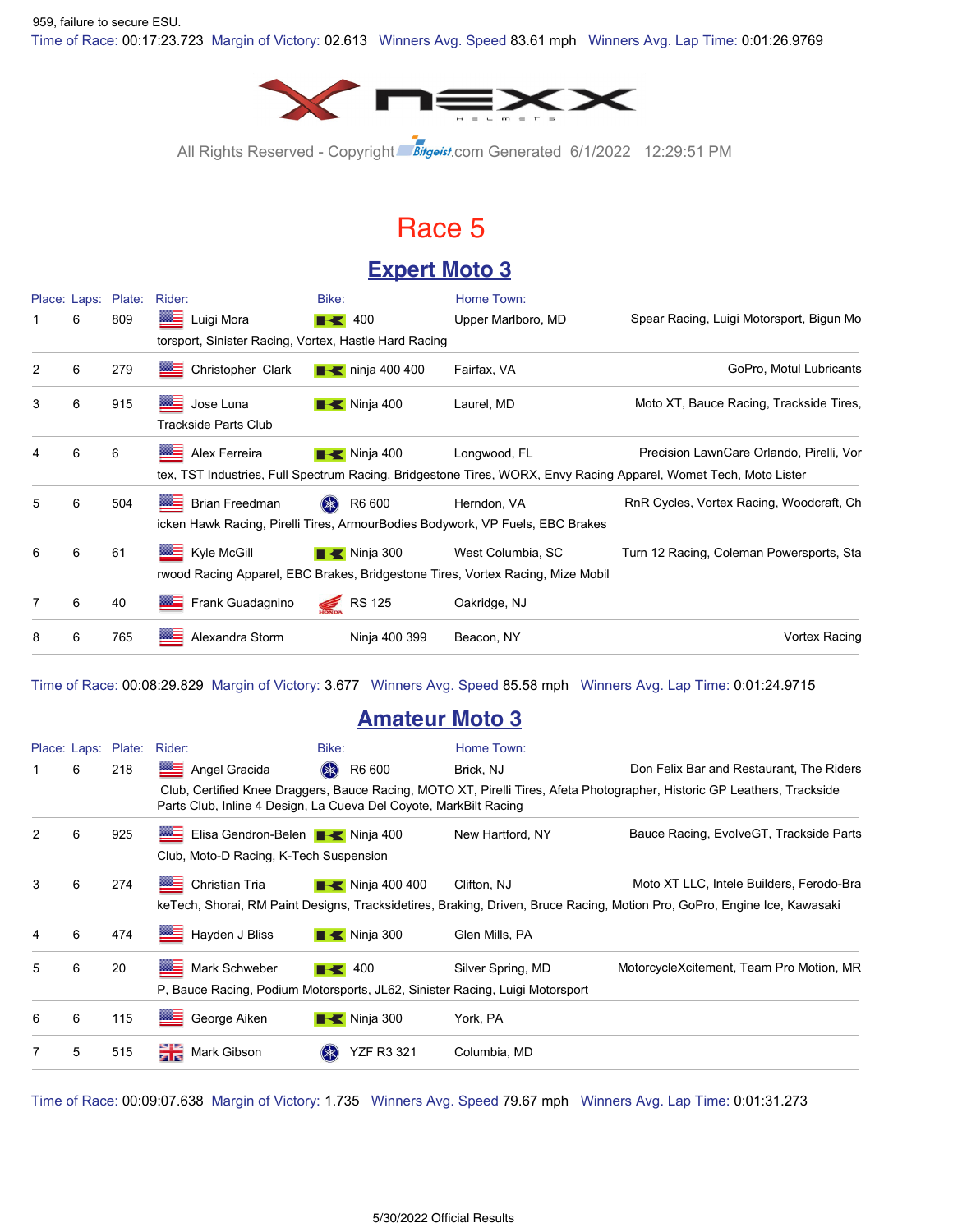Time of Race: 00:17:23.723 Margin of Victory: 02.613 Winners Avg. Speed 83.61 mph Winners Avg. Lap Time: 0:01:26.9769 959, failure to secure ESU.



All Rights Reserved - Copyright Bitgeist.com Generated 6/1/2022 12:29:51 PM

### Race 5

### **Expert Moto 3**

|   |   | Place: Laps: Plate: | Rider:                                                | Bike:                        | Home Town:                                                                                          |                                                                                                                                                              |
|---|---|---------------------|-------------------------------------------------------|------------------------------|-----------------------------------------------------------------------------------------------------|--------------------------------------------------------------------------------------------------------------------------------------------------------------|
|   | 6 | 809                 | Luigi Mora                                            | $\blacksquare$ 400           | Upper Marlboro, MD                                                                                  | Spear Racing, Luigi Motorsport, Bigun Mo                                                                                                                     |
|   |   |                     | torsport, Sinister Racing, Vortex, Hastle Hard Racing |                              |                                                                                                     |                                                                                                                                                              |
| 2 | 6 | 279                 | ▓≘<br>Christopher Clark                               | $\blacksquare$ ninja 400 400 | Fairfax, VA                                                                                         | GoPro, Motul Lubricants                                                                                                                                      |
| 3 | 6 | 915                 | ▩≣<br>Jose Luna<br><b>Trackside Parts Club</b>        | $\blacksquare$ Ninja 400     | Laurel, MD                                                                                          | Moto XT, Bauce Racing, Trackside Tires,                                                                                                                      |
| 4 | 6 | 6                   | <b>BALL</b><br>Alex Ferreira                          | $\blacksquare$ Ninja 400     | Longwood, FL                                                                                        | Precision LawnCare Orlando, Pirelli, Vor<br>tex, TST Industries, Full Spectrum Racing, Bridgestone Tires, WORX, Envy Racing Apparel, Womet Tech, Moto Lister |
| 5 | 6 | 504                 | <b>Brian Freedman</b>                                 | $(* )$<br>R6 600             | Herndon, VA<br>icken Hawk Racing, Pirelli Tires, ArmourBodies Bodywork, VP Fuels, EBC Brakes        | RnR Cycles, Vortex Racing, Woodcraft, Ch                                                                                                                     |
| 6 | 6 | 61                  | Kyle McGill                                           | $\blacksquare$ Ninja 300     | West Columbia, SC<br>rwood Racing Apparel, EBC Brakes, Bridgestone Tires, Vortex Racing, Mize Mobil | Turn 12 Racing, Coleman Powersports, Sta                                                                                                                     |
|   | 6 | 40                  | Frank Guadagnino                                      | RS 125                       | Oakridge, NJ                                                                                        |                                                                                                                                                              |
| 8 | 6 | 765                 | ▓▆<br>Alexandra Storm                                 | Ninja 400 399                | Beacon, NY                                                                                          | Vortex Racing                                                                                                                                                |

Time of Race: 00:08:29.829 Margin of Victory: 3.677 Winners Avg. Speed 85.58 mph Winners Avg. Lap Time: 0:01:24.9715

#### **Amateur Moto 3**

|   |   | Place: Laps: Plate: | Rider:                                                                                              | Bike:                               | Home Town:        |                                                                                                                                                                      |
|---|---|---------------------|-----------------------------------------------------------------------------------------------------|-------------------------------------|-------------------|----------------------------------------------------------------------------------------------------------------------------------------------------------------------|
| 1 | 6 | 218                 | Angel Gracida                                                                                       | $(*$<br>R6 600                      | Brick, NJ         | Don Felix Bar and Restaurant, The Riders                                                                                                                             |
|   |   |                     | Parts Club, Inline 4 Design, La Cueva Del Coyote, MarkBilt Racing                                   |                                     |                   | Club, Certified Knee Draggers, Bauce Racing, MOTO XT, Pirelli Tires, Afeta Photographer, Historic GP Leathers, Trackside                                             |
| 2 | 6 | 925                 | Elisa Gendron-Belen <b>B</b> Ninja 400<br>Club, Moto-D Racing, K-Tech Suspension                    |                                     | New Hartford, NY  | Bauce Racing, EvolveGT, Trackside Parts                                                                                                                              |
| 3 | 6 | 274                 | Christian Tria                                                                                      | $\blacktriangleright$ Ninja 400 400 | Clifton, NJ       | Moto XT LLC, Intele Builders, Ferodo-Bra<br>keTech, Shorai, RM Paint Designs, Tracksidetires, Braking, Driven, Bruce Racing, Motion Pro, GoPro, Engine Ice, Kawasaki |
| 4 | 6 | 474                 | Hayden J Bliss<br>$rac{332}{200}$                                                                   | $\blacksquare$ Ninja 300            | Glen Mills, PA    |                                                                                                                                                                      |
| 5 | 6 | 20                  | ▓▆<br>Mark Schweber<br>P, Bauce Racing, Podium Motorsports, JL62, Sinister Racing, Luigi Motorsport | $\blacksquare$ 400                  | Silver Spring, MD | MotorcycleXcitement, Team Pro Motion, MR                                                                                                                             |
| 6 | 6 | 115                 | George Aiken                                                                                        | $\blacktriangleright$ Ninja 300     | York, PA          |                                                                                                                                                                      |
| 7 | 5 | 515                 | Mark Gibson                                                                                         | <b>YZF R3 321</b>                   | Columbia, MD      |                                                                                                                                                                      |
|   |   |                     |                                                                                                     |                                     |                   |                                                                                                                                                                      |

Time of Race: 00:09:07.638 Margin of Victory: 1.735 Winners Avg. Speed 79.67 mph Winners Avg. Lap Time: 0:01:31.273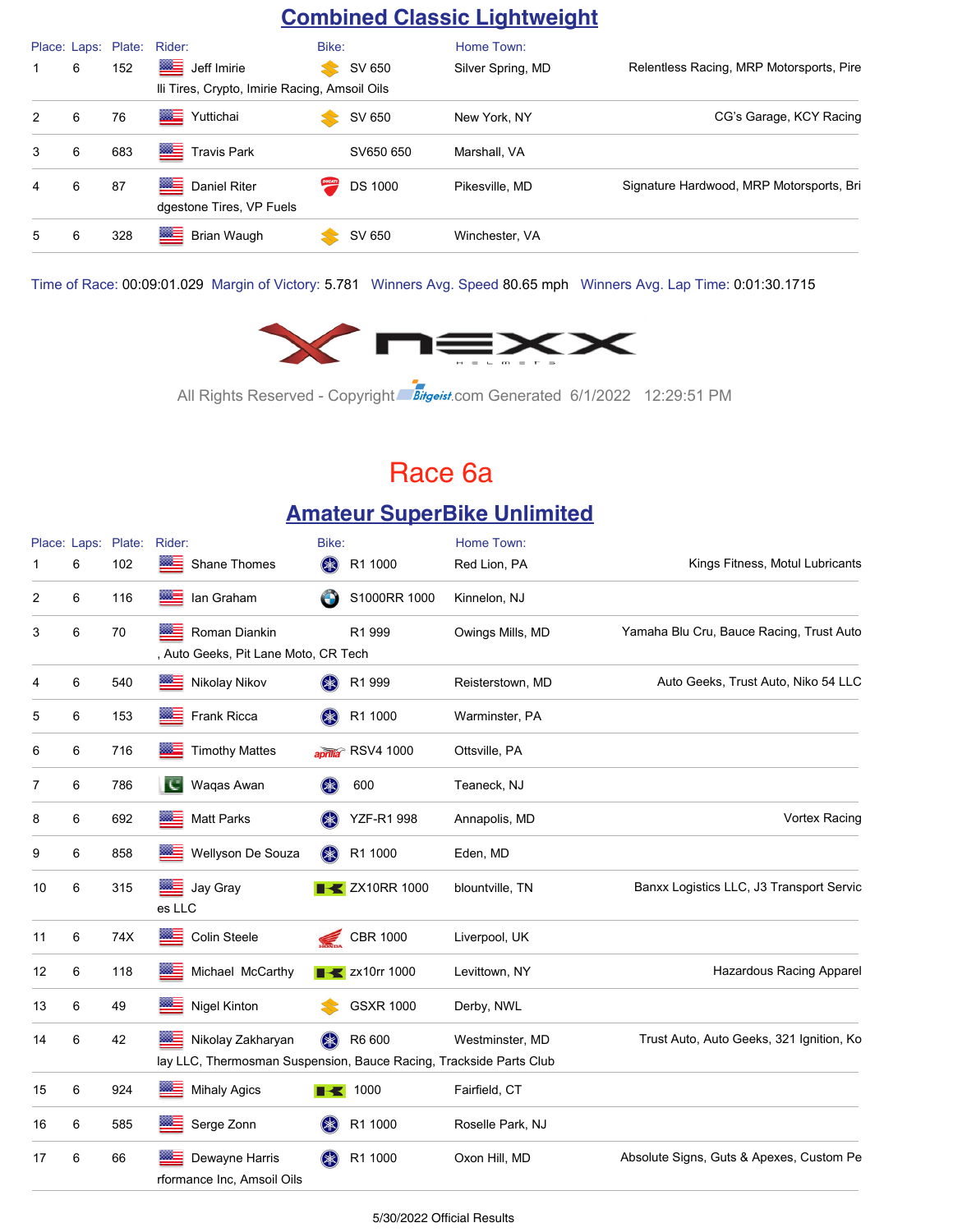### **Combined Classic Lightweight**

|   |   | Place: Laps: Plate: | Rider:                                                | Bike:  |                | Home Town:        |                                          |
|---|---|---------------------|-------------------------------------------------------|--------|----------------|-------------------|------------------------------------------|
| 1 | 6 | 152                 | ▩≣<br>Jeff Imirie                                     |        | SV 650         | Silver Spring, MD | Relentless Racing, MRP Motorsports, Pire |
|   |   |                     | Ili Tires, Crypto, Imirie Racing, Amsoil Oils         |        |                |                   |                                          |
| 2 | 6 | 76                  | <b>MAGES</b><br>Yuttichai                             |        | SV 650         | New York, NY      | CG's Garage, KCY Racing                  |
| 3 | 6 | 683                 | ▩≣<br><b>Travis Park</b>                              |        | SV650 650      | Marshall, VA      |                                          |
| 4 | 6 | 87                  | ▩▤<br><b>Daniel Riter</b><br>dgestone Tires, VP Fuels | DUCATI | <b>DS 1000</b> | Pikesville, MD    | Signature Hardwood, MRP Motorsports, Bri |
| 5 | 6 | 328                 | ▩≡<br>Brian Waugh                                     |        | SV 650         | Winchester, VA    |                                          |

Time of Race: 00:09:01.029 Margin of Victory: 5.781 Winners Avg. Speed 80.65 mph Winners Avg. Lap Time: 0:01:30.1715



All Rights Reserved - Copyright Bitgeist.com Generated 6/1/2022 12:29:51 PM

### Race 6a

#### **Amateur SuperBike Unlimited**

|    |   | Place: Laps: Plate: | Rider:                                                                                  | Bike:              |                                   | Home Town:       |                                          |
|----|---|---------------------|-----------------------------------------------------------------------------------------|--------------------|-----------------------------------|------------------|------------------------------------------|
|    | 6 | 102                 | Shane Thomes                                                                            | $(*$               | R1 1000                           | Red Lion, PA     | Kings Fitness, Motul Lubricants          |
| 2  | 6 | 116                 | 怒言<br>lan Graham                                                                        | $\bigodot$         | S1000RR 1000                      | Kinnelon, NJ     |                                          |
| 3  | 6 | 70                  | Roman Diankin<br>▩≘<br>, Auto Geeks, Pit Lane Moto, CR Tech                             |                    | R1 999                            | Owings Mills, MD | Yamaha Blu Cru, Bauce Racing, Trust Auto |
| 4  | 6 | 540                 | Nikolay Nikov                                                                           | (≱≲)               | R1 999                            | Reisterstown, MD | Auto Geeks, Trust Auto, Niko 54 LLC      |
| 5  | 6 | 153                 | Frank Ricca<br>▩⋶                                                                       | $(* )$             | R1 1000                           | Warminster, PA   |                                          |
| 6  | 6 | 716                 | <b>Timothy Mattes</b><br><b>BBC</b>                                                     |                    | aprilla <sup>®</sup> RSV4 1000    | Ottsville, PA    |                                          |
| 7  | 6 | 786                 | Waqas Awan<br>TC.                                                                       |                    | 600                               | Teaneck, NJ      |                                          |
| 8  | 6 | 692                 | <b>Matt Parks</b>                                                                       |                    | <b>YZF-R1 998</b>                 | Annapolis, MD    | <b>Vortex Racing</b>                     |
| 9  | 6 | 858                 | Wellyson De Souza                                                                       | (米)                | R1 1000                           | Eden, MD         |                                          |
| 10 | 6 | 315                 | Jay Gray<br>es LLC                                                                      |                    | $\blacktriangleright$ ZX10RR 1000 | blountville, TN  | Banxx Logistics LLC, J3 Transport Servic |
| 11 | 6 | 74X                 | Colin Steele<br>⋙                                                                       | ⋹                  | <b>CBR 1000</b>                   | Liverpool, UK    |                                          |
| 12 | 6 | 118                 | Michael McCarthy<br>$\infty$ .                                                          |                    | $\blacktriangleright$ zx10rr 1000 | Levittown, NY    | <b>Hazardous Racing Apparel</b>          |
| 13 | 6 | 49                  | Nigel Kinton<br>$m =$                                                                   |                    | <b>GSXR 1000</b>                  | Derby, NWL       |                                          |
| 14 | 6 | 42                  | Nikolay Zakharyan<br>lay LLC, Thermosman Suspension, Bauce Racing, Trackside Parts Club | $(* )$             | R6 600                            | Westminster, MD  | Trust Auto, Auto Geeks, 321 Ignition, Ko |
| 15 | 6 | 924                 | ⋙<br><b>Mihaly Agics</b>                                                                |                    | $\blacktriangleright$ 1000        | Fairfield, CT    |                                          |
| 16 | 6 | 585                 | Serge Zonn                                                                              | $(\divideontimes)$ | R1 1000                           | Roselle Park, NJ |                                          |
| 17 | 6 | 66                  | Dewayne Harris<br>rformance Inc, Amsoil Oils                                            |                    | R1 1000                           | Oxon Hill, MD    | Absolute Signs, Guts & Apexes, Custom Pe |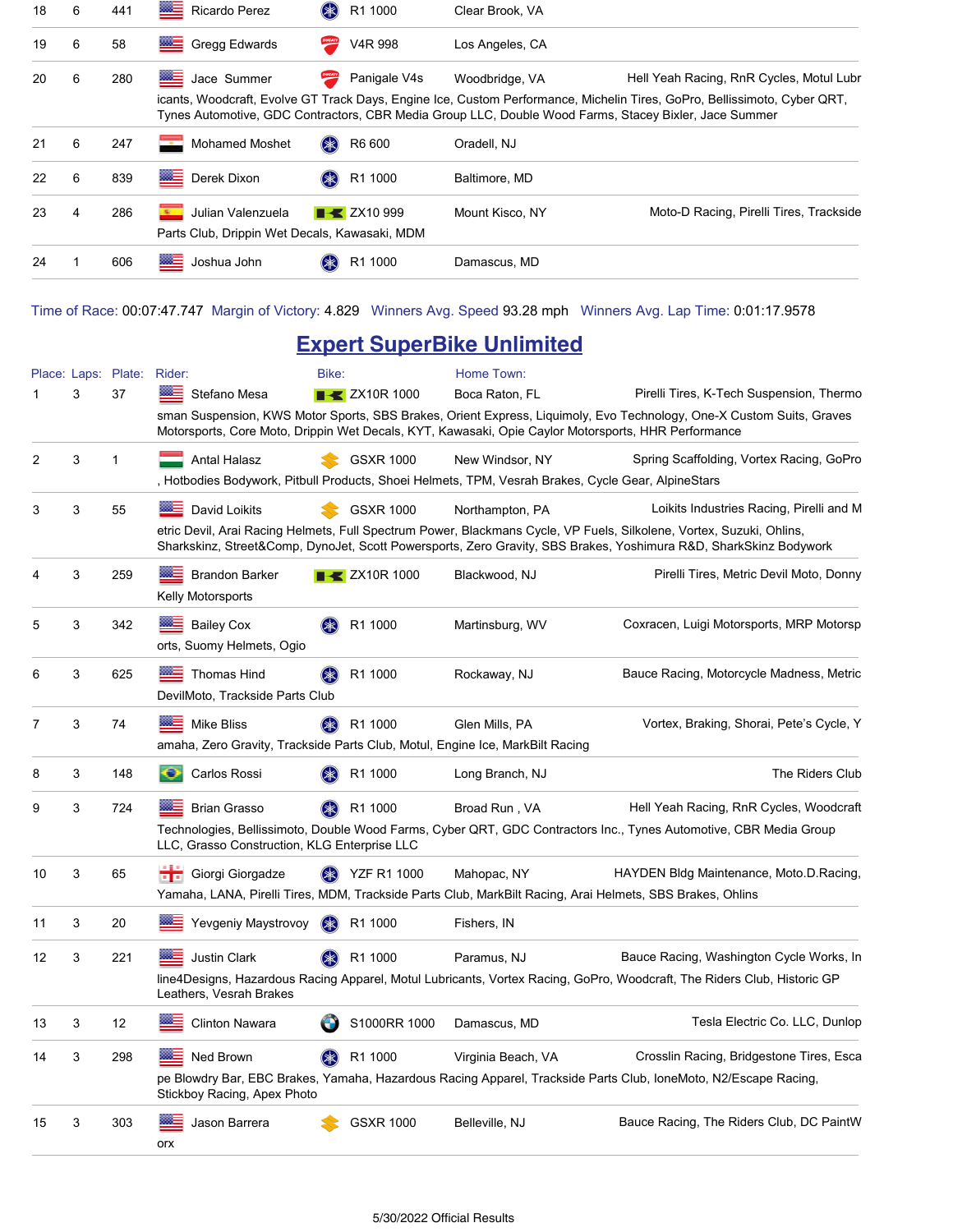| 18 | 6 | 441 | ▩≣<br>Ricardo Perez                           | \$<br>R1 1000                  | Clear Brook, VA |                                                                                                                                                                                                                                   |
|----|---|-----|-----------------------------------------------|--------------------------------|-----------------|-----------------------------------------------------------------------------------------------------------------------------------------------------------------------------------------------------------------------------------|
| 19 | 6 | 58  | 陘<br>Gregg Edwards                            | DUCATI<br>V4R 998              | Los Angeles, CA |                                                                                                                                                                                                                                   |
| 20 | 6 | 280 | Jace Summer                                   | DUCATI<br>Panigale V4s         | Woodbridge, VA  | Hell Yeah Racing, RnR Cycles, Motul Lubr                                                                                                                                                                                          |
|    |   |     |                                               |                                |                 | icants, Woodcraft, Evolve GT Track Days, Engine Ice, Custom Performance, Michelin Tires, GoPro, Bellissimoto, Cyber QRT,<br>Tynes Automotive, GDC Contractors, CBR Media Group LLC, Double Wood Farms, Stacey Bixler, Jace Summer |
| 21 | 6 | 247 | <b>Mohamed Moshet</b><br><b>Commod</b>        | (米)<br>R6 600                  | Oradell, NJ     |                                                                                                                                                                                                                                   |
| 22 | 6 | 839 | ▩≣<br>Derek Dixon                             | (米)<br>R1 1000                 | Baltimore, MD   |                                                                                                                                                                                                                                   |
| 23 | 4 | 286 | Julian Valenzuela<br>nia.                     | $\blacktriangleright$ ZX10 999 | Mount Kisco, NY | Moto-D Racing, Pirelli Tires, Trackside                                                                                                                                                                                           |
|    |   |     | Parts Club, Drippin Wet Decals, Kawasaki, MDM |                                |                 |                                                                                                                                                                                                                                   |
| 24 |   | 606 | ▩∃<br>Joshua John                             | R1 1000                        | Damascus, MD    |                                                                                                                                                                                                                                   |

Time of Race: 00:07:47.747 Margin of Victory: 4.829 Winners Avg. Speed 93.28 mph Winners Avg. Lap Time: 0:01:17.9578

### **Expert SuperBike Unlimited**

|    |   | Place: Laps: Plate: Rider: |                                                                               | Bike:                            | Home Town:                                                                                                |                                                                                                                                                                                                                                           |
|----|---|----------------------------|-------------------------------------------------------------------------------|----------------------------------|-----------------------------------------------------------------------------------------------------------|-------------------------------------------------------------------------------------------------------------------------------------------------------------------------------------------------------------------------------------------|
|    | 3 | 37                         | Stefano Mesa                                                                  | <b>EX</b> ZX10R 1000             | Boca Raton, FL                                                                                            | Pirelli Tires, K-Tech Suspension, Thermo                                                                                                                                                                                                  |
|    |   |                            |                                                                               |                                  | Motorsports, Core Moto, Drippin Wet Decals, KYT, Kawasaki, Opie Caylor Motorsports, HHR Performance       | sman Suspension, KWS Motor Sports, SBS Brakes, Orient Express, Liquimoly, Evo Technology, One-X Custom Suits, Graves                                                                                                                      |
| 2  | 3 | 1                          | <b>Antal Halasz</b>                                                           | <b>GSXR 1000</b>                 | New Windsor, NY                                                                                           | Spring Scaffolding, Vortex Racing, GoPro                                                                                                                                                                                                  |
|    |   |                            |                                                                               |                                  | , Hotbodies Bodywork, Pitbull Products, Shoei Helmets, TPM, Vesrah Brakes, Cycle Gear, AlpineStars        |                                                                                                                                                                                                                                           |
| 3  | 3 | 55                         | David Loikits                                                                 | <b>GSXR 1000</b>                 | Northampton, PA                                                                                           | Loikits Industries Racing, Pirelli and M                                                                                                                                                                                                  |
|    |   |                            |                                                                               |                                  |                                                                                                           | etric Devil, Arai Racing Helmets, Full Spectrum Power, Blackmans Cycle, VP Fuels, Silkolene, Vortex, Suzuki, Ohlins,<br>Sharkskinz, Street&Comp, DynoJet, Scott Powersports, Zero Gravity, SBS Brakes, Yoshimura R&D, SharkSkinz Bodywork |
| 4  | 3 | 259                        | <b>Brandon Barker</b>                                                         | $\blacktriangleright$ ZX10R 1000 | Blackwood, NJ                                                                                             | Pirelli Tires, Metric Devil Moto, Donny                                                                                                                                                                                                   |
|    |   |                            | Kelly Motorsports                                                             |                                  |                                                                                                           |                                                                                                                                                                                                                                           |
| 5  | 3 | 342                        | <b>Bailey Cox</b>                                                             | R1 1000                          | Martinsburg, WV                                                                                           | Coxracen, Luigi Motorsports, MRP Motorsp                                                                                                                                                                                                  |
|    |   |                            | orts, Suomy Helmets, Ogio                                                     |                                  |                                                                                                           |                                                                                                                                                                                                                                           |
| 6  | 3 | 625                        | Thomas Hind                                                                   | R1 1000                          | Rockaway, NJ                                                                                              | Bauce Racing, Motorcycle Madness, Metric                                                                                                                                                                                                  |
|    |   |                            | DevilMoto, Trackside Parts Club                                               |                                  |                                                                                                           |                                                                                                                                                                                                                                           |
| 7  | 3 | 74                         | <b>Mike Bliss</b>                                                             | R1 1000                          | Glen Mills, PA                                                                                            | Vortex, Braking, Shorai, Pete's Cycle, Y                                                                                                                                                                                                  |
|    |   |                            | amaha, Zero Gravity, Trackside Parts Club, Motul, Engine Ice, MarkBilt Racing |                                  |                                                                                                           |                                                                                                                                                                                                                                           |
| 8  | 3 | 148                        | Carlos Rossi                                                                  | R1 1000                          | Long Branch, NJ                                                                                           | The Riders Club                                                                                                                                                                                                                           |
| 9  | 3 | 724                        | <b>Brian Grasso</b>                                                           | R1 1000                          | Broad Run, VA                                                                                             | Hell Yeah Racing, RnR Cycles, Woodcraft                                                                                                                                                                                                   |
|    |   |                            | LLC, Grasso Construction, KLG Enterprise LLC                                  |                                  |                                                                                                           | Technologies, Bellissimoto, Double Wood Farms, Cyber QRT, GDC Contractors Inc., Tynes Automotive, CBR Media Group                                                                                                                         |
| 10 | 3 | 65                         | <b>High</b> Giorgi Giorgadze                                                  | <b>YZF R1 1000</b>               | Mahopac, NY                                                                                               | HAYDEN Bldg Maintenance, Moto.D.Racing,                                                                                                                                                                                                   |
|    |   |                            |                                                                               |                                  | Yamaha, LANA, Pirelli Tires, MDM, Trackside Parts Club, MarkBilt Racing, Arai Helmets, SBS Brakes, Ohlins |                                                                                                                                                                                                                                           |
| 11 | 3 | 20                         | Yevgeniy Maystrovoy                                                           | R <sub>1</sub> 1000              | Fishers, IN                                                                                               |                                                                                                                                                                                                                                           |
| 12 | 3 | 221                        | ⋙<br><b>Justin Clark</b>                                                      | R1 1000                          | Paramus, NJ                                                                                               | Bauce Racing, Washington Cycle Works, In                                                                                                                                                                                                  |
|    |   |                            | Leathers, Vesrah Brakes                                                       |                                  |                                                                                                           | line4Designs, Hazardous Racing Apparel, Motul Lubricants, Vortex Racing, GoPro, Woodcraft, The Riders Club, Historic GP                                                                                                                   |
| 13 | 3 | 12                         | <b>Clinton Nawara</b>                                                         | S1000RR 1000                     | Damascus, MD                                                                                              | Tesla Electric Co. LLC, Dunlop                                                                                                                                                                                                            |
| 14 | 3 | 298                        | Ned Brown                                                                     | R1 1000                          | Virginia Beach, VA                                                                                        | Crosslin Racing, Bridgestone Tires, Esca                                                                                                                                                                                                  |
|    |   |                            | Stickboy Racing, Apex Photo                                                   |                                  |                                                                                                           | pe Blowdry Bar, EBC Brakes, Yamaha, Hazardous Racing Apparel, Trackside Parts Club, IoneMoto, N2/Escape Racing,                                                                                                                           |
| 15 | 3 | 303                        | Jason Barrera                                                                 | <b>GSXR 1000</b>                 | Belleville, NJ                                                                                            | Bauce Racing, The Riders Club, DC PaintW                                                                                                                                                                                                  |
|    |   |                            | orx                                                                           |                                  |                                                                                                           |                                                                                                                                                                                                                                           |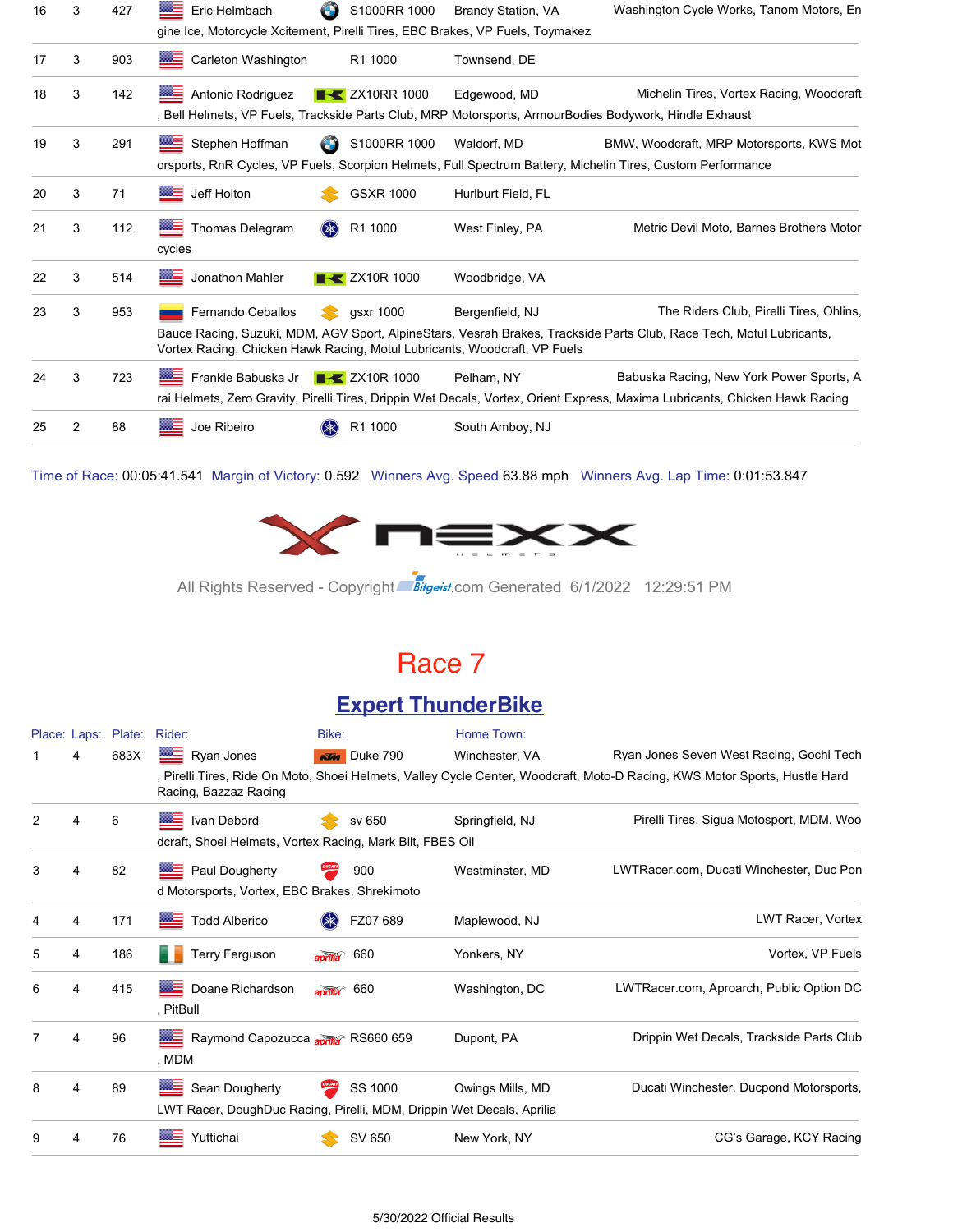| 16 | 3 | 427 | Eric Helmbach                                                                                  | S1000RR 1000                     | <b>Brandy Station, VA</b> | Washington Cycle Works, Tanom Motors, En                                                                                                                                 |
|----|---|-----|------------------------------------------------------------------------------------------------|----------------------------------|---------------------------|--------------------------------------------------------------------------------------------------------------------------------------------------------------------------|
|    |   |     | gine Ice, Motorcycle Xcitement, Pirelli Tires, EBC Brakes, VP Fuels, Toymakez                  |                                  |                           |                                                                                                                                                                          |
| 17 | 3 | 903 | 签三<br>Carleton Washington                                                                      | R1 1000                          | Townsend, DE              |                                                                                                                                                                          |
| 18 | 3 | 142 | ▩∃<br>Antonio Rodriguez                                                                        | <b>EXAMPLE 2X10RR 1000</b>       | Edgewood, MD              | Michelin Tires, Vortex Racing, Woodcraft<br>, Bell Helmets, VP Fuels, Trackside Parts Club, MRP Motorsports, ArmourBodies Bodywork, Hindle Exhaust                       |
| 19 | 3 | 291 | ▓▆<br>Stephen Hoffman                                                                          | S1000RR 1000<br>O                | Waldorf, MD               | BMW, Woodcraft, MRP Motorsports, KWS Mot<br>orsports, RnR Cycles, VP Fuels, Scorpion Helmets, Full Spectrum Battery, Michelin Tires, Custom Performance                  |
| 20 | 3 | 71  | <b>BEE</b> Jeff Holton                                                                         | <b>GSXR 1000</b>                 | Hurlburt Field, FL        |                                                                                                                                                                          |
| 21 | 3 | 112 | Thomas Delegram<br>cycles                                                                      | $(* )$<br>R1 1000                | West Finley, PA           | Metric Devil Moto, Barnes Brothers Motor                                                                                                                                 |
| 22 | 3 | 514 | <b>MAGE</b><br>Jonathon Mahler                                                                 | $\blacktriangleright$ ZX10R 1000 | Woodbridge, VA            |                                                                                                                                                                          |
| 23 | 3 | 953 | Fernando Ceballos<br>Vortex Racing, Chicken Hawk Racing, Motul Lubricants, Woodcraft, VP Fuels | qsxr 1000                        | Bergenfield, NJ           | The Riders Club, Pirelli Tires, Ohlins,<br>Bauce Racing, Suzuki, MDM, AGV Sport, AlpineStars, Vesrah Brakes, Trackside Parts Club, Race Tech, Motul Lubricants,          |
| 24 | 3 | 723 | Frankie Babuska Jr <b>+ ZX10R1000</b>                                                          |                                  | Pelham, NY                | Babuska Racing, New York Power Sports, A<br>rai Helmets, Zero Gravity, Pirelli Tires, Drippin Wet Decals, Vortex, Orient Express, Maxima Lubricants, Chicken Hawk Racing |
| 25 | 2 | 88  | Joe Ribeiro                                                                                    | R1 1000                          | South Amboy, NJ           |                                                                                                                                                                          |

Time of Race: 00:05:41.541 Margin of Victory: 0.592 Winners Avg. Speed 63.88 mph Winners Avg. Lap Time: 0:01:53.847



All Rights Reserved - Copyright Bitgeist.com Generated 6/1/2022 12:29:51 PM

### Race 7

#### **Expert ThunderBike**

|               | Place: Laps: | Plate: | Rider:                                                                | Bike:                  | Home Town:       |                                                                                                                            |
|---------------|--------------|--------|-----------------------------------------------------------------------|------------------------|------------------|----------------------------------------------------------------------------------------------------------------------------|
|               | 4            | 683X   | Ryan Jones                                                            | <b>KIM</b> Duke 790    | Winchester, VA   | Ryan Jones Seven West Racing, Gochi Tech                                                                                   |
|               |              |        | Racing, Bazzaz Racing                                                 |                        |                  | , Pirelli Tires, Ride On Moto, Shoei Helmets, Valley Cycle Center, Woodcraft, Moto-D Racing, KWS Motor Sports, Hustle Hard |
| $\mathcal{P}$ | 4            | 6      | Ivan Debord                                                           | sv 650                 | Springfield, NJ  | Pirelli Tires, Sigua Motosport, MDM, Woo                                                                                   |
|               |              |        | dcraft, Shoei Helmets, Vortex Racing, Mark Bilt, FBES Oil             |                        |                  |                                                                                                                            |
| 3             | 4            | 82     | <b>REE</b> Paul Dougherty                                             | 900                    | Westminster, MD  | LWTRacer.com, Ducati Winchester, Duc Pon                                                                                   |
|               |              |        | d Motorsports, Vortex, EBC Brakes, Shrekimoto                         |                        |                  |                                                                                                                            |
| 4             | 4            | 171    | <b>Todd Alberico</b><br>                                              | FZ07 689               | Maplewood, NJ    | LWT Racer, Vortex                                                                                                          |
| 5             | 4            | 186    | <b>Terry Ferguson</b>                                                 | 660<br>$\overline{a}$  | Yonkers, NY      | Vortex, VP Fuels                                                                                                           |
| 6             | 4            | 415    | ▩≡<br>Doane Richardson<br>, PitBull                                   | aprilla <sup>660</sup> | Washington, DC   | LWTRacer.com, Aproarch, Public Option DC                                                                                   |
| 7             | 4            | 96     | Raymond Capozucca aprila <sup>&gt;</sup> RS660 659<br>, MDM           |                        | Dupont, PA       | Drippin Wet Decals, Trackside Parts Club                                                                                   |
| 8             | 4            | 89     | ▩▅<br>Sean Dougherty                                                  | SS 1000                | Owings Mills, MD | Ducati Winchester, Ducpond Motorsports,                                                                                    |
|               |              |        | LWT Racer, DoughDuc Racing, Pirelli, MDM, Drippin Wet Decals, Aprilia |                        |                  |                                                                                                                            |
| 9             | 4            | 76     | Yuttichai<br>▩∃                                                       | SV 650                 | New York, NY     | CG's Garage, KCY Racing                                                                                                    |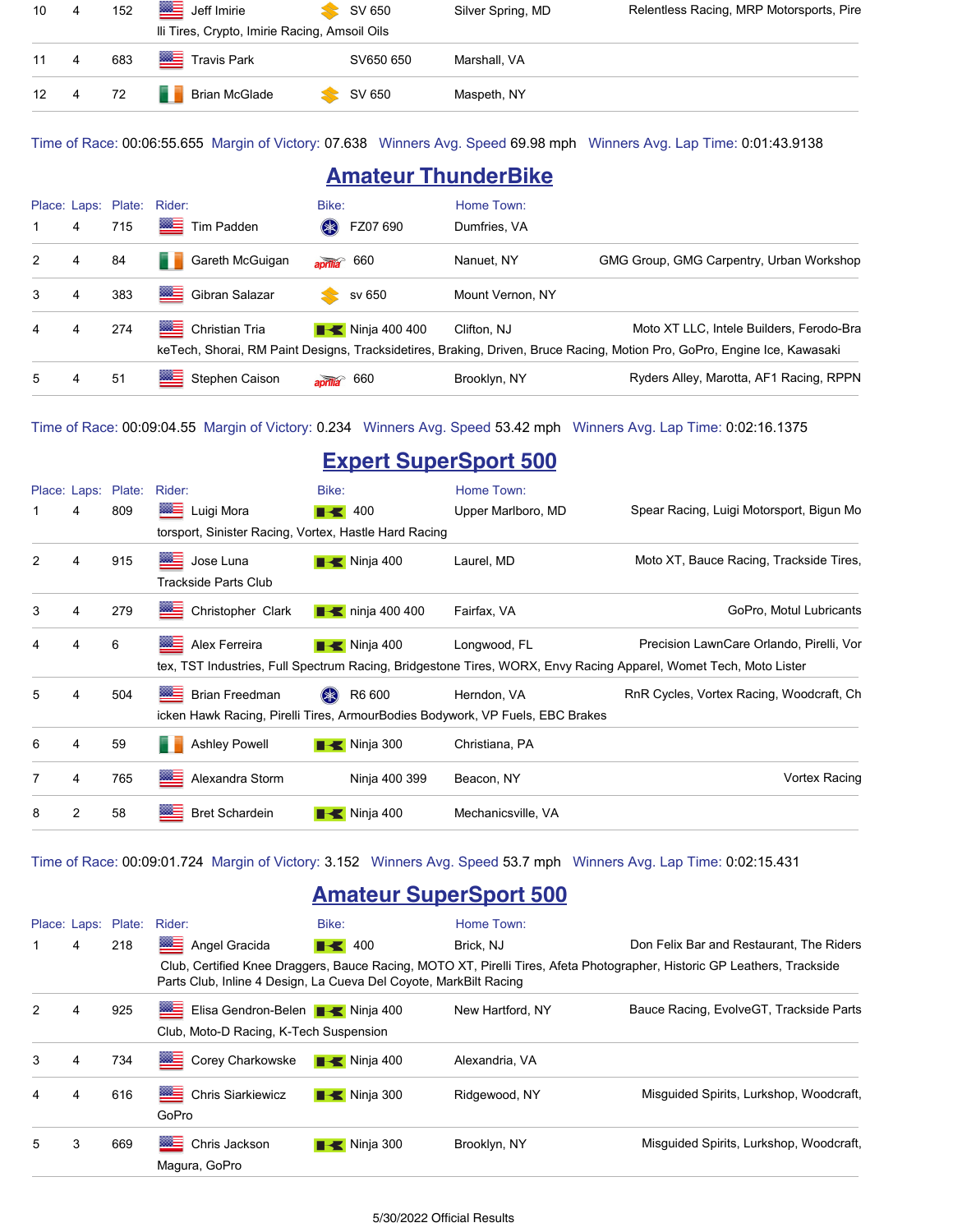| 10        | $\overline{4}$ | 152 | Jeff Imirie                                   | SV 650    | Silver Spring, MD | Relentless Racing, MRP Motorsports, Pire |
|-----------|----------------|-----|-----------------------------------------------|-----------|-------------------|------------------------------------------|
|           |                |     | Ili Tires, Crypto, Imirie Racing, Amsoil Oils |           |                   |                                          |
| $11 \t 4$ |                | 683 | <b>Figure 19</b> Travis Park                  | SV650 650 | Marshall, VA      |                                          |
| 12 4      |                | 72  | <b>Brian McGlade</b>                          | SV 650    | Maspeth, NY       |                                          |

Time of Race: 00:06:55.655 Margin of Victory: 07.638 Winners Avg. Speed 69.98 mph Winners Avg. Lap Time: 0:01:43.9138

### **Amateur ThunderBike**

|                |   |     | Place: Laps: Plate: Rider: | Bike:                               | Home Town:       |                                                                                                                          |
|----------------|---|-----|----------------------------|-------------------------------------|------------------|--------------------------------------------------------------------------------------------------------------------------|
| $\mathbf{1}$   | 4 | 715 | Tim Padden                 | FZ07 690<br>$(* )$                  | Dumfries, VA     |                                                                                                                          |
| $\mathcal{P}$  | 4 | 84  | Gareth McGuigan            | $\frac{1}{2}$ aprilla 660           | Nanuet, NY       | GMG Group, GMG Carpentry, Urban Workshop                                                                                 |
| 3              | 4 | 383 | ▩▬<br>Gibran Salazar       | sv 650                              | Mount Vernon, NY |                                                                                                                          |
| $\overline{4}$ | 4 | 274 | ▩▤<br>Christian Tria       | $\blacktriangleright$ Ninja 400 400 | Clifton, NJ      | Moto XT LLC, Intele Builders, Ferodo-Bra                                                                                 |
|                |   |     |                            |                                     |                  | keTech, Shorai, RM Paint Designs, Tracksidetires, Braking, Driven, Bruce Racing, Motion Pro, GoPro, Engine Ice, Kawasaki |
| 5              | 4 | 51  | ▩∃<br>Stephen Caison       | 660<br>$\overline{apr}$             | Brooklyn, NY     | Ryders Alley, Marotta, AF1 Racing, RPPN                                                                                  |

Time of Race: 00:09:04.55 Margin of Victory: 0.234 Winners Avg. Speed 53.42 mph Winners Avg. Lap Time: 0:02:16.1375

### **Expert SuperSport 500**

|                |   | Place: Laps: Plate: | Rider:                                                | Bike:                        | Home Town:                                                                    |                                                                                                                  |
|----------------|---|---------------------|-------------------------------------------------------|------------------------------|-------------------------------------------------------------------------------|------------------------------------------------------------------------------------------------------------------|
| 1              | 4 | 809                 | <b>WE Luigi Mora</b>                                  | $\parallel$ 400              | Upper Marlboro, MD                                                            | Spear Racing, Luigi Motorsport, Bigun Mo                                                                         |
|                |   |                     | torsport, Sinister Racing, Vortex, Hastle Hard Racing |                              |                                                                               |                                                                                                                  |
| 2              | 4 | 915                 | ▩≣<br>Jose Luna                                       | $\blacksquare$ Ninja 400     | Laurel, MD                                                                    | Moto XT, Bauce Racing, Trackside Tires,                                                                          |
|                |   |                     | <b>Trackside Parts Club</b>                           |                              |                                                                               |                                                                                                                  |
| 3              | 4 | 279                 | ⊟<br>Christopher Clark                                | $\blacksquare$ ninja 400 400 | Fairfax, VA                                                                   | GoPro, Motul Lubricants                                                                                          |
| 4              | 4 | 6                   | ▓▆<br>Alex Ferreira                                   | $\blacksquare$ Ninja 400     | Longwood, FL                                                                  | Precision LawnCare Orlando, Pirelli, Vor                                                                         |
|                |   |                     |                                                       |                              |                                                                               | tex, TST Industries, Full Spectrum Racing, Bridgestone Tires, WORX, Envy Racing Apparel, Womet Tech, Moto Lister |
| 5              | 4 | 504                 | 经生<br><b>Brian Freedman</b>                           | R6 600<br>(米)                | Herndon, VA                                                                   | RnR Cycles, Vortex Racing, Woodcraft, Ch.                                                                        |
|                |   |                     |                                                       |                              | icken Hawk Racing, Pirelli Tires, ArmourBodies Bodywork, VP Fuels, EBC Brakes |                                                                                                                  |
| 6              | 4 | 59                  | <b>Ashley Powell</b>                                  | $\blacksquare$ Ninja 300     | Christiana, PA                                                                |                                                                                                                  |
| $\overline{7}$ | 4 | 765                 | ▨≘<br>Alexandra Storm                                 | Ninja 400 399                | Beacon, NY                                                                    | Vortex Racing                                                                                                    |
| 8              | 2 | 58                  | <b>Bret Schardein</b>                                 | $\blacksquare$ Ninja 400     | Mechanicsville, VA                                                            |                                                                                                                  |

#### Time of Race: 00:09:01.724 Margin of Victory: 3.152 Winners Avg. Speed 53.7 mph Winners Avg. Lap Time: 0:02:15.431

### **Amateur SuperSport 500**

|   |   | Place: Laps: Plate: | Rider:                                                            | Bike:                     | Home Town:       |                                                                                                                          |
|---|---|---------------------|-------------------------------------------------------------------|---------------------------|------------------|--------------------------------------------------------------------------------------------------------------------------|
| 1 | 4 | 218                 | ▩≣<br>Angel Gracida                                               | $\blacktriangleright$ 400 | Brick, NJ        | Don Felix Bar and Restaurant, The Riders                                                                                 |
|   |   |                     | Parts Club, Inline 4 Design, La Cueva Del Coyote, MarkBilt Racing |                           |                  | Club, Certified Knee Draggers, Bauce Racing, MOTO XT, Pirelli Tires, Afeta Photographer, Historic GP Leathers, Trackside |
| 2 | 4 | 925                 | Elisa Gendron-Belen <b>+ K</b> Ninja 400                          |                           | New Hartford, NY | Bauce Racing, EvolveGT, Trackside Parts                                                                                  |
|   |   |                     | Club, Moto-D Racing, K-Tech Suspension                            |                           |                  |                                                                                                                          |
| 3 | 4 | 734                 | ▩<br>Corey Charkowske                                             | $\blacksquare$ Ninja 400  | Alexandria, VA   |                                                                                                                          |
| 4 | 4 | 616                 | <b>BALL</b><br><b>Chris Siarkiewicz</b><br>GoPro                  | $\blacksquare$ Ninja 300  | Ridgewood, NY    | Misquided Spirits, Lurkshop, Woodcraft,                                                                                  |
| 5 | 3 | 669                 | <u> WE</u><br>Chris Jackson<br>Magura, GoPro                      | $\blacksquare$ Ninja 300  | Brooklyn, NY     | Misquided Spirits, Lurkshop, Woodcraft,                                                                                  |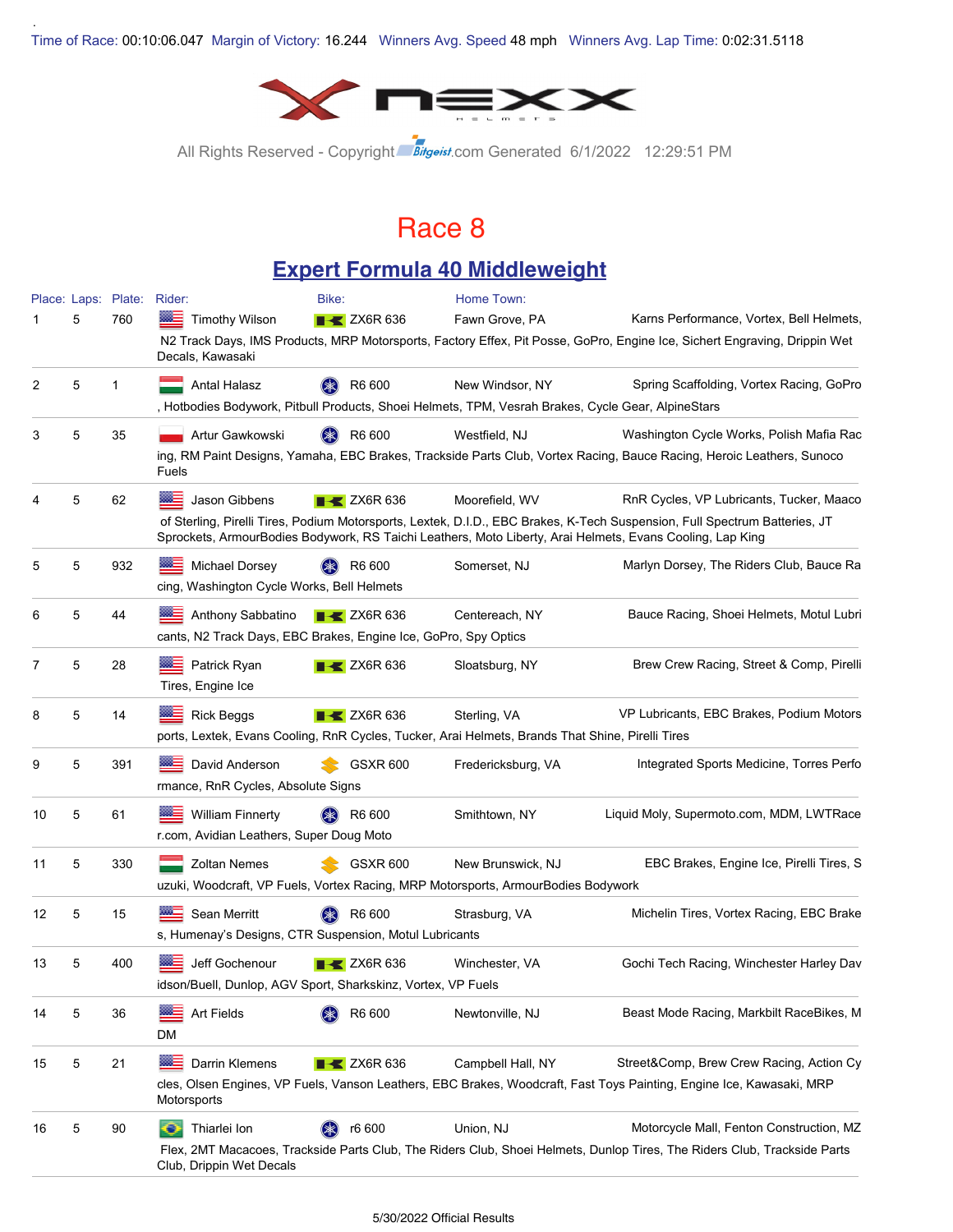.



All Rights Reserved - Copyright Bitgeist.com Generated 6/1/2022 12:29:51 PM

### Race 8

#### **Expert Formula 40 Middleweight**

|    |   | Place: Laps: Plate: | Rider:                                                                                             | Bike:                          | Home Town:         |                                                                                                                                                                                                                                         |
|----|---|---------------------|----------------------------------------------------------------------------------------------------|--------------------------------|--------------------|-----------------------------------------------------------------------------------------------------------------------------------------------------------------------------------------------------------------------------------------|
|    | 5 | 760                 | <b>Timothy Wilson</b>                                                                              | $\triangleright$ ZX6R 636      | Fawn Grove, PA     | Karns Performance, Vortex, Bell Helmets,                                                                                                                                                                                                |
|    |   |                     | Decals, Kawasaki                                                                                   |                                |                    | N2 Track Days, IMS Products, MRP Motorsports, Factory Effex, Pit Posse, GoPro, Engine Ice, Sichert Engraving, Drippin Wet                                                                                                               |
| 2  | 5 | 1                   | <b>Antal Halasz</b>                                                                                | R6 600<br>$(\divideontimes)$   | New Windsor, NY    | Spring Scaffolding, Vortex Racing, GoPro                                                                                                                                                                                                |
|    |   |                     | , Hotbodies Bodywork, Pitbull Products, Shoei Helmets, TPM, Vesrah Brakes, Cycle Gear, AlpineStars |                                |                    |                                                                                                                                                                                                                                         |
| 3  | 5 | 35                  | Artur Gawkowski                                                                                    | R6 600                         | Westfield, NJ      | Washington Cycle Works, Polish Mafia Rac                                                                                                                                                                                                |
|    |   |                     | Fuels                                                                                              |                                |                    | ing, RM Paint Designs, Yamaha, EBC Brakes, Trackside Parts Club, Vortex Racing, Bauce Racing, Heroic Leathers, Sunoco                                                                                                                   |
| 4  | 5 | 62                  | ⋙≡<br>Jason Gibbens                                                                                | $\triangleright$ ZX6R 636      | Moorefield, WV     | RnR Cycles, VP Lubricants, Tucker, Maaco                                                                                                                                                                                                |
|    |   |                     |                                                                                                    |                                |                    | of Sterling, Pirelli Tires, Podium Motorsports, Lextek, D.I.D., EBC Brakes, K-Tech Suspension, Full Spectrum Batteries, JT<br>Sprockets, ArmourBodies Bodywork, RS Taichi Leathers, Moto Liberty, Arai Helmets, Evans Cooling, Lap King |
| 5  | 5 | 932                 | Michael Dorsey                                                                                     | R6 600                         | Somerset, NJ       | Marlyn Dorsey, The Riders Club, Bauce Ra                                                                                                                                                                                                |
|    |   |                     | cing, Washington Cycle Works, Bell Helmets                                                         |                                |                    |                                                                                                                                                                                                                                         |
| 6  | 5 | 44                  | Anthony Sabbatino                                                                                  | $\blacktriangleright$ ZX6R 636 | Centereach, NY     | Bauce Racing, Shoei Helmets, Motul Lubri                                                                                                                                                                                                |
|    |   |                     | cants, N2 Track Days, EBC Brakes, Engine Ice, GoPro, Spy Optics                                    |                                |                    |                                                                                                                                                                                                                                         |
| 7  | 5 | 28                  | Patrick Ryan                                                                                       | $\blacktriangleright$ ZX6R 636 | Sloatsburg, NY     | Brew Crew Racing, Street & Comp, Pirelli                                                                                                                                                                                                |
|    |   |                     | Tires, Engine Ice                                                                                  |                                |                    |                                                                                                                                                                                                                                         |
| 8  | 5 | 14                  | <b>Rick Beggs</b>                                                                                  | $\triangleright$ ZX6R 636      | Sterling, VA       | VP Lubricants, EBC Brakes, Podium Motors                                                                                                                                                                                                |
|    |   |                     | ports, Lextek, Evans Cooling, RnR Cycles, Tucker, Arai Helmets, Brands That Shine, Pirelli Tires   |                                |                    |                                                                                                                                                                                                                                         |
| 9  | 5 | 391                 | David Anderson                                                                                     | <b>GSXR 600</b>                | Fredericksburg, VA | Integrated Sports Medicine, Torres Perfo                                                                                                                                                                                                |
|    |   |                     | rmance, RnR Cycles, Absolute Signs                                                                 |                                |                    |                                                                                                                                                                                                                                         |
| 10 | 5 | 61                  | <b>William Finnerty</b>                                                                            | R6 600                         | Smithtown, NY      | Liquid Moly, Supermoto.com, MDM, LWTRace                                                                                                                                                                                                |
|    |   |                     | r.com, Avidian Leathers, Super Doug Moto                                                           |                                |                    |                                                                                                                                                                                                                                         |
| 11 | 5 | 330                 | <b>Zoltan Nemes</b>                                                                                | <b>GSXR 600</b>                | New Brunswick, NJ  | EBC Brakes, Engine Ice, Pirelli Tires, S                                                                                                                                                                                                |
|    |   |                     | uzuki, Woodcraft, VP Fuels, Vortex Racing, MRP Motorsports, ArmourBodies Bodywork                  |                                |                    |                                                                                                                                                                                                                                         |
| 12 | 5 | 15                  | Sean Merritt                                                                                       | R6 600                         | Strasburg, VA      | Michelin Tires, Vortex Racing, EBC Brake                                                                                                                                                                                                |
|    |   |                     | s, Humenay's Designs, CTR Suspension, Motul Lubricants                                             |                                |                    |                                                                                                                                                                                                                                         |
| 13 | 5 | 400                 | Jeff Gochenour                                                                                     | $\mathsf{R}$ ZX6R 636          | Winchester, VA     | Gochi Tech Racing, Winchester Harley Dav                                                                                                                                                                                                |
|    |   |                     | idson/Buell, Dunlop, AGV Sport, Sharkskinz, Vortex, VP Fuels                                       |                                |                    |                                                                                                                                                                                                                                         |
| 14 | 5 | 36                  | <b>Art Fields</b>                                                                                  | R6 600                         | Newtonville, NJ    | Beast Mode Racing, Markbilt RaceBikes, M                                                                                                                                                                                                |
|    |   |                     | DM                                                                                                 |                                |                    |                                                                                                                                                                                                                                         |
| 15 | 5 | 21                  | Darrin Klemens<br>▩≘                                                                               | $\blacktriangleright$ ZX6R 636 | Campbell Hall, NY  | Street&Comp, Brew Crew Racing, Action Cy                                                                                                                                                                                                |
|    |   |                     | Motorsports                                                                                        |                                |                    | cles, Olsen Engines, VP Fuels, Vanson Leathers, EBC Brakes, Woodcraft, Fast Toys Painting, Engine Ice, Kawasaki, MRP                                                                                                                    |
| 16 | 5 | 90                  | Thiarlei Ion<br>о                                                                                  | r6 600                         | Union, NJ          | Motorcycle Mall, Fenton Construction, MZ                                                                                                                                                                                                |
|    |   |                     | Club, Drippin Wet Decals                                                                           |                                |                    | Flex, 2MT Macacoes, Trackside Parts Club, The Riders Club, Shoei Helmets, Dunlop Tires, The Riders Club, Trackside Parts                                                                                                                |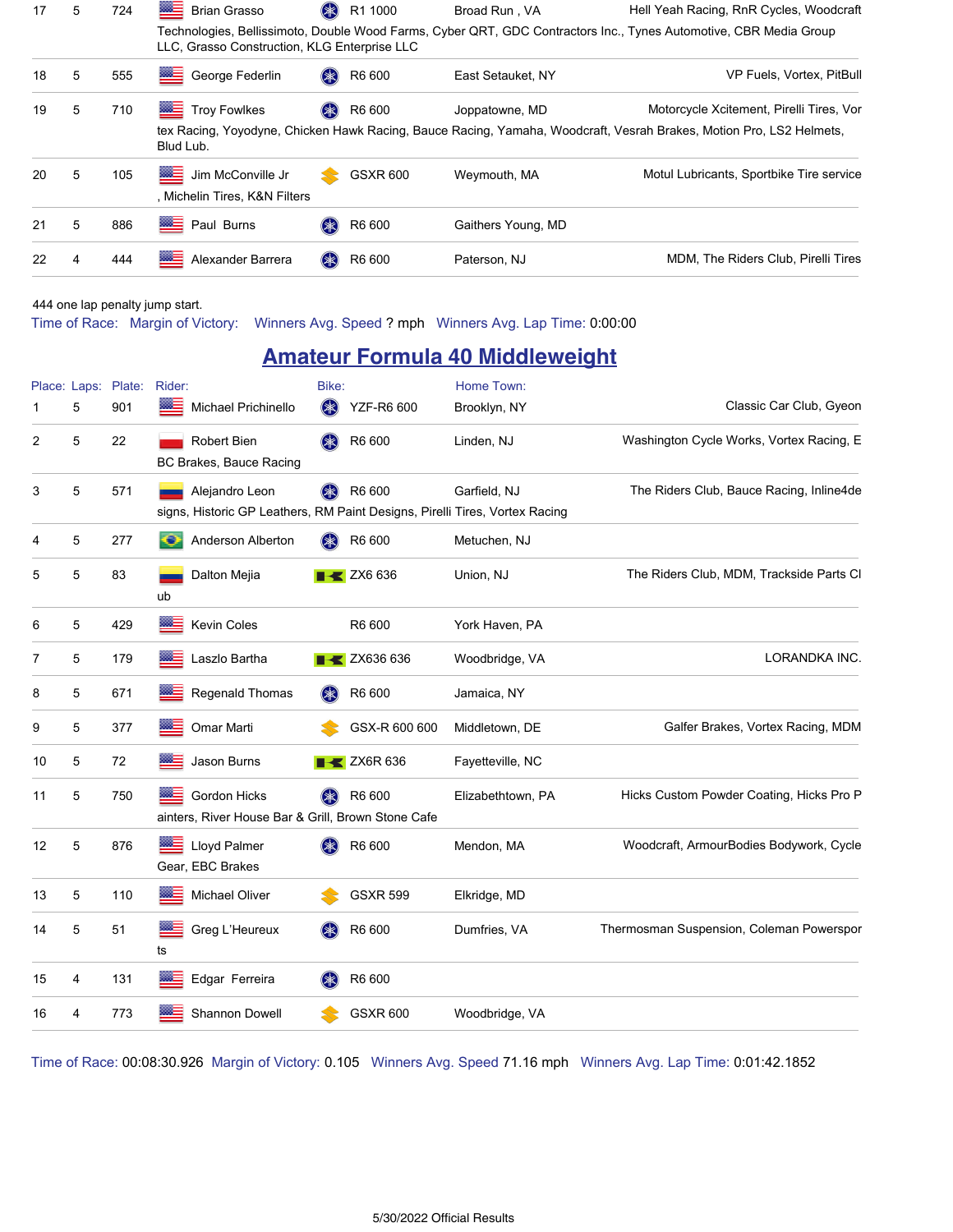| 17 | 5 | 724 | ▩≣<br><b>Brian Grasso</b>                          | \$<br>R1 1000    | Broad Run, VA      | Hell Yeah Racing, RnR Cycles, Woodcraft                                                                                                                         |
|----|---|-----|----------------------------------------------------|------------------|--------------------|-----------------------------------------------------------------------------------------------------------------------------------------------------------------|
|    |   |     | LLC, Grasso Construction, KLG Enterprise LLC       |                  |                    | Technologies, Bellissimoto, Double Wood Farms, Cyber QRT, GDC Contractors Inc., Tynes Automotive, CBR Media Group                                               |
| 18 | 5 | 555 | ▩≘<br>George Federlin                              | R6 600<br>$(* )$ | East Setauket, NY  | VP Fuels, Vortex, PitBull                                                                                                                                       |
| 19 | 5 | 710 | <b>ME</b><br><b>Troy Fowlkes</b><br>Blud Lub.      | $(* )$<br>R6 600 | Joppatowne, MD     | Motorcycle Xcitement, Pirelli Tires, Vor<br>tex Racing, Yoyodyne, Chicken Hawk Racing, Bauce Racing, Yamaha, Woodcraft, Vesrah Brakes, Motion Pro, LS2 Helmets, |
| 20 | 5 | 105 | Jim McConville Jr<br>, Michelin Tires, K&N Filters | <b>GSXR 600</b>  | Weymouth, MA       | Motul Lubricants, Sportbike Tire service                                                                                                                        |
| 21 | 5 | 886 | <b>BEE</b> Paul Burns                              | R6 600<br>$(* )$ | Gaithers Young, MD |                                                                                                                                                                 |
| 22 | 4 | 444 | ▩≣<br>Alexander Barrera                            | R6 600<br>$(*$   | Paterson, NJ       | MDM, The Riders Club, Pirelli Tires                                                                                                                             |

444 one lap penalty jump start.

Time of Race: Margin of Victory: Winners Avg. Speed ? mph Winners Avg. Lap Time: 0:00:00

### **Amateur Formula 40 Middleweight**

| 1  | Place: Laps:<br>5 | Plate:<br>901 | Rider:<br>▩≡<br>Michael Prichinello                                                           | Bike:<br>$(* )$    | <b>YZF-R6 600</b>               | Home Town:<br>Brooklyn, NY | Classic Car Club, Gyeon                  |
|----|-------------------|---------------|-----------------------------------------------------------------------------------------------|--------------------|---------------------------------|----------------------------|------------------------------------------|
| 2  | 5                 | 22            | Robert Bien<br>BC Brakes, Bauce Racing                                                        | $(\geqslant)$      | R6 600                          | Linden, NJ                 | Washington Cycle Works, Vortex Racing, E |
| 3  | 5                 | 571           | Alejandro Leon<br>signs, Historic GP Leathers, RM Paint Designs, Pirelli Tires, Vortex Racing | $(* )$             | R6 600                          | Garfield, NJ               | The Riders Club, Bauce Racing, Inline4de |
| 4  | 5                 | 277           | Anderson Alberton<br>o                                                                        | $(\divideontimes)$ | R6 600                          | Metuchen, NJ               |                                          |
| 5  | 5                 | 83            | Dalton Mejia<br>ub                                                                            |                    | $\blacktriangleright$ ZX6 636   | Union, NJ                  | The Riders Club, MDM, Trackside Parts Cl |
| 6  | 5                 | 429           | 886<br>Kevin Coles                                                                            |                    | R6 600                          | York Haven, PA             |                                          |
| 7  | 5                 | 179           | Laszlo Bartha<br>œ.                                                                           |                    | $\blacktriangleright$ ZX636 636 | Woodbridge, VA             | LORANDKA INC.                            |
| 8  | 5                 | 671           | Regenald Thomas                                                                               | (Ж)                | R6 600                          | Jamaica, NY                |                                          |
| 9  | 5                 | 377           | Omar Marti<br>8865                                                                            |                    | GSX-R 600 600                   | Middletown, DE             | Galfer Brakes, Vortex Racing, MDM        |
| 10 | 5                 | 72            | Jason Burns                                                                                   |                    | $\blacktriangleright$ ZX6R 636  | Fayetteville, NC           |                                          |
| 11 | 5                 | 750           | Gordon Hicks<br>ainters, River House Bar & Grill, Brown Stone Cafe                            |                    | R6 600                          | Elizabethtown, PA          | Hicks Custom Powder Coating, Hicks Pro P |
| 12 | 5                 | 876           | Lloyd Palmer<br>Gear, EBC Brakes                                                              |                    | R6 600                          | Mendon, MA                 | Woodcraft, ArmourBodies Bodywork, Cycle  |
| 13 | 5                 | 110           | ▩⊒<br><b>Michael Oliver</b>                                                                   |                    | <b>GSXR 599</b>                 | Elkridge, MD               |                                          |
| 14 | 5                 | 51            | ⋙<br>Greg L'Heureux<br>ts                                                                     |                    | R6 600                          | Dumfries, VA               | Thermosman Suspension, Coleman Powerspor |
| 15 | 4                 | 131           | ▩≘<br>Edgar Ferreira                                                                          |                    | R6 600                          |                            |                                          |
| 16 | 4                 | 773           | Shannon Dowell                                                                                |                    | <b>GSXR 600</b>                 | Woodbridge, VA             |                                          |

Time of Race: 00:08:30.926 Margin of Victory: 0.105 Winners Avg. Speed 71.16 mph Winners Avg. Lap Time: 0:01:42.1852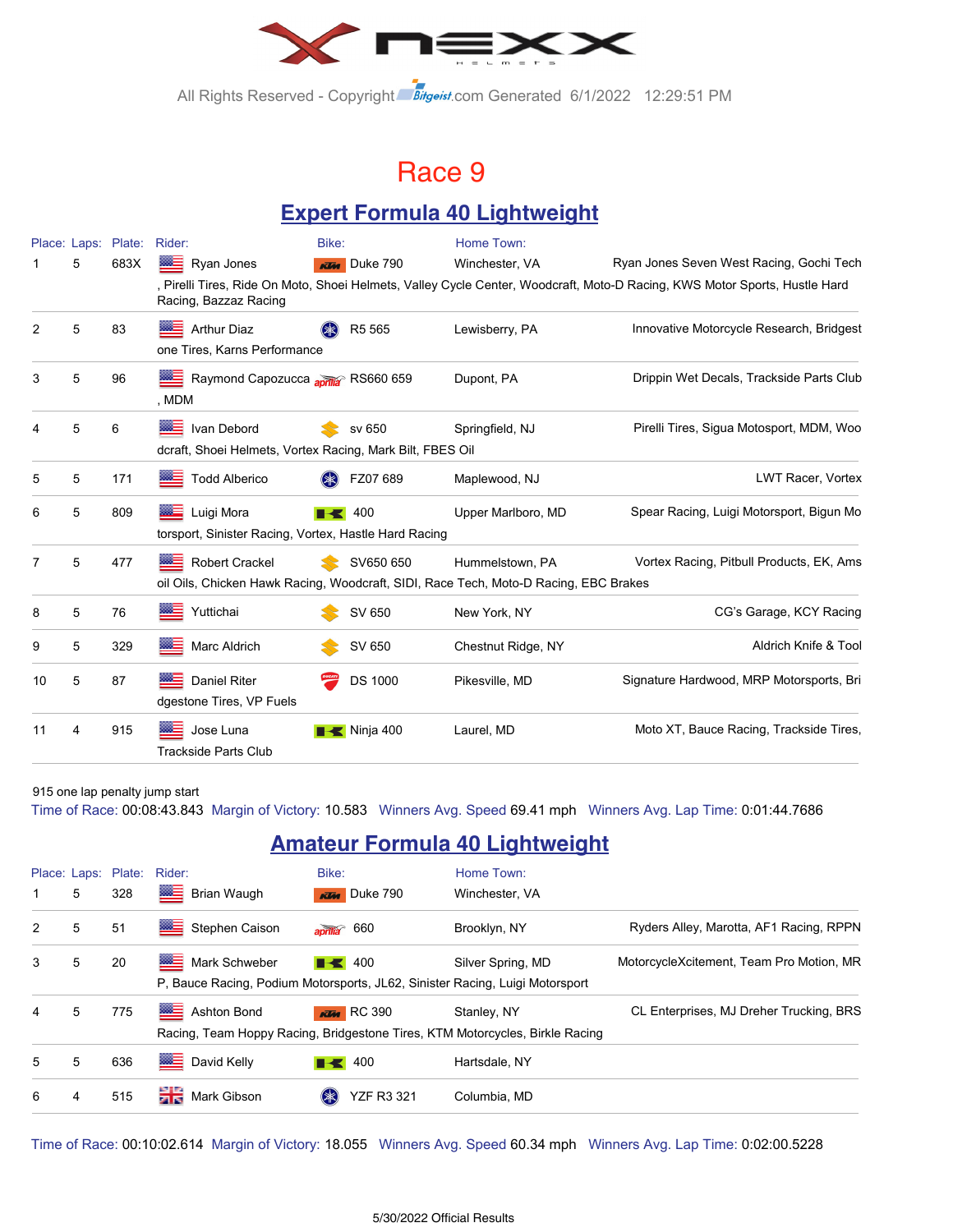

All Rights Reserved - Copyright Bitgeist.com Generated 6/1/2022 12:29:51 PM

### Race 9

### **Expert Formula 40 Lightweight**

|                |   | Place: Laps: Plate: | Rider:                                                                                                        | Bike:               | Home Town:         |                                                                                                                            |
|----------------|---|---------------------|---------------------------------------------------------------------------------------------------------------|---------------------|--------------------|----------------------------------------------------------------------------------------------------------------------------|
|                | 5 | 683X                | ▒≡<br>Ryan Jones                                                                                              | <b>KTM</b> Duke 790 | Winchester, VA     | Ryan Jones Seven West Racing, Gochi Tech                                                                                   |
|                |   |                     | Racing, Bazzaz Racing                                                                                         |                     |                    | , Pirelli Tires, Ride On Moto, Shoei Helmets, Valley Cycle Center, Woodcraft, Moto-D Racing, KWS Motor Sports, Hustle Hard |
| 2              | 5 | 83                  | <b>Arthur Diaz</b><br>one Tires, Karns Performance                                                            | R <sub>5</sub> 565  | Lewisberry, PA     | Innovative Motorcycle Research, Bridgest                                                                                   |
| 3              | 5 | 96                  | Raymond Capozucca april 8 RS660 659<br>, MDM                                                                  |                     | Dupont, PA         | Drippin Wet Decals, Trackside Parts Club                                                                                   |
| 4              | 5 | 6                   | <b>WE Ivan Debord</b><br>dcraft, Shoei Helmets, Vortex Racing, Mark Bilt, FBES Oil                            | sv 650              | Springfield, NJ    | Pirelli Tires, Sigua Motosport, MDM, Woo                                                                                   |
| 5              | 5 | 171                 | <b>Todd Alberico</b>                                                                                          | FZ07 689            | Maplewood, NJ      | LWT Racer, Vortex                                                                                                          |
| 6              | 5 | 809                 | <b>Example</b> Luigi Mora<br>torsport, Sinister Racing, Vortex, Hastle Hard Racing                            | 400                 | Upper Marlboro, MD | Spear Racing, Luigi Motorsport, Bigun Mo                                                                                   |
| $\overline{7}$ | 5 | 477                 | <b>Robert Crackel</b><br>oil Oils, Chicken Hawk Racing, Woodcraft, SIDI, Race Tech, Moto-D Racing, EBC Brakes | SV650 650           | Hummelstown, PA    | Vortex Racing, Pitbull Products, EK, Ams                                                                                   |
| 8              | 5 | 76                  | Yuttichai                                                                                                     | SV 650              | New York, NY       | CG's Garage, KCY Racing                                                                                                    |
| 9              | 5 | 329                 | Marc Aldrich                                                                                                  | SV 650              | Chestnut Ridge, NY | Aldrich Knife & Tool                                                                                                       |
| 10             | 5 | 87                  | <b>BEE</b> Daniel Riter<br>dgestone Tires, VP Fuels                                                           | <b>DS 1000</b>      | Pikesville, MD     | Signature Hardwood, MRP Motorsports, Bri                                                                                   |
| 11             | 4 | 915                 | Jose Luna<br><b>Trackside Parts Club</b>                                                                      | Ninja 400           | Laurel, MD         | Moto XT, Bauce Racing, Trackside Tires,                                                                                    |

915 one lap penalty jump start

Time of Race: 00:08:43.843 Margin of Victory: 10.583 Winners Avg. Speed 69.41 mph Winners Avg. Lap Time: 0:01:44.7686

### **Amateur Formula 40 Lightweight**

|   |   | Place: Laps: Plate: Rider: |                                                                                                     | Bike:                       | Home Town:                                                                                  |                                          |
|---|---|----------------------------|-----------------------------------------------------------------------------------------------------|-----------------------------|---------------------------------------------------------------------------------------------|------------------------------------------|
| 1 | 5 | 328                        | ▩≣<br><b>Brian Waugh</b>                                                                            | <b>KIM</b> Duke 790         | Winchester, VA                                                                              |                                          |
| 2 | 5 | 51                         | ▩<br>Stephen Caison                                                                                 | aprilla 660                 | Brooklyn, NY                                                                                | Ryders Alley, Marotta, AF1 Racing, RPPN  |
| 3 | 5 | 20                         | ▩∃<br>Mark Schweber<br>P, Bauce Racing, Podium Motorsports, JL62, Sinister Racing, Luigi Motorsport | $\blacksquare$ 400          | Silver Spring, MD                                                                           | MotorcycleXcitement, Team Pro Motion, MR |
| 4 | 5 | 775                        | ≡<br><b>Ashton Bond</b>                                                                             | <b>KTM</b> RC 390           | Stanley, NY<br>Racing, Team Hoppy Racing, Bridgestone Tires, KTM Motorcycles, Birkle Racing | CL Enterprises, MJ Dreher Trucking, BRS  |
| 5 | 5 | 636                        | ▩≡<br>David Kelly                                                                                   | $\blacksquare$ 400          | Hartsdale, NY                                                                               |                                          |
| 6 | 4 | 515                        | 當意<br>Mark Gibson                                                                                   | <b>YZF R3 321</b><br>$(* )$ | Columbia, MD                                                                                |                                          |

Time of Race: 00:10:02.614 Margin of Victory: 18.055 Winners Avg. Speed 60.34 mph Winners Avg. Lap Time: 0:02:00.5228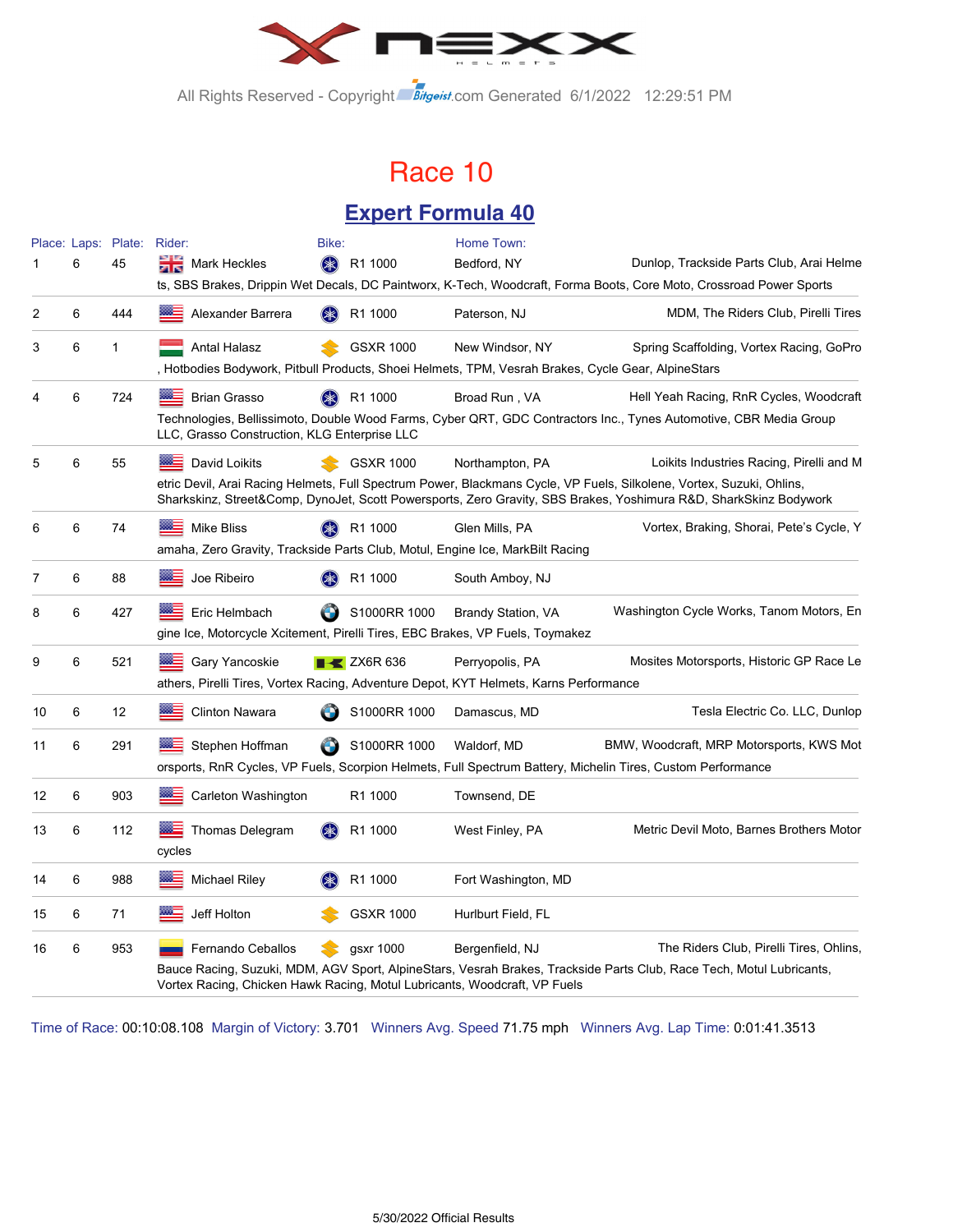

All Rights Reserved - Copyright Bitgeist.com Generated 6/1/2022 12:29:51 PM

### Race 10

#### **Expert Formula 40**

|    |   | Place: Laps: Plate: Rider: |                                                                                                                    | Bike:              |                                | Home Town:                |                                                                                                                                                                                                                                           |
|----|---|----------------------------|--------------------------------------------------------------------------------------------------------------------|--------------------|--------------------------------|---------------------------|-------------------------------------------------------------------------------------------------------------------------------------------------------------------------------------------------------------------------------------------|
|    | 6 | 45                         | Mark Heckles<br>en eo                                                                                              | $(\ggg)$           | R1 1000                        | Bedford, NY               | Dunlop, Trackside Parts Club, Arai Helme                                                                                                                                                                                                  |
|    |   |                            |                                                                                                                    |                    |                                |                           | ts, SBS Brakes, Drippin Wet Decals, DC Paintworx, K-Tech, Woodcraft, Forma Boots, Core Moto, Crossroad Power Sports                                                                                                                       |
| 2  | 6 | 444                        | Alexander Barrera                                                                                                  | $(\divideontimes)$ | R1 1000                        | Paterson, NJ              | MDM, The Riders Club, Pirelli Tires                                                                                                                                                                                                       |
| 3  | 6 | 1                          | Antal Halasz<br>, Hotbodies Bodywork, Pitbull Products, Shoei Helmets, TPM, Vesrah Brakes, Cycle Gear, AlpineStars |                    | <b>GSXR 1000</b>               | New Windsor, NY           | Spring Scaffolding, Vortex Racing, GoPro                                                                                                                                                                                                  |
| 4  | 6 | 724                        | <b>Brian Grasso</b>                                                                                                |                    | R1 1000                        | Broad Run, VA             | Hell Yeah Racing, RnR Cycles, Woodcraft                                                                                                                                                                                                   |
|    |   |                            | LLC, Grasso Construction, KLG Enterprise LLC                                                                       |                    |                                |                           | Technologies, Bellissimoto, Double Wood Farms, Cyber QRT, GDC Contractors Inc., Tynes Automotive, CBR Media Group                                                                                                                         |
| 5  | 6 | 55                         | David Loikits                                                                                                      |                    | <b>GSXR 1000</b>               | Northampton, PA           | Loikits Industries Racing, Pirelli and M                                                                                                                                                                                                  |
|    |   |                            |                                                                                                                    |                    |                                |                           | etric Devil, Arai Racing Helmets, Full Spectrum Power, Blackmans Cycle, VP Fuels, Silkolene, Vortex, Suzuki, Ohlins,<br>Sharkskinz, Street&Comp, DynoJet, Scott Powersports, Zero Gravity, SBS Brakes, Yoshimura R&D, SharkSkinz Bodywork |
| 6  | 6 | 74                         | ⋙<br><b>Mike Bliss</b>                                                                                             |                    | R1 1000                        | Glen Mills, PA            | Vortex, Braking, Shorai, Pete's Cycle, Y                                                                                                                                                                                                  |
|    |   |                            | amaha, Zero Gravity, Trackside Parts Club, Motul, Engine Ice, MarkBilt Racing                                      |                    |                                |                           |                                                                                                                                                                                                                                           |
| 7  | 6 | 88                         | Joe Ribeiro                                                                                                        |                    | R1 1000                        | South Amboy, NJ           |                                                                                                                                                                                                                                           |
| 8  | 6 | 427                        | Eric Helmbach                                                                                                      | O                  | S1000RR 1000                   | <b>Brandy Station, VA</b> | Washington Cycle Works, Tanom Motors, En                                                                                                                                                                                                  |
|    |   |                            | gine Ice, Motorcycle Xcitement, Pirelli Tires, EBC Brakes, VP Fuels, Toymakez                                      |                    |                                |                           |                                                                                                                                                                                                                                           |
| 9  | 6 | 521                        | Gary Yancoskie                                                                                                     |                    | $\blacktriangleright$ ZX6R 636 | Perryopolis, PA           | Mosites Motorsports, Historic GP Race Le                                                                                                                                                                                                  |
|    |   |                            | athers, Pirelli Tires, Vortex Racing, Adventure Depot, KYT Helmets, Karns Performance                              |                    |                                |                           |                                                                                                                                                                                                                                           |
| 10 | 6 | 12                         | <b>Clinton Nawara</b>                                                                                              |                    | S1000RR 1000                   | Damascus, MD              | Tesla Electric Co. LLC, Dunlop                                                                                                                                                                                                            |
| 11 | 6 | 291                        | Stephen Hoffman                                                                                                    |                    | S1000RR 1000                   | Waldorf, MD               | BMW, Woodcraft, MRP Motorsports, KWS Mot                                                                                                                                                                                                  |
|    |   |                            |                                                                                                                    |                    |                                |                           | orsports, RnR Cycles, VP Fuels, Scorpion Helmets, Full Spectrum Battery, Michelin Tires, Custom Performance                                                                                                                               |
| 12 | 6 | 903                        | Carleton Washington                                                                                                |                    | R1 1000                        | Townsend, DE              |                                                                                                                                                                                                                                           |
| 13 | 6 | 112                        | Thomas Delegram                                                                                                    |                    | R1 1000                        | West Finley, PA           | Metric Devil Moto, Barnes Brothers Motor                                                                                                                                                                                                  |
|    |   |                            | cycles                                                                                                             |                    |                                |                           |                                                                                                                                                                                                                                           |
| 14 | 6 | 988                        | Michael Riley                                                                                                      |                    | R1 1000                        | Fort Washington, MD       |                                                                                                                                                                                                                                           |
| 15 | 6 | 71                         | Jeff Holton                                                                                                        |                    | <b>GSXR 1000</b>               | Hurlburt Field, FL        |                                                                                                                                                                                                                                           |
| 16 | 6 | 953                        | Fernando Ceballos                                                                                                  |                    | gsxr 1000                      | Bergenfield, NJ           | The Riders Club, Pirelli Tires, Ohlins,                                                                                                                                                                                                   |
|    |   |                            | Vortex Racing, Chicken Hawk Racing, Motul Lubricants, Woodcraft, VP Fuels                                          |                    |                                |                           | Bauce Racing, Suzuki, MDM, AGV Sport, AlpineStars, Vesrah Brakes, Trackside Parts Club, Race Tech, Motul Lubricants,                                                                                                                      |

Time of Race: 00:10:08.108 Margin of Victory: 3.701 Winners Avg. Speed 71.75 mph Winners Avg. Lap Time: 0:01:41.3513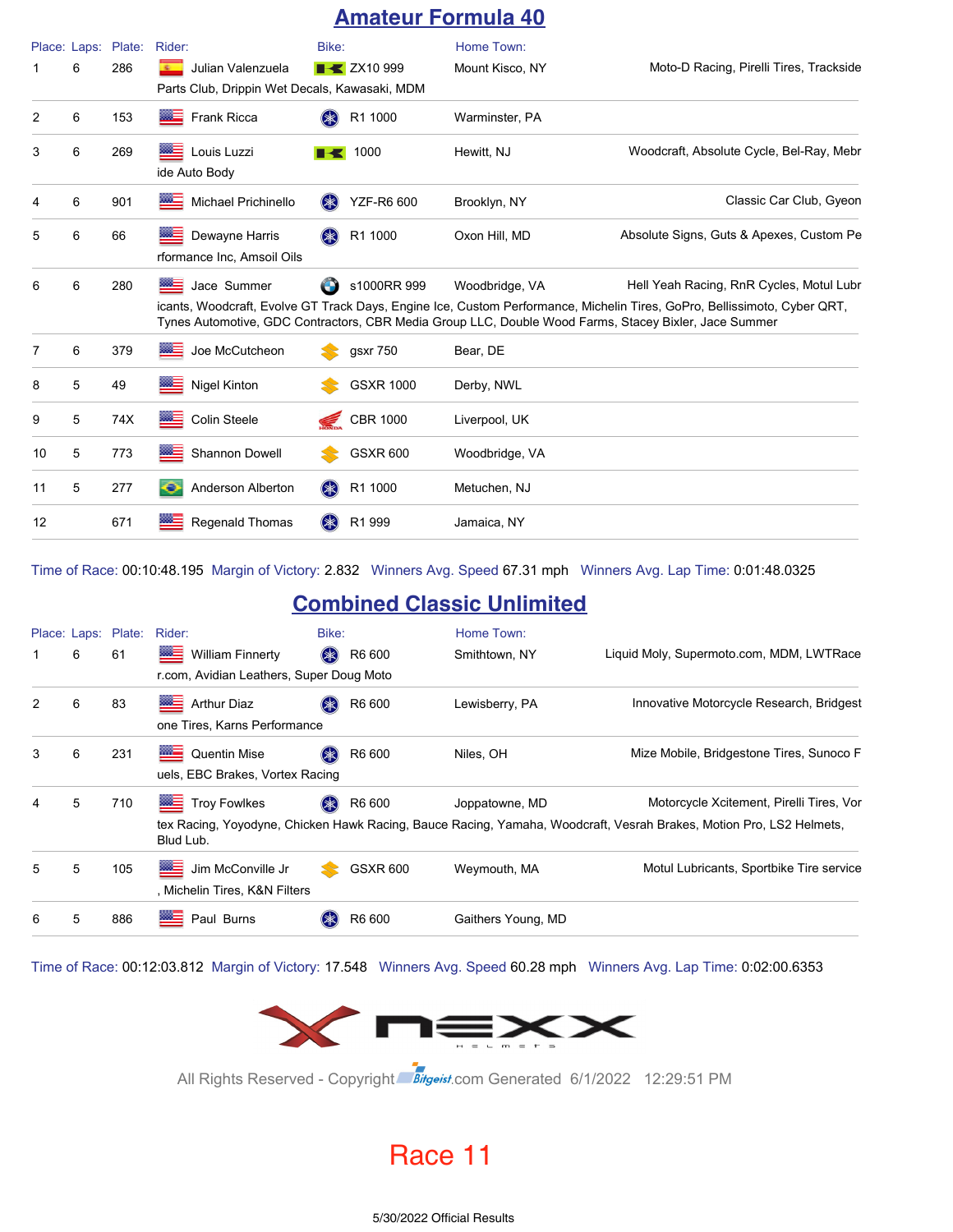### **Amateur Formula 40**

|    | Place: Laps: | Plate: | Rider:                                                                             | Bike:     |                     | Home Town:      |                                                                                                                                                                                                                                                                               |
|----|--------------|--------|------------------------------------------------------------------------------------|-----------|---------------------|-----------------|-------------------------------------------------------------------------------------------------------------------------------------------------------------------------------------------------------------------------------------------------------------------------------|
|    | 6            | 286    | Julian Valenzuela<br><b>BOTTO</b><br>Parts Club, Drippin Wet Decals, Kawasaki, MDM |           | <b>THE ZX10 999</b> | Mount Kisco, NY | Moto-D Racing, Pirelli Tires, Trackside                                                                                                                                                                                                                                       |
| 2  | 6            | 153    | <b>Frank Ricca</b>                                                                 |           | R1 1000             | Warminster, PA  |                                                                                                                                                                                                                                                                               |
| 3  | 6            | 269    | <b>EXECUTE:</b> Louis Luzzi<br>ide Auto Body                                       | EKI       | 1000                | Hewitt, NJ      | Woodcraft, Absolute Cycle, Bel-Ray, Mebr                                                                                                                                                                                                                                      |
| 4  | 6            | 901    | <b>Michael Prichinello</b>                                                         | (≱≳)      | <b>YZF-R6 600</b>   | Brooklyn, NY    | Classic Car Club, Gyeon                                                                                                                                                                                                                                                       |
| 5  | 6            | 66     | ▩ਵ<br>Dewayne Harris<br>rformance Inc, Amsoil Oils                                 | (*)       | R1 1000             | Oxon Hill, MD   | Absolute Signs, Guts & Apexes, Custom Pe                                                                                                                                                                                                                                      |
| 6  | 6            | 280    | <b>BEE</b> Jace Summer                                                             | O         | s1000RR 999         | Woodbridge, VA  | Hell Yeah Racing, RnR Cycles, Motul Lubr<br>icants, Woodcraft, Evolve GT Track Days, Engine Ice, Custom Performance, Michelin Tires, GoPro, Bellissimoto, Cyber QRT,<br>Tynes Automotive, GDC Contractors, CBR Media Group LLC, Double Wood Farms, Stacey Bixler, Jace Summer |
| 7  | 6            | 379    | Joe McCutcheon                                                                     |           | gsxr 750            | Bear, DE        |                                                                                                                                                                                                                                                                               |
| 8  | 5            | 49     | <b>Nigel Kinton</b>                                                                |           | <b>GSXR 1000</b>    | Derby, NWL      |                                                                                                                                                                                                                                                                               |
| 9  | 5            | 74X    | Colin Steele                                                                       | <i>ਵ</i>  | <b>CBR 1000</b>     | Liverpool, UK   |                                                                                                                                                                                                                                                                               |
| 10 | 5            | 773    | <b>Shannon Dowell</b>                                                              |           | <b>GSXR 600</b>     | Woodbridge, VA  |                                                                                                                                                                                                                                                                               |
| 11 | 5            | 277    | a<br>Anderson Alberton                                                             | <b>SK</b> | R1 1000             | Metuchen, NJ    |                                                                                                                                                                                                                                                                               |
| 12 |              | 671    | <b>Regenald Thomas</b>                                                             |           | R1 999              | Jamaica, NY     |                                                                                                                                                                                                                                                                               |

Time of Race: 00:10:48.195 Margin of Victory: 2.832 Winners Avg. Speed 67.31 mph Winners Avg. Lap Time: 0:01:48.0325

#### **Combined Classic Unlimited**

|   |   | Place: Laps: Plate: | Rider:                                                                                                                                           | Bike:  |                 | Home Town:         |                                                                                                                                                                 |
|---|---|---------------------|--------------------------------------------------------------------------------------------------------------------------------------------------|--------|-----------------|--------------------|-----------------------------------------------------------------------------------------------------------------------------------------------------------------|
|   | 6 | 61                  | <b>William Finnerty</b><br><b>The Contract of the Contract of the Contract of The Contract of The Contract of The Contract of The Contract o</b> | $(* )$ | R6 600          | Smithtown, NY      | Liquid Moly, Supermoto.com, MDM, LWTRace                                                                                                                        |
|   |   |                     | r.com, Avidian Leathers, Super Doug Moto                                                                                                         |        |                 |                    |                                                                                                                                                                 |
| 2 | 6 | 83                  | ▩▀<br><b>Arthur Diaz</b><br>one Tires, Karns Performance                                                                                         | $(*$   | R6 600          | Lewisberry, PA     | Innovative Motorcycle Research, Bridgest                                                                                                                        |
| 3 | 6 | 231                 | <b>MAGE</b><br><b>Quentin Mise</b><br>uels, EBC Brakes, Vortex Racing                                                                            |        | R6 600          | Niles, OH          | Mize Mobile, Bridgestone Tires, Sunoco F                                                                                                                        |
| 4 | 5 | 710                 | ▩═<br><b>Troy Fowlkes</b><br>Blud Lub.                                                                                                           | $(* )$ | R6 600          | Joppatowne, MD     | Motorcycle Xcitement, Pirelli Tires, Vor<br>tex Racing, Yoyodyne, Chicken Hawk Racing, Bauce Racing, Yamaha, Woodcraft, Vesrah Brakes, Motion Pro, LS2 Helmets, |
| 5 | 5 | 105                 | ▩≡<br>Jim McConville Jr<br>, Michelin Tires, K&N Filters                                                                                         |        | <b>GSXR 600</b> | Weymouth, MA       | Motul Lubricants, Sportbike Tire service                                                                                                                        |
| 6 | 5 | 886                 | ▩▀<br>Paul Burns                                                                                                                                 |        | R6 600          | Gaithers Young, MD |                                                                                                                                                                 |

Time of Race: 00:12:03.812 Margin of Victory: 17.548 Winners Avg. Speed 60.28 mph Winners Avg. Lap Time: 0:02:00.6353



All Rights Reserved - Copyright Bitgeist.com Generated 6/1/2022 12:29:51 PM

### Race 11

5/30/2022 Official Results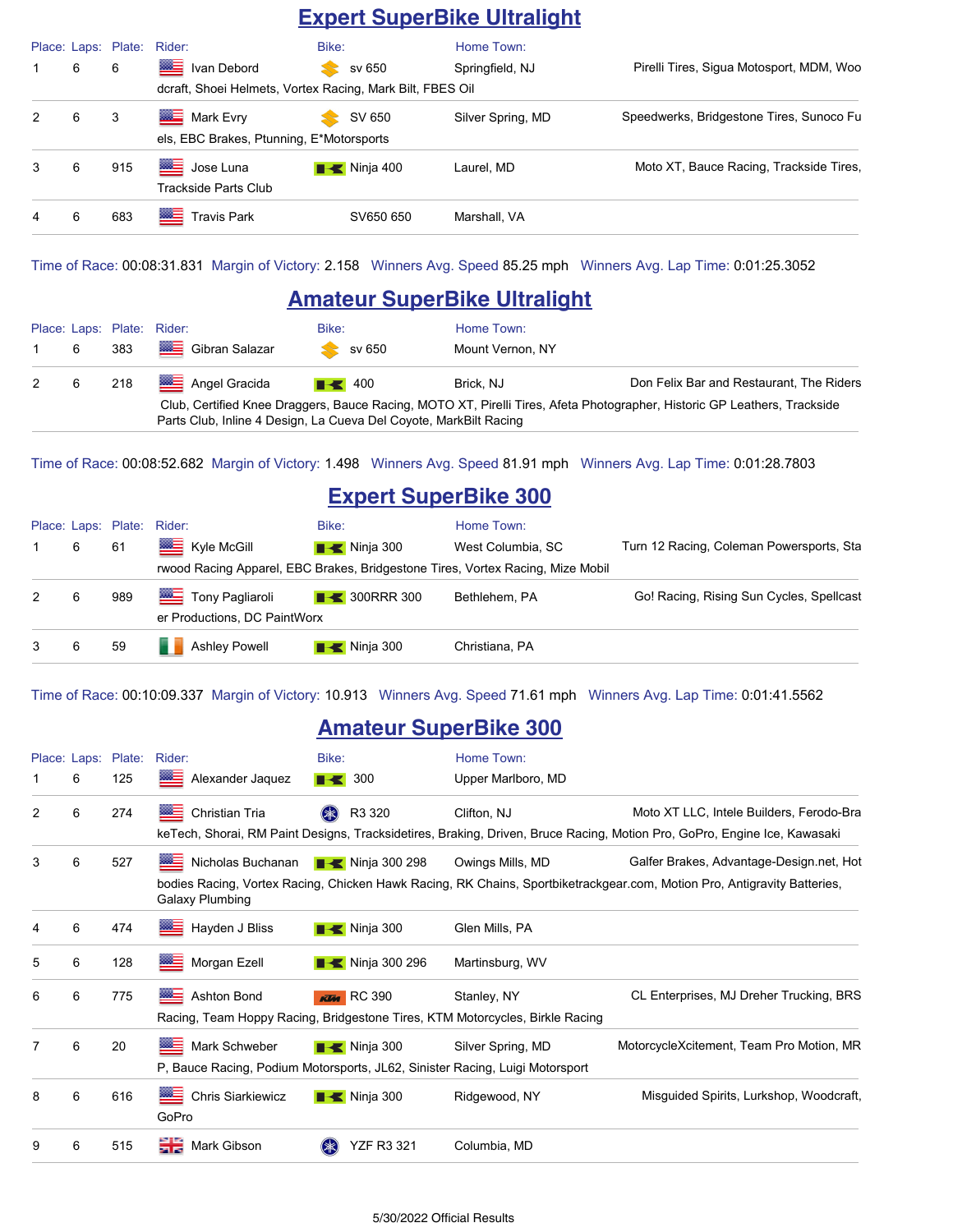### **Expert SuperBike Ultralight**

|               |   | Place: Laps: Plate: | Rider:                                                    | Bike:                    | Home Town:        |                                          |
|---------------|---|---------------------|-----------------------------------------------------------|--------------------------|-------------------|------------------------------------------|
|               | 6 | 6                   | ▩▬<br>Ivan Debord                                         | sv 650                   | Springfield, NJ   | Pirelli Tires, Sigua Motosport, MDM, Woo |
|               |   |                     | dcraft, Shoei Helmets, Vortex Racing, Mark Bilt, FBES Oil |                          |                   |                                          |
| $\mathcal{P}$ | 6 | 3                   | Mark Evry                                                 | SV 650                   | Silver Spring, MD | Speedwerks, Bridgestone Tires, Sunoco Fu |
|               |   |                     | els, EBC Brakes, Ptunning, E*Motorsports                  |                          |                   |                                          |
| 3             | 6 | 915                 | ▩≡<br>Jose Luna<br>Trackside Parts Club                   | $\blacksquare$ Ninja 400 | Laurel, MD        | Moto XT, Bauce Racing, Trackside Tires,  |
| 4             | 6 | 683                 | ⊟<br><b>Travis Park</b>                                   | SV650 650                | Marshall, VA      |                                          |

Time of Race: 00:08:31.831 Margin of Victory: 2.158 Winners Avg. Speed 85.25 mph Winners Avg. Lap Time: 0:01:25.3052

#### **Amateur SuperBike Ultralight**

|     |                                                                                                                                                                                               | Place: Laps: Plate: Rider:      | Bike:              | Home Town:       |                                          |
|-----|-----------------------------------------------------------------------------------------------------------------------------------------------------------------------------------------------|---------------------------------|--------------------|------------------|------------------------------------------|
| 1 6 |                                                                                                                                                                                               | 383 <b>WE</b> Gibran Salazar    | sv 650             | Mount Vernon, NY |                                          |
|     |                                                                                                                                                                                               | 2 6 218 <b>22 Angel Gracida</b> | $\blacksquare$ 400 | Brick, NJ        | Don Felix Bar and Restaurant, The Riders |
|     | Club, Certified Knee Draggers, Bauce Racing, MOTO XT, Pirelli Tires, Afeta Photographer, Historic GP Leathers, Trackside<br>Parts Club, Inline 4 Design, La Cueva Del Coyote, MarkBilt Racing |                                 |                    |                  |                                          |

Time of Race: 00:08:52.682 Margin of Victory: 1.498 Winners Avg. Speed 81.91 mph Winners Avg. Lap Time: 0:01:28.7803

### **Expert SuperBike 300**

|   |   |     | Place: Laps: Plate: Rider:                                                     | Bike:                            | Home Town:        |                                          |
|---|---|-----|--------------------------------------------------------------------------------|----------------------------------|-------------------|------------------------------------------|
|   | 6 | 61  | Kyle McGill                                                                    | $\blacksquare$ Ninja 300         | West Columbia, SC | Turn 12 Racing, Coleman Powersports, Sta |
|   |   |     | rwood Racing Apparel, EBC Brakes, Bridgestone Tires, Vortex Racing, Mize Mobil |                                  |                   |                                          |
| 2 | 6 | 989 | Tony Pagliaroli                                                                | $\blacktriangleright$ 300RRR 300 | Bethlehem, PA     | Go! Racing, Rising Sun Cycles, Spellcast |
|   |   |     | er Productions, DC PaintWorx                                                   |                                  |                   |                                          |
|   | 6 | 59  | Ashley Powell                                                                  | $\blacksquare$ Ninja 300         | Christiana, PA    |                                          |

Time of Race: 00:10:09.337 Margin of Victory: 10.913 Winners Avg. Speed 71.61 mph Winners Avg. Lap Time: 0:01:41.5562

#### **Amateur SuperBike 300**

|   |   | Place: Laps: Plate: | Rider:                                                                       | Bike:                               | Home Town:         |                                                                                                                          |  |
|---|---|---------------------|------------------------------------------------------------------------------|-------------------------------------|--------------------|--------------------------------------------------------------------------------------------------------------------------|--|
|   | 6 | 125                 | Alexander Jaquez                                                             | $\blacksquare$ 300                  | Upper Marlboro, MD |                                                                                                                          |  |
| 2 | 6 | 274                 | ▓≡<br>Christian Tria                                                         | $(* )$<br>R3 320                    | Clifton, NJ        | Moto XT LLC, Intele Builders, Ferodo-Bra                                                                                 |  |
|   |   |                     |                                                                              |                                     |                    | keTech, Shorai, RM Paint Designs, Tracksidetires, Braking, Driven, Bruce Racing, Motion Pro, GoPro, Engine Ice, Kawasaki |  |
| 3 | 6 | 527                 | Nicholas Buchanan                                                            | Ninja 300 298                       | Owings Mills, MD   | Galfer Brakes, Advantage-Design.net, Hot                                                                                 |  |
|   |   |                     | Galaxy Plumbing                                                              |                                     |                    | bodies Racing, Vortex Racing, Chicken Hawk Racing, RK Chains, Sportbiketrackgear.com, Motion Pro, Antigravity Batteries, |  |
| 4 | 6 | 474                 | Hayden J Bliss                                                               | $\blacksquare$ Ninja 300            | Glen Mills, PA     |                                                                                                                          |  |
| 5 | 6 | 128                 | ≝<br>Morgan Ezell                                                            | $\blacktriangleright$ Ninja 300 296 | Martinsburg, WV    |                                                                                                                          |  |
| 6 | 6 | 775                 | $\frac{300-1}{2}$<br>Ashton Bond                                             | <b>KTM</b> RC 390                   | Stanley, NY        | CL Enterprises, MJ Dreher Trucking, BRS                                                                                  |  |
|   |   |                     | Racing, Team Hoppy Racing, Bridgestone Tires, KTM Motorcycles, Birkle Racing |                                     |                    |                                                                                                                          |  |
| 7 | 6 | 20                  | ▩≡<br>Mark Schweber                                                          | $\blacksquare$ Ninja 300            | Silver Spring, MD  | MotorcycleXcitement, Team Pro Motion, MR                                                                                 |  |
|   |   |                     | P, Bauce Racing, Podium Motorsports, JL62, Sinister Racing, Luigi Motorsport |                                     |                    |                                                                                                                          |  |
| 8 | 6 | 616                 | ▩∃<br><b>Chris Siarkiewicz</b><br>GoPro                                      | $\blacksquare$ Ninja 300            | Ridgewood, NY      | Misguided Spirits, Lurkshop, Woodcraft,                                                                                  |  |
| 9 | 6 | 515                 | 을품<br>Mark Gibson                                                            | <b>YZF R3 321</b>                   | Columbia, MD       |                                                                                                                          |  |